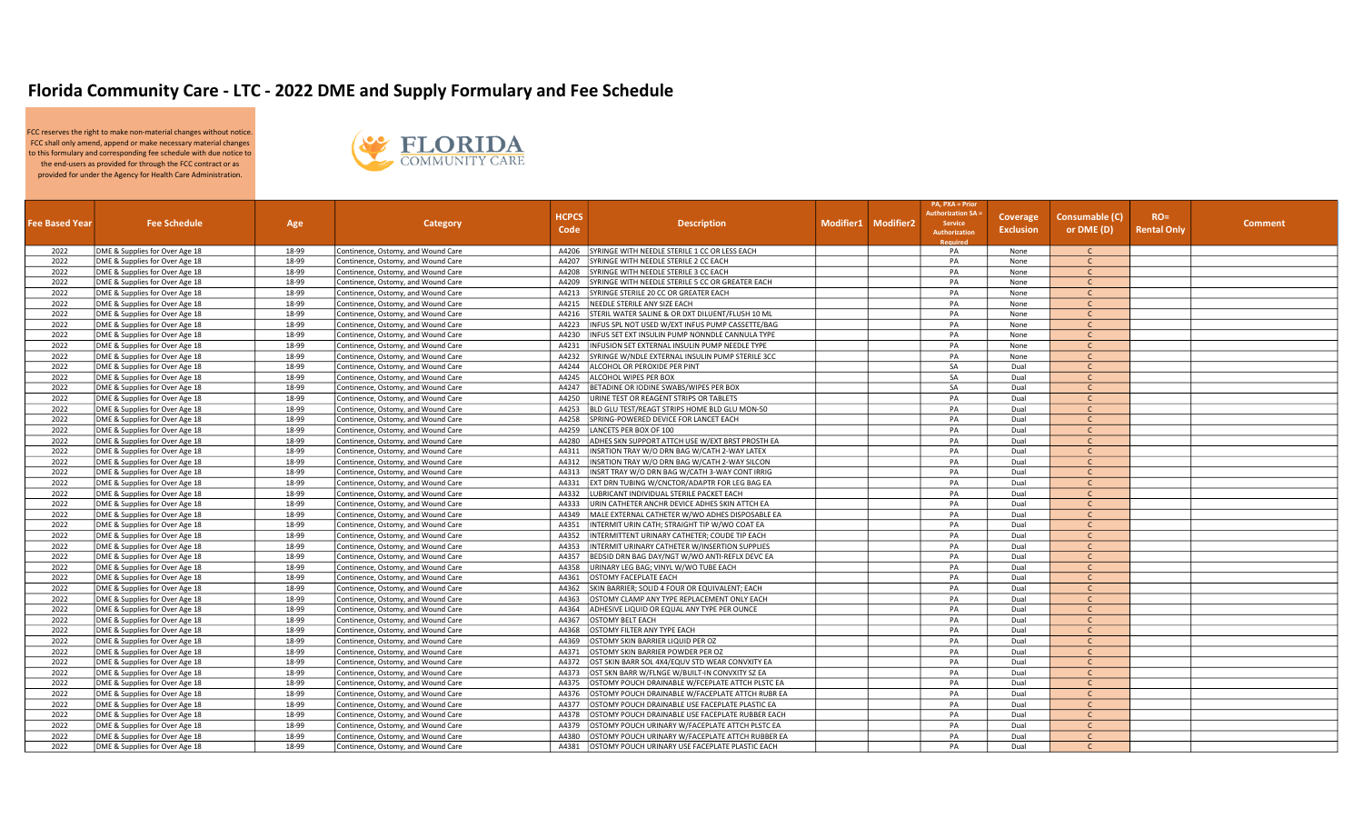## Florida Community Care - LTC - 2022 DME and Supply Formulary and Fee Schedule

FCC reserves the right to make non-material changes without notice. FCC shall only amend, append or make necessary material changes to this formulary and corresponding fee schedule with due notice to the end-users as provided for through the FCC contract or as provided for under the Agency for Health Care Administration.



|                       |                                |       |                                    |              |                                                  |                     | <b>PA, PXA = Prior</b>                  |                  |                |             |                |
|-----------------------|--------------------------------|-------|------------------------------------|--------------|--------------------------------------------------|---------------------|-----------------------------------------|------------------|----------------|-------------|----------------|
|                       |                                |       |                                    | <b>HCPCS</b> |                                                  |                     | uthorization SA:                        | Coverage         | Consumable (C) | $RO=$       |                |
| <b>Fee Based Year</b> | <b>Fee Schedule</b>            | Age   | Category                           | Code         | <b>Description</b>                               | Modifier1 Modifier2 | Service                                 | <b>Exclusion</b> | or DME (D)     | Rental Only | <b>Comment</b> |
|                       |                                |       |                                    |              |                                                  |                     | <b>Authorization</b><br><b>Required</b> |                  |                |             |                |
| 2022                  | DME & Supplies for Over Age 18 | 18-99 | Continence, Ostomy, and Wound Care | A4206        | SYRINGE WITH NEEDLE STERILE 1 CC OR LESS EACH    |                     | PA                                      | None             | $\mathsf{C}$   |             |                |
| 2022                  | DME & Supplies for Over Age 18 | 18-99 | Continence, Ostomy, and Wound Care | A4207        | SYRINGE WITH NEEDLE STERILE 2 CC EACH            |                     | PA                                      | None             | $\mathsf{C}$   |             |                |
| 2022                  | DME & Supplies for Over Age 18 | 18-99 | Continence, Ostomy, and Wound Care | A4208        | SYRINGE WITH NEEDLE STERILE 3 CC EACH            |                     | PA                                      | None             | $\mathsf{C}$   |             |                |
| 2022                  | DME & Supplies for Over Age 18 | 18-99 | Continence, Ostomy, and Wound Care | A4209        | SYRINGE WITH NEEDLE STERILE 5 CC OR GREATER EACH |                     | PA                                      | None             | $\mathsf{C}$   |             |                |
| 2022                  | DME & Supplies for Over Age 18 | 18-99 | Continence, Ostomy, and Wound Care | A4213        | SYRINGE STERILE 20 CC OR GREATER EACH            |                     | PA                                      | None             | $\mathsf{C}$   |             |                |
| 2022                  | DME & Supplies for Over Age 18 | 18-99 | Continence, Ostomy, and Wound Care | A4215        | NEEDLE STERILE ANY SIZE EACH                     |                     | PA                                      | None             | $\mathsf{C}$   |             |                |
| 2022                  | DME & Supplies for Over Age 18 | 18-99 | Continence, Ostomy, and Wound Care | A4216        | STERIL WATER SALINE & OR DXT DILUENT/FLUSH 10 ML |                     | PA                                      | None             | $\mathsf{C}$   |             |                |
| 2022                  | DME & Supplies for Over Age 18 | 18-99 | Continence, Ostomy, and Wound Care | A4223        | INFUS SPL NOT USED W/EXT INFUS PUMP CASSETTE/BAG |                     | PA                                      | None             | $\mathsf{C}$   |             |                |
| 2022                  | DME & Supplies for Over Age 18 | 18-99 | Continence, Ostomy, and Wound Care | A4230        | INFUS SET EXT INSULIN PUMP NONNDLE CANNULA TYPE  |                     | PA                                      | None             | $\mathsf{C}$   |             |                |
| 2022                  | DME & Supplies for Over Age 18 | 18-99 | Continence, Ostomy, and Wound Care | A4231        | INFUSION SET EXTERNAL INSULIN PUMP NEEDLE TYPE   |                     | PA                                      | None             | $\mathsf{C}$   |             |                |
| 2022                  | DME & Supplies for Over Age 18 | 18-99 | Continence, Ostomy, and Wound Care | A4232        | SYRINGE W/NDLE EXTERNAL INSULIN PUMP STERILE 3CC |                     | PA                                      | None             | $\mathsf{C}$   |             |                |
| 2022                  | DME & Supplies for Over Age 18 | 18-99 | Continence, Ostomy, and Wound Care | A4244        | ALCOHOL OR PEROXIDE PER PINT                     |                     | SA                                      | Dual             | $\mathsf{C}$   |             |                |
|                       |                                |       |                                    |              |                                                  |                     | SA                                      |                  |                |             |                |
| 2022                  | DME & Supplies for Over Age 18 | 18-99 | Continence, Ostomy, and Wound Care | A4245        | ALCOHOL WIPES PER BOX                            |                     |                                         | Dual             | $\mathsf{C}$   |             |                |
| 2022                  | DME & Supplies for Over Age 18 | 18-99 | Continence, Ostomy, and Wound Care | A4247        | BETADINE OR IODINE SWABS/WIPES PER BOX           |                     | SA                                      | Dual             | $\mathsf{C}$   |             |                |
| 2022                  | DME & Supplies for Over Age 18 | 18-99 | Continence, Ostomy, and Wound Care | A4250        | URINE TEST OR REAGENT STRIPS OR TABLETS          |                     | PA                                      | Dual             | $\mathsf{C}$   |             |                |
| 2022                  | DME & Supplies for Over Age 18 | 18-99 | Continence, Ostomy, and Wound Care | A4253        | BLD GLU TEST/REAGT STRIPS HOME BLD GLU MON-50    |                     | PA                                      | Dual             | $\mathsf{C}$   |             |                |
| 2022                  | DME & Supplies for Over Age 18 | 18-99 | Continence, Ostomy, and Wound Care | A4258        | SPRING-POWERED DEVICE FOR LANCET EACH            |                     | PA                                      | Dual             | $\mathsf{C}$   |             |                |
| 2022                  | DME & Supplies for Over Age 18 | 18-99 | Continence, Ostomy, and Wound Care | A4259        | LANCETS PER BOX OF 100                           |                     | PA                                      | Dual             | $\mathsf{C}$   |             |                |
| 2022                  | DME & Supplies for Over Age 18 | 18-99 | Continence, Ostomy, and Wound Care | A4280        | ADHES SKN SUPPORT ATTCH USE W/EXT BRST PROSTH EA |                     | PA                                      | Dual             | $\mathsf{C}$   |             |                |
| 2022                  | DME & Supplies for Over Age 18 | 18-99 | Continence, Ostomy, and Wound Care | A4311        | INSRTION TRAY W/O DRN BAG W/CATH 2-WAY LATEX     |                     | PA                                      | Dual             | $\mathsf{C}$   |             |                |
| 2022                  | DME & Supplies for Over Age 18 | 18-99 | Continence, Ostomy, and Wound Care | A4312        | INSRTION TRAY W/O DRN BAG W/CATH 2-WAY SILCON    |                     | PA                                      | Dual             | $\mathsf{C}$   |             |                |
| 2022                  | DME & Supplies for Over Age 18 | 18-99 | Continence, Ostomy, and Wound Care | A4313        | INSRT TRAY W/O DRN BAG W/CATH 3-WAY CONT IRRIG   |                     | PA                                      | Dual             | $\mathsf{C}$   |             |                |
| 2022                  | DME & Supplies for Over Age 18 | 18-99 | Continence, Ostomy, and Wound Care | A4331        | EXT DRN TUBING W/CNCTOR/ADAPTR FOR LEG BAG EA    |                     | PA                                      | Dual             | $\mathsf{C}$   |             |                |
| 2022                  | DME & Supplies for Over Age 18 | 18-99 | Continence, Ostomy, and Wound Care | A4332        | LUBRICANT INDIVIDUAL STERILE PACKET EACH         |                     | PA                                      | Dual             | $\mathsf{C}$   |             |                |
| 2022                  | DME & Supplies for Over Age 18 | 18-99 | Continence, Ostomy, and Wound Care | A4333        | URIN CATHETER ANCHR DEVICE ADHES SKIN ATTCH EA   |                     | PA                                      | Dual             | $\mathsf{C}$   |             |                |
| 2022                  | DME & Supplies for Over Age 18 | 18-99 | Continence, Ostomy, and Wound Care | A4349        | MALE EXTERNAL CATHETER W/WO ADHES DISPOSABLE EA  |                     | PA                                      | Dual             | $\mathsf{C}$   |             |                |
| 2022                  | DME & Supplies for Over Age 18 | 18-99 | Continence, Ostomy, and Wound Care | A4351        | INTERMIT URIN CATH; STRAIGHT TIP W/WO COAT EA    |                     | PA                                      | Dual             | $\mathsf{C}$   |             |                |
| 2022                  | DME & Supplies for Over Age 18 | 18-99 | Continence, Ostomy, and Wound Care | A4352        | INTERMITTENT URINARY CATHETER; COUDE TIP EACH    |                     | PA                                      | Dual             | $\mathsf{C}$   |             |                |
| 2022                  | DME & Supplies for Over Age 18 | 18-99 | Continence, Ostomy, and Wound Care | A4353        | INTERMIT URINARY CATHETER W/INSERTION SUPPLIES   |                     | PA                                      | Dual             | $\mathsf{C}$   |             |                |
| 2022                  | DME & Supplies for Over Age 18 | 18-99 | Continence, Ostomy, and Wound Care | A4357        | BEDSID DRN BAG DAY/NGT W/WO ANTI-REFLX DEVC EA   |                     | PA                                      | Dual             | $\mathsf{C}$   |             |                |
| 2022                  | DME & Supplies for Over Age 18 | 18-99 | Continence, Ostomy, and Wound Care | A4358        | URINARY LEG BAG; VINYL W/WO TUBE EACH            |                     | PA                                      | Dual             | $\mathsf{C}$   |             |                |
| 2022                  | DME & Supplies for Over Age 18 | 18-99 | Continence, Ostomy, and Wound Care | A4361        | OSTOMY FACEPLATE EACH                            |                     | PA                                      | Dual             | $\mathsf{C}$   |             |                |
| 2022                  | DME & Supplies for Over Age 18 | 18-99 | Continence, Ostomy, and Wound Care | A4362        | SKIN BARRIER; SOLID 4 FOUR OR EQUIVALENT; EACH   |                     | PA                                      | Dual             | $\mathsf{C}$   |             |                |
| 2022                  | DME & Supplies for Over Age 18 | 18-99 | Continence, Ostomy, and Wound Care | A4363        | OSTOMY CLAMP ANY TYPE REPLACEMENT ONLY EACH      |                     | PA                                      | Dual             | $\mathsf{C}$   |             |                |
| 2022                  | DME & Supplies for Over Age 18 | 18-99 | Continence, Ostomy, and Wound Care | A4364        | ADHESIVE LIQUID OR EQUAL ANY TYPE PER OUNCE      |                     | PA                                      | Dual             | $\mathsf{C}$   |             |                |
| 2022                  | DME & Supplies for Over Age 18 | 18-99 | Continence, Ostomy, and Wound Care | A4367        | <b>OSTOMY BELT EACH</b>                          |                     | PA                                      | Dual             | $\mathsf{C}$   |             |                |
| 2022                  | DME & Supplies for Over Age 18 | 18-99 | Continence, Ostomy, and Wound Care | A4368        | OSTOMY FILTER ANY TYPE EACH                      |                     | PA                                      | Dual             | $\mathsf{C}$   |             |                |
| 2022                  | DME & Supplies for Over Age 18 | 18-99 | Continence, Ostomy, and Wound Care | A4369        | OSTOMY SKIN BARRIER LIQUID PER OZ                |                     | PA                                      | Dual             | $\mathsf{C}$   |             |                |
| 2022                  | DME & Supplies for Over Age 18 | 18-99 | Continence, Ostomy, and Wound Care | A4371        | OSTOMY SKIN BARRIER POWDER PER OZ                |                     | PA                                      | Dual             | $\mathsf{C}$   |             |                |
| 2022                  | DME & Supplies for Over Age 18 | 18-99 | Continence, Ostomy, and Wound Care | A4372        | OST SKIN BARR SOL 4X4/EQUV STD WEAR CONVXITY EA  |                     | PA                                      | Dual             | $\mathsf{C}$   |             |                |
| 2022                  | DME & Supplies for Over Age 18 | 18-99 | Continence, Ostomy, and Wound Care | A4373        | OST SKN BARR W/FLNGE W/BUILT-IN CONVXITY SZ EA   |                     | PA                                      | Dual             | $\mathsf{C}$   |             |                |
| 2022                  | DME & Supplies for Over Age 18 | 18-99 | Continence, Ostomy, and Wound Care | A4375        | OSTOMY POUCH DRAINABLE W/FCEPLATE ATTCH PLSTC EA |                     | PA                                      | Dual             | $\mathsf{C}$   |             |                |
| 2022                  | DME & Supplies for Over Age 18 | 18-99 | Continence, Ostomy, and Wound Care | A4376        | OSTOMY POUCH DRAINABLE W/FACEPLATE ATTCH RUBR EA |                     | PA                                      | Dual             | $\mathsf{C}$   |             |                |
| 2022                  | DME & Supplies for Over Age 18 | 18-99 | Continence, Ostomy, and Wound Care | A4377        | OSTOMY POUCH DRAINABLE USE FACEPLATE PLASTIC EA  |                     | PA                                      | Dual             | $\mathsf{C}$   |             |                |
| 2022                  | DME & Supplies for Over Age 18 | 18-99 | Continence, Ostomy, and Wound Care | A4378        | OSTOMY POUCH DRAINABLE USE FACEPLATE RUBBER EACH |                     | PA                                      | Dual             | $\mathsf{C}$   |             |                |
| 2022                  | DME & Supplies for Over Age 18 | 18-99 | Continence, Ostomy, and Wound Care | A4379        | OSTOMY POUCH URINARY W/FACEPLATE ATTCH PLSTC EA  |                     | PA                                      | Dual             | $\mathsf{C}$   |             |                |
| 2022                  | DME & Supplies for Over Age 18 | 18-99 | Continence, Ostomy, and Wound Care | A4380        | OSTOMY POUCH URINARY W/FACEPLATE ATTCH RUBBER EA |                     | PA                                      | Dual             | $\mathsf{C}$   |             |                |
| 2022                  | DME & Supplies for Over Age 18 | 18-99 | Continence, Ostomy, and Wound Care | A4381        | OSTOMY POUCH URINARY USE FACEPLATE PLASTIC EACH  |                     | PA                                      | Dual             |                |             |                |
|                       |                                |       |                                    |              |                                                  |                     |                                         |                  |                |             |                |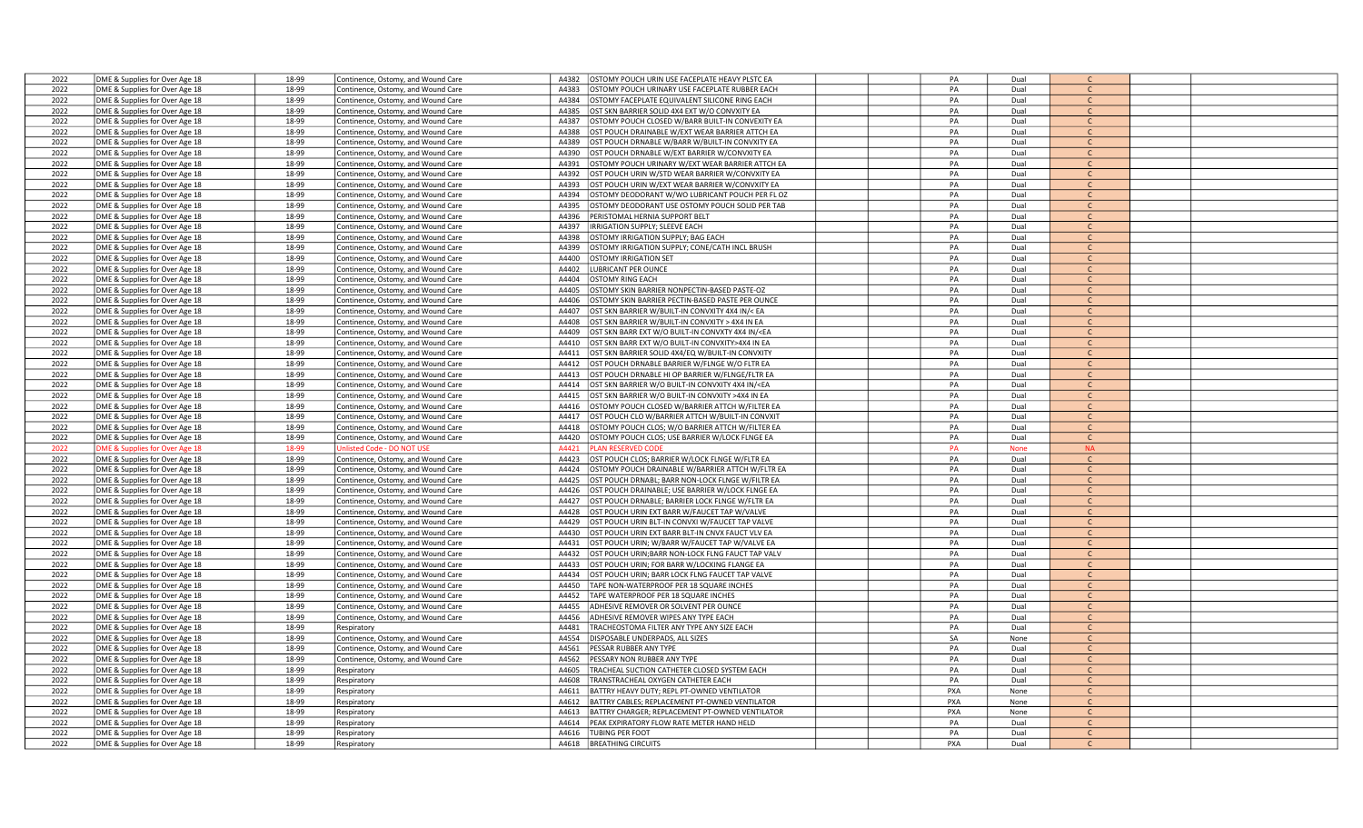| 2022 | DME & Supplies for Over Age 18 | 18-99 | Continence, Ostomy, and Wound Care | A4382 | <b>DSTOMY POUCH URIN USE FACEPLATE HEAVY PLSTC EA</b>                                                     | PA  | Dual        |               |  |
|------|--------------------------------|-------|------------------------------------|-------|-----------------------------------------------------------------------------------------------------------|-----|-------------|---------------|--|
| 2022 | DME & Supplies for Over Age 18 | 18-99 | Continence, Ostomy, and Wound Care | A4383 | <b>STOMY POUCH URINARY USE FACEPLATE RUBBER EACH</b>                                                      | PA  | Dual        | $\mathsf{C}$  |  |
| 2022 |                                |       |                                    | A4384 | <b>OSTOMY FACEPLATE EQUIVALENT SILICONE RING EACH</b>                                                     | PA  | Dual        | $\mathsf{C}$  |  |
|      | DME & Supplies for Over Age 18 | 18-99 | Continence, Ostomy, and Wound Care |       |                                                                                                           |     |             | $\mathsf{C}$  |  |
| 2022 | DME & Supplies for Over Age 18 | 18-99 | Continence, Ostomy, and Wound Care | A4385 | OST SKN BARRIER SOLID 4X4 EXT W/O CONVXITY EA                                                             | PA  | Dual        |               |  |
| 2022 | DME & Supplies for Over Age 18 | 18-99 | Continence, Ostomy, and Wound Care | A4387 | <b>OSTOMY POUCH CLOSED W/BARR BUILT-IN CONVEXITY EA</b>                                                   | PA  | Dual        | $\mathsf{C}$  |  |
| 2022 | DME & Supplies for Over Age 18 | 18-99 | Continence, Ostomy, and Wound Care | A4388 | <b>ST POUCH DRAINABLE W/EXT WEAR BARRIER ATTCH EA</b>                                                     | PA  | Dual        | $\mathcal{C}$ |  |
| 2022 | DME & Supplies for Over Age 18 | 18-99 | Continence, Ostomy, and Wound Care | A4389 | OST POUCH DRNABLE W/BARR W/BUILT-IN CONVXITY EA                                                           | PA  | Dual        | $\mathsf{C}$  |  |
| 2022 | DME & Supplies for Over Age 18 | 18-99 | Continence, Ostomy, and Wound Care | A4390 | OST POUCH DRNABLE W/EXT BARRIER W/CONVXITY EA                                                             | PA  | Dual        | $\mathsf{C}$  |  |
| 2022 | DME & Supplies for Over Age 18 | 18-99 | Continence, Ostomy, and Wound Care | A4391 | STOMY POUCH URINARY W/EXT WEAR BARRIER ATTCH EA                                                           | PA  | Dual        | $\mathsf{C}$  |  |
| 2022 | DME & Supplies for Over Age 18 | 18-99 | Continence, Ostomy, and Wound Care | A4392 | ST POUCH URIN W/STD WEAR BARRIER W/CONVXITY EA                                                            | PA  | Dual        | $\mathsf{C}$  |  |
| 2022 | DME & Supplies for Over Age 18 | 18-99 | Continence, Ostomy, and Wound Care | A4393 | OST POUCH URIN W/EXT WEAR BARRIER W/CONVXITY EA                                                           | PA  | Dual        | $\mathcal{C}$ |  |
| 2022 | DME & Supplies for Over Age 18 | 18-99 | Continence, Ostomy, and Wound Care | A4394 | <b>OSTOMY DEODORANT W/WO LUBRICANT POUCH PER FL OZ</b>                                                    | PA  | Dual        | $\mathsf{C}$  |  |
| 2022 | DME & Supplies for Over Age 18 | 18-99 | Continence, Ostomy, and Wound Care | A4395 | <b>OSTOMY DEODORANT USE OSTOMY POUCH SOLID PER TAB</b>                                                    | PA  | Dual        | $\mathsf{C}$  |  |
|      |                                |       |                                    | A4396 |                                                                                                           | PA  | Dual        | $\mathsf{C}$  |  |
| 2022 | DME & Supplies for Over Age 18 | 18-99 | Continence, Ostomy, and Wound Care |       | PERISTOMAL HERNIA SUPPORT BELT                                                                            |     |             |               |  |
| 2022 | DME & Supplies for Over Age 18 | 18-99 | Continence, Ostomy, and Wound Care | A4397 | RRIGATION SUPPLY; SLEEVE EACH                                                                             | PA  | Dual        | $\mathsf{C}$  |  |
| 2022 | DME & Supplies for Over Age 18 | 18-99 | Continence, Ostomy, and Wound Care | A4398 | STOMY IRRIGATION SUPPLY; BAG EACH                                                                         | PA  | Dual        | $\mathsf{C}$  |  |
| 2022 | DME & Supplies for Over Age 18 | 18-99 | Continence, Ostomy, and Wound Care | A4399 | STOMY IRRIGATION SUPPLY; CONE/CATH INCL BRUSH                                                             | PA  | Dual        | $\mathsf{C}$  |  |
| 2022 | DME & Supplies for Over Age 18 | 18-99 | Continence, Ostomy, and Wound Care | A4400 | <b>STOMY IRRIGATION SET</b>                                                                               | PA  | Dual        | C             |  |
| 2022 | DME & Supplies for Over Age 18 | 18-99 | Continence, Ostomy, and Wound Care | A4402 | <b>JBRICANT PER OUNCE</b>                                                                                 | PA  | Dual        | $\mathsf{C}$  |  |
| 2022 | DME & Supplies for Over Age 18 | 18-99 | Continence, Ostomy, and Wound Care | A4404 | <b>STOMY RING EACH</b>                                                                                    | PA  | Dual        | $\mathcal{C}$ |  |
| 2022 | DME & Supplies for Over Age 18 | 18-99 | Continence, Ostomy, and Wound Care | A4405 | STOMY SKIN BARRIER NONPECTIN-BASED PASTE-OZ                                                               | PA  | Dual        | C             |  |
| 2022 | DME & Supplies for Over Age 18 | 18-99 | Continence, Ostomy, and Wound Care | A4406 | STOMY SKIN BARRIER PECTIN-BASED PASTE PER OUNCE                                                           | PA  | Dual        | $\mathsf{C}$  |  |
| 2022 | DME & Supplies for Over Age 18 | 18-99 | Continence, Ostomy, and Wound Care | A4407 | ST SKN BARRIER W/BUILT-IN CONVXITY 4X4 IN/< EA                                                            | PA  | Dual        | $\mathsf{C}$  |  |
| 2022 | DME & Supplies for Over Age 18 | 18-99 |                                    | A4408 | OST SKN BARRIER W/BUILT-IN CONVXITY > 4X4 IN EA                                                           | PA  | Dual        | C             |  |
|      |                                |       | Continence, Ostomy, and Wound Care |       |                                                                                                           |     |             | $\mathsf{C}$  |  |
| 2022 | DME & Supplies for Over Age 18 | 18-99 | Continence, Ostomy, and Wound Care | A4409 | OST SKN BARR EXT W/O BUILT-IN CONVXTY 4X4 IN/ <ea< td=""><td>PA</td><td>Dual</td><td></td><td></td></ea<> | PA  | Dual        |               |  |
| 2022 | DME & Supplies for Over Age 18 | 18-99 | Continence, Ostomy, and Wound Care | A4410 | OST SKN BARR EXT W/O BUILT-IN CONVXITY>4X4 IN EA                                                          | PA  | Dual        | $\mathsf{C}$  |  |
| 2022 | DME & Supplies for Over Age 18 | 18-99 | Continence, Ostomy, and Wound Care | A4411 | OST SKN BARRIER SOLID 4X4/EQ W/BUILT-IN CONVXITY                                                          | PA  | Dual        | $\mathsf{C}$  |  |
| 2022 | DME & Supplies for Over Age 18 | 18-99 | Continence, Ostomy, and Wound Care | A4412 | OST POUCH DRNABLE BARRIER W/FLNGE W/O FLTR EA                                                             | PA  | Dual        | $\mathsf{C}$  |  |
| 2022 | DME & Supplies for Over Age 18 | 18-99 | Continence, Ostomy, and Wound Care | A4413 | ST POUCH DRNABLE HI OP BARRIER W/FLNGE/FLTR EA                                                            | PA  | Dual        | $\mathsf{C}$  |  |
| 2022 | DME & Supplies for Over Age 18 | 18-99 | Continence, Ostomy, and Wound Care | A4414 | ST SKN BARRIER W/O BUILT-IN CONVXITY 4X4 IN/ <ea< td=""><td>PA</td><td>Dual</td><td></td><td></td></ea<>  | PA  | Dual        |               |  |
| 2022 | DME & Supplies for Over Age 18 | 18-99 | Continence, Ostomy, and Wound Care | A4415 | OST SKN BARRIER W/O BUILT-IN CONVXITY >4X4 IN EA                                                          | PA  | Dual        | $\mathcal{C}$ |  |
| 2022 | DME & Supplies for Over Age 18 | 18-99 | Continence, Ostomy, and Wound Care | A4416 | <b>DSTOMY POUCH CLOSED W/BARRIER ATTCH W/FILTER EA</b>                                                    | PA  | Dual        | $\mathcal{C}$ |  |
| 2022 | DME & Supplies for Over Age 18 | 18-99 | Continence, Ostomy, and Wound Care | A4417 | <b>OST POUCH CLO W/BARRIER ATTCH W/BUILT-IN CONVXIT</b>                                                   | PA  | Dual        | $\mathsf{C}$  |  |
| 2022 | DME & Supplies for Over Age 18 | 18-99 | Continence, Ostomy, and Wound Care | A4418 | STOMY POUCH CLOS; W/O BARRIER ATTCH W/FILTER EA                                                           | PA  | Dual        | $\mathsf{C}$  |  |
| 2022 |                                | 18-99 |                                    | A4420 | <b>OSTOMY POUCH CLOS; USE BARRIER W/LOCK FLNGE EA</b>                                                     | PA  | Dual        | $\mathsf{C}$  |  |
|      | DME & Supplies for Over Age 18 |       | Continence, Ostomy, and Wound Care |       |                                                                                                           |     |             |               |  |
| 2022 | ME & Supplies for Over Age 18  | 18-99 | Inlisted Code - DO NOT USE         | A4421 | AN RESERVED COD                                                                                           | PA  | <b>None</b> | <b>NA</b>     |  |
| 2022 | DME & Supplies for Over Age 18 | 18-99 | Continence, Ostomy, and Wound Care | A4423 | <b>OST POUCH CLOS; BARRIER W/LOCK FLNGE W/FLTR EA</b>                                                     | PA  | Dual        | $\mathsf{C}$  |  |
| 2022 | DME & Supplies for Over Age 18 | 18-99 | Continence, Ostomy, and Wound Care | A4424 | STOMY POUCH DRAINABLE W/BARRIER ATTCH W/FLTR EA                                                           | PA  | Dual        | $\mathsf{C}$  |  |
| 2022 | DME & Supplies for Over Age 18 | 18-99 | Continence, Ostomy, and Wound Care | A4425 | OST POUCH DRNABL; BARR NON-LOCK FLNGE W/FILTR EA                                                          | PA  | Dual        | $\mathsf{C}$  |  |
| 2022 | DME & Supplies for Over Age 18 | 18-99 | Continence, Ostomy, and Wound Care | A4426 | ST POUCH DRAINABLE; USE BARRIER W/LOCK FLNGE EA                                                           | PA  | Dual        | $\mathsf{C}$  |  |
| 2022 | DME & Supplies for Over Age 18 | 18-99 | Continence, Ostomy, and Wound Care | A4427 | ST POUCH DRNABLE; BARRIER LOCK FLNGE W/FLTR EA                                                            | PA  | Dual        | $\mathsf{C}$  |  |
| 2022 | DME & Supplies for Over Age 18 | 18-99 | Continence, Ostomy, and Wound Care | A4428 | ST POUCH URIN EXT BARR W/FAUCET TAP W/VALVE                                                               | PA  | Dual        | $\mathsf{C}$  |  |
| 2022 | DME & Supplies for Over Age 18 | 18-99 | Continence, Ostomy, and Wound Care | A4429 | <b>OST POUCH URIN BLT-IN CONVXI W/FAUCET TAP VALVE</b>                                                    | PA  | Dual        | $\mathsf{C}$  |  |
| 2022 | DME & Supplies for Over Age 18 | 18-99 | Continence, Ostomy, and Wound Care | A4430 | OST POUCH URIN EXT BARR BLT-IN CNVX FAUCT VLV EA                                                          | PA  | Dual        | $\mathsf{C}$  |  |
| 2022 | DME & Supplies for Over Age 18 | 18-99 | Continence, Ostomy, and Wound Care | A4431 | OST POUCH URIN; W/BARR W/FAUCET TAP W/VALVE EA                                                            | PA  | Dual        |               |  |
| 2022 | DME & Supplies for Over Age 18 | 18-99 |                                    | A4432 | OST POUCH URIN; BARR NON-LOCK FLNG FAUCT TAP VALV                                                         | PA  | Dual        | $\mathsf{C}$  |  |
| 2022 |                                |       | Continence, Ostomy, and Wound Care | A4433 |                                                                                                           | PA  | Dual        | $\mathsf{C}$  |  |
|      | DME & Supplies for Over Age 18 | 18-99 | Continence, Ostomy, and Wound Care |       | <b>OST POUCH URIN; FOR BARR W/LOCKING FLANGE EA</b>                                                       |     |             |               |  |
| 2022 | DME & Supplies for Over Age 18 | 18-99 | Continence, Ostomy, and Wound Care | A4434 | <b>OST POUCH URIN; BARR LOCK FLNG FAUCET TAP VALVE</b>                                                    | PA  | Dual        | $\mathsf{C}$  |  |
| 2022 | DME & Supplies for Over Age 18 | 18-99 | Continence, Ostomy, and Wound Care | A4450 | APE NON-WATERPROOF PER 18 SQUARE INCHES                                                                   | PA  | Dual        | C             |  |
| 2022 | DME & Supplies for Over Age 18 | 18-99 | Continence, Ostomy, and Wound Care | A4452 | APE WATERPROOF PER 18 SQUARE INCHES                                                                       | PA  | Dual        | $\mathsf{C}$  |  |
| 2022 | DME & Supplies for Over Age 18 | 18-99 | Continence, Ostomy, and Wound Care | A4455 | <b>IDHESIVE REMOVER OR SOLVENT PER OUNCE</b>                                                              | PA  | Dual        | $\mathsf{C}$  |  |
| 2022 | DME & Supplies for Over Age 18 | 18-99 | Continence, Ostomy, and Wound Care | A4456 | DHESIVE REMOVER WIPES ANY TYPE EACH                                                                       | PA  | Dual        | $\mathsf{C}$  |  |
| 2022 | DME & Supplies for Over Age 18 | 18-99 | Respiratory                        | A4481 | RACHEOSTOMA FILTER ANY TYPE ANY SIZE EACH                                                                 | PA  | Dual        | $\mathsf{C}$  |  |
| 2022 | DME & Supplies for Over Age 18 | 18-99 | Continence, Ostomy, and Wound Care | A4554 | ISPOSABLE UNDERPADS, ALL SIZES                                                                            | SA  | None        | $\mathsf{C}$  |  |
| 2022 | DME & Supplies for Over Age 18 | 18-99 | Continence, Ostomy, and Wound Care | A4561 | <b>ESSAR RUBBER ANY TYPE</b>                                                                              | PA  | Dual        | $\mathsf{C}$  |  |
| 2022 | DME & Supplies for Over Age 18 | 18-99 | Continence, Ostomy, and Wound Care | A4562 | <b>ESSARY NON RUBBER ANY TYPE</b>                                                                         | PA  | Dual        | $\mathsf{C}$  |  |
| 2022 | DME & Supplies for Over Age 18 | 18-99 | Respiratory                        | A4605 | RACHEAL SUCTION CATHETER CLOSED SYSTEM EACH                                                               | PA  | Dual        | $\mathsf{C}$  |  |
|      |                                |       |                                    | A4608 |                                                                                                           | PA  | Dual        | $\mathsf{C}$  |  |
| 2022 | DME & Supplies for Over Age 18 | 18-99 | Respiratory                        |       | RANSTRACHEAL OXYGEN CATHETER EACH                                                                         |     |             |               |  |
| 2022 | DME & Supplies for Over Age 18 | 18-99 | Respiratory                        | A4611 | ATTRY HEAVY DUTY; REPL PT-OWNED VENTILATOR                                                                | PXA | None        | $\mathsf{C}$  |  |
| 2022 | DME & Supplies for Over Age 18 | 18-99 | Respiratory                        | A4612 | ATTRY CABLES; REPLACEMENT PT-OWNED VENTILATOR                                                             | PXA | None        | $\mathsf{C}$  |  |
| 2022 | DME & Supplies for Over Age 18 | 18-99 | Respiratory                        | A4613 | <b>BATTRY CHARGER; REPLACEMENT PT-OWNED VENTILATOR</b>                                                    | PXA | None        | $\epsilon$    |  |
| 2022 | DME & Supplies for Over Age 18 | 18-99 | Respiratory                        | A4614 | EAK EXPIRATORY FLOW RATE METER HAND HELD                                                                  | PA  | Dual        | $\mathsf{C}$  |  |
| 2022 | DME & Supplies for Over Age 18 | 18-99 | Respiratory                        | A4616 | UBING PER FOOT                                                                                            | PA  | Dual        | $\mathcal{C}$ |  |
| 2022 | DME & Supplies for Over Age 18 | 18-99 | Respiratory                        | A4618 | <b>BREATHING CIRCUITS</b>                                                                                 | PXA | Dual        |               |  |
|      |                                |       |                                    |       |                                                                                                           |     |             |               |  |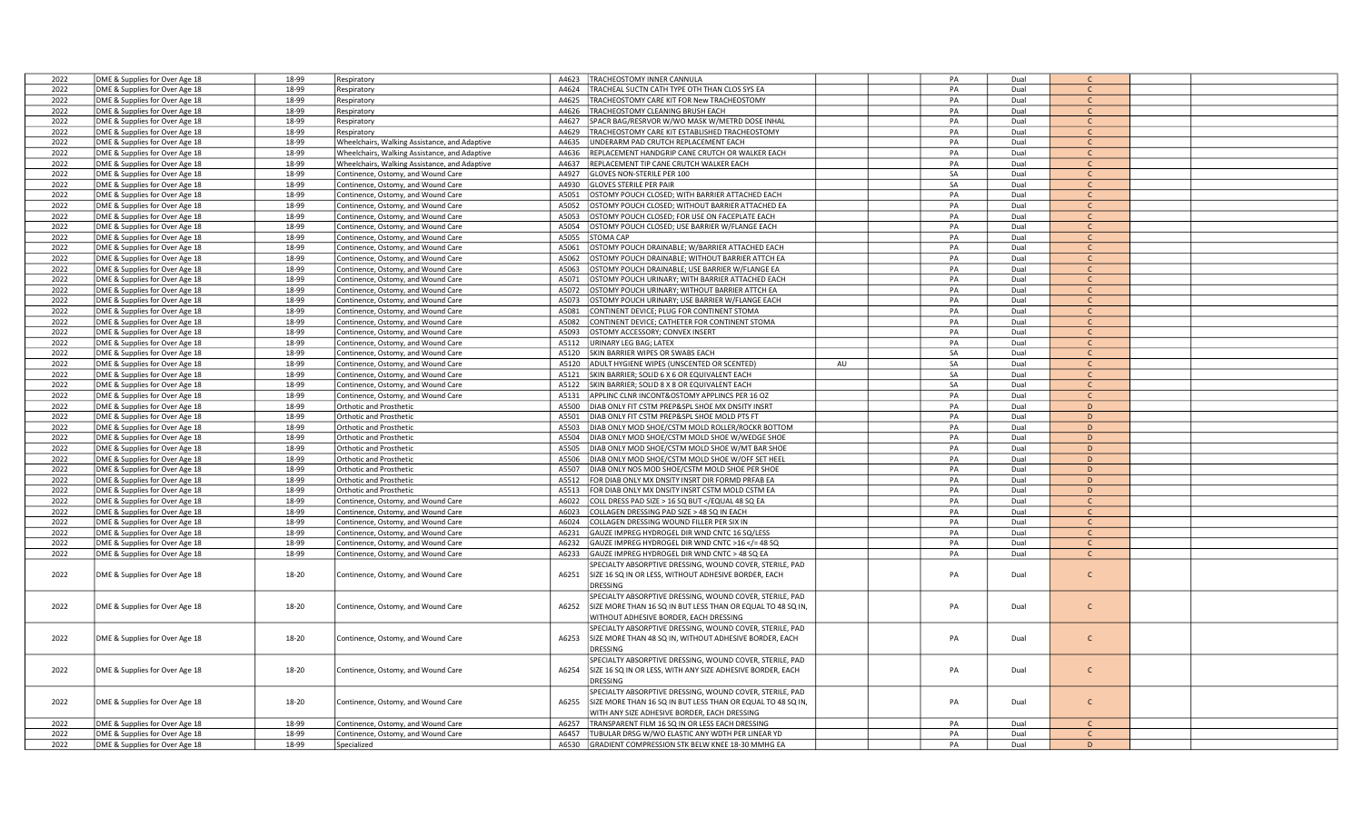| 2022 | DME & Supplies for Over Age 18 | 18-99 | Respiratory                                   | A4623 | TRACHEOSTOMY INNER CANNULA                                                                                     |    | PA | Dual |               |  |
|------|--------------------------------|-------|-----------------------------------------------|-------|----------------------------------------------------------------------------------------------------------------|----|----|------|---------------|--|
| 2022 | DME & Supplies for Over Age 18 | 18-99 | Respiratory                                   | A4624 | TRACHEAL SUCTN CATH TYPE OTH THAN CLOS SYS EA                                                                  |    | PA | Dual | $\mathsf{C}$  |  |
| 2022 | DME & Supplies for Over Age 18 | 18-99 | Respiratory                                   | A4625 | TRACHEOSTOMY CARE KIT FOR New TRACHEOSTOMY                                                                     |    | PA | Dual | $\mathsf{C}$  |  |
| 2022 | DME & Supplies for Over Age 18 | 18-99 |                                               | A4626 | TRACHEOSTOMY CLEANING BRUSH EACH                                                                               |    | PA | Dual | $\mathsf{C}$  |  |
|      |                                |       | Respiratory                                   |       |                                                                                                                |    |    |      | $\mathsf{C}$  |  |
| 2022 | DME & Supplies for Over Age 18 | 18-99 | Respiratory                                   | A4627 | SPACR BAG/RESRVOR W/WO MASK W/METRD DOSE INHAL                                                                 |    | PA | Dual |               |  |
| 2022 | DME & Supplies for Over Age 18 | 18-99 | Respiratory                                   | A4629 | TRACHEOSTOMY CARE KIT ESTABLISHED TRACHEOSTOMY                                                                 |    | PA | Dual | C             |  |
| 2022 | DME & Supplies for Over Age 18 | 18-99 | Wheelchairs, Walking Assistance, and Adaptive | A4635 | JNDERARM PAD CRUTCH REPLACEMENT EACH                                                                           |    | PA | Dual | $\mathsf{C}$  |  |
| 2022 | DME & Supplies for Over Age 18 | 18-99 | Wheelchairs, Walking Assistance, and Adaptive | A4636 | REPLACEMENT HANDGRIP CANE CRUTCH OR WALKER EACH                                                                |    | PA | Dual | $\mathsf{C}$  |  |
| 2022 | DME & Supplies for Over Age 18 | 18-99 | Wheelchairs, Walking Assistance, and Adaptive | A4637 | REPLACEMENT TIP CANE CRUTCH WALKER EACH                                                                        |    | PA | Dual | $\mathsf{C}$  |  |
| 2022 | DME & Supplies for Over Age 18 | 18-99 | Continence, Ostomy, and Wound Care            | A4927 | GLOVES NON-STERILE PER 100                                                                                     |    | SA | Dual | $\mathsf{C}$  |  |
| 2022 | DME & Supplies for Over Age 18 | 18-99 | Continence, Ostomy, and Wound Care            | A4930 | <b>GLOVES STERILE PER PAIR</b>                                                                                 |    | SA | Dual | $\mathsf{C}$  |  |
| 2022 | DME & Supplies for Over Age 18 | 18-99 | Continence, Ostomy, and Wound Care            | A5051 | OSTOMY POUCH CLOSED; WITH BARRIER ATTACHED EACH                                                                |    | PA | Dual | C             |  |
| 2022 | DME & Supplies for Over Age 18 | 18-99 | Continence, Ostomy, and Wound Care            | A5052 | OSTOMY POUCH CLOSED; WITHOUT BARRIER ATTACHED EA                                                               |    | PA | Dual | $\mathsf{C}$  |  |
| 2022 | DME & Supplies for Over Age 18 | 18-99 |                                               | A5053 | OSTOMY POUCH CLOSED; FOR USE ON FACEPLATE EACH                                                                 |    | PA | Dual | $\mathsf{C}$  |  |
|      |                                |       | Continence, Ostomy, and Wound Care            |       |                                                                                                                |    |    |      |               |  |
| 2022 | DME & Supplies for Over Age 18 | 18-99 | Continence, Ostomy, and Wound Care            | A5054 | OSTOMY POUCH CLOSED; USE BARRIER W/FLANGE EACH                                                                 |    | PA | Dual |               |  |
| 2022 | DME & Supplies for Over Age 18 | 18-99 | Continence, Ostomy, and Wound Care            | A5055 | <b>STOMA CAP</b>                                                                                               |    | PA | Dual | $\mathsf{C}$  |  |
| 2022 | DME & Supplies for Over Age 18 | 18-99 | Continence, Ostomy, and Wound Care            | A5061 | OSTOMY POUCH DRAINABLE; W/BARRIER ATTACHED EACH                                                                |    | PA | Dual | $\mathsf{C}$  |  |
| 2022 | DME & Supplies for Over Age 18 | 18-99 | Continence, Ostomy, and Wound Care            | A5062 | OSTOMY POUCH DRAINABLE; WITHOUT BARRIER ATTCH EA                                                               |    | PA | Dual | $\mathsf{C}$  |  |
| 2022 | DME & Supplies for Over Age 18 | 18-99 | Continence, Ostomy, and Wound Care            | A5063 | OSTOMY POUCH DRAINABLE; USE BARRIER W/FLANGE EA                                                                |    | PA | Dual | $\mathsf{C}$  |  |
| 2022 | DME & Supplies for Over Age 18 | 18-99 | Continence, Ostomy, and Wound Care            | A5071 | OSTOMY POUCH URINARY; WITH BARRIER ATTACHED EACH                                                               |    | PA | Dual | $\mathsf{C}$  |  |
| 2022 | DME & Supplies for Over Age 18 | 18-99 | Continence, Ostomy, and Wound Care            | A5072 | OSTOMY POUCH URINARY; WITHOUT BARRIER ATTCH EA                                                                 |    | PA | Dual | $\mathsf{C}$  |  |
| 2022 | DME & Supplies for Over Age 18 | 18-99 | Continence, Ostomy, and Wound Care            | A5073 | OSTOMY POUCH URINARY; USE BARRIER W/FLANGE EACH                                                                |    | PA | Dual | $\mathsf{C}$  |  |
| 2022 | DME & Supplies for Over Age 18 | 18-99 | Continence, Ostomy, and Wound Care            | A5081 | CONTINENT DEVICE; PLUG FOR CONTINENT STOMA                                                                     |    | PA | Dual | $\mathsf{C}$  |  |
| 2022 |                                | 18-99 |                                               | A5082 | CONTINENT DEVICE; CATHETER FOR CONTINENT STOMA                                                                 |    | PA | Dual |               |  |
|      | DME & Supplies for Over Age 18 |       | Continence, Ostomy, and Wound Care            |       |                                                                                                                |    |    |      |               |  |
| 2022 | DME & Supplies for Over Age 18 | 18-99 | Continence, Ostomy, and Wound Care            | A5093 | OSTOMY ACCESSORY; CONVEX INSERT                                                                                |    | PA | Dual | $\mathsf{C}$  |  |
| 2022 | DME & Supplies for Over Age 18 | 18-99 | Continence, Ostomy, and Wound Care            | A5112 | URINARY LEG BAG; LATEX                                                                                         |    | PA | Dual | $\mathsf{C}$  |  |
| 2022 | DME & Supplies for Over Age 18 | 18-99 | Continence, Ostomy, and Wound Care            | A5120 | SKIN BARRIER WIPES OR SWABS EACH                                                                               |    | SA | Dual | $\mathsf{C}$  |  |
| 2022 | DME & Supplies for Over Age 18 | 18-99 | Continence, Ostomy, and Wound Care            | A5120 | ADULT HYGIENE WIPES (UNSCENTED OR SCENTED)                                                                     | AU | SA | Dual | $\mathsf{C}$  |  |
| 2022 | DME & Supplies for Over Age 18 | 18-99 | Continence, Ostomy, and Wound Care            | A5121 | SKIN BARRIER; SOLID 6 X 6 OR EQUIVALENT EACH                                                                   |    | SA | Dual | $\mathsf{C}$  |  |
| 2022 | DME & Supplies for Over Age 18 | 18-99 | Continence, Ostomy, and Wound Care            | A5122 | SKIN BARRIER; SOLID 8 X 8 OR EQUIVALENT EACH                                                                   |    | SA | Dual | $\mathcal{C}$ |  |
| 2022 | DME & Supplies for Over Age 18 | 18-99 | Continence, Ostomy, and Wound Care            | A5131 | APPLINC CLNR INCONT&OSTOMY APPLINCS PER 16 OZ                                                                  |    | PA | Dual | C             |  |
| 2022 | DME & Supplies for Over Age 18 | 18-99 | <b>Orthotic and Prosthetic</b>                | A5500 | DIAB ONLY FIT CSTM PREP&SPL SHOE MX DNSITY INSRT                                                               |    | PA | Dual | D             |  |
| 2022 | DME & Supplies for Over Age 18 | 18-99 | Orthotic and Prosthetic                       | A5501 | DIAB ONLY FIT CSTM PREP&SPL SHOE MOLD PTS FT                                                                   |    | PA | Dual | D             |  |
| 2022 |                                | 18-99 | <b>Orthotic and Prosthetic</b>                | A5503 | DIAB ONLY MOD SHOE/CSTM MOLD ROLLER/ROCKR BOTTOM                                                               |    | PA | Dual | D             |  |
|      | DME & Supplies for Over Age 18 |       |                                               |       |                                                                                                                |    |    |      |               |  |
| 2022 | DME & Supplies for Over Age 18 | 18-99 | Orthotic and Prosthetic                       | A5504 | DIAB ONLY MOD SHOE/CSTM MOLD SHOE W/WEDGE SHOE                                                                 |    | PA | Dual | D             |  |
| 2022 | DME & Supplies for Over Age 18 | 18-99 | <b>Orthotic and Prosthetic</b>                | A5505 | DIAB ONLY MOD SHOE/CSTM MOLD SHOE W/MT BAR SHOE                                                                |    | PA | Dual | D             |  |
| 2022 | DME & Supplies for Over Age 18 | 18-99 | Orthotic and Prosthetic                       | A5506 | DIAB ONLY MOD SHOE/CSTM MOLD SHOE W/OFF SET HEEL                                                               |    | PA | Dual | D             |  |
| 2022 | DME & Supplies for Over Age 18 | 18-99 | <b>Orthotic and Prosthetic</b>                | A5507 | DIAB ONLY NOS MOD SHOE/CSTM MOLD SHOE PER SHOE                                                                 |    | PA | Dual | D             |  |
| 2022 | DME & Supplies for Over Age 18 | 18-99 | Orthotic and Prosthetic                       | A5512 | FOR DIAB ONLY MX DNSITY INSRT DIR FORMD PRFAB EA                                                               |    | PA | Dual | D             |  |
| 2022 | DME & Supplies for Over Age 18 | 18-99 | Orthotic and Prosthetic                       | A5513 | FOR DIAB ONLY MX DNSITY INSRT CSTM MOLD CSTM EA                                                                |    | PA | Dual | $\mathsf D$   |  |
| 2022 | DME & Supplies for Over Age 18 | 18-99 | Continence, Ostomy, and Wound Care            | A6022 | COLL DRESS PAD SIZE > 16 SQ BUT <td></td> <td>PA</td> <td>Dual</td> <td><math>\mathsf{C}</math></td> <td></td> |    | PA | Dual | $\mathsf{C}$  |  |
| 2022 | DME & Supplies for Over Age 18 | 18-99 | Continence, Ostomy, and Wound Care            | A6023 | COLLAGEN DRESSING PAD SIZE > 48 SQ IN EACH                                                                     |    | PA | Dual | $\mathsf{C}$  |  |
| 2022 | DME & Supplies for Over Age 18 | 18-99 | Continence, Ostomy, and Wound Care            | A6024 | COLLAGEN DRESSING WOUND FILLER PER SIX IN                                                                      |    | PA | Dual | C.            |  |
| 2022 | DME & Supplies for Over Age 18 | 18-99 | Continence, Ostomy, and Wound Care            | A6231 | GAUZE IMPREG HYDROGEL DIR WND CNTC 16 SQ/LESS                                                                  |    | PA | Dual | $\mathsf{C}$  |  |
|      |                                |       |                                               |       |                                                                                                                |    |    |      | $\mathsf{C}$  |  |
| 2022 | DME & Supplies for Over Age 18 | 18-99 | Continence, Ostomy, and Wound Care            | A6232 | GAUZE IMPREG HYDROGEL DIR WND CNTC >16 = 48 SQ</td <td></td> <td>PA</td> <td>Dual</td> <td></td> <td></td>     |    | PA | Dual |               |  |
| 2022 | DME & Supplies for Over Age 18 | 18-99 | Continence, Ostomy, and Wound Care            | A6233 | GAUZE IMPREG HYDROGEL DIR WND CNTC > 48 SQ EA                                                                  |    | PA | Dual |               |  |
|      |                                |       |                                               |       | SPECIALTY ABSORPTIVE DRESSING, WOUND COVER, STERILE, PAD                                                       |    |    |      |               |  |
| 2022 | DME & Supplies for Over Age 18 | 18-20 | Continence, Ostomy, and Wound Care            | A6251 | SIZE 16 SQ IN OR LESS, WITHOUT ADHESIVE BORDER, EACH                                                           |    | PA | Dual | $\mathsf{C}$  |  |
|      |                                |       |                                               |       | DRESSING                                                                                                       |    |    |      |               |  |
|      |                                |       |                                               |       | SPECIALTY ABSORPTIVE DRESSING, WOUND COVER, STERILE, PAD                                                       |    |    |      |               |  |
| 2022 | DME & Supplies for Over Age 18 | 18-20 | Continence, Ostomy, and Wound Care            | A6252 | SIZE MORE THAN 16 SQ IN BUT LESS THAN OR EQUAL TO 48 SQ IN,                                                    |    | PA | Dual | $\mathsf{C}$  |  |
|      |                                |       |                                               |       | WITHOUT ADHESIVE BORDER, EACH DRESSING                                                                         |    |    |      |               |  |
|      |                                |       |                                               |       | SPECIALTY ABSORPTIVE DRESSING, WOUND COVER, STERILE, PAD                                                       |    |    |      |               |  |
| 2022 | DME & Supplies for Over Age 18 | 18-20 | Continence, Ostomy, and Wound Care            | A6253 | SIZE MORE THAN 48 SQ IN, WITHOUT ADHESIVE BORDER, EACH                                                         |    | PA | Dual | $\mathsf{C}$  |  |
|      |                                |       |                                               |       |                                                                                                                |    |    |      |               |  |
|      |                                |       |                                               |       | DRESSING                                                                                                       |    |    |      |               |  |
|      |                                |       |                                               |       | SPECIALTY ABSORPTIVE DRESSING, WOUND COVER, STERILE, PAD                                                       |    |    |      |               |  |
| 2022 | DME & Supplies for Over Age 18 | 18-20 | Continence, Ostomy, and Wound Care            | A6254 | SIZE 16 SQ IN OR LESS, WITH ANY SIZE ADHESIVE BORDER, EACH                                                     |    | PA | Dual | $\mathsf{C}$  |  |
|      |                                |       |                                               |       | DRESSING                                                                                                       |    |    |      |               |  |
|      |                                |       |                                               |       | SPECIALTY ABSORPTIVE DRESSING, WOUND COVER, STERILE, PAD                                                       |    |    |      |               |  |
| 2022 | DME & Supplies for Over Age 18 | 18-20 | Continence, Ostomy, and Wound Care            | A6255 | SIZE MORE THAN 16 SQ IN BUT LESS THAN OR EQUAL TO 48 SQ IN,                                                    |    | PA | Dual | $\mathsf{C}$  |  |
|      |                                |       |                                               |       | WITH ANY SIZE ADHESIVE BORDER, EACH DRESSING                                                                   |    |    |      |               |  |
| 2022 | DME & Supplies for Over Age 18 | 18-99 | Continence, Ostomy, and Wound Care            | A6257 | TRANSPARENT FILM 16 SQ IN OR LESS EACH DRESSING                                                                |    | PA | Dual | $\mathsf{C}$  |  |
| 2022 | DME & Supplies for Over Age 18 | 18-99 | Continence, Ostomy, and Wound Care            | A6457 | TUBULAR DRSG W/WO ELASTIC ANY WDTH PER LINEAR YD                                                               |    | PA | Dual | $\mathcal{C}$ |  |
| 2022 | DME & Supplies for Over Age 18 | 18-99 | Specialized                                   | A6530 | GRADIENT COMPRESSION STK BELW KNEE 18-30 MMHG EA                                                               |    | PA | Dual | D             |  |
|      |                                |       |                                               |       |                                                                                                                |    |    |      |               |  |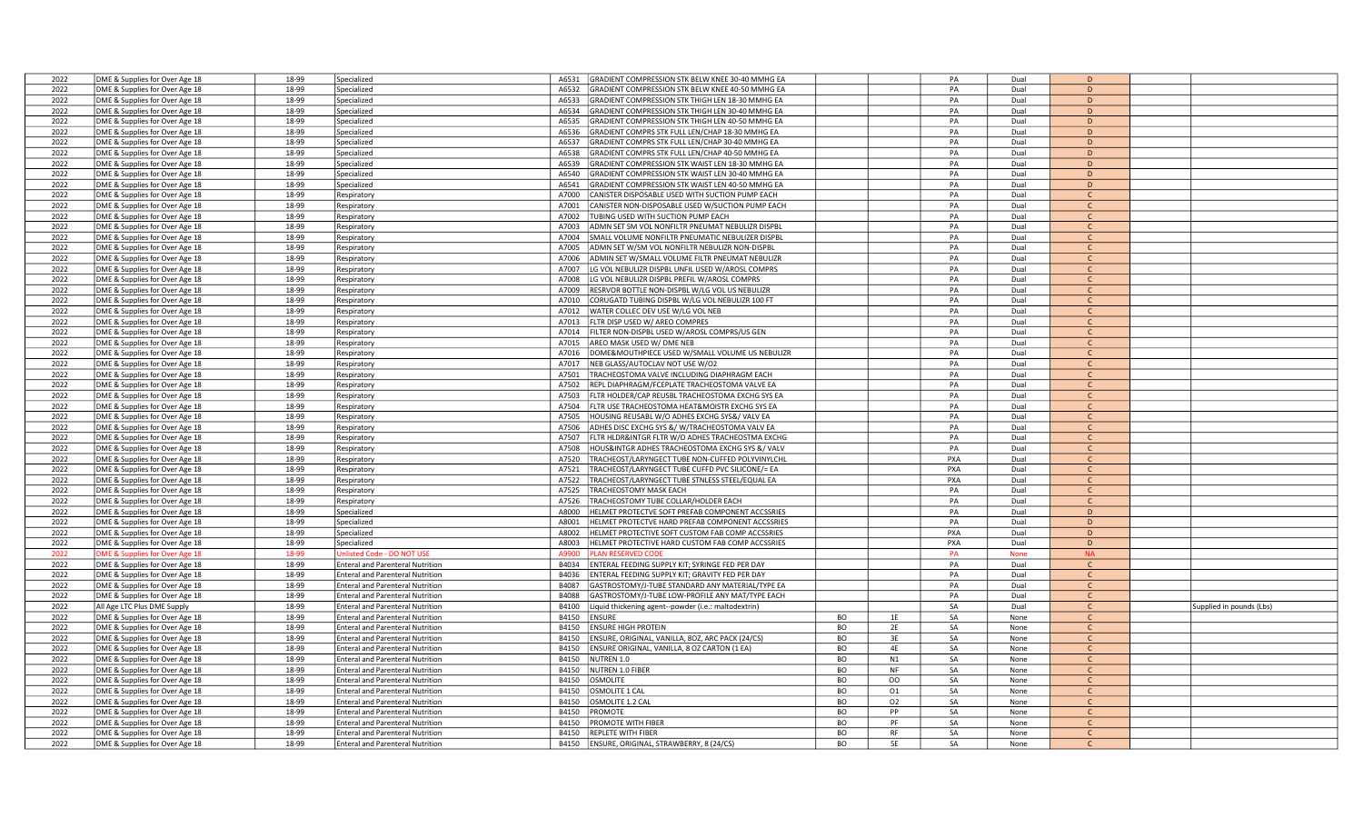| 2022 | DME & Supplies for Over Age 18 | 18-99 | Specialized                             | A6531        | GRADIENT COMPRESSION STK BELW KNEE 30-40 MMHG EA        |           | PA              | Dual        | D              |                          |
|------|--------------------------------|-------|-----------------------------------------|--------------|---------------------------------------------------------|-----------|-----------------|-------------|----------------|--------------------------|
| 2022 | DME & Supplies for Over Age 18 | 18-99 | Specialized                             | A6532        | GRADIENT COMPRESSION STK BELW KNEE 40-50 MMHG EA        |           | PA              | Dual        | D              |                          |
| 2022 | DME & Supplies for Over Age 18 | 18-99 | Specialized                             | A6533        | GRADIENT COMPRESSION STK THIGH LEN 18-30 MMHG EA        |           | PA              | Dual        | D              |                          |
| 2022 |                                | 18-99 |                                         | A6534        | GRADIENT COMPRESSION STK THIGH LEN 30-40 MMHG EA        |           | PA              | Dual        | D              |                          |
|      | DME & Supplies for Over Age 18 |       | Specialized                             |              |                                                         |           |                 |             |                |                          |
| 2022 | DME & Supplies for Over Age 18 | 18-99 | Specialized                             | A6535        | GRADIENT COMPRESSION STK THIGH LEN 40-50 MMHG EA        |           | PA              | Dual        | D              |                          |
| 2022 | DME & Supplies for Over Age 18 | 18-99 | Specialized                             | A6536        | GRADIENT COMPRS STK FULL LEN/CHAP 18-30 MMHG EA         |           | PA              | Dual        | D              |                          |
| 2022 | DME & Supplies for Over Age 18 | 18-99 | Specialized                             | A6537        | GRADIENT COMPRS STK FULL LEN/CHAP 30-40 MMHG EA         |           | PA              | Dual        | D              |                          |
| 2022 | DME & Supplies for Over Age 18 | 18-99 | Specialized                             | A6538        | GRADIENT COMPRS STK FULL LEN/CHAP 40-50 MMHG EA         |           | PA              | Dual        | D              |                          |
| 2022 | DME & Supplies for Over Age 18 | 18-99 | Specialized                             | A6539        | GRADIENT COMPRESSION STK WAIST LEN 18-30 MMHG EA        |           | PA              | Dual        | D              |                          |
| 2022 | DME & Supplies for Over Age 18 | 18-99 | Specialized                             | A6540        | GRADIENT COMPRESSION STK WAIST LEN 30-40 MMHG EA        |           | PA              | Dual        | D              |                          |
| 2022 | DME & Supplies for Over Age 18 | 18-99 | Specialized                             | A6541        | GRADIENT COMPRESSION STK WAIST LEN 40-50 MMHG EA        |           | PA              | Dual        | D              |                          |
| 2022 | DME & Supplies for Over Age 18 | 18-99 | Respiratory                             | A7000        | CANISTER DISPOSABLE USED WITH SUCTION PUMP EACH         |           | PA              | Dual        | C.             |                          |
| 2022 | DME & Supplies for Over Age 18 | 18-99 | Respiratory                             | A7001        | CANISTER NON-DISPOSABLE USED W/SUCTION PUMP EACH        |           | PA              | Dual        | $\mathsf{C}$   |                          |
| 2022 | DME & Supplies for Over Age 18 | 18-99 | Respiratory                             | A7002        | <b>TUBING USED WITH SUCTION PUMP EACH</b>               |           | PA              | Dual        | $\mathsf{C}$   |                          |
| 2022 | DME & Supplies for Over Age 18 | 18-99 |                                         | A7003        | ADMN SET SM VOL NONFILTR PNEUMAT NEBULIZR DISPBL        |           | PA              | Dual        |                |                          |
|      |                                |       | Respiratory                             |              |                                                         |           |                 |             | C              |                          |
| 2022 | DME & Supplies for Over Age 18 | 18-99 | Respiratory                             | A7004        | SMALL VOLUME NONFILTR PNEUMATIC NEBULIZER DISPBL        |           | PA              | Dual        | $\mathsf{C}$   |                          |
| 2022 | DME & Supplies for Over Age 18 | 18-99 | Respiratory                             | A7005        | ADMN SET W/SM VOL NONFILTR NEBULIZR NON-DISPBL          |           | PA              | Dual        | $\mathsf{C}$   |                          |
| 2022 | DME & Supplies for Over Age 18 | 18-99 | Respiratory                             | A7006        | ADMIN SET W/SMALL VOLUME FILTR PNEUMAT NEBULIZR         |           | PA              | Dual        | $\Gamma$       |                          |
| 2022 | DME & Supplies for Over Age 18 | 18-99 | Respiratory                             | A7007        | LG VOL NEBULIZR DISPBL UNFIL USED W/AROSL COMPRS        |           | PA              | Dual        | $\mathcal{C}$  |                          |
| 2022 | DME & Supplies for Over Age 18 | 18-99 | Respiratory                             | A7008        | LG VOL NEBULIZR DISPBL PREFIL W/AROSL COMPRS            |           | PA              | Dual        | $\mathsf{C}$   |                          |
| 2022 | DME & Supplies for Over Age 18 | 18-99 | Respiratory                             | A7009        | RESRVOR BOTTLE NON-DISPBL W/LG VOL US NEBULIZR          |           | PA              | Dual        | $\mathsf{C}$   |                          |
| 2022 | DME & Supplies for Over Age 18 | 18-99 | Respiratory                             | A7010        | CORUGATD TUBING DISPBL W/LG VOL NEBULIZR 100 FT         |           | PA              | Dual        | $\mathsf{C}$   |                          |
| 2022 | DME & Supplies for Over Age 18 | 18-99 | Respiratory                             | A7012        | WATER COLLEC DEV USE W/LG VOL NEB                       |           | PA              | Dual        | $\mathsf{C}$   |                          |
| 2022 | DME & Supplies for Over Age 18 | 18-99 | Respiratory                             | A7013        | LTR DISP USED W/ AREO COMPRES                           |           | PA              | Dual        | $\mathsf{C}$   |                          |
| 2022 | DME & Supplies for Over Age 18 | 18-99 | Respiratory                             | A7014        | ILTER NON-DISPBL USED W/AROSL COMPRS/US GEN             |           | PA              | Dual        | $\mathcal{C}$  |                          |
| 2022 |                                | 18-99 |                                         |              | AREO MASK USED W/ DME NEB                               |           | PA              | Dual        | $\mathsf{C}$   |                          |
|      | DME & Supplies for Over Age 18 |       | Respiratory                             | A7015        |                                                         |           | PA              |             |                |                          |
| 2022 | DME & Supplies for Over Age 18 | 18-99 | Respiratory                             | A7016        | DOME&MOUTHPIECE USED W/SMALL VOLUME US NEBULIZR         |           |                 | Dual        | $\mathsf{C}$   |                          |
| 2022 | DME & Supplies for Over Age 18 | 18-99 | Respiratory                             | A7017        | NEB GLASS/AUTOCLAV NOT USE W/O2                         |           | PA              | Dual        | $\mathsf{C}$   |                          |
| 2022 | DME & Supplies for Over Age 18 | 18-99 | Respiratory                             | A7501        | RACHEOSTOMA VALVE INCLUDING DIAPHRAGM EACH              |           | PA              | Dual        | $\mathcal{C}$  |                          |
| 2022 | DME & Supplies for Over Age 18 | 18-99 | Respiratory                             | A7502        | REPL DIAPHRAGM/FCEPLATE TRACHEOSTOMA VALVE EA           |           | PA              | Dual        | $\mathcal{C}$  |                          |
| 2022 | DME & Supplies for Over Age 18 | 18-99 | Respiratory                             | A7503        | LTR HOLDER/CAP REUSBL TRACHEOSTOMA EXCHG SYS EA         |           | PA              | Dual        | $\mathsf{C}$   |                          |
| 2022 | DME & Supplies for Over Age 18 | 18-99 | Respiratory                             | A7504        | FLTR USE TRACHEOSTOMA HEAT&MOISTR EXCHG SYS EA          |           | PA              | Dual        | $\mathsf{C}$   |                          |
| 2022 | DME & Supplies for Over Age 18 | 18-99 | Respiratory                             | A7505        | HOUSING REUSABL W/O ADHES EXCHG SYS&/ VALV EA           |           | PA              | Dual        | $\mathsf{C}$   |                          |
| 2022 | DME & Supplies for Over Age 18 | 18-99 | Respiratory                             | A7506        | ADHES DISC EXCHG SYS &/ W/TRACHEOSTOMA VALV EA          |           | PA              | Dual        | $\mathsf{C}$   |                          |
| 2022 | DME & Supplies for Over Age 18 | 18-99 | Respiratory                             | A7507        | LTR HLDR&INTGR FLTR W/O ADHES TRACHEOSTMA EXCHG         |           | PA              | Dual        | $\mathsf{C}$   |                          |
| 2022 | DME & Supplies for Over Age 18 | 18-99 |                                         | A7508        | HOUS&INTGR ADHES TRACHEOSTOMA EXCHG SYS &/ VALV         |           | PA              | Dual        |                |                          |
| 2022 |                                | 18-99 | Respiratory                             | A7520        | <b>TRACHEOST/LARYNGECT TUBE NON-CUFFED POLYVINYLCHL</b> |           | <b>PXA</b>      | Dual        | $\mathsf{C}$   |                          |
|      | DME & Supplies for Over Age 18 |       | Respiratory                             |              |                                                         |           |                 |             |                |                          |
| 2022 | DME & Supplies for Over Age 18 | 18-99 | Respiratory                             | A7521        | <b>FRACHEOST/LARYNGECT TUBE CUFFD PVC SILICONE/= EA</b> |           | <b>PXA</b>      | Dual        | $\mathsf{C}$   |                          |
| 2022 | DME & Supplies for Over Age 18 | 18-99 | Respiratory                             | A7522        | TRACHEOST/LARYNGECT TUBE STNLESS STEEL/EQUAL EA         |           | PXA             | Dual        | $\mathsf{C}$   |                          |
| 2022 | DME & Supplies for Over Age 18 | 18-99 | Respiratory                             | A7525        | <b>TRACHEOSTOMY MASK EACH</b>                           |           | PA              | Dual        | $\mathsf{C}$   |                          |
| 2022 | DME & Supplies for Over Age 18 | 18-99 | Respiratory                             | A7526        | RACHEOSTOMY TUBE COLLAR/HOLDER EACH                     |           | PA              | Dual        | $\mathsf{C}$   |                          |
| 2022 | DME & Supplies for Over Age 18 | 18-99 | Specialized                             | A8000        | HELMET PROTECTVE SOFT PREFAB COMPONENT ACCSSRIES        |           | PA              | Dual        | D              |                          |
| 2022 | DME & Supplies for Over Age 18 | 18-99 | Specialized                             | A8001        | HELMET PROTECTVE HARD PREFAB COMPONENT ACCSSRIES        |           | PA              | Dual        | D              |                          |
| 2022 | DME & Supplies for Over Age 18 | 18-99 | Specialized                             | A8002        | HELMET PROTECTIVE SOFT CUSTOM FAB COMP ACCSSRIES        |           | PXA             | Dual        | $\overline{D}$ |                          |
| 2022 | DME & Supplies for Over Age 18 | 18-99 | Specialized                             | <b>E008A</b> | HELMET PROTECTIVE HARD CUSTOM FAB COMP ACCSSRIES        |           | PXA             | Dual        | D              |                          |
| 2022 | ME & Supplies for Over Age 18  | 18-99 | Inlisted Code - DO NOT USE              | A9900        | LAN RESERVED CODE                                       |           | PA              | <b>None</b> | <b>NA</b>      |                          |
| 2022 | DME & Supplies for Over Age 18 | 18-99 | <b>Enteral and Parenteral Nutrition</b> | B4034        | INTERAL FEEDING SUPPLY KIT; SYRINGE FED PER DAY         |           | PA              | Dual        | $\mathsf{C}$   |                          |
| 2022 | DME & Supplies for Over Age 18 | 18-99 | <b>Enteral and Parenteral Nutrition</b> | B4036        | INTERAL FEEDING SUPPLY KIT; GRAVITY FED PER DAY         |           | PA              | Dual        | $\mathsf{C}$   |                          |
|      |                                |       |                                         | B4087        |                                                         |           |                 | Dual        | $\mathsf{C}$   |                          |
| 2022 | DME & Supplies for Over Age 18 | 18-99 | <b>Enteral and Parenteral Nutrition</b> |              | GASTROSTOMY/J-TUBE STANDARD ANY MATERIAL/TYPE EA        |           | PA              |             |                |                          |
| 2022 | DME & Supplies for Over Age 18 | 18-99 | <b>Enteral and Parenteral Nutrition</b> | B4088        | GASTROSTOMY/J-TUBE LOW-PROFILE ANY MAT/TYPE EACH        |           | PA              | Dual        | $\mathcal{C}$  |                          |
| 2022 | All Age LTC Plus DME Supply    | 18-99 | <b>Enteral and Parenteral Nutrition</b> | B4100        | iquid thickening agent--powder (i.e.: maltodextrin).    |           | SA              | Dual        | $\mathsf{C}$   | Supplied in pounds (Lbs) |
| 2022 | DME & Supplies for Over Age 18 | 18-99 | <b>Enteral and Parenteral Nutrition</b> | B4150        | ENSURE                                                  | <b>BO</b> | SA<br>1E        | None        | C.             |                          |
| 2022 | DME & Supplies for Over Age 18 | 18-99 | <b>Enteral and Parenteral Nutrition</b> | B4150        | <b>INSURE HIGH PROTEIN</b>                              | <b>BO</b> | SA<br>2E        | None        | $\mathsf{C}$   |                          |
| 2022 | DME & Supplies for Over Age 18 | 18-99 | <b>Enteral and Parenteral Nutrition</b> | B4150        | NSURE, ORIGINAL, VANILLA, 80Z, ARC PACK (24/CS)         | <b>BO</b> | SA<br>3F        | None        | $\Gamma$       |                          |
| 2022 | DME & Supplies for Over Age 18 | 18-99 | <b>Enteral and Parenteral Nutrition</b> | B4150        | INSURE ORIGINAL, VANILLA, 8 OZ CARTON (1 EA)            | <b>BO</b> | 4E<br>SA        | None        | C              |                          |
| 2022 | DME & Supplies for Over Age 18 | 18-99 | <b>Enteral and Parenteral Nutrition</b> | B4150        | NUTREN 1.0                                              | BO        | N1<br>SA        | None        | $\mathsf{C}$   |                          |
| 2022 | DME & Supplies for Over Age 18 | 18-99 | Enteral and Parenteral Nutrition        | B4150        | NUTREN 1.0 FIBER                                        | <b>BO</b> | NF<br>SA        | None        | $\mathsf{C}$   |                          |
| 2022 | DME & Supplies for Over Age 18 | 18-99 | <b>Enteral and Parenteral Nutrition</b> | B4150        | <b>OSMOLITE</b>                                         | <b>BO</b> | OO<br>SA        | None        | $\mathsf{C}$   |                          |
| 2022 | DME & Supplies for Over Age 18 | 18-99 | <b>Enteral and Parenteral Nutrition</b> | B4150        | OSMOLITE 1 CAL                                          | <b>BO</b> | 01<br>SA        | None        | $\mathsf{C}$   |                          |
| 2022 | DME & Supplies for Over Age 18 | 18-99 | <b>Enteral and Parenteral Nutrition</b> | B4150        | OSMOLITE 1.2 CAL                                        | <b>BO</b> | SA<br>02        | None        | $\mathcal{C}$  |                          |
|      |                                |       |                                         |              |                                                         |           |                 |             |                |                          |
| 2022 | DME & Supplies for Over Age 18 | 18-99 | <b>Enteral and Parenteral Nutrition</b> | B4150        | PROMOTE                                                 | BO        | PP<br>SA        | None        |                |                          |
| 2022 | DME & Supplies for Over Age 18 | 18-99 | <b>Enteral and Parenteral Nutrition</b> | B4150        | PROMOTE WITH FIBER                                      | <b>BO</b> | PF<br>SA        | None        | $\mathsf{C}$   |                          |
| 2022 | DME & Supplies for Over Age 18 | 18-99 | Enteral and Parenteral Nutrition        | B4150        | <b>REPLETE WITH FIBER</b>                               | BO        | SA<br><b>RF</b> | None        | $\Gamma$       |                          |
| 2022 | DME & Supplies for Over Age 18 | 18-99 | Enteral and Parenteral Nutrition        |              | B4150 ENSURE, ORIGINAL, STRAWBERRY, 8 (24/CS)           | <b>BO</b> | <b>5E</b><br>SA | None        |                |                          |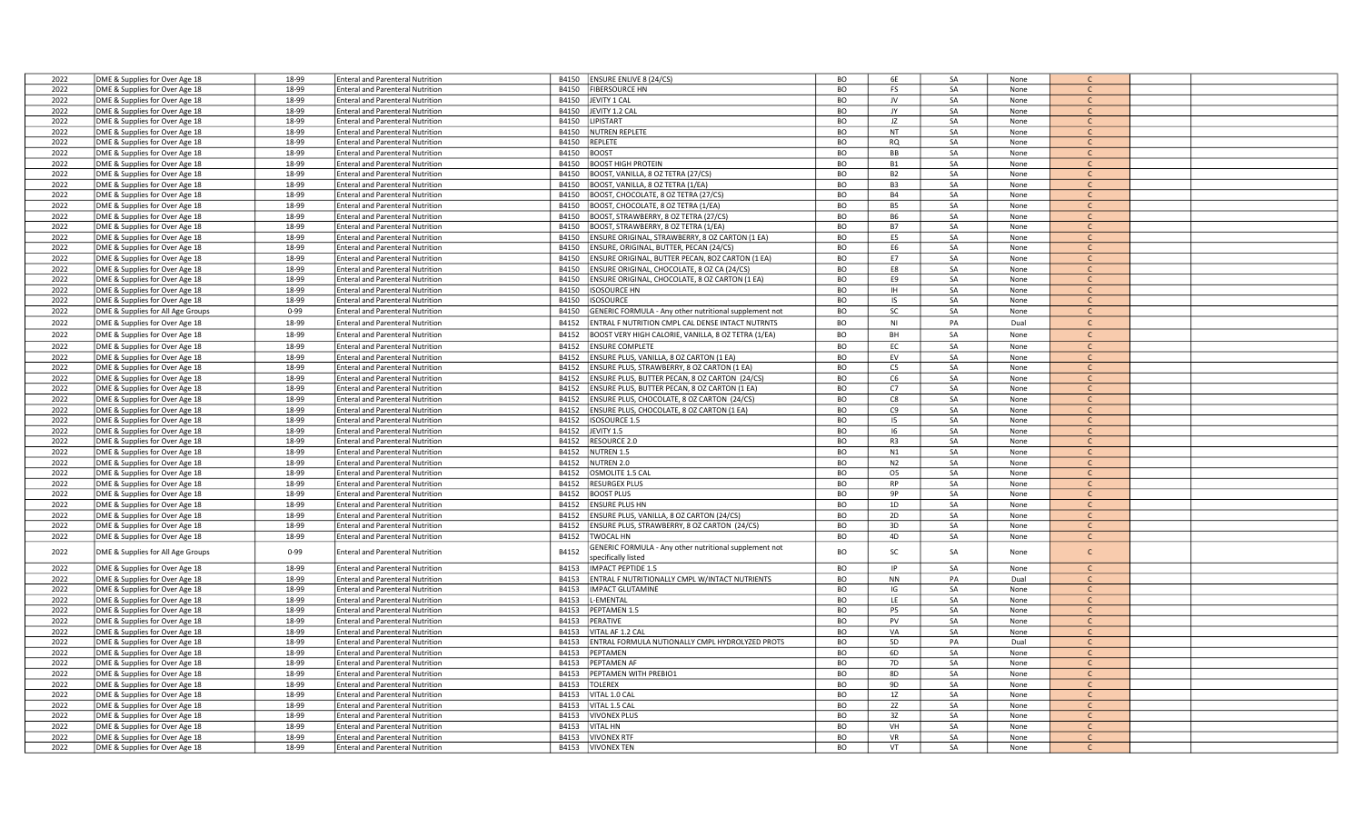| 2022 | DME & Supplies for Over Age 18    | 18-99    | <b>Enteral and Parenteral Nutrition</b> | B4150 | <b>ENSURE ENLIVE 8 (24/CS)</b>                                | BO        | 6E             | SA | None |               |  |
|------|-----------------------------------|----------|-----------------------------------------|-------|---------------------------------------------------------------|-----------|----------------|----|------|---------------|--|
| 2022 | DME & Supplies for Over Age 18    | 18-99    | <b>Enteral and Parenteral Nutrition</b> | B4150 | <b>FIBERSOURCE HN</b>                                         | BO        | <b>FS</b>      | SA | None | $\mathsf{C}$  |  |
|      |                                   |          |                                         |       |                                                               |           |                |    |      |               |  |
| 2022 | DME & Supplies for Over Age 18    | 18-99    | <b>Enteral and Parenteral Nutrition</b> | B4150 | JEVITY 1 CAL                                                  | BO        | JV             | SA | None | $\mathsf{C}$  |  |
| 2022 | DME & Supplies for Over Age 18    | 18-99    | <b>Enteral and Parenteral Nutrition</b> | B4150 | JEVITY 1.2 CAL                                                | <b>BO</b> | JY             | SA | None | $\mathsf{C}$  |  |
| 2022 | DME & Supplies for Over Age 18    | 18-99    | <b>Enteral and Parenteral Nutrition</b> | B4150 | LIPISTART                                                     | BO        | JZ             | SA | None | $\mathsf{C}$  |  |
| 2022 | DME & Supplies for Over Age 18    | 18-99    | <b>Enteral and Parenteral Nutrition</b> | B4150 | <b>NUTREN REPLETE</b>                                         | BO        | NT             | SA | None | C.            |  |
| 2022 | DME & Supplies for Over Age 18    | 18-99    | <b>Enteral and Parenteral Nutrition</b> | B4150 | REPLETE                                                       | <b>BO</b> | RQ             | SA | None | $\mathcal{C}$ |  |
| 2022 | DME & Supplies for Over Age 18    | 18-99    | <b>Enteral and Parenteral Nutrition</b> | B4150 | BOOST                                                         | <b>BO</b> | BB             | SA | None | $\mathsf{C}$  |  |
|      |                                   |          |                                         |       |                                                               |           |                |    |      |               |  |
| 2022 | DME & Supplies for Over Age 18    | 18-99    | <b>Enteral and Parenteral Nutrition</b> | B4150 | <b>BOOST HIGH PROTEIN</b>                                     | <b>BO</b> | <b>B1</b>      | SA | None | $\mathsf{C}$  |  |
| 2022 | DME & Supplies for Over Age 18    | 18-99    | <b>Enteral and Parenteral Nutrition</b> | B4150 | BOOST, VANILLA, 8 OZ TETRA (27/CS)                            | <b>BO</b> | <b>B2</b>      | SA | None | $\mathsf{C}$  |  |
| 2022 | DME & Supplies for Over Age 18    | 18-99    | <b>Enteral and Parenteral Nutrition</b> | B4150 | BOOST, VANILLA, 8 OZ TETRA (1/EA)                             | BO        | B <sub>3</sub> | SA | None | $\mathsf{C}$  |  |
| 2022 | DME & Supplies for Over Age 18    | 18-99    | <b>Enteral and Parenteral Nutrition</b> | B4150 | BOOST, CHOCOLATE, 8 OZ TETRA (27/CS)                          | BO        | <b>B4</b>      | SA | None | $\mathsf{C}$  |  |
| 2022 | DME & Supplies for Over Age 18    | 18-99    | <b>Enteral and Parenteral Nutrition</b> | B4150 | BOOST, CHOCOLATE, 8 OZ TETRA (1/EA)                           | <b>BO</b> | <b>B5</b>      | SA | None | $\mathsf{C}$  |  |
| 2022 | DME & Supplies for Over Age 18    | 18-99    | <b>Enteral and Parenteral Nutrition</b> | B4150 | BOOST, STRAWBERRY, 8 OZ TETRA (27/CS)                         | BO        | <b>B6</b>      | SA | None | $\mathsf{C}$  |  |
|      |                                   |          |                                         |       |                                                               |           |                |    |      |               |  |
| 2022 | DME & Supplies for Over Age 18    | 18-99    | <b>Enteral and Parenteral Nutrition</b> | B4150 | BOOST, STRAWBERRY, 8 OZ TETRA (1/EA)                          | <b>BO</b> | <b>B7</b>      | SA | None | $\mathsf{C}$  |  |
| 2022 | DME & Supplies for Over Age 18    | 18-99    | <b>Enteral and Parenteral Nutrition</b> | B4150 | ENSURE ORIGINAL, STRAWBERRY, 8 OZ CARTON (1 EA)               | <b>BO</b> | E5             | SA | None | $\mathsf{C}$  |  |
| 2022 | DME & Supplies for Over Age 18    | 18-99    | <b>Enteral and Parenteral Nutrition</b> | B4150 | ENSURE, ORIGINAL, BUTTER, PECAN (24/CS)                       | <b>BO</b> | E6             | SA | None | $\mathsf{C}$  |  |
| 2022 | DME & Supplies for Over Age 18    | 18-99    | <b>Enteral and Parenteral Nutrition</b> | B4150 | ENSURE ORIGINAL, BUTTER PECAN, 8OZ CARTON (1 EA)              | <b>BO</b> | E7             | SA | None | $\mathsf{C}$  |  |
| 2022 | DME & Supplies for Over Age 18    | 18-99    | <b>Enteral and Parenteral Nutrition</b> | B4150 | ENSURE ORIGINAL, CHOCOLATE, 8 OZ CA (24/CS)                   | <b>BO</b> | E8             | SA | None | $\mathsf{C}$  |  |
| 2022 | DME & Supplies for Over Age 18    | 18-99    | <b>Enteral and Parenteral Nutrition</b> | B4150 | ENSURE ORIGINAL, CHOCOLATE, 8 OZ CARTON (1 EA)                | <b>BO</b> | E9             | SA | None | $\mathsf{C}$  |  |
|      |                                   |          |                                         |       |                                                               |           |                |    |      |               |  |
| 2022 | DME & Supplies for Over Age 18    | 18-99    | <b>Enteral and Parenteral Nutrition</b> | B4150 | <b>ISOSOURCE HN</b>                                           | <b>BO</b> | IH             | SA | None | $\mathsf{C}$  |  |
| 2022 | DME & Supplies for Over Age 18    | 18-99    | <b>Enteral and Parenteral Nutrition</b> | B4150 | <b>ISOSOURCE</b>                                              | <b>BO</b> | IS             | SA | None | C             |  |
| 2022 | DME & Supplies for All Age Groups | $0 - 99$ | <b>Enteral and Parenteral Nutrition</b> | B4150 | GENERIC FORMULA - Any other nutritional supplement not        | <b>BO</b> | SC             | SA | None | $\mathsf{C}$  |  |
| 2022 | DME & Supplies for Over Age 18    | 18-99    | <b>Enteral and Parenteral Nutrition</b> | B4152 | ENTRAL F NUTRITION CMPL CAL DENSE INTACT NUTRNTS              | BO        | <b>NI</b>      | PA | Dual | $\mathsf{C}$  |  |
|      |                                   |          |                                         |       |                                                               |           |                |    |      |               |  |
| 2022 | DME & Supplies for Over Age 18    | 18-99    | <b>Enteral and Parenteral Nutrition</b> | B4152 | BOOST VERY HIGH CALORIE, VANILLA, 8 OZ TETRA (1/EA)           | <b>BO</b> | <b>BH</b>      | SA | None | $\mathsf{C}$  |  |
| 2022 | DME & Supplies for Over Age 18    | 18-99    | <b>Enteral and Parenteral Nutrition</b> | B4152 | <b>ENSURE COMPLETE</b>                                        | <b>BO</b> | EC             | SA | None | $\mathsf{C}$  |  |
| 2022 | DME & Supplies for Over Age 18    | 18-99    | <b>Enteral and Parenteral Nutrition</b> | B4152 | ENSURE PLUS, VANILLA, 8 OZ CARTON (1 EA)                      | <b>BO</b> | EV             | SA | None | $\mathsf{C}$  |  |
| 2022 | DME & Supplies for Over Age 18    | 18-99    | <b>Enteral and Parenteral Nutrition</b> | B4152 | ENSURE PLUS, STRAWBERRY, 8 OZ CARTON (1 EA)                   | <b>BO</b> | C <sub>5</sub> | SA | None |               |  |
| 2022 | DME & Supplies for Over Age 18    | 18-99    | <b>Enteral and Parenteral Nutrition</b> | B4152 | ENSURE PLUS, BUTTER PECAN, 8 OZ CARTON (24/CS)                | BO        | C6             | SA | None | $\mathsf{C}$  |  |
| 2022 | DME & Supplies for Over Age 18    | 18-99    | <b>Enteral and Parenteral Nutrition</b> | B4152 | ENSURE PLUS, BUTTER PECAN, 8 OZ CARTON (1 EA)                 | <b>BO</b> | C7             | SA | None | $\mathsf{C}$  |  |
|      |                                   |          |                                         |       |                                                               |           |                |    |      |               |  |
| 2022 | DME & Supplies for Over Age 18    | 18-99    | <b>Enteral and Parenteral Nutrition</b> | B4152 | ENSURE PLUS, CHOCOLATE, 8 OZ CARTON (24/CS)                   | <b>BO</b> | C8             | SA | None | $\mathsf{C}$  |  |
| 2022 | DME & Supplies for Over Age 18    | 18-99    | <b>Enteral and Parenteral Nutrition</b> | B4152 | ENSURE PLUS, CHOCOLATE, 8 OZ CARTON (1 EA)                    | BO        | C9             | SA | None | $\mathsf{C}$  |  |
| 2022 | DME & Supplies for Over Age 18    | 18-99    | <b>Enteral and Parenteral Nutrition</b> | B4152 | <b>ISOSOURCE 1.5</b>                                          | <b>BO</b> | 15             | SA | None | $\mathsf{C}$  |  |
| 2022 | DME & Supplies for Over Age 18    | 18-99    | <b>Enteral and Parenteral Nutrition</b> | B4152 | JEVITY 1.5                                                    | BO        | -16            | SA | None | $\mathsf{C}$  |  |
| 2022 | DME & Supplies for Over Age 18    | 18-99    | <b>Enteral and Parenteral Nutrition</b> | B4152 | <b>RESOURCE 2.0</b>                                           | <b>BO</b> | R3             | SA | None | $\mathsf{C}$  |  |
| 2022 | DME & Supplies for Over Age 18    | 18-99    | <b>Enteral and Parenteral Nutrition</b> | B4152 | <b>NUTREN 1.5</b>                                             | <b>BO</b> | N1             | SA | None | $\mathcal{C}$ |  |
|      |                                   |          |                                         |       |                                                               |           |                |    |      |               |  |
| 2022 | DME & Supplies for Over Age 18    | 18-99    | <b>Enteral and Parenteral Nutrition</b> | B4152 | <b>NUTREN 2.0</b>                                             | <b>BO</b> | N <sub>2</sub> | SA | None | $\mathsf{C}$  |  |
| 2022 | DME & Supplies for Over Age 18    | 18-99    | <b>Enteral and Parenteral Nutrition</b> | B4152 | OSMOLITE 1.5 CAL                                              | <b>BO</b> | 05             | SA | None | $\mathsf{C}$  |  |
| 2022 | DME & Supplies for Over Age 18    | 18-99    | <b>Enteral and Parenteral Nutrition</b> | B4152 | <b>RESURGEX PLUS</b>                                          | <b>BO</b> | <b>RP</b>      | SA | None | $\mathsf{C}$  |  |
| 2022 | DME & Supplies for Over Age 18    | 18-99    | <b>Enteral and Parenteral Nutrition</b> | B4152 | <b>BOOST PLUS</b>                                             | BO        | 9P             | SA | None | $\mathsf{C}$  |  |
| 2022 | DME & Supplies for Over Age 18    | 18-99    | <b>Enteral and Parenteral Nutrition</b> | B4152 | <b>ENSURE PLUS HN</b>                                         | BO        | 1D             | SA | None | $\mathsf{C}$  |  |
| 2022 | DME & Supplies for Over Age 18    | 18-99    | <b>Enteral and Parenteral Nutrition</b> | B4152 | ENSURE PLUS, VANILLA, 8 OZ CARTON (24/CS)                     | <b>BO</b> | 2D             | SA | None | $\mathsf{C}$  |  |
|      |                                   |          |                                         |       |                                                               |           |                |    |      | $\mathcal{C}$ |  |
| 2022 | DME & Supplies for Over Age 18    | 18-99    | <b>Enteral and Parenteral Nutrition</b> | B4152 | ENSURE PLUS, STRAWBERRY, 8 OZ CARTON (24/CS)                  | BO        | 3D             | SA | None |               |  |
| 2022 | DME & Supplies for Over Age 18    | 18-99    | <b>Enteral and Parenteral Nutrition</b> | B4152 | TWOCAL HN                                                     | <b>BO</b> | 4D             | SA | None | $\mathsf{C}$  |  |
| 2022 |                                   | $0 - 99$ | <b>Enteral and Parenteral Nutrition</b> | B4152 | <b>GENERIC FORMULA - Any other nutritional supplement not</b> | <b>BO</b> | SC             | SA | None | $\mathsf{C}$  |  |
|      | DME & Supplies for All Age Groups |          |                                         |       | pecifically listed                                            |           |                |    |      |               |  |
| 2022 | DME & Supplies for Over Age 18    | 18-99    | <b>Enteral and Parenteral Nutrition</b> | B4153 | <b>IMPACT PEPTIDE 1.5</b>                                     | <b>BO</b> | IP             | SA | None |               |  |
| 2022 | DME & Supplies for Over Age 18    | 18-99    | <b>Enteral and Parenteral Nutrition</b> | B4153 | ENTRAL F NUTRITIONALLY CMPL W/INTACT NUTRIENTS                | <b>BO</b> | <b>NN</b>      | PA | Dual | $\mathsf{C}$  |  |
|      |                                   |          | <b>Enteral and Parenteral Nutrition</b> | B4153 | <b>IMPACT GLUTAMINE</b>                                       | <b>BO</b> | IG             | SA | None | $\mathcal{C}$ |  |
| 2022 | DME & Supplies for Over Age 18    | 18-99    |                                         |       |                                                               |           |                |    |      |               |  |
| 2022 | DME & Supplies for Over Age 18    | 18-99    | <b>Enteral and Parenteral Nutrition</b> | B4153 | -EMENTAL                                                      | BO        | LE             | SA | None | $\mathsf{C}$  |  |
| 2022 | DME & Supplies for Over Age 18    | 18-99    | <b>Enteral and Parenteral Nutrition</b> | B4153 | PEPTAMEN 1.5                                                  | <b>BO</b> | P5             | SA | None | C.            |  |
| 2022 | DME & Supplies for Over Age 18    | 18-99    | <b>Enteral and Parenteral Nutrition</b> | B4153 | PERATIVE                                                      | <b>BO</b> | PV             | SA | None | $\mathsf{C}$  |  |
| 2022 | DME & Supplies for Over Age 18    | 18-99    | <b>Enteral and Parenteral Nutrition</b> | B4153 | VITAL AF 1.2 CAL                                              | <b>BO</b> | VA             | SA | None | $\mathsf{C}$  |  |
| 2022 | DME & Supplies for Over Age 18    | 18-99    | <b>Enteral and Parenteral Nutrition</b> | B4153 | ENTRAL FORMULA NUTIONALLY CMPL HYDROLYZED PROTS               | <b>BO</b> | 5D             | PA | Dual |               |  |
| 2022 | DME & Supplies for Over Age 18    | 18-99    | <b>Enteral and Parenteral Nutrition</b> | B4153 | PEPTAMEN                                                      | BO        | 6D             | SA | None | $\mathsf{C}$  |  |
|      |                                   |          |                                         |       |                                                               |           |                |    |      |               |  |
| 2022 | DME & Supplies for Over Age 18    | 18-99    | <b>Enteral and Parenteral Nutrition</b> | B4153 | PEPTAMEN AF                                                   | <b>BO</b> | 7D             | SA | None | $\mathcal{C}$ |  |
| 2022 | DME & Supplies for Over Age 18    | 18-99    | <b>Enteral and Parenteral Nutrition</b> | B4153 | PEPTAMEN WITH PREBIO1                                         | <b>BO</b> | 8D             | SA | None | $\mathsf{C}$  |  |
| 2022 | DME & Supplies for Over Age 18    | 18-99    | <b>Enteral and Parenteral Nutrition</b> | B4153 | <b>TOLEREX</b>                                                | <b>BO</b> | 9D             | SA | None | $\mathsf{C}$  |  |
| 2022 | DME & Supplies for Over Age 18    | 18-99    | <b>Enteral and Parenteral Nutrition</b> | B4153 | VITAL 1.0 CAL                                                 | <b>BO</b> | 1Z             | SA | None | $\mathsf{C}$  |  |
| 2022 | DME & Supplies for Over Age 18    | 18-99    | <b>Enteral and Parenteral Nutrition</b> | B4153 | VITAL 1.5 CAL                                                 | <b>BO</b> | 2Z             | SA | None | $\mathsf{C}$  |  |
| 2022 | DME & Supplies for Over Age 18    | 18-99    | <b>Enteral and Parenteral Nutrition</b> | B4153 | <b>VIVONEX PLUS</b>                                           | <b>BO</b> | 3Z             | SA | None | $\mathsf{C}$  |  |
|      |                                   |          |                                         |       |                                                               |           |                |    |      |               |  |
| 2022 | DME & Supplies for Over Age 18    | 18-99    | <b>Enteral and Parenteral Nutrition</b> | B4153 | <b>VITAL HN</b>                                               | BO        | VH             | SA | None | $\mathsf{C}$  |  |
| 2022 | DME & Supplies for Over Age 18    | 18-99    | <b>Enteral and Parenteral Nutrition</b> | B4153 | <b>VIVONEX RTF</b>                                            | <b>BO</b> | <b>VR</b>      | SA | None |               |  |
| 2022 | DME & Supplies for Over Age 18    | 18-99    | <b>Enteral and Parenteral Nutrition</b> |       | B4153 VIVONEX TEN                                             | <b>BO</b> | VT             | SA | None |               |  |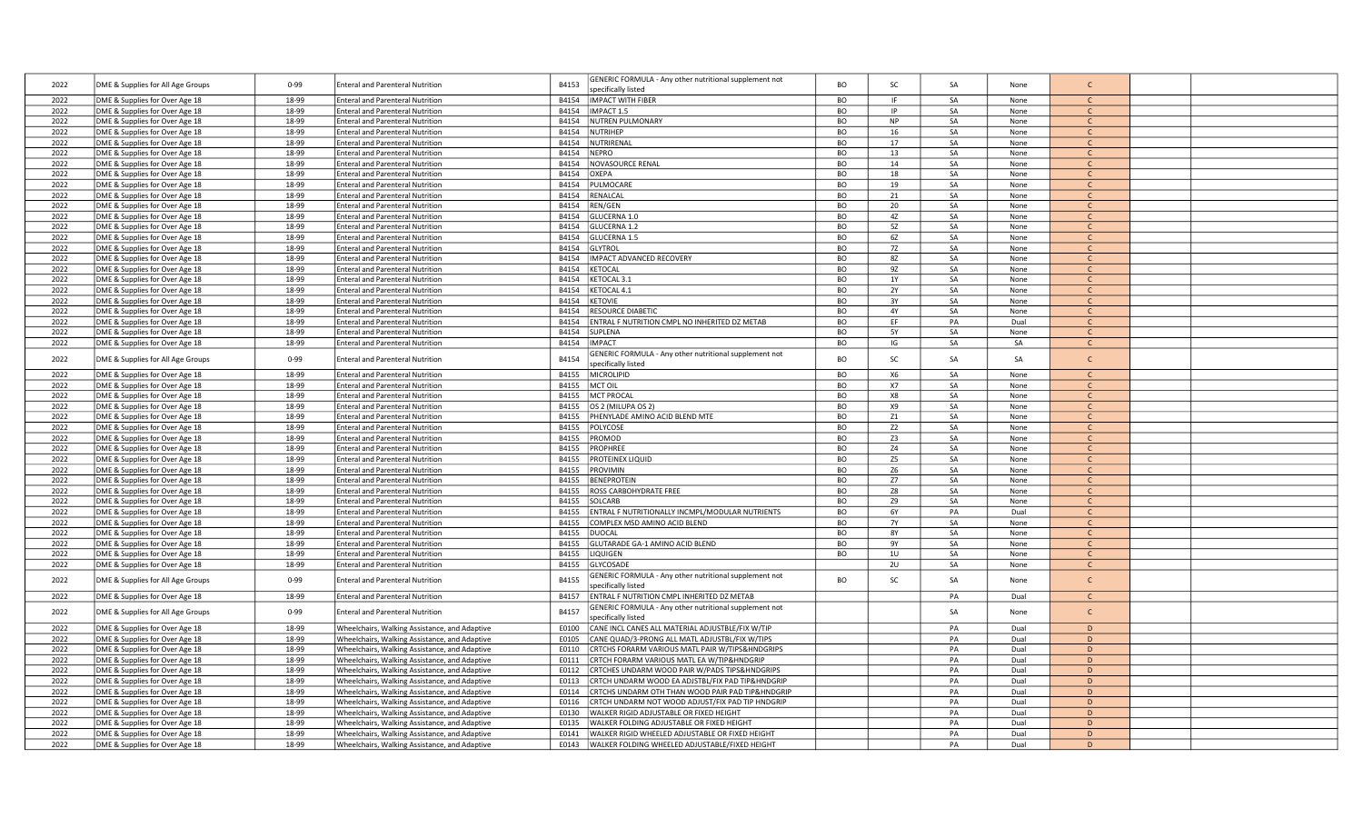| 2022         | DME & Supplies for All Age Groups                                | $0 - 99$       | <b>Enteral and Parenteral Nutrition</b>                                            | B4153          | GENERIC FORMULA - Any other nutritional supplement not<br>specifically listed | <b>BO</b>              | <b>SC</b>       | SA       | None         | C                            |  |
|--------------|------------------------------------------------------------------|----------------|------------------------------------------------------------------------------------|----------------|-------------------------------------------------------------------------------|------------------------|-----------------|----------|--------------|------------------------------|--|
| 2022         | DME & Supplies for Over Age 18                                   | 18-99          | <b>Enteral and Parenteral Nutrition</b>                                            |                | B4154 IMPACT WITH FIBER                                                       | <b>BO</b>              | IF.             | SA       | None         | $\mathsf{C}$                 |  |
| 2022         | DME & Supplies for Over Age 18                                   | 18-99          | <b>Enteral and Parenteral Nutrition</b>                                            | B4154          | IMPACT 1.5                                                                    | <b>BO</b>              | IP              | SA       | None         | $\mathsf{C}$                 |  |
| 2022         | DME & Supplies for Over Age 18                                   | 18-99          | <b>Enteral and Parenteral Nutrition</b>                                            | B4154          | NUTREN PULMONARY                                                              | <b>BO</b>              | <b>NP</b>       | SA       | None         | $\mathcal{C}$                |  |
| 2022         | DME & Supplies for Over Age 18                                   | 18-99          | <b>Enteral and Parenteral Nutrition</b>                                            | B4154          | <b>NUTRIHEP</b>                                                               | BO                     | 16              | SA       | None         | $\mathsf{C}$                 |  |
| 2022         | DME & Supplies for Over Age 18                                   | 18-99          | <b>Enteral and Parenteral Nutrition</b>                                            | B4154          | NUTRIRENAL                                                                    | BO                     | $17\,$          | SA       | None         | $\mathsf{C}$                 |  |
| 2022         | DME & Supplies for Over Age 18                                   | 18-99          | <b>Enteral and Parenteral Nutrition</b>                                            | B4154          | NEPRO                                                                         | <b>BO</b>              | 13              | SA       | None         | $\mathcal{C}$                |  |
| 2022         | DME & Supplies for Over Age 18                                   | 18-99          | <b>Enteral and Parenteral Nutrition</b>                                            | B4154          | NOVASOURCE RENAL                                                              | BO                     | 14              | SA       | None         | $\mathsf{C}$                 |  |
| 2022         | DME & Supplies for Over Age 18                                   | 18-99          | <b>Enteral and Parenteral Nutrition</b>                                            | B4154          | OXEPA                                                                         | BO                     | 18              | SA       | None         | $\mathsf{C}$                 |  |
| 2022         | DME & Supplies for Over Age 18                                   | 18-99          | <b>Enteral and Parenteral Nutrition</b>                                            | B4154          | PULMOCARE                                                                     | BO                     | 19              | SA       | None         | $\mathcal{C}$                |  |
| 2022         | DME & Supplies for Over Age 18                                   | 18-99          | <b>Enteral and Parenteral Nutrition</b>                                            | B4154          | RENALCAL                                                                      | BO                     | 21              | SA       | None         | C.                           |  |
| 2022         | DME & Supplies for Over Age 18                                   | 18-99          | <b>Enteral and Parenteral Nutrition</b>                                            | B4154          | REN/GEN                                                                       | BO                     | 20              | SA       | None         | $\mathcal{C}$                |  |
| 2022         | DME & Supplies for Over Age 18                                   | 18-99          | <b>Enteral and Parenteral Nutrition</b>                                            | B4154          | GLUCERNA 1.0                                                                  | BO                     | 4Z              | SA       | None         | $\mathsf{C}$                 |  |
| 2022         | DME & Supplies for Over Age 18                                   | 18-99          | <b>Enteral and Parenteral Nutrition</b>                                            | B4154          | GLUCERNA 1.2                                                                  | <b>BO</b>              | 5Z              | SA       | None         | $\mathsf{C}$                 |  |
| 2022         | DME & Supplies for Over Age 18                                   | 18-99          | <b>Enteral and Parenteral Nutrition</b>                                            | B4154          | GLUCERNA 1.5                                                                  | BO                     | 6Z              | SA       | None         | $\mathcal{C}$                |  |
| 2022         | DME & Supplies for Over Age 18                                   | 18-99          | <b>Enteral and Parenteral Nutrition</b>                                            | B4154          | <b>GLYTROL</b>                                                                | <b>BO</b>              | 7Z              | SA       | None         |                              |  |
| 2022         | DME & Supplies for Over Age 18                                   | 18-99          | <b>Enteral and Parenteral Nutrition</b>                                            | B4154          | IMPACT ADVANCED RECOVERY                                                      | <b>BO</b>              | 8Z              | SA       | None         | $\mathsf{C}$                 |  |
| 2022         | DME & Supplies for Over Age 18                                   | 18-99          | <b>Enteral and Parenteral Nutrition</b>                                            | B4154          | KETOCAL                                                                       | BO                     | 9Z              | SA       | None         | $\mathsf{C}$                 |  |
| 2022         | DME & Supplies for Over Age 18                                   | 18-99          | <b>Enteral and Parenteral Nutrition</b>                                            | B4154          | KETOCAL 3.1                                                                   | BO                     | 1Y              | SA       | None         | $\mathsf{C}$                 |  |
| 2022         | DME & Supplies for Over Age 18                                   | 18-99          | <b>Enteral and Parenteral Nutrition</b>                                            | B4154<br>B4154 | KETOCAL 4.1                                                                   | BO<br><b>BO</b>        | <b>2Y</b><br>3Y | SA<br>SA | None         | $\mathsf{C}$<br>$\mathsf{C}$ |  |
| 2022<br>2022 | DME & Supplies for Over Age 18<br>DME & Supplies for Over Age 18 | 18-99<br>18-99 | <b>Enteral and Parenteral Nutrition</b><br><b>Enteral and Parenteral Nutrition</b> | R4154          | <b>KETOVIE</b><br><b>RESOURCE DIABETIC</b>                                    | BO                     | 4Y              | SA       | None<br>None | $\mathcal{C}$                |  |
| 2022         | DME & Supplies for Over Age 18                                   | 18-99          | <b>Enteral and Parenteral Nutrition</b>                                            | B4154          | ENTRAL F NUTRITION CMPL NO INHERITED DZ METAB                                 | BO                     | EF              | PA       | Dual         | C                            |  |
| 2022         | DME & Supplies for Over Age 18                                   | 18-99          | <b>Enteral and Parenteral Nutrition</b>                                            | B4154          | <b>SUPLENA</b>                                                                | <b>BO</b>              | <b>5Y</b>       | SA       | None         | $\mathsf{C}$                 |  |
| 2022         | DME & Supplies for Over Age 18                                   | 18-99          | <b>Enteral and Parenteral Nutrition</b>                                            | B4154          | <b>IMPACT</b>                                                                 | BO                     | IG              | SA       | SA           | $\mathsf{C}$                 |  |
|              |                                                                  |                |                                                                                    |                | GENERIC FORMULA - Any other nutritional supplement not                        |                        |                 |          |              |                              |  |
| 2022         | DME & Supplies for All Age Groups                                | $0 - 99$       | <b>Enteral and Parenteral Nutrition</b>                                            | B4154          | specifically listed                                                           | BO                     | SC              | SA       | SA           | $\mathsf{C}$                 |  |
| 2022         | DME & Supplies for Over Age 18                                   | 18-99          | <b>Enteral and Parenteral Nutrition</b>                                            | B4155          | <b>MICROLIPID</b>                                                             | BO                     | X6              | SA       | None         |                              |  |
| 2022         | DME & Supplies for Over Age 18                                   | 18-99          | <b>Enteral and Parenteral Nutrition</b>                                            | B4155          | MCT OIL                                                                       | <b>BO</b>              | X7              | SA       | None         | C.                           |  |
| 2022         | DME & Supplies for Over Age 18                                   | 18-99          | <b>Enteral and Parenteral Nutrition</b>                                            | B4155          | <b>MCT PROCAL</b>                                                             | BO                     | X8              | SA       | None         | $\mathsf{C}$                 |  |
| 2022         | DME & Supplies for Over Age 18                                   | 18-99          | <b>Enteral and Parenteral Nutrition</b>                                            | B4155          | OS 2 (MILUPA OS 2)                                                            | <b>BO</b>              | X9              | SA       | None         | $\mathsf{C}$                 |  |
| 2022         | DME & Supplies for Over Age 18                                   | 18-99          | <b>Enteral and Parenteral Nutrition</b>                                            | B4155          | PHENYLADE AMINO ACID BLEND MTE                                                | <b>BO</b>              | Z1              | SA       | None         | $\mathsf{C}$                 |  |
| 2022         | DME & Supplies for Over Age 18                                   | 18-99          | <b>Enteral and Parenteral Nutrition</b>                                            | B4155          | POLYCOSE                                                                      | BO                     | Z <sub>2</sub>  | SA       | None         | $\mathcal{C}$                |  |
| 2022         | DME & Supplies for Over Age 18                                   | 18-99          | <b>Enteral and Parenteral Nutrition</b>                                            | B4155          | PROMOD                                                                        | BO                     | Z3              | SA       | None         | $\mathcal{C}$                |  |
| 2022         | DME & Supplies for Over Age 18                                   | 18-99          | <b>Enteral and Parenteral Nutrition</b>                                            | B4155          | PROPHREE                                                                      | BO                     | Z4              | SA       | None         | C.                           |  |
| 2022         | DME & Supplies for Over Age 18                                   | 18-99          | <b>Enteral and Parenteral Nutrition</b>                                            | B4155          | PROTEINEX LIQUID                                                              | BO                     | Z <sub>5</sub>  | SA       | None         | $\mathsf{C}$                 |  |
| 2022         | DME & Supplies for Over Age 18                                   | 18-99          | <b>Enteral and Parenteral Nutrition</b>                                            | B4155          | PROVIMIN                                                                      | <b>BO</b>              | Z <sub>6</sub>  | SA       | None         | $\mathsf{C}$                 |  |
| 2022         | DME & Supplies for Over Age 18                                   | 18-99          | <b>Enteral and Parenteral Nutrition</b>                                            | B4155          | <b>BENEPROTEIN</b>                                                            | <b>BO</b>              | Z7              | SA       | None         | $\mathcal{C}$                |  |
| 2022         | DME & Supplies for Over Age 18                                   | 18-99          | <b>Enteral and Parenteral Nutrition</b>                                            | B4155          | ROSS CARBOHYDRATE FREE                                                        | BO                     | Z8              | SA       | None         | $\mathsf{C}$                 |  |
| 2022         | DME & Supplies for Over Age 18                                   | 18-99          | <b>Enteral and Parenteral Nutrition</b>                                            | B4155          | SOLCARB                                                                       | BO                     | <b>Z9</b>       | SA       | None         | $\mathsf{C}$                 |  |
| 2022         | DME & Supplies for Over Age 18                                   | 18-99          | <b>Enteral and Parenteral Nutrition</b>                                            | B4155          | ENTRAL F NUTRITIONALLY INCMPL/MODULAR NUTRIENTS                               | <b>BO</b>              | 6Y              | PA       | Dual         | $\mathcal{C}$                |  |
| 2022         | DME & Supplies for Over Age 18                                   | 18-99          | <b>Enteral and Parenteral Nutrition</b>                                            | B4155          | COMPLEX MSD AMINO ACID BLEND                                                  | BO                     | <b>7Y</b>       | SA       | None         | $\mathsf{C}$<br>$\mathsf{C}$ |  |
| 2022<br>2022 | DME & Supplies for Over Age 18                                   | 18-99<br>18-99 | <b>Enteral and Parenteral Nutrition</b>                                            | B4155          | <b>DUOCAL</b><br>GLUTARADE GA-1 AMINO ACID BLEND                              | <b>BO</b><br><b>BO</b> | <b>8Y</b><br>9Y | SA<br>SA | None<br>None | $\mathsf{C}$                 |  |
| 2022         | DME & Supplies for Over Age 18<br>DME & Supplies for Over Age 18 | 18-99          | <b>Enteral and Parenteral Nutrition</b><br><b>Enteral and Parenteral Nutrition</b> | B4155<br>B4155 | LIQUIGEN                                                                      | BO                     | $1\mathsf{U}$   | SA       | None         | $\mathsf{C}$                 |  |
| 2022         | DME & Supplies for Over Age 18                                   | 18-99          | <b>Enteral and Parenteral Nutrition</b>                                            | B4155          | GLYCOSADE                                                                     |                        | 2U              | SA       | None         | $\mathsf{C}$                 |  |
|              |                                                                  |                |                                                                                    |                | GENERIC FORMULA - Any other nutritional supplement not                        |                        |                 |          |              |                              |  |
| 2022         | DME & Supplies for All Age Groups                                | $0 - 99$       | <b>Enteral and Parenteral Nutrition</b>                                            | B4155          | specifically listed                                                           | BO                     | <b>SC</b>       | SA       | None         | $\mathsf{C}$                 |  |
| 2022         | DME & Supplies for Over Age 18                                   | 18-99          | <b>Enteral and Parenteral Nutrition</b>                                            | B4157          | ENTRAL F NUTRITION CMPL INHERITED DZ METAB                                    |                        |                 | PA       | Dual         | $\mathsf{C}$                 |  |
|              |                                                                  |                |                                                                                    |                | GENERIC FORMULA - Any other nutritional supplement not                        |                        |                 |          |              |                              |  |
| 2022         | DME & Supplies for All Age Groups                                | $0 - 99$       | <b>Enteral and Parenteral Nutrition</b>                                            | B4157          | specifically listed                                                           |                        |                 | SA       | None         | $\mathsf{C}$                 |  |
| 2022         | DME & Supplies for Over Age 18                                   | 18-99          | Wheelchairs, Walking Assistance, and Adaptive                                      | E0100          | CANE INCL CANES ALL MATERIAL ADJUSTBLE/FIX W/TIP                              |                        |                 | PA       | Dual         | D                            |  |
| 2022         | DME & Supplies for Over Age 18                                   | 18-99          | Wheelchairs, Walking Assistance, and Adaptive                                      | E0105          | CANE QUAD/3-PRONG ALL MATL ADJUSTBL/FIX W/TIPS                                |                        |                 | PA       | Dual         | D                            |  |
| 2022         | DME & Supplies for Over Age 18                                   | 18-99          | Wheelchairs, Walking Assistance, and Adaptive                                      | E0110          | <b>CRTCHS FORARM VARIOUS MATL PAIR W/TIPS&amp;HNDGRIPS</b>                    |                        |                 | PA       | Dual         | D                            |  |
| 2022         | DME & Supplies for Over Age 18                                   | 18-99          | Wheelchairs, Walking Assistance, and Adaptive                                      | E0111          | CRTCH FORARM VARIOUS MATL EA W/TIP&HNDGRIP                                    |                        |                 | PA       | Dual         | D                            |  |
| 2022         | DME & Supplies for Over Age 18                                   | 18-99          | Wheelchairs, Walking Assistance, and Adaptive                                      | E0112          | CRTCHES UNDARM WOOD PAIR W/PADS TIPS&HNDGRIPS                                 |                        |                 | PA       | Dual         | D                            |  |
| 2022         | DME & Supplies for Over Age 18                                   | 18-99          | Wheelchairs, Walking Assistance, and Adaptive                                      | E0113          | CRTCH UNDARM WOOD EA ADJSTBL/FIX PAD TIP&HNDGRIP                              |                        |                 | PA       | Dual         | D                            |  |
| 2022         | DME & Supplies for Over Age 18                                   | 18-99          | Wheelchairs, Walking Assistance, and Adaptive                                      | E0114          | CRTCHS UNDARM OTH THAN WOOD PAIR PAD TIP&HNDGRIP                              |                        |                 | PA       | Dual         | D                            |  |
| 2022         | DME & Supplies for Over Age 18                                   | 18-99          | Wheelchairs, Walking Assistance, and Adaptive                                      | E0116          | CRTCH UNDARM NOT WOOD ADJUST/FIX PAD TIP HNDGRIP                              |                        |                 | PA       | Dual         | $\bullet$                    |  |
| 2022         | DME & Supplies for Over Age 18                                   | 18-99          | Wheelchairs, Walking Assistance, and Adaptive                                      | E0130          | WALKER RIGID ADJUSTABLE OR FIXED HEIGHT                                       |                        |                 | PA       | Dual         | D                            |  |
| 2022         | DME & Supplies for Over Age 18                                   | 18-99          | Wheelchairs, Walking Assistance, and Adaptive                                      | E0135          | WALKER FOLDING ADJUSTABLE OR FIXED HEIGHT                                     |                        |                 | PA       | Dual         | D                            |  |
| 2022         | DME & Supplies for Over Age 18                                   | 18-99          | Wheelchairs, Walking Assistance, and Adaptive                                      | E0141          | WALKER RIGID WHEELED ADJUSTABLE OR FIXED HEIGHT                               |                        |                 | PA       | Dual         | $\overline{D}$               |  |
| 2022         | DME & Supplies for Over Age 18                                   | 18-99          | Wheelchairs, Walking Assistance, and Adaptive                                      | E0143          | WALKER FOLDING WHEELED ADJUSTABLE/FIXED HEIGHT                                |                        |                 | PA       | Dual         | D                            |  |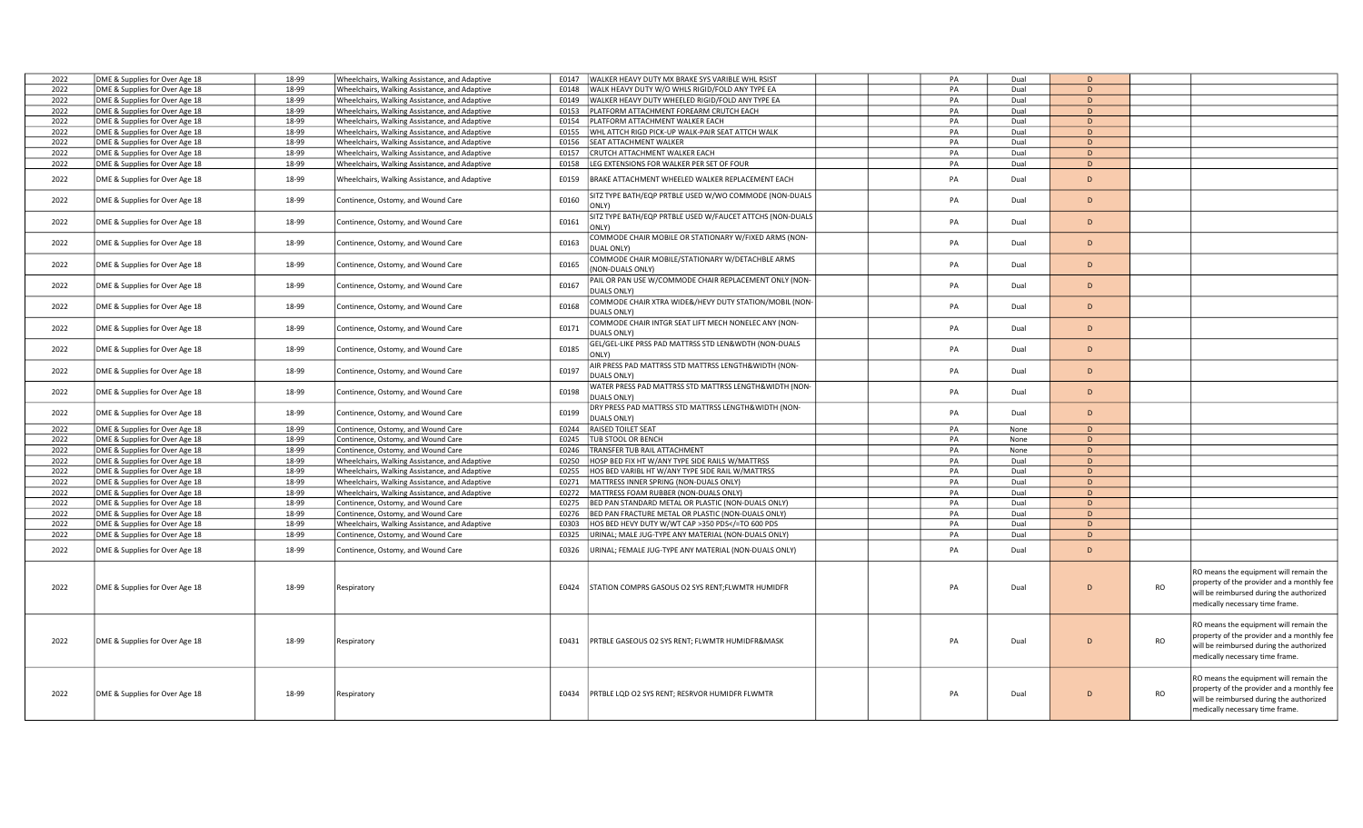| 2022 | DME & Supplies for Over Age 18 | 18-99 | Wheelchairs, Walking Assistance, and Adaptive | E0147 | WALKER HEAVY DUTY MX BRAKE SYS VARIBLE WHL RSIST                                                             | PA | Dual | D |           |                                                                                                                                                                     |
|------|--------------------------------|-------|-----------------------------------------------|-------|--------------------------------------------------------------------------------------------------------------|----|------|---|-----------|---------------------------------------------------------------------------------------------------------------------------------------------------------------------|
| 2022 | DME & Supplies for Over Age 18 | 18-99 | Wheelchairs, Walking Assistance, and Adaptive | E0148 | WALK HEAVY DUTY W/O WHLS RIGID/FOLD ANY TYPE EA                                                              | PA | Dual | D |           |                                                                                                                                                                     |
| 2022 | DME & Supplies for Over Age 18 | 18-99 | Wheelchairs, Walking Assistance, and Adaptive | E0149 | WALKER HEAVY DUTY WHEELED RIGID/FOLD ANY TYPE EA                                                             | PA | Dual | D |           |                                                                                                                                                                     |
| 2022 | DME & Supplies for Over Age 18 | 18-99 | Wheelchairs, Walking Assistance, and Adaptive | E0153 | PLATFORM ATTACHMENT FOREARM CRUTCH EACH                                                                      | PA | Dual | D |           |                                                                                                                                                                     |
| 2022 | DME & Supplies for Over Age 18 | 18-99 | Wheelchairs, Walking Assistance, and Adaptive | E0154 | PLATFORM ATTACHMENT WALKER EACH                                                                              | PA | Dual | D |           |                                                                                                                                                                     |
| 2022 | DME & Supplies for Over Age 18 | 18-99 | Wheelchairs, Walking Assistance, and Adaptive | E0155 | WHL ATTCH RIGD PICK-UP WALK-PAIR SEAT ATTCH WALK                                                             | PA | Dual | D |           |                                                                                                                                                                     |
| 2022 | DME & Supplies for Over Age 18 | 18-99 | Wheelchairs, Walking Assistance, and Adaptive | E0156 | SEAT ATTACHMENT WALKER                                                                                       | PA | Dual | D |           |                                                                                                                                                                     |
| 2022 | DME & Supplies for Over Age 18 | 18-99 | Wheelchairs, Walking Assistance, and Adaptive | E0157 | CRUTCH ATTACHMENT WALKER EACH                                                                                | PA | Dual | D |           |                                                                                                                                                                     |
| 2022 | DME & Supplies for Over Age 18 | 18-99 | Wheelchairs, Walking Assistance, and Adaptive | E0158 | EG EXTENSIONS FOR WALKER PER SET OF FOUR                                                                     | PA | Dual | D |           |                                                                                                                                                                     |
|      |                                |       |                                               |       |                                                                                                              |    |      |   |           |                                                                                                                                                                     |
| 2022 | DME & Supplies for Over Age 18 | 18-99 | Wheelchairs, Walking Assistance, and Adaptive | E0159 | BRAKE ATTACHMENT WHEELED WALKER REPLACEMENT EACH                                                             | PA | Dual | D |           |                                                                                                                                                                     |
| 2022 | DME & Supplies for Over Age 18 | 18-99 | Continence, Ostomy, and Wound Care            | E0160 | ITZ TYPE BATH/EQP PRTBLE USED W/WO COMMODE (NON-DUALS<br>ONLY)                                               | PA | Dual | D |           |                                                                                                                                                                     |
| 2022 | DME & Supplies for Over Age 18 | 18-99 | Continence, Ostomy, and Wound Care            | E0161 | ITZ TYPE BATH/EQP PRTBLE USED W/FAUCET ATTCHS (NON-DUALS<br>ONLY)                                            | PA | Dual | D |           |                                                                                                                                                                     |
| 2022 | DME & Supplies for Over Age 18 | 18-99 | Continence, Ostomy, and Wound Care            | E0163 | COMMODE CHAIR MOBILE OR STATIONARY W/FIXED ARMS (NON-<br>DUAL ONLY)                                          | PA | Dual | D |           |                                                                                                                                                                     |
| 2022 | DME & Supplies for Over Age 18 | 18-99 | Continence, Ostomy, and Wound Care            | E0165 | COMMODE CHAIR MOBILE/STATIONARY W/DETACHBLE ARMS<br><b>NON-DUALS ONLY)</b>                                   | PA | Dual | D |           |                                                                                                                                                                     |
| 2022 | DME & Supplies for Over Age 18 | 18-99 | Continence, Ostomy, and Wound Care            | E0167 | AIL OR PAN USE W/COMMODE CHAIR REPLACEMENT ONLY (NON-<br><b>DUALS ONLY)</b>                                  | PA | Dual | D |           |                                                                                                                                                                     |
| 2022 | DME & Supplies for Over Age 18 | 18-99 | Continence, Ostomy, and Wound Care            | E0168 | OMMODE CHAIR XTRA WIDE&/HEVY DUTY STATION/MOBIL (NON-                                                        | PA | Dual | D |           |                                                                                                                                                                     |
| 2022 | DME & Supplies for Over Age 18 | 18-99 | Continence, Ostomy, and Wound Care            | E0171 | DUALS ONLY)<br>COMMODE CHAIR INTGR SEAT LIFT MECH NONELEC ANY (NON-                                          | PA | Dual | D |           |                                                                                                                                                                     |
|      |                                |       |                                               |       | <b>DUALS ONLY)</b>                                                                                           |    |      |   |           |                                                                                                                                                                     |
| 2022 | DME & Supplies for Over Age 18 | 18-99 | Continence, Ostomy, and Wound Care            | E0185 | GEL/GEL-LIKE PRSS PAD MATTRSS STD LEN&WDTH (NON-DUALS<br>ONLY)                                               | PA | Dual | D |           |                                                                                                                                                                     |
| 2022 | DME & Supplies for Over Age 18 | 18-99 | Continence, Ostomy, and Wound Care            | E0197 | AIR PRESS PAD MATTRSS STD MATTRSS LENGTH&WIDTH (NON-<br>DUALS ONLY)                                          | PA | Dual | D |           |                                                                                                                                                                     |
| 2022 | DME & Supplies for Over Age 18 | 18-99 | Continence, Ostomy, and Wound Care            | E0198 | WATER PRESS PAD MATTRSS STD MATTRSS LENGTH&WIDTH (NON-<br><b>DUALS ONLY)</b>                                 | PA | Dual | D |           |                                                                                                                                                                     |
| 2022 | DME & Supplies for Over Age 18 | 18-99 | Continence, Ostomy, and Wound Care            | E0199 | DRY PRESS PAD MATTRSS STD MATTRSS LENGTH&WIDTH (NON-<br>DUALS ONLY)                                          | PA | Dual | D |           |                                                                                                                                                                     |
| 2022 | DME & Supplies for Over Age 18 | 18-99 | Continence, Ostomy, and Wound Care            | E0244 | RAISED TOILET SEAT                                                                                           | PA | None | D |           |                                                                                                                                                                     |
| 2022 | DME & Supplies for Over Age 18 | 18-99 | Continence, Ostomy, and Wound Care            | E0245 | <b>TUB STOOL OR BENCH</b>                                                                                    | PA | None | D |           |                                                                                                                                                                     |
| 2022 | DME & Supplies for Over Age 18 | 18-99 | Continence, Ostomy, and Wound Care            | E0246 | TRANSFER TUB RAIL ATTACHMENT                                                                                 | PA | None | D |           |                                                                                                                                                                     |
| 2022 | DME & Supplies for Over Age 18 | 18-99 | Wheelchairs, Walking Assistance, and Adaptive | E0250 | HOSP BED FIX HT W/ANY TYPE SIDE RAILS W/MATTRSS                                                              | PA | Dual | D |           |                                                                                                                                                                     |
| 2022 | DME & Supplies for Over Age 18 | 18-99 | Wheelchairs, Walking Assistance, and Adaptive | E0255 | HOS BED VARIBL HT W/ANY TYPE SIDE RAIL W/MATTRSS                                                             | PA | Dual | D |           |                                                                                                                                                                     |
| 2022 | DME & Supplies for Over Age 18 | 18-99 | Wheelchairs, Walking Assistance, and Adaptive | E0271 | MATTRESS INNER SPRING (NON-DUALS ONLY)                                                                       | PA | Dual | D |           |                                                                                                                                                                     |
| 2022 | DME & Supplies for Over Age 18 | 18-99 | Wheelchairs, Walking Assistance, and Adaptive | E0272 | MATTRESS FOAM RUBBER (NON-DUALS ONLY)                                                                        | PA | Dual | D |           |                                                                                                                                                                     |
| 2022 |                                | 18-99 | Continence, Ostomy, and Wound Care            | E0275 | BED PAN STANDARD METAL OR PLASTIC (NON-DUALS ONLY)                                                           | PA | Dual | D |           |                                                                                                                                                                     |
|      | DME & Supplies for Over Age 18 |       |                                               |       |                                                                                                              |    |      |   |           |                                                                                                                                                                     |
| 2022 | DME & Supplies for Over Age 18 | 18-99 | Continence, Ostomy, and Wound Care            | E0276 | BED PAN FRACTURE METAL OR PLASTIC (NON-DUALS ONLY)                                                           | PA | Dual | D |           |                                                                                                                                                                     |
| 2022 | DME & Supplies for Over Age 18 | 18-99 | Wheelchairs, Walking Assistance, and Adaptive | E0303 | HOS BED HEVY DUTY W/WT CAP >350 PDS =TO 600 PDS</td <td>PA</td> <td>Dual</td> <td>D</td> <td></td> <td></td> | PA | Dual | D |           |                                                                                                                                                                     |
| 2022 | DME & Supplies for Over Age 18 | 18-99 | Continence, Ostomy, and Wound Care            | E0325 | JRINAL; MALE JUG-TYPE ANY MATERIAL (NON-DUALS ONLY)                                                          | PA | Dual | D |           |                                                                                                                                                                     |
| 2022 | DME & Supplies for Over Age 18 | 18-99 | Continence, Ostomy, and Wound Care            | E0326 | JRINAL; FEMALE JUG-TYPE ANY MATERIAL (NON-DUALS ONLY)                                                        | PA | Dual | D |           |                                                                                                                                                                     |
| 2022 | DME & Supplies for Over Age 18 | 18-99 | Respiratory                                   | E0424 | STATION COMPRS GASOUS O2 SYS RENT;FLWMTR HUMIDFR                                                             | PA | Dual | D | RO        | RO means the equipment will remain the<br>property of the provider and a monthly fee<br>will be reimbursed during the authorized<br>medically necessary time frame. |
| 2022 | DME & Supplies for Over Age 18 | 18-99 | Respiratory                                   | E0431 | PRTBLE GASEOUS O2 SYS RENT; FLWMTR HUMIDFR&MASK                                                              | PA | Dual | D | RO        | RO means the equipment will remain the<br>property of the provider and a monthly fee<br>will be reimbursed during the authorized<br>medically necessary time frame. |
| 2022 | DME & Supplies for Over Age 18 | 18-99 | Respiratory                                   | E0434 | PRTBLE LQD O2 SYS RENT; RESRVOR HUMIDFR FLWMTR                                                               | PA | Dual | D | <b>RO</b> | RO means the equipment will remain the<br>property of the provider and a monthly fee<br>will be reimbursed during the authorized<br>medically necessary time frame. |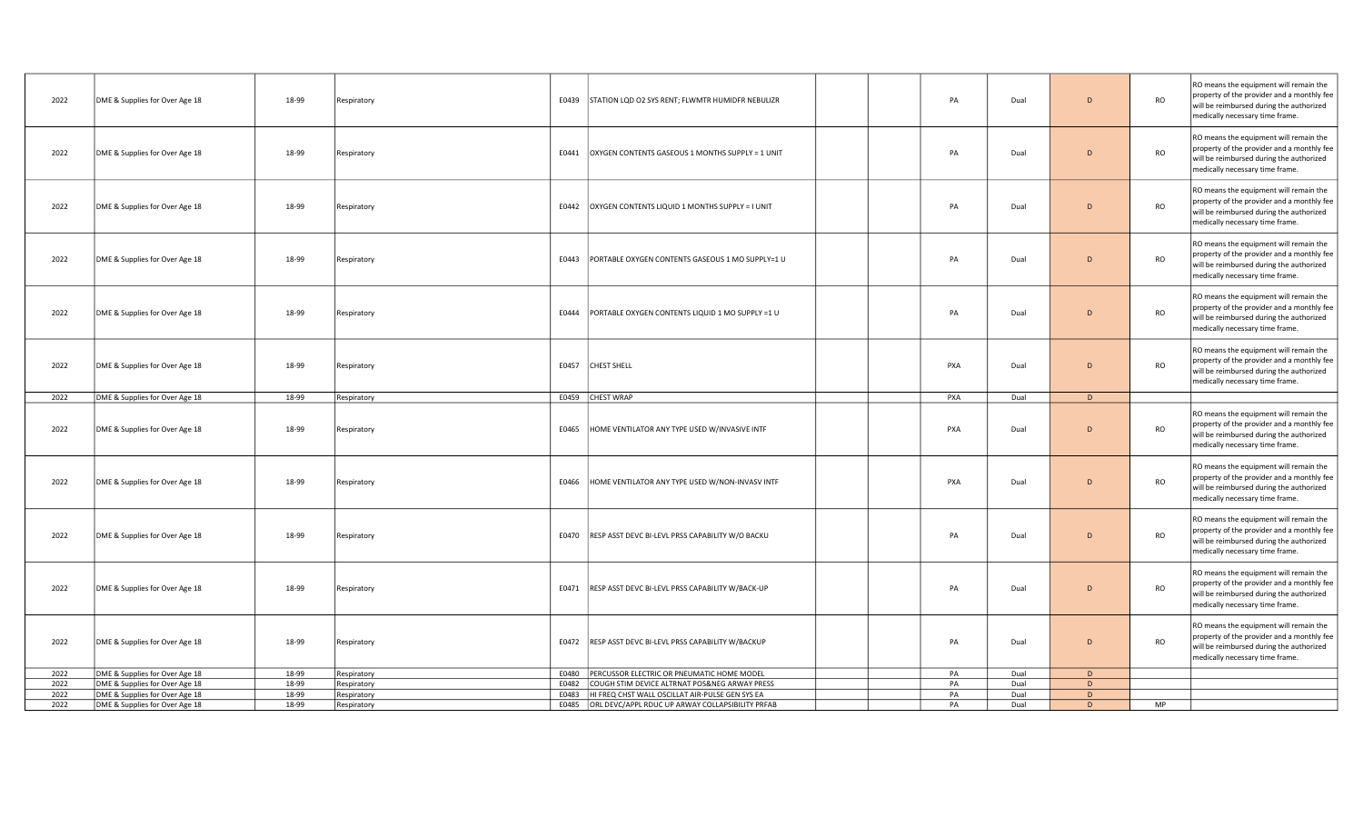| 2022         | DME & Supplies for Over Age 18                                   | 18-99          | Respiratory                |       | E0439 STATION LQD O2 SYS RENT; FLWMTR HUMIDFR NEBULIZR                                                           | PA       | Dual         | D              | <b>RO</b> | RO means the equipment will remain the<br>property of the provider and a monthly fee<br>will be reimbursed during the authorized<br>medically necessary time frame. |
|--------------|------------------------------------------------------------------|----------------|----------------------------|-------|------------------------------------------------------------------------------------------------------------------|----------|--------------|----------------|-----------|---------------------------------------------------------------------------------------------------------------------------------------------------------------------|
| 2022         | DME & Supplies for Over Age 18                                   | 18-99          | Respiratory                | E0441 | OXYGEN CONTENTS GASEOUS 1 MONTHS SUPPLY = 1 UNIT                                                                 | PA       | Dual         | $\overline{D}$ | <b>RO</b> | RO means the equipment will remain the<br>property of the provider and a monthly fee<br>will be reimbursed during the authorized<br>medically necessary time frame. |
| 2022         | DME & Supplies for Over Age 18                                   | 18-99          | Respiratory                | E0442 | OXYGEN CONTENTS LIQUID 1 MONTHS SUPPLY = I UNIT                                                                  | PA       | Dual         | D              | <b>RO</b> | RO means the equipment will remain the<br>property of the provider and a monthly fee<br>will be reimbursed during the authorized<br>medically necessary time frame. |
| 2022         | DME & Supplies for Over Age 18                                   | 18-99          | Respiratory                | E0443 | PORTABLE OXYGEN CONTENTS GASEOUS 1 MO SUPPLY=1 U                                                                 | PA       | Dual         | D              | <b>RO</b> | RO means the equipment will remain the<br>property of the provider and a monthly fee<br>will be reimbursed during the authorized<br>medically necessary time frame. |
| 2022         | DME & Supplies for Over Age 18                                   | 18-99          | Respiratory                | E0444 | PORTABLE OXYGEN CONTENTS LIQUID 1 MO SUPPLY =1 U                                                                 | PA       | Dual         | D              | <b>RO</b> | RO means the equipment will remain the<br>property of the provider and a monthly fee<br>will be reimbursed during the authorized<br>medically necessary time frame. |
| 2022         | DME & Supplies for Over Age 18                                   | 18-99          | Respiratory                |       | E0457 CHEST SHELL                                                                                                | PXA      | Dual         | D              | <b>RO</b> | RO means the equipment will remain the<br>property of the provider and a monthly fee<br>will be reimbursed during the authorized<br>medically necessary time frame. |
| 2022         | DME & Supplies for Over Age 18                                   | 18-99          | Respiratory                |       | E0459 CHEST WRAP                                                                                                 | PXA      | Dual         | D              |           |                                                                                                                                                                     |
|              |                                                                  |                |                            |       |                                                                                                                  |          |              |                |           |                                                                                                                                                                     |
| 2022         | DME & Supplies for Over Age 18                                   | 18-99          | Respiratory                | E0465 | HOME VENTILATOR ANY TYPE USED W/INVASIVE INTF                                                                    | PXA      | Dual         | D              | <b>RO</b> | RO means the equipment will remain the<br>property of the provider and a monthly fee<br>will be reimbursed during the authorized<br>medically necessary time frame. |
| 2022         | DME & Supplies for Over Age 18                                   | 18-99          | Respiratory                | E0466 | HOME VENTILATOR ANY TYPE USED W/NON-INVASV INTF                                                                  | PXA      | Dual         | D              | <b>RO</b> | RO means the equipment will remain the<br>property of the provider and a monthly fee<br>will be reimbursed during the authorized<br>medically necessary time frame. |
| 2022         | DME & Supplies for Over Age 18                                   | 18-99          | Respiratory                |       | E0470 RESP ASST DEVC BI-LEVL PRSS CAPABILITY W/O BACKU                                                           | PA       | Dual         | $\overline{D}$ | <b>RO</b> | RO means the equipment will remain the<br>property of the provider and a monthly fee<br>will be reimbursed during the authorized<br>medically necessary time frame. |
| 2022         | DME & Supplies for Over Age 18                                   | 18-99          | Respiratory                |       | E0471 RESP ASST DEVC BI-LEVL PRSS CAPABILITY W/BACK-UP                                                           | PA       | Dual         | $\overline{D}$ | <b>RO</b> | RO means the equipment will remain the<br>property of the provider and a monthly fee<br>will be reimbursed during the authorized<br>medically necessary time frame. |
| 2022         | DME & Supplies for Over Age 18                                   | 18-99          | Respiratory                |       | E0472 RESP ASST DEVC BI-LEVL PRSS CAPABILITY W/BACKUP                                                            | PA       | Dual         | D              | <b>RO</b> | RO means the equipment will remain the<br>property of the provider and a monthly fee<br>will be reimbursed during the authorized<br>medically necessary time frame. |
| 2022         | DME & Supplies for Over Age 18                                   | 18-99          | Respiratory                | E0480 | PERCUSSOR ELECTRIC OR PNEUMATIC HOME MODEL                                                                       | PA       | Dual         | D              |           |                                                                                                                                                                     |
| 2022         | DME & Supplies for Over Age 18                                   | 18-99          | Respiratory                | E0482 | COUGH STIM DEVICE ALTRNAT POS&NEG ARWAY PRESS                                                                    | PA       | Dual         | D.             |           |                                                                                                                                                                     |
| 2022<br>2022 | DME & Supplies for Over Age 18<br>DME & Supplies for Over Age 18 | 18-99<br>18-99 | Respiratory<br>Respiratory |       | E0483  HI FREQ CHST WALL OSCILLAT AIR-PULSE GEN SYS EA<br>E0485 ORL DEVC/APPL RDUC UP ARWAY COLLAPSIBILITY PRFAB | PA<br>PA | Dual<br>Dual | D<br>D.        | MP        |                                                                                                                                                                     |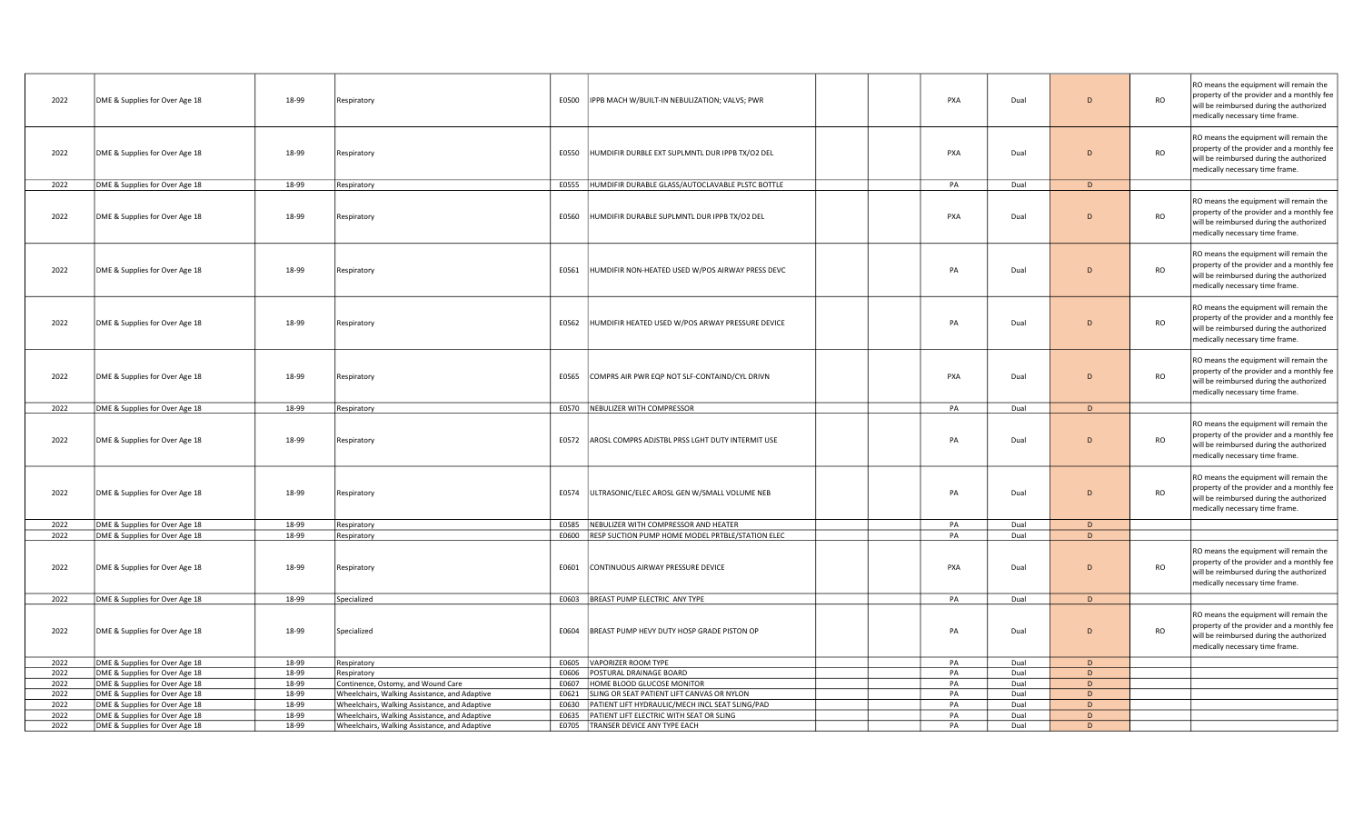| 2022         | DME & Supplies for Over Age 18                                   | 18-99          | Respiratory                                                                                    | E0500 | IPPB MACH W/BUILT-IN NEBULIZATION; VALVS; PWR                                  | PXA        | Dual         | D              | <b>RO</b> | RO means the equipment will remain the<br>property of the provider and a monthly fee<br>will be reimbursed during the authorized<br>medically necessary time frame. |
|--------------|------------------------------------------------------------------|----------------|------------------------------------------------------------------------------------------------|-------|--------------------------------------------------------------------------------|------------|--------------|----------------|-----------|---------------------------------------------------------------------------------------------------------------------------------------------------------------------|
| 2022         | DME & Supplies for Over Age 18                                   | 18-99          | Respiratory                                                                                    | E0550 | HUMDIFIR DURBLE EXT SUPLMNTL DUR IPPB TX/O2 DEL                                | <b>PXA</b> | Dual         | D              | <b>RO</b> | RO means the equipment will remain the<br>property of the provider and a monthly fee<br>will be reimbursed during the authorized<br>medically necessary time frame. |
| 2022         | DME & Supplies for Over Age 18                                   | 18-99          | Respiratory                                                                                    |       | E0555  HUMDIFIR DURABLE GLASS/AUTOCLAVABLE PLSTC BOTTLE                        | PA         | Dual         | D              |           |                                                                                                                                                                     |
| 2022         | DME & Supplies for Over Age 18                                   | 18-99          | Respiratory                                                                                    | E0560 | HUMDIFIR DURABLE SUPLMNTL DUR IPPB TX/O2 DEL                                   | PXA        | Dual         | $\overline{D}$ | <b>RO</b> | RO means the equipment will remain the<br>property of the provider and a monthly fee<br>will be reimbursed during the authorized<br>medically necessary time frame. |
| 2022         | DME & Supplies for Over Age 18                                   | 18-99          | Respiratory                                                                                    | E0561 | HUMDIFIR NON-HEATED USED W/POS AIRWAY PRESS DEVC                               | PA         | Dual         | $\overline{D}$ | <b>RO</b> | RO means the equipment will remain the<br>property of the provider and a monthly fee<br>will be reimbursed during the authorized<br>medically necessary time frame. |
| 2022         | DME & Supplies for Over Age 18                                   | 18-99          | Respiratory                                                                                    | E0562 | HUMDIFIR HEATED USED W/POS ARWAY PRESSURE DEVICE                               | PA         | Dual         | $\overline{D}$ | <b>RO</b> | RO means the equipment will remain the<br>property of the provider and a monthly fee<br>will be reimbursed during the authorized<br>medically necessary time frame. |
| 2022         | DME & Supplies for Over Age 18                                   | 18-99          | Respiratory                                                                                    | E0565 | COMPRS AIR PWR EQP NOT SLF-CONTAIND/CYL DRIVN                                  | PXA        | Dual         | $\overline{D}$ | <b>RO</b> | RO means the equipment will remain the<br>property of the provider and a monthly fee<br>will be reimbursed during the authorized<br>medically necessary time frame. |
| 2022         | DME & Supplies for Over Age 18                                   | 18-99          | Respiratory                                                                                    |       | E0570 NEBULIZER WITH COMPRESSOR                                                | PA         | Dual         | D              |           |                                                                                                                                                                     |
|              |                                                                  |                |                                                                                                |       |                                                                                |            |              |                |           |                                                                                                                                                                     |
| 2022         | DME & Supplies for Over Age 18                                   | 18-99          | Respiratory                                                                                    | E0572 | AROSL COMPRS ADJSTBL PRSS LGHT DUTY INTERMIT USE                               | PA         | Dual         | D              | <b>RO</b> | RO means the equipment will remain the<br>property of the provider and a monthly fee<br>will be reimbursed during the authorized<br>medically necessary time frame. |
| 2022         | DME & Supplies for Over Age 18                                   | 18-99          | Respiratory                                                                                    | E0574 | ULTRASONIC/ELEC AROSL GEN W/SMALL VOLUME NEB                                   | PA         | Dual         | D              | <b>RO</b> | RO means the equipment will remain the<br>property of the provider and a monthly fee<br>will be reimbursed during the authorized<br>medically necessary time frame. |
| 2022         | DME & Supplies for Over Age 18                                   | 18-99          | Respiratory                                                                                    | E0585 | NEBULIZER WITH COMPRESSOR AND HEATER                                           | PA         | Dual         | D              |           |                                                                                                                                                                     |
| 2022         | DME & Supplies for Over Age 18                                   | 18-99          | Respiratory                                                                                    |       | E0600 RESP SUCTION PUMP HOME MODEL PRTBLE/STATION ELEC                         | PA         | Dual         | D              |           |                                                                                                                                                                     |
| 2022         | DME & Supplies for Over Age 18                                   | 18-99          | Respiratory                                                                                    | E0601 | CONTINUOUS AIRWAY PRESSURE DEVICE                                              | PXA        | Dual         | $\overline{D}$ | <b>RO</b> | RO means the equipment will remain the<br>property of the provider and a monthly fee<br>will be reimbursed during the authorized<br>medically necessary time frame. |
| 2022         | DME & Supplies for Over Age 18                                   | 18-99          | Specialized                                                                                    |       | E0603 BREAST PUMP ELECTRIC ANY TYPE                                            | PA         | Dual         | D              |           |                                                                                                                                                                     |
| 2022         | DME & Supplies for Over Age 18                                   | 18-99          | Specialized                                                                                    | E0604 | BREAST PUMP HEVY DUTY HOSP GRADE PISTON OP                                     | PA         | Dual         | D              | <b>RO</b> | RO means the equipment will remain the<br>property of the provider and a monthly fee<br>will be reimbursed during the authorized<br>medically necessary time frame. |
| 2022         | DME & Supplies for Over Age 18                                   | 18-99          | Respiratory                                                                                    | E0605 | VAPORIZER ROOM TYPE                                                            | PA         | Dual         | D              |           |                                                                                                                                                                     |
| 2022         | DME & Supplies for Over Age 18                                   | 18-99          | Respiratory                                                                                    | E0606 | POSTURAL DRAINAGE BOARD                                                        | PA         | Dual         | D              |           |                                                                                                                                                                     |
| 2022         | DME & Supplies for Over Age 18                                   | 18-99          | Continence, Ostomy, and Wound Care                                                             | E0607 | HOME BLOOD GLUCOSE MONITOR                                                     | PA         | Dual         | D              |           |                                                                                                                                                                     |
| 2022         | DME & Supplies for Over Age 18                                   | 18-99          | Wheelchairs, Walking Assistance, and Adaptive                                                  | E0621 | SLING OR SEAT PATIENT LIFT CANVAS OR NYLON                                     | PA         | Dual         | D              |           |                                                                                                                                                                     |
| 2022         | DME & Supplies for Over Age 18                                   | 18-99          | Wheelchairs, Walking Assistance, and Adaptive                                                  | E0630 | PATIENT LIFT HYDRAULIC/MECH INCL SEAT SLING/PAD                                | PA         | Dual         | D              |           |                                                                                                                                                                     |
| 2022<br>2022 | DME & Supplies for Over Age 18<br>DME & Supplies for Over Age 18 | 18-99<br>18-99 | Wheelchairs, Walking Assistance, and Adaptive<br>Wheelchairs, Walking Assistance, and Adaptive | E0635 | PATIENT LIFT ELECTRIC WITH SEAT OR SLING<br>E0705 TRANSER DEVICE ANY TYPE EACH | PA<br>PA   | Dual<br>Dual | D<br>D.        |           |                                                                                                                                                                     |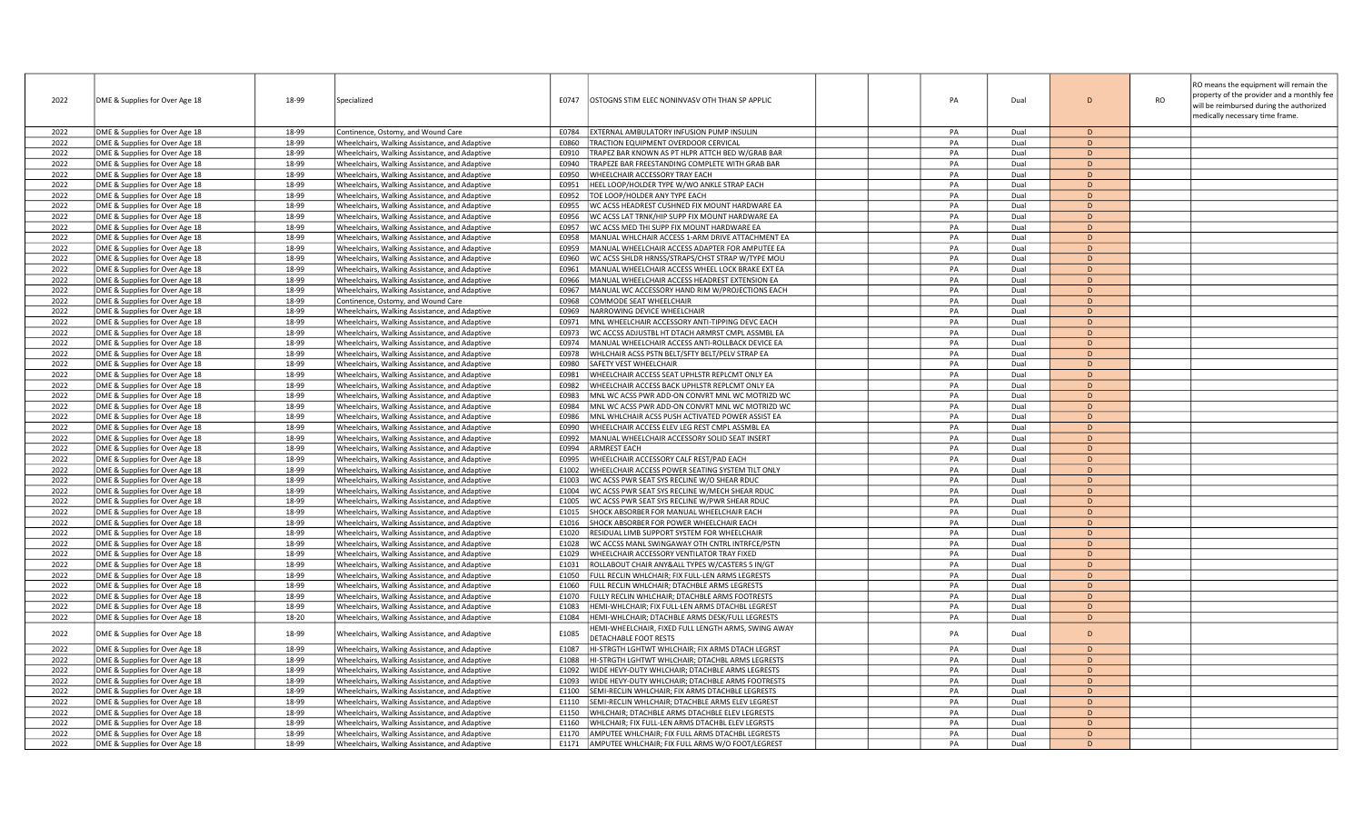| 2022         | DME & Supplies for Over Age 18                                   | 18-99          | Specialized                                                                                    | E0747          | OSTOGNS STIM ELEC NONINVASV OTH THAN SP APPLIC                                                | PA       | Dual         | $\Gamma$                     | RO means the equipment will remain the<br>property of the provider and a monthly fee<br><b>RO</b><br>will be reimbursed during the authorized<br>medically necessary time frame. |
|--------------|------------------------------------------------------------------|----------------|------------------------------------------------------------------------------------------------|----------------|-----------------------------------------------------------------------------------------------|----------|--------------|------------------------------|----------------------------------------------------------------------------------------------------------------------------------------------------------------------------------|
| 2022         | DME & Supplies for Over Age 18                                   | 18-99          | Continence, Ostomy, and Wound Care                                                             | E0784          | EXTERNAL AMBULATORY INFUSION PUMP INSULIN                                                     | PA       | Dual         | D.                           |                                                                                                                                                                                  |
| 2022         | DME & Supplies for Over Age 18                                   | 18-99          | Wheelchairs, Walking Assistance, and Adaptive                                                  | E0860          | TRACTION EQUIPMENT OVERDOOR CERVICAL                                                          | PA       | Dual         | $\mathsf{D}$                 |                                                                                                                                                                                  |
| 2022         | DME & Supplies for Over Age 18                                   | 18-99          | Wheelchairs, Walking Assistance, and Adaptive                                                  | E0910          | TRAPEZ BAR KNOWN AS PT HLPR ATTCH BED W/GRAB BAR                                              | PA       | Dual         | D                            |                                                                                                                                                                                  |
| 2022         | DME & Supplies for Over Age 18                                   | 18-99          | Wheelchairs, Walking Assistance, and Adaptive                                                  | E0940          | TRAPEZE BAR FREESTANDING COMPLETE WITH GRAB BAR                                               | PA       | Dual         | $\mathsf{D}$                 |                                                                                                                                                                                  |
| 2022         | DME & Supplies for Over Age 18                                   | 18-99          | Wheelchairs, Walking Assistance, and Adaptive                                                  | E0950          | WHEELCHAIR ACCESSORY TRAY EACH                                                                | PA       | Dual         | D                            |                                                                                                                                                                                  |
| 2022         | DME & Supplies for Over Age 18                                   | 18-99          | Wheelchairs, Walking Assistance, and Adaptive                                                  | E0951          | HEEL LOOP/HOLDER TYPE W/WO ANKLE STRAP EACH                                                   | PA       | Dual         | D                            |                                                                                                                                                                                  |
| 2022         | DME & Supplies for Over Age 18                                   | 18-99          | Wheelchairs, Walking Assistance, and Adaptive                                                  | E0952          | TOE LOOP/HOLDER ANY TYPE EACH                                                                 | PA       | Dual         | D                            |                                                                                                                                                                                  |
| 2022         | DME & Supplies for Over Age 18                                   | 18-99          | Wheelchairs, Walking Assistance, and Adaptive                                                  | E0955          | WC ACSS HEADREST CUSHNED FIX MOUNT HARDWARE EA                                                | PA       | Dual         | D                            |                                                                                                                                                                                  |
| 2022         | DME & Supplies for Over Age 18                                   | 18-99          | Wheelchairs, Walking Assistance, and Adaptive                                                  | E0956          | WC ACSS LAT TRNK/HIP SUPP FIX MOUNT HARDWARE EA                                               | PA       | Dual         | D                            |                                                                                                                                                                                  |
| 2022         | DME & Supplies for Over Age 18                                   | 18-99          | Wheelchairs, Walking Assistance, and Adaptive                                                  | E0957          | WC ACSS MED THI SUPP FIX MOUNT HARDWARE EA                                                    | PA       | Dual         | $\mathsf{D}$                 |                                                                                                                                                                                  |
| 2022         | DME & Supplies for Over Age 18                                   | 18-99          | Wheelchairs, Walking Assistance, and Adaptive                                                  | E0958          | MANUAL WHLCHAIR ACCESS 1-ARM DRIVE ATTACHMENT EA                                              | PA       | Dual         | D.                           |                                                                                                                                                                                  |
| 2022         | DME & Supplies for Over Age 18                                   | 18-99          | Wheelchairs, Walking Assistance, and Adaptive                                                  | E0959          | MANUAL WHEELCHAIR ACCESS ADAPTER FOR AMPUTEE EA                                               | PA       | Dual         | D                            |                                                                                                                                                                                  |
| 2022         | DME & Supplies for Over Age 18                                   | 18-99          | Wheelchairs, Walking Assistance, and Adaptive                                                  | E0960          | WC ACSS SHLDR HRNSS/STRAPS/CHST STRAP W/TYPE MOU                                              | PA       | Dual         | D                            |                                                                                                                                                                                  |
| 2022         | DME & Supplies for Over Age 18                                   | 18-99          | Wheelchairs, Walking Assistance, and Adaptive                                                  | E0961          | MANUAL WHEELCHAIR ACCESS WHEEL LOCK BRAKE EXT EA                                              | PA       | Dual         | $\mathsf{D}$                 |                                                                                                                                                                                  |
| 2022         | DME & Supplies for Over Age 18                                   | 18-99          | Wheelchairs, Walking Assistance, and Adaptive                                                  | E0966          | MANUAL WHEELCHAIR ACCESS HEADREST EXTENSION EA                                                | PA       | Dual         | D                            |                                                                                                                                                                                  |
| 2022         | DME & Supplies for Over Age 18                                   | 18-99          | Wheelchairs, Walking Assistance, and Adaptive                                                  | E0967          | MANUAL WC ACCESSORY HAND RIM W/PROJECTIONS EACH                                               | PA       | Dual         | $\mathsf{D}$                 |                                                                                                                                                                                  |
| 2022         | DME & Supplies for Over Age 18                                   | 18-99          | Continence, Ostomy, and Wound Care                                                             | E0968          | COMMODE SEAT WHEELCHAIR                                                                       | PA       | Dual         | D                            |                                                                                                                                                                                  |
| 2022         | DME & Supplies for Over Age 18                                   | 18-99          | Wheelchairs, Walking Assistance, and Adaptive                                                  | E0969          | NARROWING DEVICE WHEELCHAIR                                                                   | PA       | Dual         | D                            |                                                                                                                                                                                  |
| 2022         | DME & Supplies for Over Age 18                                   | 18-99          | Wheelchairs, Walking Assistance, and Adaptive                                                  | E0971          | MNL WHEELCHAIR ACCESSORY ANTI-TIPPING DEVC EACH                                               | PA       | Dual         | $\mathsf{D}$                 |                                                                                                                                                                                  |
| 2022         | DME & Supplies for Over Age 18                                   | 18-99          | Wheelchairs, Walking Assistance, and Adaptive                                                  | E0973          | WC ACCSS ADJUSTBL HT DTACH ARMRST CMPL ASSMBL EA                                              | PA       | Dual         | $\mathsf{D}$                 |                                                                                                                                                                                  |
| 2022         | DME & Supplies for Over Age 18                                   | 18-99          | Wheelchairs, Walking Assistance, and Adaptive                                                  | E0974          | MANUAL WHEELCHAIR ACCESS ANTI-ROLLBACK DEVICE EA                                              | PA       | Dual         | D                            |                                                                                                                                                                                  |
| 2022         | DME & Supplies for Over Age 18                                   | 18-99          | Wheelchairs, Walking Assistance, and Adaptive                                                  | E0978          | WHLCHAIR ACSS PSTN BELT/SFTY BELT/PELV STRAP EA                                               | PA       | Dual         | $\mathsf{D}$                 |                                                                                                                                                                                  |
| 2022         | DME & Supplies for Over Age 18                                   | 18-99          | Wheelchairs, Walking Assistance, and Adaptive                                                  | E0980          | SAFETY VEST WHEELCHAIR                                                                        | PA       | Dual         | D                            |                                                                                                                                                                                  |
| 2022         | DME & Supplies for Over Age 18                                   | 18-99          | Wheelchairs, Walking Assistance, and Adaptive                                                  | E0981          | WHEELCHAIR ACCESS SEAT UPHLSTR REPLCMT ONLY EA                                                | PA       | Dual         | D                            |                                                                                                                                                                                  |
| 2022         | DME & Supplies for Over Age 18                                   | 18-99          | Wheelchairs, Walking Assistance, and Adaptive                                                  | E0982          | WHEELCHAIR ACCESS BACK UPHLSTR REPLCMT ONLY EA                                                | PA       | Dual         | $\mathsf{D}$                 |                                                                                                                                                                                  |
| 2022         | DME & Supplies for Over Age 18                                   | 18-99          | Wheelchairs, Walking Assistance, and Adaptive                                                  | E0983          | MNL WC ACSS PWR ADD-ON CONVRT MNL WC MOTRIZD WC                                               | PA       | Dual         | $\mathsf{D}$                 |                                                                                                                                                                                  |
| 2022         | DME & Supplies for Over Age 18                                   | 18-99          | Wheelchairs, Walking Assistance, and Adaptive                                                  | E0984          | MNL WC ACSS PWR ADD-ON CONVRT MNL WC MOTRIZD WC                                               | PA       | Dual         | D                            |                                                                                                                                                                                  |
| 2022         | DME & Supplies for Over Age 18                                   | 18-99          | Wheelchairs, Walking Assistance, and Adaptive                                                  | E0986          | MNL WHLCHAIR ACSS PUSH ACTIVATED POWER ASSIST EA                                              | PA       | Dual         | D                            |                                                                                                                                                                                  |
| 2022         | DME & Supplies for Over Age 18                                   | 18-99          | Wheelchairs, Walking Assistance, and Adaptive                                                  | E0990          | WHEELCHAIR ACCESS ELEV LEG REST CMPL ASSMBL EA                                                | PA       | Dual         | D                            |                                                                                                                                                                                  |
| 2022         | DME & Supplies for Over Age 18                                   | 18-99          | Wheelchairs, Walking Assistance, and Adaptive                                                  | E0992          | MANUAL WHEELCHAIR ACCESSORY SOLID SEAT INSERT                                                 | PA       | Dual         | D                            |                                                                                                                                                                                  |
| 2022         | DME & Supplies for Over Age 18                                   | 18-99          | Wheelchairs, Walking Assistance, and Adaptive                                                  | E0994          | <b>ARMREST EACH</b>                                                                           | PA       | Dual         | <sub>D</sub><br>$\mathsf{D}$ |                                                                                                                                                                                  |
| 2022         | DME & Supplies for Over Age 18                                   | 18-99          | Wheelchairs, Walking Assistance, and Adaptive                                                  | E0995          | WHEELCHAIR ACCESSORY CALF REST/PAD EACH                                                       | PA       | Dual         |                              |                                                                                                                                                                                  |
| 2022         | DME & Supplies for Over Age 18                                   | 18-99          | Wheelchairs, Walking Assistance, and Adaptive                                                  | E1002          | WHEELCHAIR ACCESS POWER SEATING SYSTEM TILT ONLY                                              | PA       | Dual         | D                            |                                                                                                                                                                                  |
| 2022         | DME & Supplies for Over Age 18                                   | 18-99          | Wheelchairs, Walking Assistance, and Adaptive                                                  | E1003          | WC ACSS PWR SEAT SYS RECLINE W/O SHEAR RDUC                                                   | PA       | Dual         | <sub>D</sub><br>D.           |                                                                                                                                                                                  |
| 2022         | DME & Supplies for Over Age 18                                   | 18-99          | Wheelchairs, Walking Assistance, and Adaptive                                                  | E1004          | WC ACSS PWR SEAT SYS RECLINE W/MECH SHEAR RDUC                                                | PA<br>PA | Dual         |                              |                                                                                                                                                                                  |
| 2022         | DME & Supplies for Over Age 18                                   | 18-99          | Wheelchairs, Walking Assistance, and Adaptive                                                  | E1005          | WC ACSS PWR SEAT SYS RECLINE W/PWR SHEAR RDUC                                                 |          | Dual         | D<br><sub>D</sub>            |                                                                                                                                                                                  |
| 2022         | DME & Supplies for Over Age 18                                   | 18-99          | Wheelchairs, Walking Assistance, and Adaptive                                                  | E1015          | SHOCK ABSORBER FOR MANUAL WHEELCHAIR EACH                                                     | PA       | Dual         | $\mathsf{D}$                 |                                                                                                                                                                                  |
| 2022         | DME & Supplies for Over Age 18                                   | 18-99          | Wheelchairs, Walking Assistance, and Adaptive                                                  | E1016          | SHOCK ABSORBER FOR POWER WHEELCHAIR EACH                                                      | PA       | Dual         |                              |                                                                                                                                                                                  |
| 2022<br>2022 | DME & Supplies for Over Age 18                                   | 18-99<br>18-99 | Wheelchairs, Walking Assistance, and Adaptive                                                  | E1020          | RESIDUAL LIMB SUPPORT SYSTEM FOR WHEELCHAIR<br>WC ACCSS MANL SWINGAWAY OTH CNTRL INTRFCE/PSTN | PA<br>PA | Dual<br>Dual | D<br>$\mathsf{D}$            |                                                                                                                                                                                  |
|              | DME & Supplies for Over Age 18                                   | 18-99          | Wheelchairs, Walking Assistance, and Adaptive                                                  | E1028          |                                                                                               |          |              | D                            |                                                                                                                                                                                  |
| 2022<br>2022 | DME & Supplies for Over Age 18<br>DME & Supplies for Over Age 18 | 18-99          | Wheelchairs, Walking Assistance, and Adaptive                                                  | E1029<br>E1031 | WHEELCHAIR ACCESSORY VENTILATOR TRAY FIXED<br>ROLLABOUT CHAIR ANY&ALL TYPES W/CASTERS 5 IN/GT | PA<br>PA | Dual<br>Dual | D                            |                                                                                                                                                                                  |
| 2022         | DME & Supplies for Over Age 18                                   | 18-99          | Wheelchairs, Walking Assistance, and Adaptive                                                  | E1050          | FULL RECLIN WHLCHAIR; FIX FULL-LEN ARMS LEGRESTS                                              | PA       | Dual         | D                            |                                                                                                                                                                                  |
| 2022         | DME & Supplies for Over Age 18                                   | 18-99          | Wheelchairs, Walking Assistance, and Adaptive<br>Wheelchairs, Walking Assistance, and Adaptive | E1060          | ULL RECLIN WHLCHAIR; DTACHBLE ARMS LEGRESTS                                                   | PA       | Dual         | D                            |                                                                                                                                                                                  |
| 2022         | DME & Supplies for Over Age 18                                   | 18-99          | Wheelchairs, Walking Assistance, and Adaptive                                                  | E1070          | FULLY RECLIN WHLCHAIR; DTACHBLE ARMS FOOTRESTS                                                | PA       | Dual         | D                            |                                                                                                                                                                                  |
| 2022         | DME & Supplies for Over Age 18                                   | 18-99          | Wheelchairs, Walking Assistance, and Adaptive                                                  | E1083          | HEMI-WHLCHAIR; FIX FULL-LEN ARMS DTACHBL LEGREST                                              | PA       | Dual         | D                            |                                                                                                                                                                                  |
| 2022         | DME & Supplies for Over Age 18                                   | 18-20          | Wheelchairs, Walking Assistance, and Adaptive                                                  | E1084          | HEMI-WHLCHAIR; DTACHBLE ARMS DESK/FULL LEGRESTS                                               | PA       | Dual         | D                            |                                                                                                                                                                                  |
|              |                                                                  |                |                                                                                                |                | IEMI-WHEELCHAIR, FIXED FULL LENGTH ARMS, SWING AWAY                                           |          |              |                              |                                                                                                                                                                                  |
| 2022         | DME & Supplies for Over Age 18                                   | 18-99          | Wheelchairs, Walking Assistance, and Adaptive                                                  | E1085          | DETACHABLE FOOT RESTS                                                                         | PA       | Dual         | D                            |                                                                                                                                                                                  |
| 2022         | DME & Supplies for Over Age 18                                   | 18-99          | Wheelchairs, Walking Assistance, and Adaptive                                                  | E1087          | HI-STRGTH LGHTWT WHLCHAIR; FIX ARMS DTACH LEGRST                                              | PA       | Dual         | D                            |                                                                                                                                                                                  |
| 2022         | DME & Supplies for Over Age 18                                   | 18-99          | Wheelchairs, Walking Assistance, and Adaptive                                                  | E1088          | HI-STRGTH LGHTWT WHLCHAIR; DTACHBL ARMS LEGRESTS                                              | PA       | Dual         | D                            |                                                                                                                                                                                  |
| 2022         | DME & Supplies for Over Age 18                                   | 18-99          | Wheelchairs, Walking Assistance, and Adaptive                                                  | E1092          | WIDE HEVY-DUTY WHLCHAIR; DTACHBLE ARMS LEGRESTS                                               | PA       | Dual         | D                            |                                                                                                                                                                                  |
| 2022         | DME & Supplies for Over Age 18                                   | 18-99          | Wheelchairs, Walking Assistance, and Adaptive                                                  | E1093          | WIDE HEVY-DUTY WHLCHAIR; DTACHBLE ARMS FOOTRESTS                                              | PA       | Dual         | D                            |                                                                                                                                                                                  |
| 2022         | DME & Supplies for Over Age 18                                   | 18-99          | Wheelchairs, Walking Assistance, and Adaptive                                                  | E1100          | EMI-RECLIN WHLCHAIR; FIX ARMS DTACHBLE LEGRESTS                                               | PA       | Dual         | D                            |                                                                                                                                                                                  |
| 2022         | DME & Supplies for Over Age 18                                   | 18-99          | Wheelchairs, Walking Assistance, and Adaptive                                                  | E1110          | EMI-RECLIN WHLCHAIR; DTACHBLE ARMS ELEV LEGREST                                               | PA       | Dual         | D                            |                                                                                                                                                                                  |
| 2022         | DME & Supplies for Over Age 18                                   | 18-99          | Wheelchairs, Walking Assistance, and Adaptive                                                  | E1150          | WHLCHAIR; DTACHBLE ARMS DTACHBLE ELEV LEGRESTS                                                | PA       | Dual         | $\mathsf{D}$                 |                                                                                                                                                                                  |
| 2022         | DME & Supplies for Over Age 18                                   | 18-99          | Wheelchairs, Walking Assistance, and Adaptive                                                  | E1160          | WHLCHAIR; FIX FULL-LEN ARMS DTACHBL ELEV LEGRSTS                                              | PA       | Dual         | D                            |                                                                                                                                                                                  |
| 2022         | DME & Supplies for Over Age 18                                   | 18-99          | Wheelchairs, Walking Assistance, and Adaptive                                                  | E1170          | AMPUTEE WHLCHAIR; FIX FULL ARMS DTACHBL LEGRESTS                                              | PA       | Dual         | $\mathsf{D}$                 |                                                                                                                                                                                  |
| 2022         | DME & Supplies for Over Age 18                                   | 18-99          | Wheelchairs, Walking Assistance, and Adaptive                                                  | E1171          | AMPUTEE WHLCHAIR; FIX FULL ARMS W/O FOOT/LEGREST                                              | PA       | Dual         | $\mathsf{D}$                 |                                                                                                                                                                                  |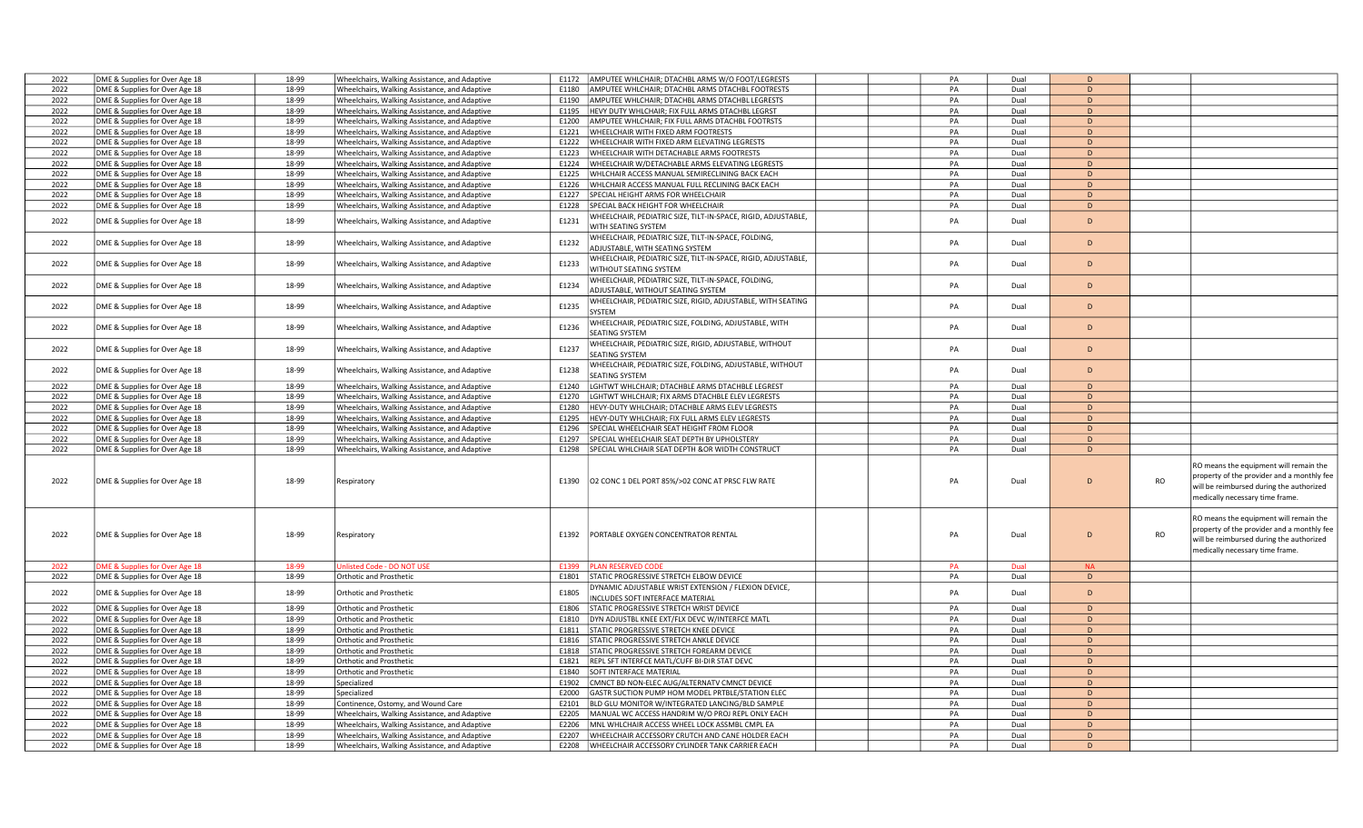| 2022 | DME & Supplies for Over Age 18 | 18-99 | Wheelchairs, Walking Assistance, and Adaptive | E1172 | AMPUTEE WHLCHAIR; DTACHBL ARMS W/O FOOT/LEGRESTS                                          | PA | Dual | <sub>D</sub>   |    |                                                                                                                                  |
|------|--------------------------------|-------|-----------------------------------------------|-------|-------------------------------------------------------------------------------------------|----|------|----------------|----|----------------------------------------------------------------------------------------------------------------------------------|
| 2022 | DME & Supplies for Over Age 18 | 18-99 | Wheelchairs, Walking Assistance, and Adaptive | F1180 | AMPUTEE WHLCHAIR; DTACHBL ARMS DTACHBL FOOTRESTS                                          | PA | Dual | D              |    |                                                                                                                                  |
| 2022 | DME & Supplies for Over Age 18 | 18-99 | Wheelchairs, Walking Assistance, and Adaptive | E1190 | AMPUTEE WHLCHAIR; DTACHBL ARMS DTACHBL LEGRESTS                                           | PA | Dual | D              |    |                                                                                                                                  |
| 2022 | DME & Supplies for Over Age 18 | 18-99 | Wheelchairs, Walking Assistance, and Adaptive | E1195 | HEVY DUTY WHLCHAIR; FIX FULL ARMS DTACHBL LEGRST                                          | PA | Dual | D              |    |                                                                                                                                  |
| 2022 | DME & Supplies for Over Age 18 | 18-99 | Wheelchairs, Walking Assistance, and Adaptive | E1200 | AMPUTEE WHLCHAIR; FIX FULL ARMS DTACHBL FOOTRSTS                                          | PA | Dual | D              |    |                                                                                                                                  |
| 2022 | DME & Supplies for Over Age 18 | 18-99 | Wheelchairs, Walking Assistance, and Adaptive | E1221 | WHEELCHAIR WITH FIXED ARM FOOTRESTS                                                       | PA | Dual | D              |    |                                                                                                                                  |
| 2022 | DME & Supplies for Over Age 18 | 18-99 | Wheelchairs, Walking Assistance, and Adaptive | E1222 | WHEELCHAIR WITH FIXED ARM ELEVATING LEGRESTS                                              | PA | Dual | <sub>D</sub>   |    |                                                                                                                                  |
| 2022 | DME & Supplies for Over Age 18 | 18-99 | Wheelchairs, Walking Assistance, and Adaptive | E1223 | WHEELCHAIR WITH DETACHABLE ARMS FOOTRESTS                                                 | PA | Dual | D              |    |                                                                                                                                  |
| 2022 | DME & Supplies for Over Age 18 | 18-99 | Wheelchairs, Walking Assistance, and Adaptive | E1224 | WHEELCHAIR W/DETACHABLE ARMS ELEVATING LEGRESTS                                           | PA | Dual | <sub>D</sub>   |    |                                                                                                                                  |
| 2022 | DME & Supplies for Over Age 18 | 18-99 | Wheelchairs, Walking Assistance, and Adaptive | E1225 | WHLCHAIR ACCESS MANUAL SEMIRECLINING BACK EACH                                            | PA | Dual | D              |    |                                                                                                                                  |
| 2022 | DME & Supplies for Over Age 18 | 18-99 | Wheelchairs, Walking Assistance, and Adaptive | E1226 | WHLCHAIR ACCESS MANUAL FULL RECLINING BACK EACH                                           | PA | Dual | D              |    |                                                                                                                                  |
| 2022 | DME & Supplies for Over Age 18 | 18-99 | Wheelchairs, Walking Assistance, and Adaptive | E1227 | PECIAL HEIGHT ARMS FOR WHEELCHAIR                                                         | PA | Dual | D              |    |                                                                                                                                  |
| 2022 | DME & Supplies for Over Age 18 | 18-99 | Wheelchairs, Walking Assistance, and Adaptive | E1228 | SPECIAL BACK HEIGHT FOR WHEELCHAIR                                                        | PA | Dual | D              |    |                                                                                                                                  |
|      |                                |       |                                               |       |                                                                                           |    |      |                |    |                                                                                                                                  |
| 2022 | DME & Supplies for Over Age 18 | 18-99 | Wheelchairs, Walking Assistance, and Adaptive | E1231 | WHEELCHAIR, PEDIATRIC SIZE, TILT-IN-SPACE, RIGID, ADJUSTABLE,<br>WITH SEATING SYSTEM      | PA | Dual | D              |    |                                                                                                                                  |
| 2022 | DME & Supplies for Over Age 18 | 18-99 | Wheelchairs, Walking Assistance, and Adaptive | E1232 | WHEELCHAIR, PEDIATRIC SIZE, TILT-IN-SPACE, FOLDING,<br>ADJUSTABLE, WITH SEATING SYSTEM    | PA | Dual | D              |    |                                                                                                                                  |
| 2022 | DME & Supplies for Over Age 18 | 18-99 | Wheelchairs, Walking Assistance, and Adaptive | E1233 | VHEELCHAIR, PEDIATRIC SIZE, TILT-IN-SPACE, RIGID, ADJUSTABLE,<br>WITHOUT SEATING SYSTEM   | PA | Dual | D              |    |                                                                                                                                  |
| 2022 | DME & Supplies for Over Age 18 | 18-99 | Wheelchairs, Walking Assistance, and Adaptive | E1234 | WHEELCHAIR, PEDIATRIC SIZE, TILT-IN-SPACE, FOLDING,<br>ADJUSTABLE, WITHOUT SEATING SYSTEM | PA | Dual | D              |    |                                                                                                                                  |
| 2022 | DME & Supplies for Over Age 18 | 18-99 | Wheelchairs, Walking Assistance, and Adaptive | E1235 | WHEELCHAIR, PEDIATRIC SIZE, RIGID, ADJUSTABLE, WITH SEATING<br>SYSTEM                     | PA | Dual | D              |    |                                                                                                                                  |
| 2022 | DME & Supplies for Over Age 18 | 18-99 | Wheelchairs, Walking Assistance, and Adaptive | E1236 | VHEELCHAIR, PEDIATRIC SIZE, FOLDING, ADJUSTABLE, WITH<br>SEATING SYSTEM                   | PA | Dual | $\mathsf{D}$   |    |                                                                                                                                  |
| 2022 | DME & Supplies for Over Age 18 | 18-99 | Wheelchairs, Walking Assistance, and Adaptive | E1237 | WHEELCHAIR, PEDIATRIC SIZE, RIGID, ADJUSTABLE, WITHOUT<br><b>EATING SYSTEM</b>            | PA | Dual | D              |    |                                                                                                                                  |
| 2022 | DME & Supplies for Over Age 18 | 18-99 | Wheelchairs, Walking Assistance, and Adaptive | E1238 | WHEELCHAIR, PEDIATRIC SIZE, FOLDING, ADJUSTABLE, WITHOUT<br><b>EATING SYSTEM</b>          | PA | Dual | D              |    |                                                                                                                                  |
| 2022 | DME & Supplies for Over Age 18 | 18-99 | Wheelchairs, Walking Assistance, and Adaptive | E1240 | GHTWT WHLCHAIR: DTACHBLE ARMS DTACHBLE LEGREST                                            | PA | Dual | D              |    |                                                                                                                                  |
| 2022 | DME & Supplies for Over Age 18 | 18-99 | Wheelchairs, Walking Assistance, and Adaptive | E1270 | GHTWT WHLCHAIR; FIX ARMS DTACHBLE ELEV LEGRESTS                                           | PA | Dual | D              |    |                                                                                                                                  |
| 2022 | DME & Supplies for Over Age 18 | 18-99 | Wheelchairs, Walking Assistance, and Adaptive | E1280 | <b>IEVY-DUTY WHLCHAIR; DTACHBLE ARMS ELEV LEGRESTS</b>                                    | PA | Dual | D              |    |                                                                                                                                  |
| 2022 | DME & Supplies for Over Age 18 | 18-99 | Wheelchairs, Walking Assistance, and Adaptive | E1295 | HEVY-DUTY WHLCHAIR: FIX FULL ARMS ELEV LEGRESTS                                           | PA | Dual | D              |    |                                                                                                                                  |
| 2022 | DME & Supplies for Over Age 18 | 18-99 | Wheelchairs, Walking Assistance, and Adaptive | E1296 | PECIAL WHEELCHAIR SEAT HEIGHT FROM FLOOR                                                  | PA | Dual | D              |    |                                                                                                                                  |
| 2022 | DME & Supplies for Over Age 18 | 18-99 | Wheelchairs, Walking Assistance, and Adaptive | E1297 | PECIAL WHEELCHAIR SEAT DEPTH BY UPHOLSTERY                                                | PA | Dual | D              |    |                                                                                                                                  |
| 2022 | DME & Supplies for Over Age 18 | 18-99 | Wheelchairs, Walking Assistance, and Adaptive | E1298 | SPECIAL WHLCHAIR SEAT DEPTH &OR WIDTH CONSTRUCT                                           | PA | Dual | D              |    |                                                                                                                                  |
| 2022 | DME & Supplies for Over Age 18 | 18-99 | Respiratory                                   | E1390 | O2 CONC 1 DEL PORT 85%/>02 CONC AT PRSC FLW RATE                                          | PA | Dual | D              | RO | RO means the equipment will remain the<br>property of the provider and a monthly fee<br>will be reimbursed during the authorized |
|      |                                |       |                                               |       |                                                                                           |    |      |                |    | medically necessary time frame.                                                                                                  |
| 2022 | DME & Supplies for Over Age 18 | 18-99 | Respiratory                                   | E1392 | PORTABLE OXYGEN CONCENTRATOR RENTAL                                                       | PA | Dual | $\overline{D}$ | RO | RO means the equipment will remain the<br>property of the provider and a monthly fee                                             |
|      |                                |       |                                               |       |                                                                                           |    |      |                |    | will be reimbursed during the authorized<br>medically necessary time frame.                                                      |
| 2022 | ME & Supplies for Over Age 18  | 18-99 | Inlisted Code - DO NOT USE                    | E1399 | <b>LAN RESERVED CODE</b>                                                                  | PA | Dual | <b>NA</b>      |    |                                                                                                                                  |
| 2022 | DME & Supplies for Over Age 18 | 18-99 | Orthotic and Prosthetic                       | E1801 | STATIC PROGRESSIVE STRETCH ELBOW DEVICE                                                   | PA | Dual | D              |    |                                                                                                                                  |
| 2022 | DME & Supplies for Over Age 18 | 18-99 | Orthotic and Prosthetic                       | E1805 | DYNAMIC ADJUSTABLE WRIST EXTENSION / FLEXION DEVICE,<br>INCLUDES SOFT INTERFACE MATERIAL  | PA | Dual | D              |    |                                                                                                                                  |
| 2022 | DME & Supplies for Over Age 18 | 18-99 | <b>Orthotic and Prosthetic</b>                | E1806 | STATIC PROGRESSIVE STRETCH WRIST DEVICE                                                   | PA | Dual | D              |    |                                                                                                                                  |
| 2022 | DME & Supplies for Over Age 18 | 18-99 | Orthotic and Prosthetic                       | E1810 | DYN ADJUSTBL KNEE EXT/FLX DEVC W/INTERFCE MATL                                            | PA | Dual | D              |    |                                                                                                                                  |
| 2022 | DME & Supplies for Over Age 18 | 18-99 | Orthotic and Prosthetic                       | E1811 | STATIC PROGRESSIVE STRETCH KNEE DEVICE                                                    | PA | Dual | D              |    |                                                                                                                                  |
| 2022 | DME & Supplies for Over Age 18 | 18-99 | Orthotic and Prosthetic                       | E1816 | <b>STATIC PROGRESSIVE STRETCH ANKLE DEVICE</b>                                            | PA | Dual | D              |    |                                                                                                                                  |
| 2022 | DME & Supplies for Over Age 18 | 18-99 | Orthotic and Prosthetic                       | E1818 | STATIC PROGRESSIVE STRETCH FOREARM DEVICE                                                 | PA | Dual | $\overline{D}$ |    |                                                                                                                                  |
| 2022 | DME & Supplies for Over Age 18 | 18-99 | Orthotic and Prosthetic                       | E1821 | REPL SFT INTERFCE MATL/CUFF BI-DIR STAT DEVC                                              | PA | Dual | D              |    |                                                                                                                                  |
| 2022 | DME & Supplies for Over Age 18 | 18-99 | Orthotic and Prosthetic                       | E1840 | SOFT INTERFACE MATERIAL                                                                   | PA | Dual | D              |    |                                                                                                                                  |
| 2022 | DME & Supplies for Over Age 18 | 18-99 | Specialized                                   | E1902 | CMNCT BD NON-ELEC AUG/ALTERNATV CMNCT DEVICE                                              | PA | Dual | D              |    |                                                                                                                                  |
| 2022 | DME & Supplies for Over Age 18 | 18-99 | Specialized                                   | E2000 | GASTR SUCTION PUMP HOM MODEL PRTBLE/STATION ELEC                                          | PA | Dual | D              |    |                                                                                                                                  |
| 2022 | DME & Supplies for Over Age 18 | 18-99 | Continence, Ostomy, and Wound Care            | E2101 | BLD GLU MONITOR W/INTEGRATED LANCING/BLD SAMPLE                                           | PA | Dual | D              |    |                                                                                                                                  |
| 2022 | DME & Supplies for Over Age 18 | 18-99 | Wheelchairs, Walking Assistance, and Adaptive | E2205 | MANUAL WC ACCESS HANDRIM W/O PROJ REPL ONLY EACH                                          | PA | Dual | D              |    |                                                                                                                                  |
| 2022 | DME & Supplies for Over Age 18 | 18-99 | Wheelchairs, Walking Assistance, and Adaptive | E2206 | MNL WHLCHAIR ACCESS WHEEL LOCK ASSMBL CMPL EA                                             | PA | Dual | <sub>D</sub>   |    |                                                                                                                                  |
| 2022 | DME & Supplies for Over Age 18 | 18-99 | Wheelchairs, Walking Assistance, and Adaptive | E2207 | WHEELCHAIR ACCESSORY CRUTCH AND CANE HOLDER EACH                                          | PA | Dual | D              |    |                                                                                                                                  |
| 2022 | DME & Supplies for Over Age 18 | 18-99 | Wheelchairs, Walking Assistance, and Adaptive | E2208 | WHEELCHAIR ACCESSORY CYLINDER TANK CARRIER EACH                                           | PA | Dual | D              |    |                                                                                                                                  |
|      |                                |       |                                               |       |                                                                                           |    |      |                |    |                                                                                                                                  |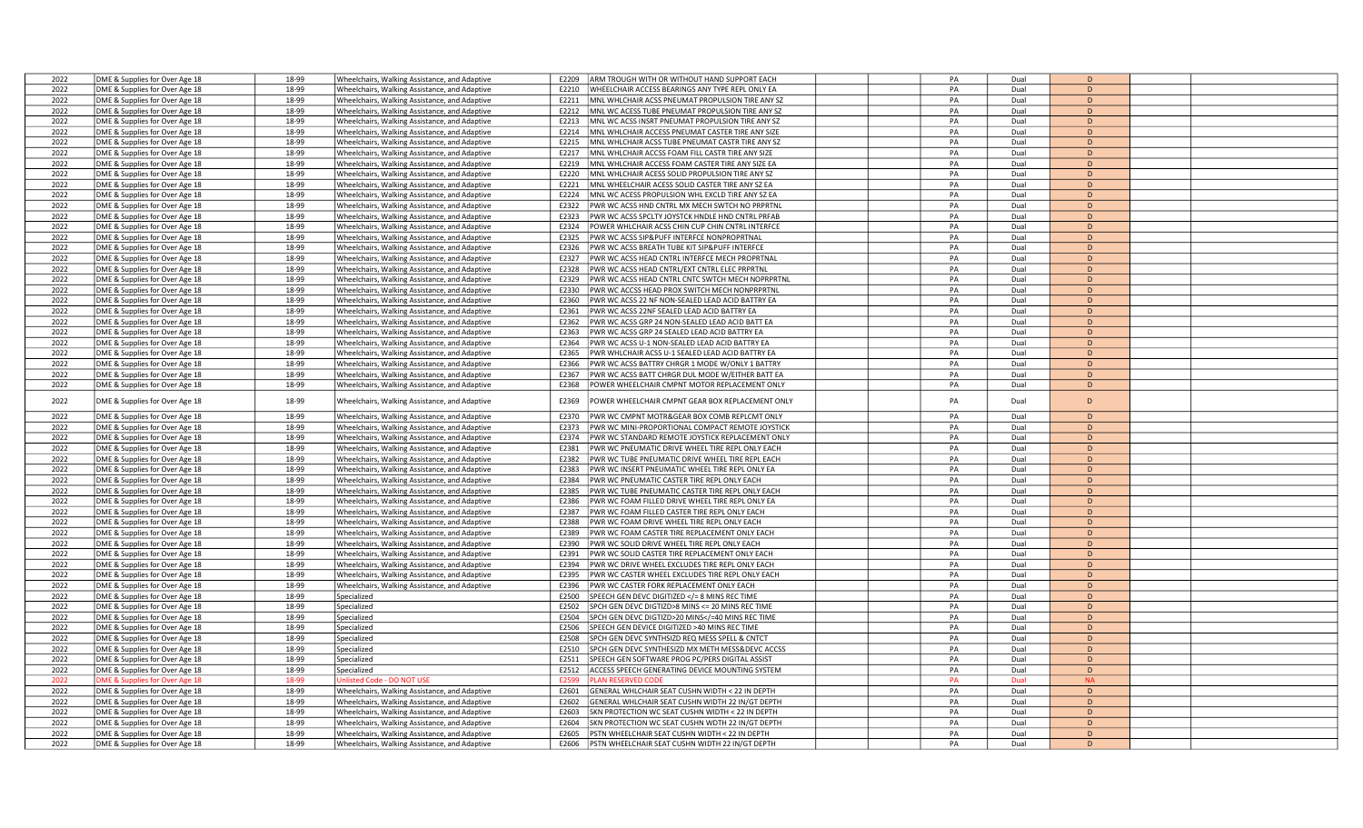| 2022 | DME & Supplies for Over Age 18 | 18-99 | Wheelchairs, Walking Assistance, and Adaptive | ARM TROUGH WITH OR WITHOUT HAND SUPPORT EACH<br>E2209                                                       | PA | Dual | D              |  |
|------|--------------------------------|-------|-----------------------------------------------|-------------------------------------------------------------------------------------------------------------|----|------|----------------|--|
| 2022 | DME & Supplies for Over Age 18 | 18-99 | Wheelchairs, Walking Assistance, and Adaptive | WHEELCHAIR ACCESS BEARINGS ANY TYPE REPL ONLY EA<br>F2210                                                   | PA | Dual | D              |  |
| 2022 | DME & Supplies for Over Age 18 | 18-99 | Wheelchairs, Walking Assistance, and Adaptive | MNL WHLCHAIR ACSS PNEUMAT PROPULSION TIRE ANY SZ<br>E2211                                                   | PA | Dual | D              |  |
| 2022 | DME & Supplies for Over Age 18 | 18-99 |                                               | MNL WC ACESS TUBE PNEUMAT PROPULSION TIRE ANY SZ<br>E2212                                                   | PA | Dual | D              |  |
|      |                                |       | Wheelchairs, Walking Assistance, and Adaptive |                                                                                                             |    |      |                |  |
| 2022 | DME & Supplies for Over Age 18 | 18-99 | Wheelchairs, Walking Assistance, and Adaptive | MNL WC ACSS INSRT PNEUMAT PROPULSION TIRE ANY SZ<br>F2213                                                   | PA | Dual | D              |  |
| 2022 | DME & Supplies for Over Age 18 | 18-99 | Wheelchairs, Walking Assistance, and Adaptive | MNL WHLCHAIR ACCESS PNEUMAT CASTER TIRE ANY SIZE<br>E2214                                                   | PA | Dual | D              |  |
| 2022 | DME & Supplies for Over Age 18 | 18-99 | Wheelchairs, Walking Assistance, and Adaptive | MNL WHLCHAIR ACSS TUBE PNEUMAT CASTR TIRE ANY SZ<br>E2215                                                   | PA | Dual | D              |  |
| 2022 | DME & Supplies for Over Age 18 | 18-99 | Wheelchairs, Walking Assistance, and Adaptive | MNL WHLCHAIR ACCSS FOAM FILL CASTR TIRE ANY SIZE<br>E2217                                                   | PA | Dual | D              |  |
| 2022 | DME & Supplies for Over Age 18 | 18-99 | Wheelchairs, Walking Assistance, and Adaptive | MNL WHLCHAIR ACCESS FOAM CASTER TIRE ANY SIZE EA<br>E2219                                                   | PA | Dual | D              |  |
| 2022 | DME & Supplies for Over Age 18 | 18-99 | Wheelchairs, Walking Assistance, and Adaptive | MNL WHLCHAIR ACESS SOLID PROPULSION TIRE ANY SZ<br>E2220                                                    | PA | Dual | D              |  |
| 2022 | DME & Supplies for Over Age 18 | 18-99 | Wheelchairs, Walking Assistance, and Adaptive | MNL WHEELCHAIR ACESS SOLID CASTER TIRE ANY SZ EA<br>E2221                                                   | PA | Dual | D              |  |
| 2022 | DME & Supplies for Over Age 18 | 18-99 | Wheelchairs, Walking Assistance, and Adaptive | E2224<br>MNL WC ACESS PROPULSION WHL EXCLD TIRE ANY SZ EA                                                   | PA | Dual | D              |  |
| 2022 | DME & Supplies for Over Age 18 | 18-99 | Wheelchairs, Walking Assistance, and Adaptive | E2322<br>PWR WC ACSS HND CNTRL MX MECH SWTCH NO PRPRTNL                                                     | PA | Dual | D              |  |
| 2022 | DME & Supplies for Over Age 18 | 18-99 | Wheelchairs, Walking Assistance, and Adaptive | PWR WC ACSS SPCLTY JOYSTCK HNDLE HND CNTRL PRFAB<br>F2323                                                   | PA | Dual | D              |  |
| 2022 | DME & Supplies for Over Age 18 | 18-99 | Wheelchairs, Walking Assistance, and Adaptive | POWER WHLCHAIR ACSS CHIN CUP CHIN CNTRL INTERFCE<br>E2324                                                   | PA | Dual | D              |  |
| 2022 |                                | 18-99 |                                               | F2325                                                                                                       | PA | Dual | D              |  |
|      | DME & Supplies for Over Age 18 |       | Wheelchairs, Walking Assistance, and Adaptive | PWR WC ACSS SIP&PUFF INTERFCE NONPROPRTNAL                                                                  |    |      |                |  |
| 2022 | DME & Supplies for Over Age 18 | 18-99 | Wheelchairs, Walking Assistance, and Adaptive | E2326<br>PWR WC ACSS BREATH TUBE KIT SIP&PUFF INTERFCE                                                      | PA | Dual | D              |  |
| 2022 | DME & Supplies for Over Age 18 | 18-99 | Wheelchairs, Walking Assistance, and Adaptive | E2327<br>PWR WC ACSS HEAD CNTRL INTERFCE MECH PROPRTNAL                                                     | PA | Dual | D              |  |
| 2022 | DME & Supplies for Over Age 18 | 18-99 | Wheelchairs, Walking Assistance, and Adaptive | E2328<br>PWR WC ACSS HEAD CNTRL/EXT CNTRL ELEC PRPRTNL                                                      | PA | Dual | D              |  |
| 2022 | DME & Supplies for Over Age 18 | 18-99 | Vheelchairs, Walking Assistance, and Adaptive | PWR WC ACSS HEAD CNTRL CNTC SWTCH MECH NOPRPRTNL<br>F2329                                                   | PA | Dual | D              |  |
| 2022 | DME & Supplies for Over Age 18 | 18-99 | Wheelchairs, Walking Assistance, and Adaptive | E2330<br>PWR WC ACCSS HEAD PROX SWITCH MECH NONPRPRTNL                                                      | PA | Dual | D              |  |
| 2022 | DME & Supplies for Over Age 18 | 18-99 | Wheelchairs, Walking Assistance, and Adaptive | E2360<br>PWR WC ACSS 22 NF NON-SEALED LEAD ACID BATTRY EA                                                   | PA | Dual | D              |  |
| 2022 | DME & Supplies for Over Age 18 | 18-99 | Wheelchairs, Walking Assistance, and Adaptive | E2361<br>PWR WC ACSS 22NF SEALED LEAD ACID BATTRY EA                                                        | PA | Dual | D              |  |
| 2022 | DME & Supplies for Over Age 18 | 18-99 | Wheelchairs, Walking Assistance, and Adaptive | PWR WC ACSS GRP 24 NON-SEALED LEAD ACID BATT EA<br>E2362                                                    | PA | Dual | D              |  |
| 2022 | DME & Supplies for Over Age 18 | 18-99 | Wheelchairs, Walking Assistance, and Adaptive | E2363<br>PWR WC ACSS GRP 24 SEALED LEAD ACID BATTRY EA                                                      | PA | Dual | D              |  |
| 2022 | DME & Supplies for Over Age 18 | 18-99 | Vheelchairs, Walking Assistance, and Adaptive | PWR WC ACSS U-1 NON-SEALED LEAD ACID BATTRY EA<br>F2364                                                     | PA | Dual | D              |  |
| 2022 | DME & Supplies for Over Age 18 | 18-99 |                                               | E2365<br>PWR WHLCHAIR ACSS U-1 SEALED LEAD ACID BATTRY EA                                                   | PA | Dual | D              |  |
| 2022 |                                |       | Wheelchairs, Walking Assistance, and Adaptive |                                                                                                             | PA |      | D              |  |
|      | DME & Supplies for Over Age 18 | 18-99 | Wheelchairs, Walking Assistance, and Adaptive | E2366<br>PWR WC ACSS BATTRY CHRGR 1 MODE W/ONLY 1 BATTRY                                                    |    | Dual |                |  |
| 2022 | DME & Supplies for Over Age 18 | 18-99 | Wheelchairs, Walking Assistance, and Adaptive | E2367<br>PWR WC ACSS BATT CHRGR DUL MODE W/EITHER BATT EA                                                   | PA | Dual | D              |  |
| 2022 | DME & Supplies for Over Age 18 | 18-99 | Wheelchairs, Walking Assistance, and Adaptive | E2368<br>POWER WHEELCHAIR CMPNT MOTOR REPLACEMENT ONLY                                                      | PA | Dual | D              |  |
| 2022 | DME & Supplies for Over Age 18 | 18-99 | Wheelchairs, Walking Assistance, and Adaptive | E2369<br>POWER WHEELCHAIR CMPNT GEAR BOX REPLACEMENT ONLY                                                   | PA | Dual | D              |  |
| 2022 | DME & Supplies for Over Age 18 | 18-99 | Wheelchairs, Walking Assistance, and Adaptive | PWR WC CMPNT MOTR&GEAR BOX COMB REPLCMT ONLY<br>F2370                                                       | PA | Dual | D              |  |
| 2022 | DME & Supplies for Over Age 18 | 18-99 | Wheelchairs, Walking Assistance, and Adaptive | E2373<br>PWR WC MINI-PROPORTIONAL COMPACT REMOTE JOYSTICK                                                   | PA | Dual | D              |  |
| 2022 |                                | 18-99 |                                               |                                                                                                             | PA | Dual | D              |  |
|      | DME & Supplies for Over Age 18 |       | Wheelchairs, Walking Assistance, and Adaptive | E2374<br>PWR WC STANDARD REMOTE JOYSTICK REPLACEMENT ONLY                                                   |    |      |                |  |
| 2022 | DME & Supplies for Over Age 18 | 18-99 | Wheelchairs, Walking Assistance, and Adaptive | E2381<br>PWR WC PNEUMATIC DRIVE WHEEL TIRE REPL ONLY EACH                                                   | PA | Dual | D              |  |
| 2022 | DME & Supplies for Over Age 18 | 18-99 | Wheelchairs, Walking Assistance, and Adaptive | E2382<br>PWR WC TUBE PNEUMATIC DRIVE WHEEL TIRE REPL EACH.                                                  | PA | Dual | D              |  |
| 2022 | DME & Supplies for Over Age 18 | 18-99 | Vheelchairs, Walking Assistance, and Adaptive | PWR WC INSERT PNEUMATIC WHEEL TIRE REPL ONLY EA<br>F2383                                                    | PA | Dual | D              |  |
| 2022 | DME & Supplies for Over Age 18 | 18-99 | Wheelchairs, Walking Assistance, and Adaptive | PWR WC PNEUMATIC CASTER TIRE REPL ONLY EACH<br>E2384                                                        | PA | Dual | D              |  |
| 2022 | DME & Supplies for Over Age 18 | 18-99 | Wheelchairs, Walking Assistance, and Adaptive | E2385<br>PWR WC TUBE PNEUMATIC CASTER TIRE REPL ONLY EACH                                                   | PA | Dual | D              |  |
| 2022 | DME & Supplies for Over Age 18 | 18-99 | Wheelchairs, Walking Assistance, and Adaptive | E2386<br>PWR WC FOAM FILLED DRIVE WHEEL TIRE REPL ONLY EA                                                   | PA | Dual | D              |  |
| 2022 | DME & Supplies for Over Age 18 | 18-99 | Wheelchairs, Walking Assistance, and Adaptive | E2387<br>PWR WC FOAM FILLED CASTER TIRE REPL ONLY EACH                                                      | PA | Dual | D              |  |
| 2022 | DME & Supplies for Over Age 18 | 18-99 | Wheelchairs, Walking Assistance, and Adaptive | E2388<br>PWR WC FOAM DRIVE WHEEL TIRE REPL ONLY EACH                                                        | PA | Dual | D              |  |
| 2022 | DME & Supplies for Over Age 18 | 18-99 | Wheelchairs, Walking Assistance, and Adaptive | PWR WC FOAM CASTER TIRE REPLACEMENT ONLY EACH<br>E2389                                                      | PA | Dual | D              |  |
| 2022 | DME & Supplies for Over Age 18 | 18-99 | Wheelchairs, Walking Assistance, and Adaptive | PWR WC SOLID DRIVE WHEEL TIRE REPL ONLY EACH<br>E2390                                                       | PA | Dual | D              |  |
| 2022 | DME & Supplies for Over Age 18 | 18-99 | Wheelchairs, Walking Assistance, and Adaptive | PWR WC SOLID CASTER TIRE REPLACEMENT ONLY EACH<br>F2391                                                     | PA | Dual | $\overline{D}$ |  |
| 2022 |                                | 18-99 |                                               | E2394                                                                                                       | PA | Dual | D              |  |
|      | DME & Supplies for Over Age 18 |       | Wheelchairs, Walking Assistance, and Adaptive | PWR WC DRIVE WHEEL EXCLUDES TIRE REPL ONLY EACH                                                             | PA |      | D              |  |
| 2022 | DME & Supplies for Over Age 18 | 18-99 | Wheelchairs, Walking Assistance, and Adaptive | E2395<br>PWR WC CASTER WHEEL EXCLUDES TIRE REPL ONLY EACH                                                   |    | Dual |                |  |
| 2022 | DME & Supplies for Over Age 18 | 18-99 | Wheelchairs, Walking Assistance, and Adaptive | PWR WC CASTER FORK REPLACEMENT ONLY EACH<br>F2396                                                           | PA | Dual | D              |  |
| 2022 | DME & Supplies for Over Age 18 | 18-99 | Specialized                                   | SPEECH GEN DEVC DIGITIZED = 8 MINS REC TIME<br E2500                                                        | PA | Dual | D              |  |
| 2022 | DME & Supplies for Over Age 18 | 18-99 | Specialized                                   | E2502<br>SPCH GEN DEVC DIGTIZD>8 MINS <= 20 MINS REC TIME                                                   | PA | Dual | D              |  |
| 2022 | DME & Supplies for Over Age 18 | 18-99 | Specialized                                   | E2504<br>SPCH GEN DEVC DIGTIZD>20 MINS =40 MINS REC TIME</td <td>PA</td> <td>Dual</td> <td>D</td> <td></td> | PA | Dual | D              |  |
| 2022 | DME & Supplies for Over Age 18 | 18-99 | Specialized                                   | E2506<br>SPEECH GEN DEVICE DIGITIZED >40 MINS REC TIME                                                      | PA | Dual | D              |  |
| 2022 | DME & Supplies for Over Age 18 | 18-99 | Specialized                                   | E2508<br>SPCH GEN DEVC SYNTHSIZD REQ MESS SPELL & CNTCT                                                     | PA | Dual | D              |  |
| 2022 | DME & Supplies for Over Age 18 | 18-99 | Specialized                                   | E2510<br>SPCH GEN DEVC SYNTHESIZD MX METH MESS&DEVC ACCSS                                                   | PA | Dual | D              |  |
| 2022 | DME & Supplies for Over Age 18 | 18-99 | Specialized                                   | SPEECH GEN SOFTWARE PROG PC/PERS DIGITAL ASSIST<br>E2511                                                    | PA | Dual | D              |  |
| 2022 | DME & Supplies for Over Age 18 | 18-99 | Specialized                                   | E2512<br>ACCESS SPEECH GENERATING DEVICE MOUNTING SYSTEM                                                    | PA | Dual | $\mathsf{D}$   |  |
| 2022 | ME & Supplies for Over Age 18  | 18-99 | nlisted Code - DO NOT USE                     | <b>E2599</b><br><b>LAN RESERVED CODI</b>                                                                    | PA | Dual | <b>NA</b>      |  |
| 2022 | DME & Supplies for Over Age 18 | 18-99 | Wheelchairs, Walking Assistance, and Adaptive | GENERAL WHLCHAIR SEAT CUSHN WIDTH < 22 IN DEPTH<br>E2601                                                    | PA | Dual | D              |  |
| 2022 | DME & Supplies for Over Age 18 | 18-99 | Wheelchairs, Walking Assistance, and Adaptive | E2602<br>GENERAL WHLCHAIR SEAT CUSHN WIDTH 22 IN/GT DEPTH                                                   | PA | Dual | D              |  |
| 2022 | DME & Supplies for Over Age 18 | 18-99 | Wheelchairs, Walking Assistance, and Adaptive | E2603<br>SKN PROTECTION WC SEAT CUSHN WIDTH < 22 IN DEPTH                                                   | PA | Dual | D              |  |
|      |                                | 18-99 |                                               |                                                                                                             | PA |      | D              |  |
| 2022 | DME & Supplies for Over Age 18 |       | Wheelchairs, Walking Assistance, and Adaptive | SKN PROTECTION WC SEAT CUSHN WDTH 22 IN/GT DEPTH<br>E2604                                                   |    | Dual |                |  |
| 2022 | DME & Supplies for Over Age 18 | 18-99 | Wheelchairs, Walking Assistance, and Adaptive | PSTN WHEELCHAIR SEAT CUSHN WIDTH < 22 IN DEPTH<br>E2605                                                     | PA | Dual | $\overline{D}$ |  |
| 2022 | DME & Supplies for Over Age 18 | 18-99 | Wheelchairs, Walking Assistance, and Adaptive | PSTN WHEELCHAIR SEAT CUSHN WIDTH 22 IN/GT DEPTH<br>E2606                                                    | PA | Dual | $\Gamma$       |  |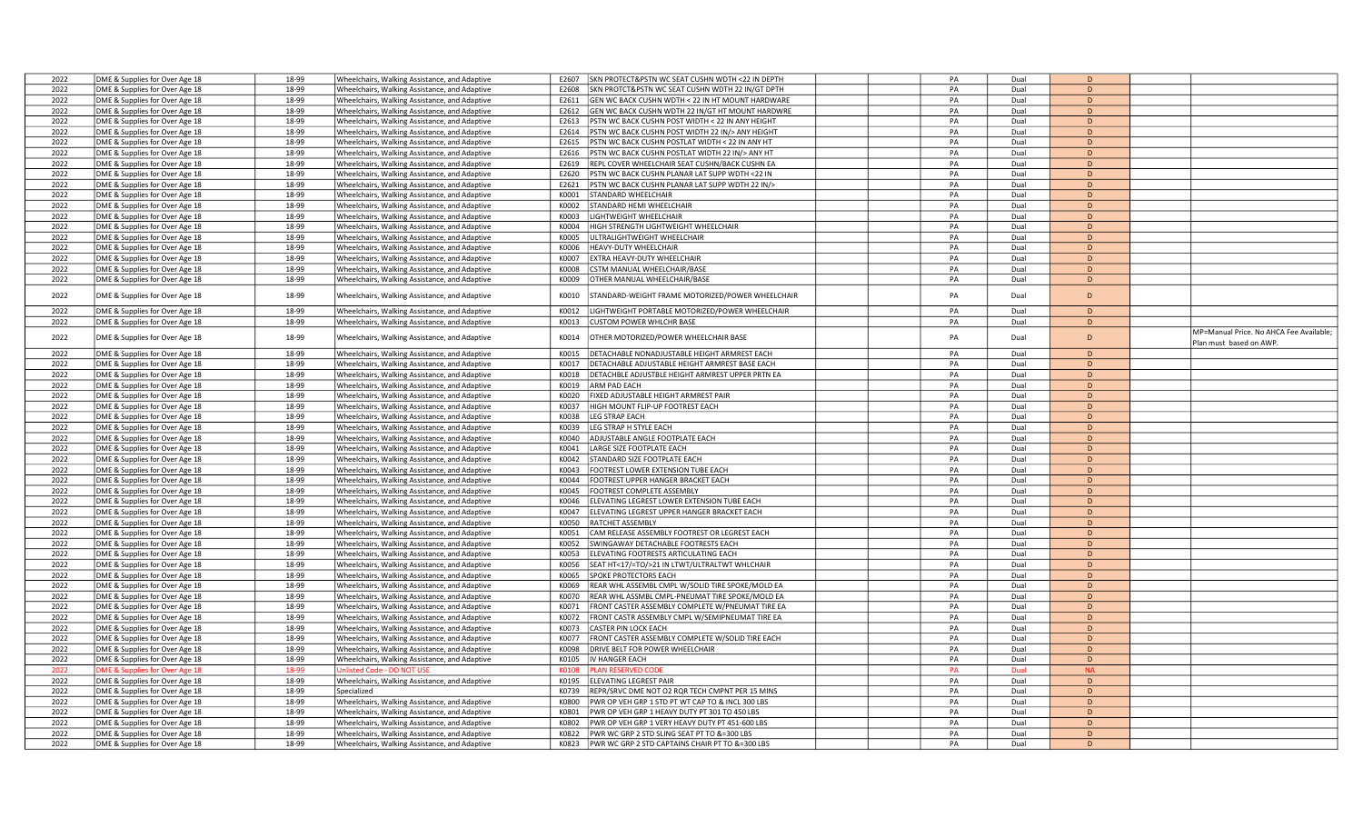| 2022 | DME & Supplies for Over Age 18 | 18-99 | Wheelchairs, Walking Assistance, and Adaptive | F2607          | SKN PROTECT&PSTN WC SEAT CUSHN WDTH <22 IN DEPTH         | PA       | Dual | $\overline{D}$ |                                         |
|------|--------------------------------|-------|-----------------------------------------------|----------------|----------------------------------------------------------|----------|------|----------------|-----------------------------------------|
| 2022 | DME & Supplies for Over Age 18 | 18-99 | Wheelchairs, Walking Assistance, and Adaptive | E2608          | SKN PROTCT&PSTN WC SEAT CUSHN WDTH 22 IN/GT DPTH         | PA       | Dual | D              |                                         |
| 2022 | DME & Supplies for Over Age 18 | 18-99 | Wheelchairs, Walking Assistance, and Adaptive | E2611          | GEN WC BACK CUSHN WDTH < 22 IN HT MOUNT HARDWARE         | PA       | Dual | D              |                                         |
| 2022 | DME & Supplies for Over Age 18 | 18-99 | Wheelchairs, Walking Assistance, and Adaptive | E2612          | GEN WC BACK CUSHN WDTH 22 IN/GT HT MOUNT HARDWRE         | PA       | Dual | D              |                                         |
| 2022 | DME & Supplies for Over Age 18 | 18-99 | Wheelchairs, Walking Assistance, and Adaptive | E2613          | STN WC BACK CUSHN POST WIDTH < 22 IN ANY HEIGHT          | PA       | Dual | D              |                                         |
|      |                                | 18-99 |                                               |                |                                                          | PA       |      | D              |                                         |
| 2022 | DME & Supplies for Over Age 18 |       | Wheelchairs, Walking Assistance, and Adaptive | E2614          | STN WC BACK CUSHN POST WIDTH 22 IN/> ANY HEIGHT          |          | Dual |                |                                         |
| 2022 | DME & Supplies for Over Age 18 | 18-99 | Wheelchairs, Walking Assistance, and Adaptive | E2615          | PSTN WC BACK CUSHN POSTLAT WIDTH < 22 IN ANY HT          | PA       | Dual | D              |                                         |
| 2022 | DME & Supplies for Over Age 18 | 18-99 | Wheelchairs, Walking Assistance, and Adaptive | E2616          | PSTN WC BACK CUSHN POSTLAT WIDTH 22 IN/> ANY HT          | PA       | Dual | D              |                                         |
| 2022 | DME & Supplies for Over Age 18 | 18-99 | Wheelchairs, Walking Assistance, and Adaptive | E2619          | REPL COVER WHEELCHAIR SEAT CUSHN/BACK CUSHN EA           | PA       | Dual | D              |                                         |
| 2022 | DME & Supplies for Over Age 18 | 18-99 | Wheelchairs, Walking Assistance, and Adaptive | E2620          | <b>PSTN WC BACK CUSHN PLANAR LAT SUPP WDTH &lt;22 IN</b> | PA       | Dual | D              |                                         |
| 2022 | DME & Supplies for Over Age 18 | 18-99 | Wheelchairs, Walking Assistance, and Adaptive | F2621          | STN WC BACK CUSHN PLANAR LAT SUPP WDTH 22 IN/>           | PA       | Dual | D              |                                         |
| 2022 | DME & Supplies for Over Age 18 | 18-99 | Wheelchairs, Walking Assistance, and Adaptive | K0001          | <b>TANDARD WHEELCHAIR</b>                                | PA       | Dual | D              |                                         |
| 2022 | DME & Supplies for Over Age 18 | 18-99 | Wheelchairs, Walking Assistance, and Adaptive | K0002          | <b>STANDARD HEMI WHEELCHAIR</b>                          | PA       | Dual | D              |                                         |
| 2022 | DME & Supplies for Over Age 18 | 18-99 | Wheelchairs, Walking Assistance, and Adaptive | K0003          | IGHTWEIGHT WHEELCHAIR                                    | PA       | Dual | D              |                                         |
| 2022 | DME & Supplies for Over Age 18 | 18-99 | Wheelchairs, Walking Assistance, and Adaptive | K0004          | <b>IIGH STRENGTH LIGHTWEIGHT WHEELCHAIR</b>              | PA       | Dual | D              |                                         |
| 2022 | DME & Supplies for Over Age 18 | 18-99 | Wheelchairs, Walking Assistance, and Adaptive | K0005          | LTRALIGHTWEIGHT WHEELCHAIR                               | PA       | Dual | D              |                                         |
| 2022 | DME & Supplies for Over Age 18 | 18-99 | Wheelchairs, Walking Assistance, and Adaptive | K0006          | <b>IEAVY-DUTY WHEELCHAIR</b>                             | PA       | Dual | D              |                                         |
| 2022 | DME & Supplies for Over Age 18 | 18-99 | Wheelchairs, Walking Assistance, and Adaptive | KOOOZ          | <b>EXTRA HEAVY-DUTY WHEELCHAIR</b>                       | PA       | Dual | D              |                                         |
| 2022 | DME & Supplies for Over Age 18 | 18-99 | Wheelchairs, Walking Assistance, and Adaptive | K0008          | <b>STM MANUAL WHEELCHAIR/BASE</b>                        | PA       | Dual | D              |                                         |
| 2022 | DME & Supplies for Over Age 18 | 18-99 | Wheelchairs, Walking Assistance, and Adaptive | K0009          | OTHER MANUAL WHEELCHAIR/BASE                             | PA       | Dual | D              |                                         |
|      |                                |       |                                               |                |                                                          |          |      | D              |                                         |
| 2022 | DME & Supplies for Over Age 18 | 18-99 | Wheelchairs, Walking Assistance, and Adaptive | K0010          | TANDARD-WEIGHT FRAME MOTORIZED/POWER WHEELCHAIR          | PA       | Dual |                |                                         |
| 2022 | DME & Supplies for Over Age 18 | 18-99 | Wheelchairs, Walking Assistance, and Adaptive | K0012          | <b>GHTWEIGHT PORTABLE MOTORIZED/POWER WHEELCHAIR</b>     | PA       | Dual | D              |                                         |
| 2022 | DME & Supplies for Over Age 18 | 18-99 | Wheelchairs, Walking Assistance, and Adaptive | K0013          | USTOM POWER WHLCHR BASE                                  | PA       | Dual | D              |                                         |
|      |                                |       |                                               |                |                                                          |          |      |                | MP=Manual Price. No AHCA Fee Available; |
| 2022 | DME & Supplies for Over Age 18 | 18-99 | Wheelchairs, Walking Assistance, and Adaptive | K0014          | THER MOTORIZED/POWER WHEELCHAIR BASE                     | PA       | Dual | D              | Plan must based on AWP.                 |
| 2022 | DME & Supplies for Over Age 18 | 18-99 | Wheelchairs, Walking Assistance, and Adaptive | K0015          | DETACHABLE NONADJUSTABLE HEIGHT ARMREST EACH             | PA       | Dual | D              |                                         |
| 2022 | DME & Supplies for Over Age 18 | 18-99 | Wheelchairs, Walking Assistance, and Adaptive | K0017          | <b>PETACHABLE ADJUSTABLE HEIGHT ARMREST BASE EACH</b>    | PA       | Dual | D              |                                         |
| 2022 | DME & Supplies for Over Age 18 | 18-99 | Wheelchairs, Walking Assistance, and Adaptive | K0018          | ETACHBLE ADJUSTBLE HEIGHT ARMREST UPPER PRTN EA          | PA       | Dual | D              |                                         |
| 2022 | DME & Supplies for Over Age 18 | 18-99 | Wheelchairs, Walking Assistance, and Adaptive | K0019          | ARM PAD EACH                                             | PA       | Dual | D              |                                         |
| 2022 | DME & Supplies for Over Age 18 | 18-99 | Wheelchairs, Walking Assistance, and Adaptive | K0020          | IXED ADJUSTABLE HEIGHT ARMREST PAIR                      | PA       | Dual | D              |                                         |
| 2022 | DME & Supplies for Over Age 18 | 18-99 | Wheelchairs, Walking Assistance, and Adaptive | K0037          | HIGH MOUNT FLIP-UP FOOTREST EACH                         | PA       | Dual | D              |                                         |
| 2022 | DME & Supplies for Over Age 18 | 18-99 | Wheelchairs, Walking Assistance, and Adaptive | K0038          | LEG STRAP EACH                                           | PA       | Dual | D              |                                         |
| 2022 | DME & Supplies for Over Age 18 | 18-99 | Wheelchairs, Walking Assistance, and Adaptive | K0039          | EG STRAP H STYLE EACH                                    | PA       | Dual | D              |                                         |
| 2022 | DME & Supplies for Over Age 18 | 18-99 | Wheelchairs, Walking Assistance, and Adaptive | K0040          | ADJUSTABLE ANGLE FOOTPLATE EACH                          | PA       | Dual | D              |                                         |
| 2022 |                                | 18-99 |                                               | K0041          | ARGE SIZE FOOTPLATE EACH                                 | PA       | Dual | D              |                                         |
| 2022 | DME & Supplies for Over Age 18 | 18-99 | Wheelchairs, Walking Assistance, and Adaptive | K0042          | TANDARD SIZE FOOTPLATE EACH                              | PA       | Dual | D              |                                         |
|      | DME & Supplies for Over Age 18 |       | Wheelchairs, Walking Assistance, and Adaptive |                |                                                          |          |      | D              |                                         |
| 2022 | DME & Supplies for Over Age 18 | 18-99 | Wheelchairs, Walking Assistance, and Adaptive | K0043<br>KOO44 | OOTREST LOWER EXTENSION TUBE EACH                        | PA<br>PA | Dual | D              |                                         |
| 2022 | DME & Supplies for Over Age 18 | 18-99 | Wheelchairs, Walking Assistance, and Adaptive |                | OOTREST UPPER HANGER BRACKET EACH                        |          | Dual |                |                                         |
| 2022 | DME & Supplies for Over Age 18 | 18-99 | Wheelchairs, Walking Assistance, and Adaptive | K0045          | OOTREST COMPLETE ASSEMBLY                                | PA       | Dual | D              |                                         |
| 2022 | DME & Supplies for Over Age 18 | 18-99 | Wheelchairs, Walking Assistance, and Adaptive | K0046          | LEVATING LEGREST LOWER EXTENSION TUBE EACH               | PA       | Dual | D              |                                         |
| 2022 | DME & Supplies for Over Age 18 | 18-99 | Wheelchairs, Walking Assistance, and Adaptive | K0047          | LEVATING LEGREST UPPER HANGER BRACKET EACH               | PA       | Dual | D              |                                         |
| 2022 | DME & Supplies for Over Age 18 | 18-99 | Wheelchairs, Walking Assistance, and Adaptive | K0050          | <b>RATCHET ASSEMBLY</b>                                  | PA       | Dual | D              |                                         |
| 2022 | DME & Supplies for Over Age 18 | 18-99 | Wheelchairs, Walking Assistance, and Adaptive | K0051          | CAM RELEASE ASSEMBLY FOOTREST OR LEGREST EACH            | PA       | Dual | D              |                                         |
| 2022 | DME & Supplies for Over Age 18 | 18-99 | Wheelchairs, Walking Assistance, and Adaptive | K0052          | WINGAWAY DETACHABLE FOOTRESTS EACH                       | PA       | Dual | D              |                                         |
| 2022 | DME & Supplies for Over Age 18 | 18-99 | Wheelchairs, Walking Assistance, and Adaptive | K0053          | LEVATING FOOTRESTS ARTICULATING EACH                     | PA       | Dual | D              |                                         |
| 2022 | DME & Supplies for Over Age 18 | 18-99 | Wheelchairs, Walking Assistance, and Adaptive | K0056          | EAT HT<17/=TO/>21 IN LTWT/ULTRALTWT WHLCHAIR             | PA       | Dual | D              |                                         |
| 2022 | DME & Supplies for Over Age 18 | 18-99 | Wheelchairs, Walking Assistance, and Adaptive | K0065          | <b>SPOKE PROTECTORS EACH</b>                             | PA       | Dual | D              |                                         |
| 2022 | DME & Supplies for Over Age 18 | 18-99 | Wheelchairs, Walking Assistance, and Adaptive | K0069          | REAR WHL ASSEMBL CMPL W/SOLID TIRE SPOKE/MOLD EA         | PA       | Dual | D              |                                         |
| 2022 | DME & Supplies for Over Age 18 | 18-99 | Wheelchairs, Walking Assistance, and Adaptive | K0070          | REAR WHL ASSMBL CMPL-PNEUMAT TIRE SPOKE/MOLD EA          | PA       | Dual | D              |                                         |
| 2022 | DME & Supplies for Over Age 18 | 18-99 | Wheelchairs, Walking Assistance, and Adaptive | K0071          | FRONT CASTER ASSEMBLY COMPLETE W/PNEUMAT TIRE EA         | PA       | Dual | D              |                                         |
| 2022 | DME & Supplies for Over Age 18 | 18-99 | Wheelchairs, Walking Assistance, and Adaptive | K0072          | RONT CASTR ASSEMBLY CMPL W/SEMIPNEUMAT TIRE EA           | PA       | Dual | D              |                                         |
| 2022 | DME & Supplies for Over Age 18 | 18-99 | Wheelchairs, Walking Assistance, and Adaptive | K0073          | ASTER PIN LOCK EACH                                      | PA       | Dual | D              |                                         |
| 2022 | DME & Supplies for Over Age 18 | 18-99 | Wheelchairs, Walking Assistance, and Adaptive | K0077          | RONT CASTER ASSEMBLY COMPLETE W/SOLID TIRE EACH          | PA       | Dual | D              |                                         |
| 2022 | DME & Supplies for Over Age 18 | 18-99 | Wheelchairs, Walking Assistance, and Adaptive | K0098          | ORIVE BELT FOR POWER WHEELCHAIR                          | PA       | Dual | D              |                                         |
| 2022 | DME & Supplies for Over Age 18 | 18-99 | Wheelchairs, Walking Assistance, and Adaptive | K0105          | V HANGER EACH                                            | PA       | Dual | D              |                                         |
| 2022 | ME & Supplies for Over Age 18  | 18-99 | hlisted Code - DO NOT USE                     | <b>K0108</b>   | <b>AN RESERVED CODE</b>                                  | PA       | Dual | N <sub>2</sub> |                                         |
| 2022 | DME & Supplies for Over Age 18 | 18-99 | Wheelchairs, Walking Assistance, and Adaptive | K0195          | LEVATING LEGREST PAIR                                    | PA       | Dual | D              |                                         |
| 2022 | DME & Supplies for Over Age 18 | 18-99 | Specialized                                   | K0739          | EPR/SRVC DME NOT O2 RQR TECH CMPNT PER 15 MINS           | PA       | Dual | D              |                                         |
| 2022 | DME & Supplies for Over Age 18 | 18-99 | Wheelchairs, Walking Assistance, and Adaptive | K0800          | WR OP VEH GRP 1 STD PT WT CAP TO & INCL 300 LBS          | PA       | Dual | D              |                                         |
| 2022 | DME & Supplies for Over Age 18 | 18-99 | Wheelchairs, Walking Assistance, and Adaptive | K0801          | WR OP VEH GRP 1 HEAVY DUTY PT 301 TO 450 LBS             | PA       | Dual | D              |                                         |
| 2022 | DME & Supplies for Over Age 18 | 18-99 | Wheelchairs, Walking Assistance, and Adaptive | K0802          | WR OP VEH GRP 1 VERY HEAVY DUTY PT 451-600 LBS           | PA       | Dual | D              |                                         |
| 2022 | DME & Supplies for Over Age 18 | 18-99 | Wheelchairs, Walking Assistance, and Adaptive | <b>K0822</b>   | PWR WC GRP 2 STD SLING SEAT PT TO &=300 LBS              | PA       | Dual | D              |                                         |
| 2022 | DME & Supplies for Over Age 18 | 18-99 | Wheelchairs, Walking Assistance, and Adaptive | K0823          | PWR WC GRP 2 STD CAPTAINS CHAIR PT TO &=300 LBS          | PA       | Dual | D              |                                         |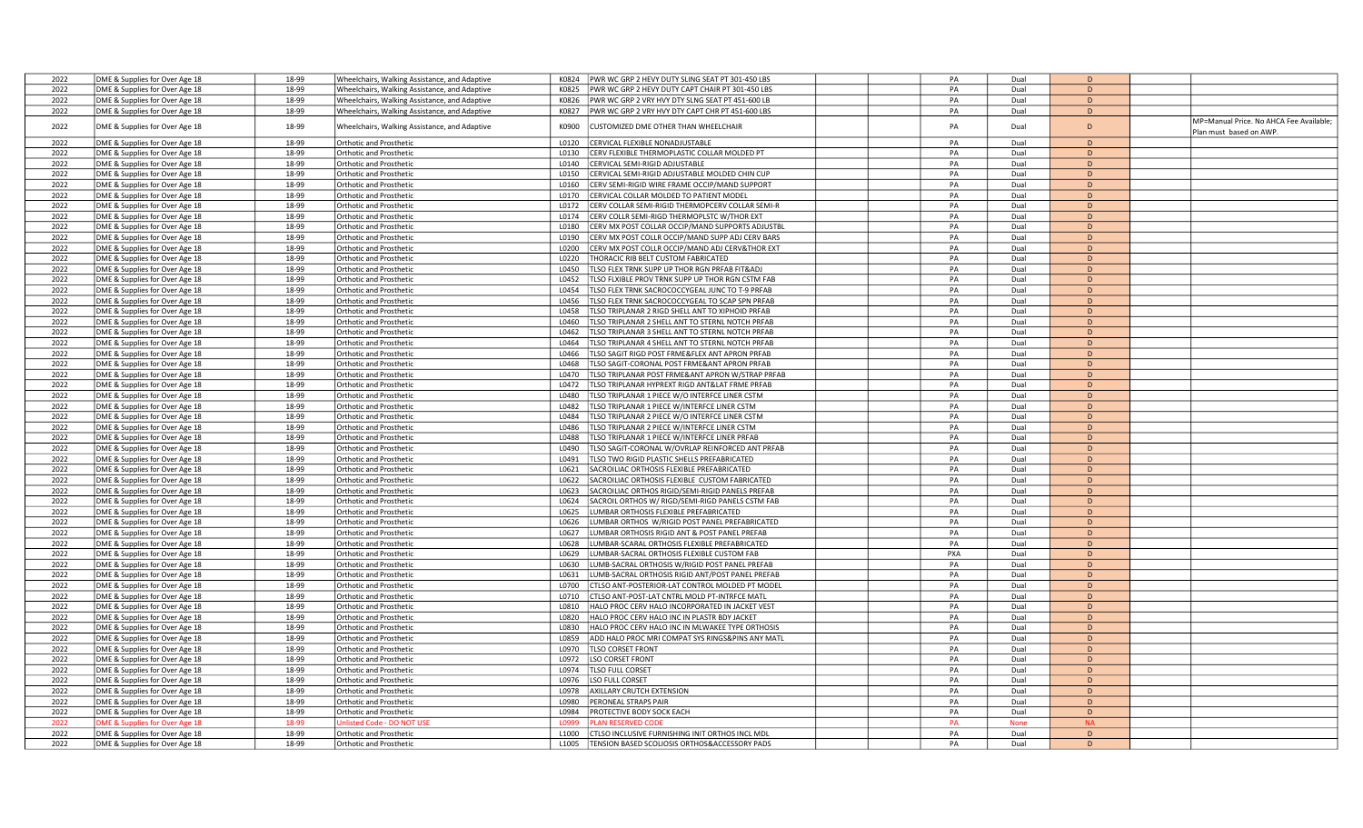|      |                                |       |                                               |       | K0824                                                          |  |     |             | D.             |  |                                         |
|------|--------------------------------|-------|-----------------------------------------------|-------|----------------------------------------------------------------|--|-----|-------------|----------------|--|-----------------------------------------|
| 2022 | DME & Supplies for Over Age 18 | 18-99 | Wheelchairs, Walking Assistance, and Adaptive |       | PWR WC GRP 2 HEVY DUTY SLING SEAT PT 301-450 LBS               |  | PA  | Dual        |                |  |                                         |
| 2022 | DME & Supplies for Over Age 18 | 18-99 | Wheelchairs, Walking Assistance, and Adaptive |       | PWR WC GRP 2 HEVY DUTY CAPT CHAIR PT 301-450 LBS<br>K0825      |  | PA  | Dual        | D              |  |                                         |
| 2022 | DME & Supplies for Over Age 18 | 18-99 | Wheelchairs, Walking Assistance, and Adaptive |       | K0826<br>PWR WC GRP 2 VRY HVY DTY SLNG SEAT PT 451-600 LB      |  | PA  | Dual        | D              |  |                                         |
| 2022 | DME & Supplies for Over Age 18 | 18-99 | Wheelchairs, Walking Assistance, and Adaptive |       | K0827<br>PWR WC GRP 2 VRY HVY DTY CAPT CHR PT 451-600 LBS      |  | PA  | Dual        | D              |  |                                         |
| 2022 | DME & Supplies for Over Age 18 | 18-99 | Wheelchairs, Walking Assistance, and Adaptive |       | CUSTOMIZED DME OTHER THAN WHEELCHAIR<br>K0900                  |  | PA  | Dual        | D              |  | MP=Manual Price. No AHCA Fee Available; |
| 2022 | DME & Supplies for Over Age 18 | 18-99 | Orthotic and Prosthetic                       |       | L0120<br>CERVICAL FLEXIBLE NONADJUSTABLE                       |  | PA  | Dual        | D              |  | Plan must based on AWP.                 |
| 2022 | DME & Supplies for Over Age 18 | 18-99 | Orthotic and Prosthetic                       |       | CERV FLEXIBLE THERMOPLASTIC COLLAR MOLDED PT<br>L0130          |  | PA  | Dual        | D              |  |                                         |
| 2022 | DME & Supplies for Over Age 18 | 18-99 | Orthotic and Prosthetic                       |       | CERVICAL SEMI-RIGID ADJUSTABLE<br>L0140                        |  | PA  | Dual        | $\mathsf{D}$   |  |                                         |
|      |                                |       |                                               |       |                                                                |  |     |             |                |  |                                         |
| 2022 | DME & Supplies for Over Age 18 | 18-99 | <b>Orthotic and Prosthetic</b>                |       | L0150<br>CERVICAL SEMI-RIGID ADJUSTABLE MOLDED CHIN CUP        |  | PA  | Dual        | D              |  |                                         |
| 2022 | DME & Supplies for Over Age 18 | 18-99 | <b>Orthotic and Prosthetic</b>                |       | L0160<br>CERV SEMI-RIGID WIRE FRAME OCCIP/MAND SUPPORT         |  | PA  | Dual        | D              |  |                                         |
| 2022 | DME & Supplies for Over Age 18 | 18-99 | <b>Orthotic and Prosthetic</b>                |       | L0170<br>CERVICAL COLLAR MOLDED TO PATIENT MODEL               |  | PA  | Dual        | D              |  |                                         |
| 2022 | DME & Supplies for Over Age 18 | 18-99 | <b>Orthotic and Prosthetic</b>                |       | L0172<br>CERV COLLAR SEMI-RIGID THERMOPCERV COLLAR SEMI-R      |  | PA  | Dual        | $\mathsf{D}$   |  |                                         |
| 2022 | DME & Supplies for Over Age 18 | 18-99 | <b>Orthotic and Prosthetic</b>                |       | CERV COLLR SEMI-RIGD THERMOPLSTC W/THOR EXT<br>L0174           |  | PA  | Dual        | D              |  |                                         |
| 2022 | DME & Supplies for Over Age 18 | 18-99 | Orthotic and Prosthetic                       |       | L0180<br>CERV MX POST COLLAR OCCIP/MAND SUPPORTS ADJUSTBL      |  | PA  | Dual        | $\mathsf{D}$   |  |                                         |
| 2022 | DME & Supplies for Over Age 18 | 18-99 | <b>Orthotic and Prosthetic</b>                |       | L0190<br>CERV MX POST COLLR OCCIP/MAND SUPP ADJ CERV BARS      |  | PA  | Dual        | D              |  |                                         |
| 2022 | DME & Supplies for Over Age 18 | 18-99 | <b>Orthotic and Prosthetic</b>                | L0200 | CERV MX POST COLLR OCCIP/MAND ADJ CERV&THOR EXT                |  | PA  | Dual        | D              |  |                                         |
| 2022 | DME & Supplies for Over Age 18 | 18-99 | Orthotic and Prosthetic                       |       | L0220<br><b>HORACIC RIB BELT CUSTOM FABRICATED</b>             |  | PA  | Dual        | D              |  |                                         |
| 2022 | DME & Supplies for Over Age 18 | 18-99 | <b>Orthotic and Prosthetic</b>                |       | L0450<br>TLSO FLEX TRNK SUPP UP THOR RGN PRFAB FIT&ADJ         |  | PA  | Dual        | D              |  |                                         |
| 2022 | DME & Supplies for Over Age 18 | 18-99 | <b>Orthotic and Prosthetic</b>                | L0452 | TLSO FLXIBLE PROV TRNK SUPP UP THOR RGN CSTM FAB               |  | PA  | Dual        | D              |  |                                         |
| 2022 |                                | 18-99 | Orthotic and Prosthetic                       |       | L0454<br>TLSO FLEX TRNK SACROCOCCYGEAL JUNC TO T-9 PRFAB       |  | PA  | Dual        | $\mathsf{D}$   |  |                                         |
|      | DME & Supplies for Over Age 18 |       |                                               |       |                                                                |  |     |             |                |  |                                         |
| 2022 | DME & Supplies for Over Age 18 | 18-99 | Orthotic and Prosthetic                       | L0456 | TLSO FLEX TRNK SACROCOCCYGEAL TO SCAP SPN PRFAB                |  | PA  | Dual        | D              |  |                                         |
| 2022 | DME & Supplies for Over Age 18 | 18-99 | Orthotic and Prosthetic                       | L0458 | <b>ILSO TRIPLANAR 2 RIGD SHELL ANT TO XIPHOID PRFAB</b>        |  | PA  | Dual        | D              |  |                                         |
| 2022 | DME & Supplies for Over Age 18 | 18-99 | <b>Orthotic and Prosthetic</b>                |       | L0460<br>TLSO TRIPLANAR 2 SHELL ANT TO STERNL NOTCH PRFAB      |  | PA  | Dual        | D              |  |                                         |
| 2022 | DME & Supplies for Over Age 18 | 18-99 | <b>Orthotic and Prosthetic</b>                | L0462 | TLSO TRIPLANAR 3 SHELL ANT TO STERNL NOTCH PRFAB               |  | PA  | Dual        | D              |  |                                         |
| 2022 | DME & Supplies for Over Age 18 | 18-99 | <b>Orthotic and Prosthetic</b>                |       | L0464<br>TLSO TRIPLANAR 4 SHELL ANT TO STERNL NOTCH PRFAB      |  | PA  | Dual        | D              |  |                                         |
| 2022 | DME & Supplies for Over Age 18 | 18-99 | <b>Orthotic and Prosthetic</b>                |       | TLSO SAGIT RIGD POST FRME&FLEX ANT APRON PRFAB<br>L0466        |  | PA  | Dual        | D              |  |                                         |
| 2022 | DME & Supplies for Over Age 18 | 18-99 | Orthotic and Prosthetic                       | 10468 | TLSO SAGIT-CORONAL POST FRME&ANT APRON PRFAB                   |  | PA  | Dual        | D              |  |                                         |
| 2022 | DME & Supplies for Over Age 18 | 18-99 | <b>Orthotic and Prosthetic</b>                | L0470 | TLSO TRIPLANAR POST FRME&ANT APRON W/STRAP PRFAB               |  | PA  | Dual        | D              |  |                                         |
| 2022 | DME & Supplies for Over Age 18 | 18-99 | <b>Orthotic and Prosthetic</b>                |       | L0472<br>TLSO TRIPLANAR HYPREXT RIGD ANT&LAT FRME PRFAB        |  | PA  | Dual        | D              |  |                                         |
| 2022 | DME & Supplies for Over Age 18 | 18-99 | <b>Orthotic and Prosthetic</b>                |       | L0480<br><b>ILSO TRIPLANAR 1 PIECE W/O INTERFCE LINER CSTM</b> |  | PA  | Dual        | D              |  |                                         |
|      |                                |       |                                               |       |                                                                |  |     |             | D              |  |                                         |
| 2022 | DME & Supplies for Over Age 18 | 18-99 | <b>Orthotic and Prosthetic</b>                | L0482 | TLSO TRIPLANAR 1 PIECE W/INTERFCE LINER CSTM                   |  | PA  | Dual        |                |  |                                         |
| 2022 | DME & Supplies for Over Age 18 | 18-99 | <b>Orthotic and Prosthetic</b>                |       | L0484<br>TLSO TRIPLANAR 2 PIECE W/O INTERFCE LINER CSTM        |  | PA  | Dual        | $\mathsf{D}$   |  |                                         |
| 2022 | DME & Supplies for Over Age 18 | 18-99 | <b>Orthotic and Prosthetic</b>                | L0486 | TLSO TRIPLANAR 2 PIECE W/INTERFCE LINER CSTM                   |  | PA  | Dual        | D              |  |                                         |
| 2022 | DME & Supplies for Over Age 18 | 18-99 | Orthotic and Prosthetic                       | L0488 | TLSO TRIPLANAR 1 PIECE W/INTERFCE LINER PRFAB                  |  | PA  | Dual        | D              |  |                                         |
| 2022 | DME & Supplies for Over Age 18 | 18-99 | Orthotic and Prosthetic                       |       | L0490<br>TLSO SAGIT-CORONAL W/OVRLAP REINFORCED ANT PRFAB      |  | PA  | Dual        | $\mathsf{D}$   |  |                                         |
| 2022 | DME & Supplies for Over Age 18 | 18-99 | <b>Orthotic and Prosthetic</b>                | L0491 | TLSO TWO RIGID PLASTIC SHELLS PREFABRICATED                    |  | PA  | Dual        | D              |  |                                         |
| 2022 | DME & Supplies for Over Age 18 | 18-99 | <b>Orthotic and Prosthetic</b>                | L0621 | SACROILIAC ORTHOSIS FLEXIBLE PREFABRICATED                     |  | PA  | Dual        | D              |  |                                         |
| 2022 | DME & Supplies for Over Age 18 | 18-99 | <b>Orthotic and Prosthetic</b>                |       | L0622<br>SACROILIAC ORTHOSIS FLEXIBLE CUSTOM FABRICATED        |  | PA  | Dual        | D              |  |                                         |
| 2022 | DME & Supplies for Over Age 18 | 18-99 | <b>Orthotic and Prosthetic</b>                | L0623 | SACROILIAC ORTHOS RIGID/SEMI-RIGID PANELS PREFAB               |  | PA  | Dual        | D              |  |                                         |
| 2022 | DME & Supplies for Over Age 18 | 18-99 | <b>Orthotic and Prosthetic</b>                |       | L0624<br>SACROIL ORTHOS W/RIGD/SEMI-RIGD PANELS CSTM FAB       |  | PA  | Dual        | D.             |  |                                         |
| 2022 | DME & Supplies for Over Age 18 | 18-99 | Orthotic and Prosthetic                       |       | L0625<br>UMBAR ORTHOSIS FLEXIBLE PREFABRICATED                 |  | PA  | Dual        | $\mathsf{D}$   |  |                                         |
| 2022 | DME & Supplies for Over Age 18 | 18-99 | Orthotic and Prosthetic                       | L0626 | UMBAR ORTHOS W/RIGID POST PANEL PREFABRICATED                  |  | PA  | Dual        | D              |  |                                         |
| 2022 | DME & Supplies for Over Age 18 | 18-99 | <b>Orthotic and Prosthetic</b>                | L0627 | LUMBAR ORTHOSIS RIGID ANT & POST PANEL PREFAB                  |  | PA  | Dual        | D              |  |                                         |
| 2022 | DME & Supplies for Over Age 18 | 18-99 | Orthotic and Prosthetic                       |       | L0628<br>LUMBAR-SCARAL ORTHOSIS FLEXIBLE PREFABRICATED         |  | PA  | Dual        | D              |  |                                         |
|      |                                | 18-99 |                                               | L0629 |                                                                |  | PXA |             | D              |  |                                         |
| 2022 | DME & Supplies for Over Age 18 |       | <b>Orthotic and Prosthetic</b>                |       | UMBAR-SACRAL ORTHOSIS FLEXIBLE CUSTOM FAB                      |  |     | Dual        |                |  |                                         |
| 2022 | DME & Supplies for Over Age 18 | 18-99 | <b>Orthotic and Prosthetic</b>                | L0630 | LUMB-SACRAL ORTHOSIS W/RIGID POST PANEL PREFAB                 |  | PA  | Dual        | D              |  |                                         |
| 2022 | DME & Supplies for Over Age 18 | 18-99 | Orthotic and Prosthetic                       | L0631 | LUMB-SACRAL ORTHOSIS RIGID ANT/POST PANEL PREFAB               |  | PA  | Dual        | $\mathsf{D}$   |  |                                         |
| 2022 | DME & Supplies for Over Age 18 | 18-99 | Orthotic and Prosthetic                       |       | L0700<br>CTLSO ANT-POSTERIOR-LAT CONTROL MOLDED PT MODEL       |  | PA  | Dual        | D              |  |                                         |
| 2022 | DME & Supplies for Over Age 18 | 18-99 | Orthotic and Prosthetic                       |       | CTLSO ANT-POST-LAT CNTRL MOLD PT-INTRFCE MATL<br>L0710         |  | PA  | Dual        | D              |  |                                         |
| 2022 | DME & Supplies for Over Age 18 | 18-99 | Orthotic and Prosthetic                       |       | L0810<br>HALO PROC CERV HALO INCORPORATED IN JACKET VEST       |  | PA  | Dual        | D              |  |                                         |
| 2022 | DME & Supplies for Over Age 18 | 18-99 | <b>Orthotic and Prosthetic</b>                |       | L0820<br>HALO PROC CERV HALO INC IN PLASTR BDY JACKET          |  | PA  | Dual        | D              |  |                                         |
| 2022 | DME & Supplies for Over Age 18 | 18-99 | <b>Orthotic and Prosthetic</b>                | L0830 | HALO PROC CERV HALO INC IN MLWAKEE TYPE ORTHOSIS               |  | PA  | Dual        | D              |  |                                         |
| 2022 | DME & Supplies for Over Age 18 | 18-99 | <b>Orthotic and Prosthetic</b>                |       | L0859<br>ADD HALO PROC MRI COMPAT SYS RINGS&PINS ANY MATL      |  | PA  | Dual        | D              |  |                                         |
| 2022 | DME & Supplies for Over Age 18 | 18-99 | <b>Orthotic and Prosthetic</b>                |       | L0970<br><b>TLSO CORSET FRONT</b>                              |  | PA  | Dual        | D              |  |                                         |
| 2022 | DME & Supplies for Over Age 18 | 18-99 | Orthotic and Prosthetic                       |       | L0972<br><b>LSO CORSET FRONT</b>                               |  | PA  | Dual        | D              |  |                                         |
| 2022 | DME & Supplies for Over Age 18 | 18-99 | Orthotic and Prosthetic                       |       | L0974<br>TLSO FULL CORSET                                      |  | PA  | Dual        | D              |  |                                         |
| 2022 | DME & Supplies for Over Age 18 | 18-99 | <b>Orthotic and Prosthetic</b>                | L0976 | SO FULL CORSET                                                 |  | PA  | Dual        | D              |  |                                         |
| 2022 | DME & Supplies for Over Age 18 | 18-99 | Orthotic and Prosthetic                       | L0978 | AXILLARY CRUTCH EXTENSION                                      |  | PA  | Dual        | D              |  |                                         |
| 2022 | DME & Supplies for Over Age 18 | 18-99 | <b>Orthotic and Prosthetic</b>                |       | L0980<br>PERONEAL STRAPS PAIR                                  |  | PA  | Dual        | D              |  |                                         |
|      |                                |       |                                               |       |                                                                |  |     |             |                |  |                                         |
| 2022 | DME & Supplies for Over Age 18 | 18-99 | <b>Orthotic and Prosthetic</b>                |       | L0984<br>PROTECTIVE BODY SOCK EACH                             |  | PA  | Dual        | D<br>$N\Delta$ |  |                                         |
| 2022 | DME & Supplies for Over Age 18 | 18-99 | <b>Jnlisted Code - DO NOT US</b>              | 10999 | LAN RESERVED CODE                                              |  | PA  | <b>None</b> |                |  |                                         |
| 2022 | DME & Supplies for Over Age 18 | 18-99 | Orthotic and Prosthetic                       | 11000 | CTLSO INCLUSIVE FURNISHING INIT ORTHOS INCL MDL                |  | PA  | Dual        | $\mathsf{D}$   |  |                                         |
| 2022 | DME & Supplies for Over Age 18 | 18-99 | Orthotic and Prosthetic                       |       | TENSION BASED SCOLIOSIS ORTHOS&ACCESSORY PADS<br>L1005         |  | PA  | Dual        | $\mathsf{D}$   |  |                                         |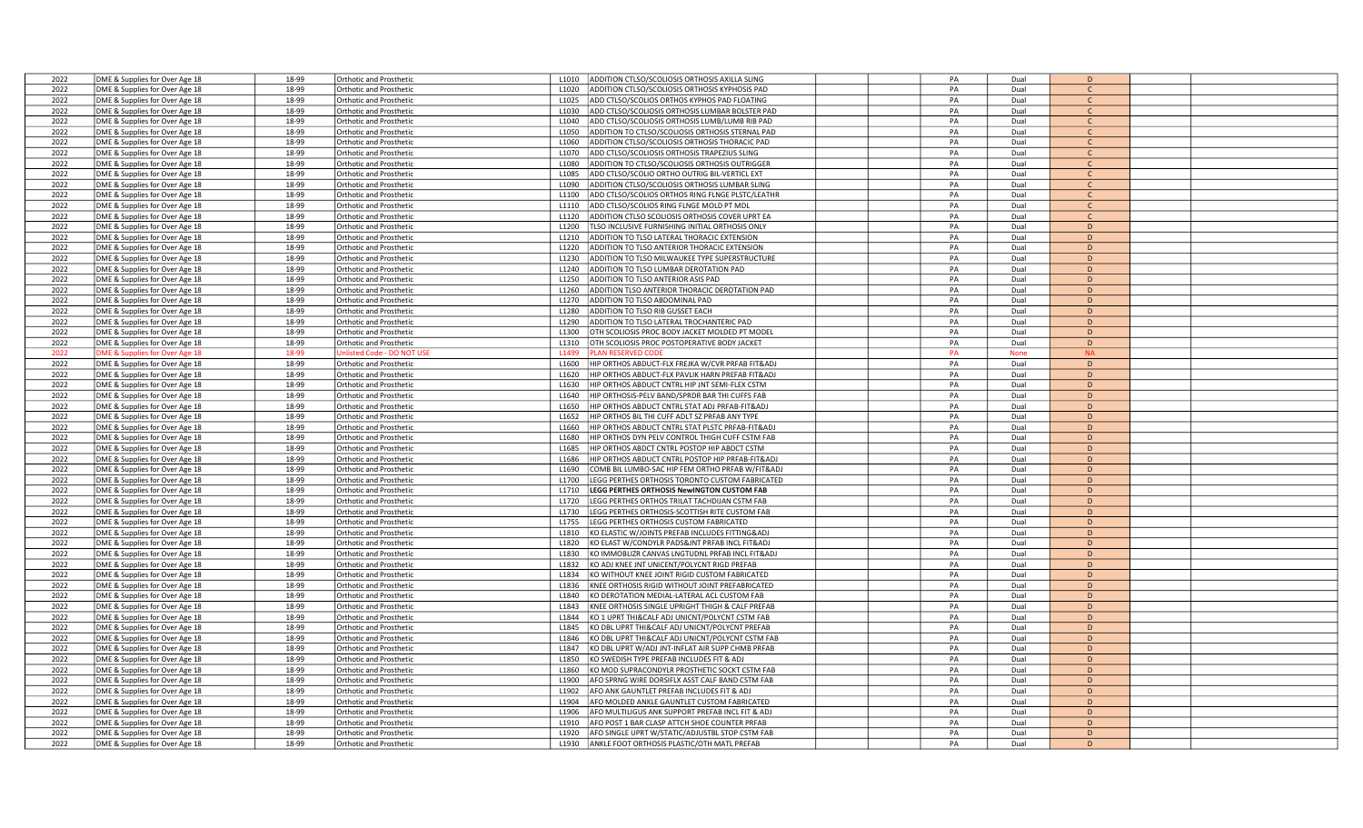| 2022 | DME & Supplies for Over Age 18            | 18-99 | Orthotic and Prosthetic        | ADDITION CTLSO/SCOLIOSIS ORTHOSIS AXILLA SLING<br>L1010               | PA | Dual        | D              |  |
|------|-------------------------------------------|-------|--------------------------------|-----------------------------------------------------------------------|----|-------------|----------------|--|
| 2022 | DME & Supplies for Over Age 18            | 18-99 | Orthotic and Prosthetic        | ADDITION CTLSO/SCOLIOSIS ORTHOSIS KYPHOSIS PAD<br>L <sub>1020</sub>   | PA | Dual        | $\mathsf{C}$   |  |
| 2022 | DME & Supplies for Over Age 18            | 18-99 | Orthotic and Prosthetic        | ADD CTLSO/SCOLIOS ORTHOS KYPHOS PAD FLOATING<br>L1025                 | PA | Dual        | $\mathsf{C}$   |  |
| 2022 | DME & Supplies for Over Age 18            | 18-99 | <b>Orthotic and Prosthetic</b> | ADD CTLSO/SCOLIOSIS ORTHOSIS LUMBAR BOLSTER PAD<br>L1030              | PA | Dual        | $\mathsf{C}$   |  |
| 2022 | DME & Supplies for Over Age 18            | 18-99 | <b>Orthotic and Prosthetic</b> | L1040<br>ADD CTLSO/SCOLIOSIS ORTHOSIS LUMB/LUMB RIB PAD               | PA | Dual        | $\mathsf{C}$   |  |
| 2022 |                                           | 18-99 |                                | L1050                                                                 | PA | Dual        | $\mathsf{C}$   |  |
|      | DME & Supplies for Over Age 18            |       | <b>Orthotic and Prosthetic</b> | ADDITION TO CTLSO/SCOLIOSIS ORTHOSIS STERNAL PAD                      |    |             | $\mathcal{C}$  |  |
| 2022 | DME & Supplies for Over Age 18            | 18-99 | Orthotic and Prosthetic        | ADDITION CTLSO/SCOLIOSIS ORTHOSIS THORACIC PAD<br>L1060               | PA | Dual        |                |  |
| 2022 | DME & Supplies for Over Age 18            | 18-99 | <b>Orthotic and Prosthetic</b> | ADD CTLSO/SCOLIOSIS ORTHOSIS TRAPEZIUS SLING<br>L1070                 | PA | Dual        | $\mathsf{C}$   |  |
| 2022 | DME & Supplies for Over Age 18            | 18-99 | <b>Orthotic and Prosthetic</b> | L1080<br>ADDITION TO CTLSO/SCOLIOSIS ORTHOSIS OUTRIGGER               | PA | Dual        | $\mathsf{C}$   |  |
| 2022 | DME & Supplies for Over Age 18            | 18-99 | Orthotic and Prosthetic        | L1085<br>ADD CTLSO/SCOLIO ORTHO OUTRIG BIL-VERTICL EXT                | PA | Dual        | $\mathsf{C}$   |  |
| 2022 | DME & Supplies for Over Age 18            | 18-99 | <b>Orthotic and Prosthetic</b> | L1090<br>ADDITION CTLSO/SCOLIOSIS ORTHOSIS LUMBAR SLING               | PA | Dual        |                |  |
| 2022 | DME & Supplies for Over Age 18            | 18-99 | <b>Orthotic and Prosthetic</b> | ADD CTLSO/SCOLIOS ORTHOS RING FLNGE PLSTC/LEATHR<br>L1100             | PA | Dual        | C.             |  |
| 2022 | DME & Supplies for Over Age 18            | 18-99 | Orthotic and Prosthetic        | ADD CTLSO/SCOLIOS RING FLNGE MOLD PT MDL<br>L1110                     | PA | Dual        | $\mathcal{C}$  |  |
| 2022 | DME & Supplies for Over Age 18            | 18-99 | <b>Orthotic and Prosthetic</b> | L1120<br>ADDITION CTLSO SCOLIOSIS ORTHOSIS COVER UPRT EA              | PA | Dual        | $\mathsf{C}$   |  |
| 2022 | DME & Supplies for Over Age 18            | 18-99 | Orthotic and Prosthetic        | L1200<br>TLSO INCLUSIVE FURNISHING INITIAL ORTHOSIS ONLY              | PA | Dual        | D              |  |
| 2022 | DME & Supplies for Over Age 18            | 18-99 | Orthotic and Prosthetic        | L1210<br>ADDITION TO TLSO LATERAL THORACIC EXTENSION                  | PA | Dual        | D              |  |
| 2022 | DME & Supplies for Over Age 18            | 18-99 | Orthotic and Prosthetic        | ADDITION TO TLSO ANTERIOR THORACIC EXTENSION<br>L1220                 | PA | Dual        | D              |  |
| 2022 |                                           | 18-99 |                                | L1230<br>ADDITION TO TLSO MILWAUKEE TYPE SUPERSTRUCTURE               | PA | Dual        | D              |  |
|      | DME & Supplies for Over Age 18            |       | <b>Orthotic and Prosthetic</b> |                                                                       |    |             |                |  |
| 2022 | DME & Supplies for Over Age 18            | 18-99 | Orthotic and Prosthetic        | ADDITION TO TLSO LUMBAR DEROTATION PAD<br>L1240                       | PA | Dual        | D              |  |
| 2022 | DME & Supplies for Over Age 18            | 18-99 | <b>Orthotic and Prosthetic</b> | ADDITION TO TLSO ANTERIOR ASIS PAD<br>L1250                           | PA | Dual        | D              |  |
| 2022 | DME & Supplies for Over Age 18            | 18-99 | <b>Orthotic and Prosthetic</b> | L1260<br>ADDITION TLSO ANTERIOR THORACIC DEROTATION PAD               | PA | Dual        | D              |  |
| 2022 | DME & Supplies for Over Age 18            | 18-99 | Orthotic and Prosthetic        | L1270<br>ADDITION TO TLSO ABDOMINAL PAD                               | PA | Dual        | D              |  |
| 2022 | DME & Supplies for Over Age 18            | 18-99 | Orthotic and Prosthetic        | ADDITION TO TLSO RIB GUSSET EACH<br>L1280                             | PA | Dual        | D              |  |
| 2022 | DME & Supplies for Over Age 18            | 18-99 | <b>Orthotic and Prosthetic</b> | ADDITION TO TLSO LATERAL TROCHANTERIC PAD<br>L1290                    | PA | Dual        | D              |  |
| 2022 | DME & Supplies for Over Age 18            | 18-99 | Orthotic and Prosthetic        | OTH SCOLIOSIS PROC BODY JACKET MOLDED PT MODEL<br>L1300               | PA | Dual        | D              |  |
| 2022 | DME & Supplies for Over Age 18            | 18-99 | <b>Orthotic and Prosthetic</b> | L1310<br>OTH SCOLIOSIS PROC POSTOPERATIVE BODY JACKET                 | PA | Dual        | D              |  |
| 2022 | <b>DME &amp; Supplies for Over Age 18</b> | 18-99 | Inlisted Code - DO NOT USI     | L1499<br>LAN RESERVED CODI                                            | PA | <b>None</b> | <b>NA</b>      |  |
| 2022 | DME & Supplies for Over Age 18            | 18-99 | Orthotic and Prosthetic        | L1600<br>HIP ORTHOS ABDUCT-FLX FREJKA W/CVR PRFAB FIT&ADJ             | PA | Dual        | D              |  |
| 2022 | DME & Supplies for Over Age 18            | 18-99 | Orthotic and Prosthetic        | <b>IP ORTHOS ABDUCT-FLX PAVLIK HARN PREFAB FIT&amp;ADJ</b><br>L1620   | PA | Dual        | D              |  |
| 2022 |                                           | 18-99 |                                | L1630<br>HIP ORTHOS ABDUCT CNTRL HIP JNT SEMI-FLEX CSTM               | PA |             | D              |  |
|      | DME & Supplies for Over Age 18            |       | Orthotic and Prosthetic        |                                                                       |    | Dual        |                |  |
| 2022 | DME & Supplies for Over Age 18            | 18-99 | Orthotic and Prosthetic        | HIP ORTHOSIS-PELV BAND/SPRDR BAR THI CUFFS FAB<br>L1640               | PA | Dual        | D              |  |
| 2022 | DME & Supplies for Over Age 18            | 18-99 | Orthotic and Prosthetic        | HIP ORTHOS ABDUCT CNTRL STAT ADJ PRFAB-FIT&ADJ<br>L1650               | PA | Dual        | D              |  |
| 2022 | DME & Supplies for Over Age 18            | 18-99 | <b>Orthotic and Prosthetic</b> | HIP ORTHOS BIL THI CUFF ADLT SZ PRFAB ANY TYPE<br>L1652               | PA | Dual        | D              |  |
| 2022 | DME & Supplies for Over Age 18            | 18-99 | Orthotic and Prosthetic        | L1660<br>HIP ORTHOS ABDUCT CNTRL STAT PLSTC PRFAB-FIT&ADJ             | PA | Dual        | D              |  |
| 2022 | DME & Supplies for Over Age 18            | 18-99 | <b>Orthotic and Prosthetic</b> | L1680<br>HIP ORTHOS DYN PELV CONTROL THIGH CUFF CSTM FAB              | PA | Dual        | D              |  |
| 2022 | DME & Supplies for Over Age 18            | 18-99 | Orthotic and Prosthetic        | L1685<br>HIP ORTHOS ABDCT CNTRL POSTOP HIP ABDCT CSTM                 | PA | Dual        | D              |  |
| 2022 | DME & Supplies for Over Age 18            | 18-99 | Orthotic and Prosthetic        | L1686<br>HIP ORTHOS ABDUCT CNTRL POSTOP HIP PRFAB-FIT&ADJ             | PA | Dual        | D              |  |
| 2022 | DME & Supplies for Over Age 18            | 18-99 | Orthotic and Prosthetic        | COMB BIL LUMBO-SAC HIP FEM ORTHO PRFAB W/FIT&ADJ<br>L <sub>1690</sub> | PA | Dual        | D              |  |
| 2022 | DME & Supplies for Over Age 18            | 18-99 | Orthotic and Prosthetic        | L1700<br>LEGG PERTHES ORTHOSIS TORONTO CUSTOM FABRICATED              | PA | Dual        | D              |  |
| 2022 | DME & Supplies for Over Age 18            | 18-99 | Orthotic and Prosthetic        | <b>EGG PERTHES ORTHOSIS NewINGTON CUSTOM FAB</b><br>L1710             | PA | Dual        | D              |  |
| 2022 | DME & Supplies for Over Age 18            | 18-99 | <b>Orthotic and Prosthetic</b> | EGG PERTHES ORTHOS TRILAT TACHDIJAN CSTM FAB<br>L1720                 | PA | Dual        | D              |  |
| 2022 | DME & Supplies for Over Age 18            | 18-99 | <b>Orthotic and Prosthetic</b> | L1730<br>EGG PERTHES ORTHOSIS-SCOTTISH RITE CUSTOM FAB                | PA | Dual        | D              |  |
| 2022 | DME & Supplies for Over Age 18            | 18-99 | <b>Orthotic and Prosthetic</b> | L1755<br>LEGG PERTHES ORTHOSIS CUSTOM FABRICATED                      | PA | Dual        | D              |  |
|      |                                           |       |                                |                                                                       |    |             |                |  |
| 2022 | DME & Supplies for Over Age 18            | 18-99 | Orthotic and Prosthetic        | KO ELASTIC W/JOINTS PREFAB INCLUDES FITTING&ADJ<br>L1810              | PA | Dual        | D              |  |
| 2022 | DME & Supplies for Over Age 18            | 18-99 | Orthotic and Prosthetic        | KO ELAST W/CONDYLR PADS&JNT PRFAB INCL FIT&ADJ<br>L1820               | PA | Dual        | D              |  |
| 2022 | DME & Supplies for Over Age 18            | 18-99 | Orthotic and Prosthetic        | KO IMMOBLIZR CANVAS LNGTUDNL PRFAB INCL FIT&ADJ<br>L1830              | PA | Dual        | D              |  |
| 2022 | DME & Supplies for Over Age 18            | 18-99 | Orthotic and Prosthetic        | L1832<br>KO ADJ KNEE JNT UNICENT/POLYCNT RIGD PREFAB                  | PA | Dual        | D              |  |
| 2022 | DME & Supplies for Over Age 18            | 18-99 | Orthotic and Prosthetic        | L1834<br>KO WITHOUT KNEE JOINT RIGID CUSTOM FABRICATED                | PA | Dual        | D              |  |
| 2022 | DME & Supplies for Over Age 18            | 18-99 | Orthotic and Prosthetic        | L1836<br>KNEE ORTHOSIS RIGID WITHOUT JOINT PREFABRICATED              | PA | Dual        | $\overline{D}$ |  |
| 2022 | DME & Supplies for Over Age 18            | 18-99 | Orthotic and Prosthetic        | KO DEROTATION MEDIAL-LATERAL ACL CUSTOM FAB<br>L <sub>1840</sub>      | PA | Dual        | D              |  |
| 2022 | DME & Supplies for Over Age 18            | 18-99 | <b>Orthotic and Prosthetic</b> | KNEE ORTHOSIS SINGLE UPRIGHT THIGH & CALF PREFAB<br>L1843             | PA | Dual        | D              |  |
| 2022 | DME & Supplies for Over Age 18            | 18-99 | Orthotic and Prosthetic        | L1844<br>KO 1 UPRT THI&CALF ADJ UNICNT/POLYCNT CSTM FAB               | PA | Dual        | D              |  |
| 2022 | DME & Supplies for Over Age 18            | 18-99 | Orthotic and Prosthetic        | L1845<br>KO DBL UPRT THI&CALF ADJ UNICNT/POLYCNT PREFAB               | PA | Dual        | D              |  |
| 2022 | DME & Supplies for Over Age 18            | 18-99 | Orthotic and Prosthetic        | L1846<br>KO DBL UPRT THI&CALF ADJ UNICNT/POLYCNT CSTM FAB             | PA | Dual        | D              |  |
| 2022 | DME & Supplies for Over Age 18            | 18-99 | Orthotic and Prosthetic        | L1847<br>KO DBL UPRT W/ADJ JNT-INFLAT AIR SUPP CHMB PRFAB             | PA | Dual        | $\overline{D}$ |  |
| 2022 |                                           | 18-99 | Orthotic and Prosthetic        | L1850<br>KO SWEDISH TYPE PREFAB INCLUDES FIT & ADJ                    | PA | Dual        | D              |  |
|      | DME & Supplies for Over Age 18            |       |                                |                                                                       | PA |             | D              |  |
| 2022 | DME & Supplies for Over Age 18            | 18-99 | Orthotic and Prosthetic        | KO MOD SUPRACONDYLR PROSTHETIC SOCKT CSTM FAB<br>L1860                |    | Dual        |                |  |
| 2022 | DME & Supplies for Over Age 18            | 18-99 | Orthotic and Prosthetic        | L1900<br>AFO SPRNG WIRE DORSIFLX ASST CALF BAND CSTM FAB              | PA | Dual        | D              |  |
| 2022 | DME & Supplies for Over Age 18            | 18-99 | Orthotic and Prosthetic        | L1902<br>AFO ANK GAUNTLET PREFAB INCLUDES FIT & ADJ                   | PA | Dual        | D              |  |
| 2022 | DME & Supplies for Over Age 18            | 18-99 | <b>Orthotic and Prosthetic</b> | L1904<br>AFO MOLDED ANKLE GAUNTLET CUSTOM FABRICATED                  | PA | Dual        | D              |  |
| 2022 | DME & Supplies for Over Age 18            | 18-99 | Orthotic and Prosthetic        | L1906<br>AFO MULTILIGUS ANK SUPPORT PREFAB INCL FIT & ADJ             | PA | Dual        | $\overline{D}$ |  |
| 2022 | DME & Supplies for Over Age 18            | 18-99 | Orthotic and Prosthetic        | AFO POST 1 BAR CLASP ATTCH SHOE COUNTER PRFAB<br>L <sub>1910</sub>    | PA | Dual        | D              |  |
| 2022 | DME & Supplies for Over Age 18            | 18-99 | Orthotic and Prosthetic        | AFO SINGLE UPRT W/STATIC/ADJUSTBL STOP CSTM FAB<br>L <sub>1920</sub>  | PA | Dual        | D              |  |
| 2022 | DME & Supplies for Over Age 18            | 18-99 | <b>Orthotic and Prosthetic</b> | L1930<br>ANKLE FOOT ORTHOSIS PLASTIC/OTH MATL PREFAB                  | PA | Dual        | D              |  |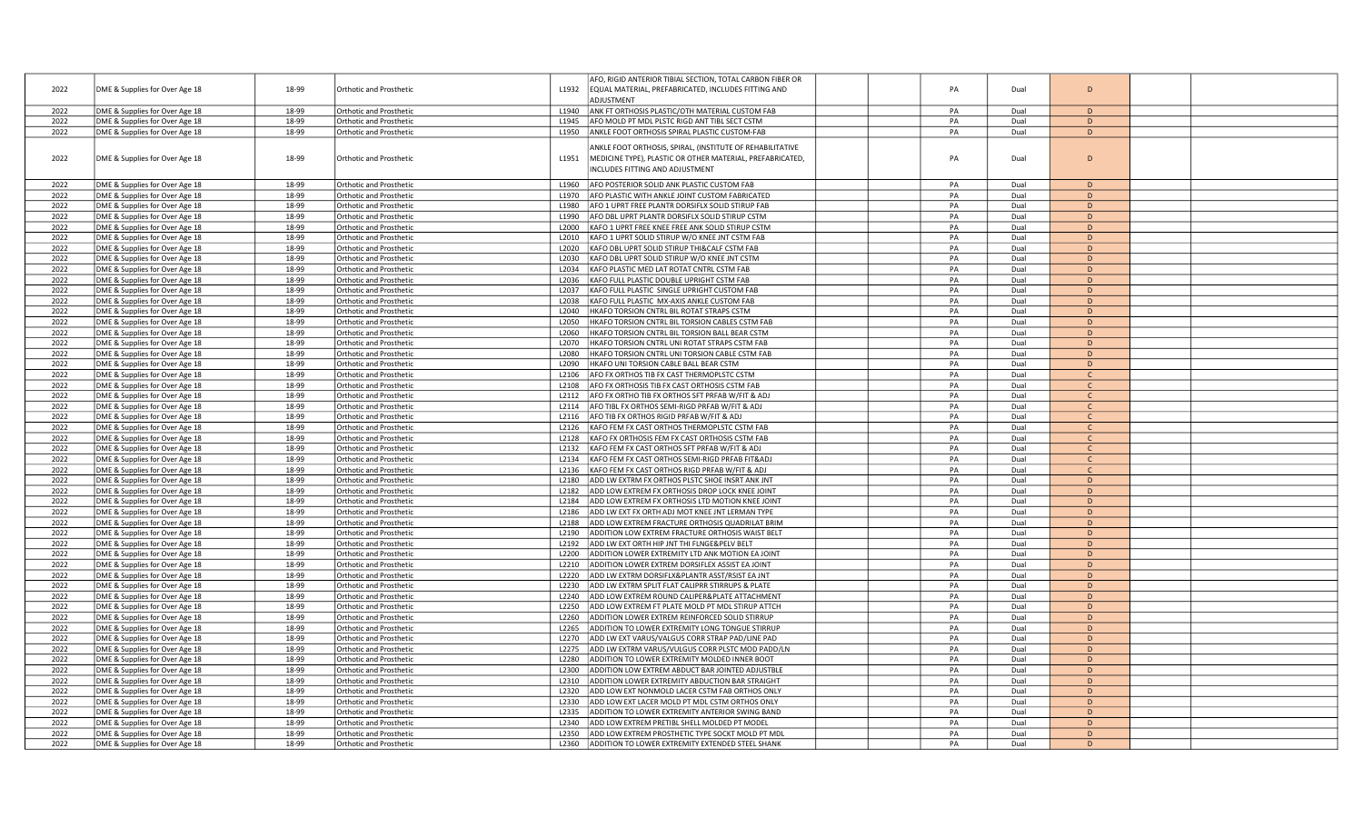|      |                                |       |                                |                   | AFO, RIGID ANTERIOR TIBIAL SECTION, TOTAL CARBON FIBER OR |          |              |              |  |
|------|--------------------------------|-------|--------------------------------|-------------------|-----------------------------------------------------------|----------|--------------|--------------|--|
| 2022 | DME & Supplies for Over Age 18 | 18-99 | Orthotic and Prosthetic        | L1932             | EQUAL MATERIAL, PREFABRICATED, INCLUDES FITTING AND       | PA       | Dual         | D            |  |
|      |                                |       |                                |                   | ADJUSTMENT                                                |          |              |              |  |
| 2022 | DME & Supplies for Over Age 18 | 18-99 | Orthotic and Prosthetic        | L1940             | ANK FT ORTHOSIS PLASTIC/OTH MATERIAL CUSTOM FAB           | PA       | Dual         | D            |  |
| 2022 | DME & Supplies for Over Age 18 | 18-99 | <b>Orthotic and Prosthetic</b> | L1945             | AFO MOLD PT MDL PLSTC RIGD ANT TIBL SECT CSTM             | PA       | Dual         | D            |  |
| 2022 | DME & Supplies for Over Age 18 | 18-99 | Orthotic and Prosthetic        |                   | L1950 ANKLE FOOT ORTHOSIS SPIRAL PLASTIC CUSTOM-FAB       | PA       | Dual         | D            |  |
|      |                                |       |                                |                   |                                                           |          |              |              |  |
|      |                                |       |                                |                   | INKLE FOOT ORTHOSIS, SPIRAL, (INSTITUTE OF REHABILITATIVE |          |              |              |  |
| 2022 | DME & Supplies for Over Age 18 | 18-99 | Orthotic and Prosthetic        | L1951             | MEDICINE TYPE), PLASTIC OR OTHER MATERIAL, PREFABRICATED, | PA       | Dual         | D            |  |
|      |                                |       |                                |                   | INCLUDES FITTING AND ADJUSTMENT                           |          |              |              |  |
|      |                                |       |                                |                   |                                                           |          |              |              |  |
| 2022 | DME & Supplies for Over Age 18 | 18-99 | <b>Orthotic and Prosthetic</b> | L1960             | AFO POSTERIOR SOLID ANK PLASTIC CUSTOM FAB                | PA       | Dual         | D            |  |
| 2022 | DME & Supplies for Over Age 18 | 18-99 | Orthotic and Prosthetic        | L1970             | AFO PLASTIC WITH ANKLE JOINT CUSTOM FABRICATED            | PA       | Dual         | D            |  |
| 2022 | DME & Supplies for Over Age 18 | 18-99 | Orthotic and Prosthetic        | L1980             | AFO 1 UPRT FREE PLANTR DORSIFLX SOLID STIRUP FAB          | PA       | Dual         | D            |  |
| 2022 | DME & Supplies for Over Age 18 | 18-99 | <b>Orthotic and Prosthetic</b> | L1990             | AFO DBL UPRT PLANTR DORSIFLX SOLID STIRUP CSTM            | PA       | Dual         | D            |  |
| 2022 | DME & Supplies for Over Age 18 | 18-99 | Orthotic and Prosthetic        | L2000             | KAFO 1 UPRT FREE KNEE FREE ANK SOLID STIRUP CSTM          | PA       | Dual         | D            |  |
| 2022 | DME & Supplies for Over Age 18 | 18-99 | Orthotic and Prosthetic        | L2010             | KAFO 1 UPRT SOLID STIRUP W/O KNEE JNT CSTM FAB            | PA       | Dual         | D            |  |
| 2022 | DME & Supplies for Over Age 18 | 18-99 | <b>Orthotic and Prosthetic</b> | L2020             | KAFO DBL UPRT SOLID STIRUP THI&CALF CSTM FAB              | PA       | Dual         | D            |  |
| 2022 | DME & Supplies for Over Age 18 | 18-99 | Orthotic and Prosthetic        | L2030             | KAFO DBL UPRT SOLID STIRUP W/O KNEE JNT CSTM              | PA       | Dual         | D            |  |
| 2022 | DME & Supplies for Over Age 18 | 18-99 | Orthotic and Prosthetic        | L2034             | KAFO PLASTIC MED LAT ROTAT CNTRL CSTM FAB                 | PA       | Dual         | D            |  |
| 2022 | DME & Supplies for Over Age 18 | 18-99 | <b>Orthotic and Prosthetic</b> | L2036             | KAFO FULL PLASTIC DOUBLE UPRIGHT CSTM FAB                 | PA       | Dual         | D            |  |
| 2022 | DME & Supplies for Over Age 18 | 18-99 | Orthotic and Prosthetic        | L2037             | KAFO FULL PLASTIC SINGLE UPRIGHT CUSTOM FAB               | PA       | Dual         | D            |  |
| 2022 | DME & Supplies for Over Age 18 | 18-99 | Orthotic and Prosthetic        | L2038             | KAFO FULL PLASTIC MX-AXIS ANKLE CUSTOM FAB                | PA       | Dual         | D            |  |
| 2022 | DME & Supplies for Over Age 18 | 18-99 | <b>Orthotic and Prosthetic</b> | L2040             | HKAFO TORSION CNTRL BIL ROTAT STRAPS CSTM                 | PA       | Dual         | D            |  |
| 2022 | DME & Supplies for Over Age 18 | 18-99 | Orthotic and Prosthetic        | L2050             | HKAFO TORSION CNTRL BIL TORSION CABLES CSTM FAB           | PA       | Dual         | D            |  |
| 2022 | DME & Supplies for Over Age 18 | 18-99 | Orthotic and Prosthetic        | L2060             | HKAFO TORSION CNTRL BIL TORSION BALL BEAR CSTM            | PA       | Dual         | D            |  |
| 2022 | DME & Supplies for Over Age 18 | 18-99 | <b>Orthotic and Prosthetic</b> | L2070             | HKAFO TORSION CNTRL UNI ROTAT STRAPS CSTM FAB             | PA       | Dual         | D            |  |
| 2022 | DME & Supplies for Over Age 18 | 18-99 | Orthotic and Prosthetic        | L2080             | HKAFO TORSION CNTRL UNI TORSION CABLE CSTM FAB            | PA       | Dual         | D            |  |
| 2022 | DME & Supplies for Over Age 18 | 18-99 | Orthotic and Prosthetic        | L2090             | HKAFO UNI TORSION CABLE BALL BEAR CSTM                    | PA       | Dual         | D            |  |
| 2022 | DME & Supplies for Over Age 18 | 18-99 | <b>Orthotic and Prosthetic</b> | L2106             | AFO FX ORTHOS TIB FX CAST THERMOPLSTC CSTM                | PA       | Dual         | $\Gamma$     |  |
| 2022 | DME & Supplies for Over Age 18 | 18-99 | Orthotic and Prosthetic        | L2108             | AFO FX ORTHOSIS TIB FX CAST ORTHOSIS CSTM FAB             | PA       | Dual         | $\mathsf{C}$ |  |
| 2022 | DME & Supplies for Over Age 18 | 18-99 | Orthotic and Prosthetic        | L2112             | AFO FX ORTHO TIB FX ORTHOS SFT PRFAB W/FIT & ADJ          | PA       | Dual         | $\mathsf{C}$ |  |
| 2022 |                                | 18-99 |                                |                   |                                                           | PA       | Dual         | $\mathsf{C}$ |  |
|      | DME & Supplies for Over Age 18 |       | <b>Orthotic and Prosthetic</b> | L2114             | AFO TIBL FX ORTHOS SEMI-RIGD PRFAB W/FIT & ADJ            |          |              |              |  |
| 2022 | DME & Supplies for Over Age 18 | 18-99 | Orthotic and Prosthetic        | L2116             | AFO TIB FX ORTHOS RIGID PRFAB W/FIT & ADJ                 | PA       | Dual         | C            |  |
| 2022 | DME & Supplies for Over Age 18 | 18-99 | Orthotic and Prosthetic        | L2126             | KAFO FEM FX CAST ORTHOS THERMOPLSTC CSTM FAB              | PA       | Dual         | $\mathsf{C}$ |  |
| 2022 | DME & Supplies for Over Age 18 | 18-99 | <b>Orthotic and Prosthetic</b> | L2128             | KAFO FX ORTHOSIS FEM FX CAST ORTHOSIS CSTM FAB            | PA       | Dual         | $\mathsf{C}$ |  |
| 2022 | DME & Supplies for Over Age 18 | 18-99 | Orthotic and Prosthetic        | L2132             | KAFO FEM FX CAST ORTHOS SFT PRFAB W/FIT & ADJ             | PA       | Dual         | $\mathsf{C}$ |  |
| 2022 | DME & Supplies for Over Age 18 | 18-99 | Orthotic and Prosthetic        | L2134             | KAFO FEM FX CAST ORTHOS SEMI-RIGD PRFAB FIT&ADJ           | PA       | Dual         | $\mathsf{C}$ |  |
| 2022 | DME & Supplies for Over Age 18 | 18-99 | <b>Orthotic and Prosthetic</b> | L2136             | KAFO FEM FX CAST ORTHOS RIGD PRFAB W/FIT & ADJ            | PA       | Dual         | $\mathsf{C}$ |  |
| 2022 | DME & Supplies for Over Age 18 | 18-99 | Orthotic and Prosthetic        | L2180             | ADD LW EXTRM FX ORTHOS PLSTC SHOE INSRT ANK JNT           | PA       | Dual         | D            |  |
| 2022 | DME & Supplies for Over Age 18 | 18-99 | Orthotic and Prosthetic        | L2182             | ADD LOW EXTREM FX ORTHOSIS DROP LOCK KNEE JOINT           | PA       | Dual         | D            |  |
| 2022 | DME & Supplies for Over Age 18 | 18-99 | <b>Orthotic and Prosthetic</b> | L2184             | ADD LOW EXTREM FX ORTHOSIS LTD MOTION KNEE JOINT          | PA       | Dual         | D            |  |
| 2022 | DME & Supplies for Over Age 18 | 18-99 | Orthotic and Prosthetic        | L2186             | ADD LW EXT FX ORTH ADJ MOT KNEE JNT LERMAN TYPE           | PA       | Dual         | D            |  |
| 2022 | DME & Supplies for Over Age 18 | 18-99 | Orthotic and Prosthetic        | L2188             | ADD LOW EXTREM FRACTURE ORTHOSIS QUADRILAT BRIM           | PA       | Dual         | D            |  |
| 2022 | DME & Supplies for Over Age 18 | 18-99 | <b>Orthotic and Prosthetic</b> | L <sub>2190</sub> | ADDITION LOW EXTREM FRACTURE ORTHOSIS WAIST BELT          | PA       | Dual         | D            |  |
| 2022 | DME & Supplies for Over Age 18 | 18-99 | Orthotic and Prosthetic        | L2192             | ADD LW EXT ORTH HIP JNT THI FLNGE&PELV BELT               | PA       | Dual         | D            |  |
| 2022 | DME & Supplies for Over Age 18 | 18-99 | Orthotic and Prosthetic        | L2200             | ADDITION LOWER EXTREMITY LTD ANK MOTION EA JOINT          | PA       | Dual         | D            |  |
| 2022 | DME & Supplies for Over Age 18 | 18-99 | <b>Orthotic and Prosthetic</b> | L2210             | ADDITION LOWER EXTREM DORSIFLEX ASSIST EA JOINT           | PA       | Dual         | D            |  |
| 2022 | DME & Supplies for Over Age 18 | 18-99 | Orthotic and Prosthetic        | L2220             | ADD LW EXTRM DORSIFLX&PLANTR ASST/RSIST EA JNT            | PA       | Dual         | D            |  |
| 2022 | DME & Supplies for Over Age 18 | 18-99 | Orthotic and Prosthetic        | L2230             | ADD LW EXTRM SPLIT FLAT CALIPRR STIRRUPS & PLATE          | PA       | Dual         | D            |  |
| 2022 | DME & Supplies for Over Age 18 | 18-99 | <b>Orthotic and Prosthetic</b> | L2240             | ADD LOW EXTREM ROUND CALIPER&PLATE ATTACHMENT             | PA       | Dual         | D            |  |
| 2022 | DME & Supplies for Over Age 18 | 18-99 | Orthotic and Prosthetic        | L2250             | ADD LOW EXTREM FT PLATE MOLD PT MDL STIRUP ATTCH          | PA       | Dual         | D            |  |
| 2022 | DME & Supplies for Over Age 18 | 18-99 | Orthotic and Prosthetic        | L2260             | ADDITION LOWER EXTREM REINFORCED SOLID STIRRUP            | PA       | Dual         | D            |  |
| 2022 | DME & Supplies for Over Age 18 | 18-99 | Orthotic and Prosthetic        | L2265             | ADDITION TO LOWER EXTREMITY LONG TONGUE STIRRUP           | PA       | Dual         | D            |  |
| 2022 | DME & Supplies for Over Age 18 | 18-99 | Orthotic and Prosthetic        | L2270             | ADD LW EXT VARUS/VALGUS CORR STRAP PAD/LINE PAD           | PA       | Dual         | D            |  |
| 2022 | DME & Supplies for Over Age 18 | 18-99 | Orthotic and Prosthetic        | L2275             | ADD LW EXTRM VARUS/VULGUS CORR PLSTC MOD PADD/LN          | PA       | Dual         | $\mathsf{D}$ |  |
| 2022 | DME & Supplies for Over Age 18 | 18-99 | <b>Orthotic and Prosthetic</b> | L2280             | ADDITION TO LOWER EXTREMITY MOLDED INNER BOOT             | PA       | Dual         | D            |  |
| 2022 | DME & Supplies for Over Age 18 | 18-99 | Orthotic and Prosthetic        | L2300             | ADDITION LOW EXTREM ABDUCT BAR JOINTED ADJUSTBLE          | PA       | Dual         | D            |  |
| 2022 | DME & Supplies for Over Age 18 | 18-99 | Orthotic and Prosthetic        | L2310             | ADDITION LOWER EXTREMITY ABDUCTION BAR STRAIGHT           | PA       | Dual         | D            |  |
|      |                                |       |                                |                   |                                                           |          |              | D            |  |
| 2022 | DME & Supplies for Over Age 18 | 18-99 | <b>Orthotic and Prosthetic</b> | L2320             | ADD LOW EXT NONMOLD LACER CSTM FAB ORTHOS ONLY            | PA<br>PA | Dual<br>Dual | D            |  |
| 2022 | DME & Supplies for Over Age 18 | 18-99 | Orthotic and Prosthetic        | L2330             | ADD LOW EXT LACER MOLD PT MDL CSTM ORTHOS ONLY            |          |              |              |  |
| 2022 | DME & Supplies for Over Age 18 | 18-99 | Orthotic and Prosthetic        | L2335             | ADDITION TO LOWER EXTREMITY ANTERIOR SWING BAND           | PA       | Dual         | D            |  |
| 2022 | DME & Supplies for Over Age 18 | 18-99 | <b>Orthotic and Prosthetic</b> | 12340             | ADD LOW EXTREM PRETIBL SHELL MOLDED PT MODEL              | PA       | Dual         | D            |  |
| 2022 | DME & Supplies for Over Age 18 | 18-99 | Orthotic and Prosthetic        | 12350             | ADD LOW EXTREM PROSTHETIC TYPE SOCKT MOLD PT MDL          | PA       | Dual         | D            |  |
| 2022 | DME & Supplies for Over Age 18 | 18-99 | Orthotic and Prosthetic        | L2360             | ADDITION TO LOWER EXTREMITY EXTENDED STEEL SHANK          | PA       | Dual         | D            |  |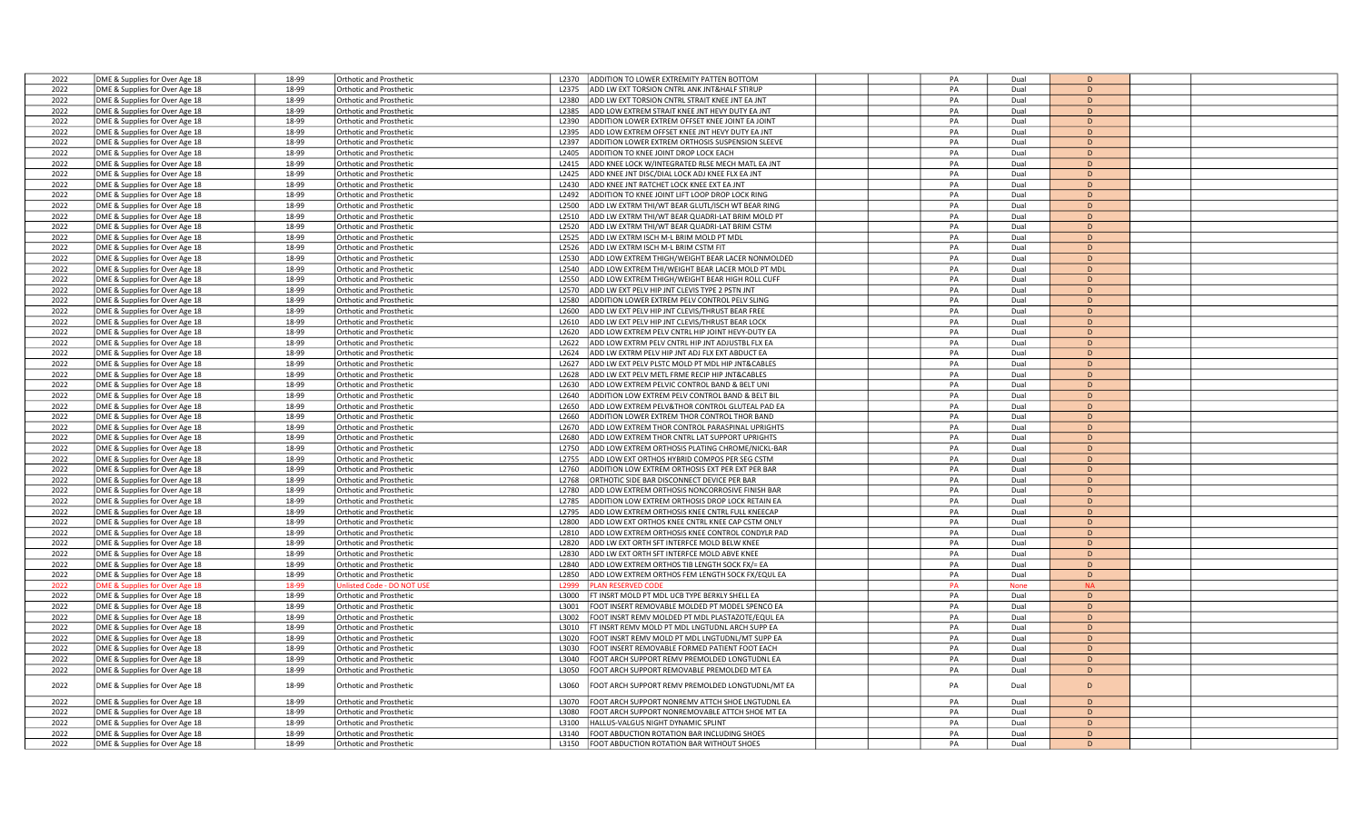| 2022 | DME & Supplies for Over Age 18 | 18-99 | Orthotic and Prosthetic        | ADDITION TO LOWER EXTREMITY PATTEN BOTTOM<br>L2370               | PA | Dual | D              |  |
|------|--------------------------------|-------|--------------------------------|------------------------------------------------------------------|----|------|----------------|--|
| 2022 | DME & Supplies for Over Age 18 | 18-99 | <b>Orthotic and Prosthetic</b> | ADD LW EXT TORSION CNTRL ANK JNT&HALF STIRUP<br>12375            | PA | Dual | D              |  |
| 2022 | DME & Supplies for Over Age 18 | 18-99 | <b>Orthotic and Prosthetic</b> | ADD LW EXT TORSION CNTRL STRAIT KNEE JNT EA JNT<br>12380         | PA | Dual | D              |  |
| 2022 |                                | 18-99 |                                | L2385<br>ADD LOW EXTREM STRAIT KNEE JNT HEVY DUTY EA JNT         | PA |      | D              |  |
|      | DME & Supplies for Over Age 18 |       | <b>Orthotic and Prosthetic</b> |                                                                  |    | Dual |                |  |
| 2022 | DME & Supplies for Over Age 18 | 18-99 | <b>Orthotic and Prosthetic</b> | 12390<br>ADDITION LOWER EXTREM OFFSET KNEE JOINT EA JOINT        | PA | Dual | D              |  |
| 2022 | DME & Supplies for Over Age 18 | 18-99 | <b>Orthotic and Prosthetic</b> | L2395<br>ADD LOW EXTREM OFFSET KNEE JNT HEVY DUTY EA JNT         | PA | Dual | D              |  |
| 2022 | DME & Supplies for Over Age 18 | 18-99 | Orthotic and Prosthetic        | ADDITION LOWER EXTREM ORTHOSIS SUSPENSION SLEEVE<br>L2397        | PA | Dual | D              |  |
| 2022 | DME & Supplies for Over Age 18 | 18-99 | Orthotic and Prosthetic        | ADDITION TO KNEE JOINT DROP LOCK EACH<br>L2405                   | PA | Dual | D              |  |
| 2022 | DME & Supplies for Over Age 18 | 18-99 | Orthotic and Prosthetic        | L2415<br>ADD KNEE LOCK W/INTEGRATED RLSE MECH MATL EA JNT        | PA | Dual | D              |  |
| 2022 | DME & Supplies for Over Age 18 | 18-99 | Orthotic and Prosthetic        | L2425<br>ADD KNEE JNT DISC/DIAL LOCK ADJ KNEE FLX EA JNT         | PA | Dual | D              |  |
| 2022 | DME & Supplies for Over Age 18 | 18-99 | <b>Orthotic and Prosthetic</b> | ADD KNEE JNT RATCHET LOCK KNEE EXT EA JNT<br>L2430               | PA | Dual | D              |  |
| 2022 | DME & Supplies for Over Age 18 | 18-99 | <b>Orthotic and Prosthetic</b> | L2492<br>ADDITION TO KNEE JOINT LIFT LOOP DROP LOCK RING         | PA | Dual | D              |  |
| 2022 |                                | 18-99 |                                | L2500<br>ADD LW EXTRM THI/WT BEAR GLUTL/ISCH WT BEAR RING        | PA | Dual | D              |  |
|      | DME & Supplies for Over Age 18 |       | Orthotic and Prosthetic        |                                                                  |    |      |                |  |
| 2022 | DME & Supplies for Over Age 18 | 18-99 | <b>Orthotic and Prosthetic</b> | ADD LW EXTRM THI/WT BEAR QUADRI-LAT BRIM MOLD PT<br>L2510        | PA | Dual | D              |  |
| 2022 | DME & Supplies for Over Age 18 | 18-99 | <b>Orthotic and Prosthetic</b> | ADD LW EXTRM THI/WT BEAR QUADRI-LAT BRIM CSTM<br>L2520           | PA | Dual | D              |  |
| 2022 | DME & Supplies for Over Age 18 | 18-99 | <b>Orthotic and Prosthetic</b> | L2525<br>ADD LW EXTRM ISCH M-L BRIM MOLD PT MDL                  | PA | Dual | D              |  |
| 2022 | DME & Supplies for Over Age 18 | 18-99 | <b>Orthotic and Prosthetic</b> | L2526<br>ADD LW EXTRM ISCH M-L BRIM CSTM FIT                     | PA | Dual | D              |  |
| 2022 | DME & Supplies for Over Age 18 | 18-99 | <b>Orthotic and Prosthetic</b> | L2530<br>ADD LOW EXTREM THIGH/WEIGHT BEAR LACER NONMOLDED        | PA | Dual | D              |  |
| 2022 | DME & Supplies for Over Age 18 | 18-99 | Orthotic and Prosthetic        | L2540<br>ADD LOW EXTREM THI/WEIGHT BEAR LACER MOLD PT MDL        | PA | Dual | D              |  |
| 2022 | DME & Supplies for Over Age 18 | 18-99 | Orthotic and Prosthetic        | ADD LOW EXTREM THIGH/WEIGHT BEAR HIGH ROLL CUFF<br>L2550         | PA | Dual | D              |  |
| 2022 | DME & Supplies for Over Age 18 | 18-99 | <b>Orthotic and Prosthetic</b> | L2570<br>ADD LW EXT PELV HIP JNT CLEVIS TYPE 2 PSTN JNT          | PA | Dual | D              |  |
| 2022 |                                | 18-99 | Orthotic and Prosthetic        | L2580<br>ADDITION LOWER EXTREM PELV CONTROL PELV SLING           | PA | Dual | D              |  |
|      | DME & Supplies for Over Age 18 |       |                                |                                                                  |    |      |                |  |
| 2022 | DME & Supplies for Over Age 18 | 18-99 | <b>Orthotic and Prosthetic</b> | L2600<br>ADD LW EXT PELV HIP JNT CLEVIS/THRUST BEAR FREE         | PA | Dual | D              |  |
| 2022 | DME & Supplies for Over Age 18 | 18-99 | <b>Orthotic and Prosthetic</b> | ADD LW EXT PELV HIP JNT CLEVIS/THRUST BEAR LOCK<br>L2610         | PA | Dual | D              |  |
| 2022 | DME & Supplies for Over Age 18 | 18-99 | Orthotic and Prosthetic        | L2620<br>ADD LOW EXTREM PELV CNTRL HIP JOINT HEVY-DUTY EA        | PA | Dual | D              |  |
| 2022 | DME & Supplies for Over Age 18 | 18-99 | Orthotic and Prosthetic        | ADD LOW EXTRM PELV CNTRL HIP JNT ADJUSTBL FLX EA<br>12622        | PA | Dual | D              |  |
| 2022 | DME & Supplies for Over Age 18 | 18-99 | <b>Orthotic and Prosthetic</b> | L2624<br>ADD LW EXTRM PELV HIP JNT ADJ FLX EXT ABDUCT EA         | PA | Dual | D              |  |
| 2022 | DME & Supplies for Over Age 18 | 18-99 | <b>Orthotic and Prosthetic</b> | L2627<br>ADD LW EXT PELV PLSTC MOLD PT MDL HIP JNT&CABLES        | PA | Dual | D              |  |
| 2022 | DME & Supplies for Over Age 18 | 18-99 | <b>Orthotic and Prosthetic</b> | L2628<br>ADD LW EXT PELV METL FRME RECIP HIP JNT&CABLES          | PA | Dual | D              |  |
| 2022 | DME & Supplies for Over Age 18 | 18-99 | Orthotic and Prosthetic        | L2630<br>ADD LOW EXTREM PELVIC CONTROL BAND & BELT UNI           | PA | Dual | D              |  |
|      |                                |       |                                | L2640<br>ADDITION LOW EXTREM PELV CONTROL BAND & BELT BIL        | PA | Dual | D              |  |
| 2022 | DME & Supplies for Over Age 18 | 18-99 | Orthotic and Prosthetic        |                                                                  |    |      |                |  |
| 2022 | DME & Supplies for Over Age 18 | 18-99 | <b>Orthotic and Prosthetic</b> | ADD LOW EXTREM PELV&THOR CONTROL GLUTEAL PAD EA<br>L2650         | PA | Dual | D              |  |
| 2022 | DME & Supplies for Over Age 18 | 18-99 | <b>Orthotic and Prosthetic</b> | L2660<br>ADDITION LOWER EXTREM THOR CONTROL THOR BAND            | PA | Dual | D              |  |
| 2022 | DME & Supplies for Over Age 18 | 18-99 | <b>Orthotic and Prosthetic</b> | ADD LOW EXTREM THOR CONTROL PARASPINAL UPRIGHTS<br>L2670         | PA | Dual | D              |  |
| 2022 | DME & Supplies for Over Age 18 | 18-99 | <b>Orthotic and Prosthetic</b> | L2680<br>ADD LOW EXTREM THOR CNTRL LAT SUPPORT UPRIGHTS          | PA | Dual | D              |  |
| 2022 | DME & Supplies for Over Age 18 | 18-99 | <b>Orthotic and Prosthetic</b> | L2750<br>ADD LOW EXTREM ORTHOSIS PLATING CHROME/NICKL-BAR        | PA | Dual | D              |  |
| 2022 | DME & Supplies for Over Age 18 | 18-99 | <b>Orthotic and Prosthetic</b> | L2755<br>ADD LOW EXT ORTHOS HYBRID COMPOS PER SEG CSTM           | PA | Dual | D              |  |
| 2022 | DME & Supplies for Over Age 18 | 18-99 | <b>Orthotic and Prosthetic</b> | ADDITION LOW EXTREM ORTHOSIS EXT PER EXT PER BAR<br>L2760        | PA | Dual | D              |  |
| 2022 | DME & Supplies for Over Age 18 | 18-99 | <b>Orthotic and Prosthetic</b> | ORTHOTIC SIDE BAR DISCONNECT DEVICE PER BAR<br>L2768             | PA | Dual | D              |  |
| 2022 | DME & Supplies for Over Age 18 | 18-99 | <b>Orthotic and Prosthetic</b> | L2780<br>ADD LOW EXTREM ORTHOSIS NONCORROSIVE FINISH BAR         | PA | Dual | D              |  |
| 2022 |                                | 18-99 |                                |                                                                  | PA |      |                |  |
|      | DME & Supplies for Over Age 18 |       | <b>Orthotic and Prosthetic</b> | L2785<br>ADDITION LOW EXTREM ORTHOSIS DROP LOCK RETAIN EA        |    | Dual | D              |  |
| 2022 | DME & Supplies for Over Age 18 | 18-99 | <b>Orthotic and Prosthetic</b> | ADD LOW EXTREM ORTHOSIS KNEE CNTRL FULL KNEECAP<br>L2795         | PA | Dual | D              |  |
| 2022 | DME & Supplies for Over Age 18 | 18-99 | <b>Orthotic and Prosthetic</b> | L2800<br>ADD LOW EXT ORTHOS KNEE CNTRL KNEE CAP CSTM ONLY        | PA | Dual | D              |  |
| 2022 | DME & Supplies for Over Age 18 | 18-99 | <b>Orthotic and Prosthetic</b> | ADD LOW EXTREM ORTHOSIS KNEE CONTROL CONDYLR PAD<br>L2810        | PA | Dual | D              |  |
| 2022 | DME & Supplies for Over Age 18 | 18-99 | <b>Orthotic and Prosthetic</b> | ADD LW EXT ORTH SFT INTERFCE MOLD BELW KNEE<br>L2820             | PA | Dual | D              |  |
| 2022 | DME & Supplies for Over Age 18 | 18-99 | <b>Orthotic and Prosthetic</b> | L <sub>2830</sub><br>ADD LW EXT ORTH SFT INTERFCE MOLD ABVE KNEE | PA | Dual | $\overline{D}$ |  |
| 2022 | DME & Supplies for Over Age 18 | 18-99 | <b>Orthotic and Prosthetic</b> | ADD LOW EXTREM ORTHOS TIB LENGTH SOCK FX/= EA<br>L2840           | PA | Dual | D              |  |
| 2022 | DME & Supplies for Over Age 18 | 18-99 | <b>Orthotic and Prosthetic</b> | L2850<br>ADD LOW EXTREM ORTHOS FEM LENGTH SOCK FX/EQUL EA        | PA | Dual | D              |  |
| 2022 | DME & Supplies for Over Age 18 | 18-99 | Inlisted Code - DO NOT U       | <b>LAN RESERVED CODE</b><br>12999                                | PA | None | <b>NA</b>      |  |
| 2022 | DME & Supplies for Over Age 18 | 18-99 | <b>Orthotic and Prosthetic</b> | L3000<br>FT INSRT MOLD PT MDL UCB TYPE BERKLY SHELL EA           | PA | Dual | D              |  |
|      |                                |       |                                |                                                                  | PA |      | D              |  |
| 2022 | DME & Supplies for Over Age 18 | 18-99 | <b>Orthotic and Prosthetic</b> | FOOT INSERT REMOVABLE MOLDED PT MODEL SPENCO EA<br>L3001         |    | Dual |                |  |
| 2022 | DME & Supplies for Over Age 18 | 18-99 | <b>Orthotic and Prosthetic</b> | L3002<br>FOOT INSRT REMV MOLDED PT MDL PLASTAZOTE/EQUL EA        | PA | Dual | D              |  |
| 2022 | DME & Supplies for Over Age 18 | 18-99 | <b>Orthotic and Prosthetic</b> | L3010<br>FT INSRT REMV MOLD PT MDL LNGTUDNL ARCH SUPP EA         | PA | Dual | D              |  |
| 2022 | DME & Supplies for Over Age 18 | 18-99 | <b>Orthotic and Prosthetic</b> | L3020<br>OOT INSRT REMV MOLD PT MDL LNGTUDNL/MT SUPP EA          | PA | Dual | D              |  |
| 2022 | DME & Supplies for Over Age 18 | 18-99 | <b>Orthotic and Prosthetic</b> | L3030<br>OOT INSERT REMOVABLE FORMED PATIENT FOOT EACH           | PA | Dual | D              |  |
| 2022 | DME & Supplies for Over Age 18 | 18-99 | <b>Orthotic and Prosthetic</b> | FOOT ARCH SUPPORT REMV PREMOLDED LONGTUDNL EA<br>L3040           | PA | Dual | D              |  |
| 2022 | DME & Supplies for Over Age 18 | 18-99 | <b>Orthotic and Prosthetic</b> | L3050<br>FOOT ARCH SUPPORT REMOVABLE PREMOLDED MT EA             | PA | Dual | D              |  |
|      |                                |       |                                |                                                                  |    |      |                |  |
| 2022 | DME & Supplies for Over Age 18 | 18-99 | <b>Orthotic and Prosthetic</b> | L3060<br>FOOT ARCH SUPPORT REMV PREMOLDED LONGTUDNL/MT EA        | PA | Dual | D              |  |
| 2022 | DME & Supplies for Over Age 18 | 18-99 | <b>Orthotic and Prosthetic</b> | L3070<br>FOOT ARCH SUPPORT NONREMV ATTCH SHOE LNGTUDNL EA        | PA | Dual | D              |  |
|      |                                |       |                                |                                                                  |    |      | D              |  |
| 2022 | DME & Supplies for Over Age 18 | 18-99 | <b>Orthotic and Prosthetic</b> | L3080<br>FOOT ARCH SUPPORT NONREMOVABLE ATTCH SHOE MT EA         | PA | Dual |                |  |
| 2022 | DME & Supplies for Over Age 18 | 18-99 | <b>Orthotic and Prosthetic</b> | L3100<br>HALLUS-VALGUS NIGHT DYNAMIC SPLINT                      | PA | Dual | D              |  |
| 2022 | DME & Supplies for Over Age 18 | 18-99 | <b>Orthotic and Prosthetic</b> | FOOT ABDUCTION ROTATION BAR INCLUDING SHOES<br>L3140             | PA | Dual | D              |  |
| 2022 | DME & Supplies for Over Age 18 | 18-99 | Orthotic and Prosthetic        | FOOT ABDUCTION ROTATION BAR WITHOUT SHOES<br>L3150               | PA | Dual | D              |  |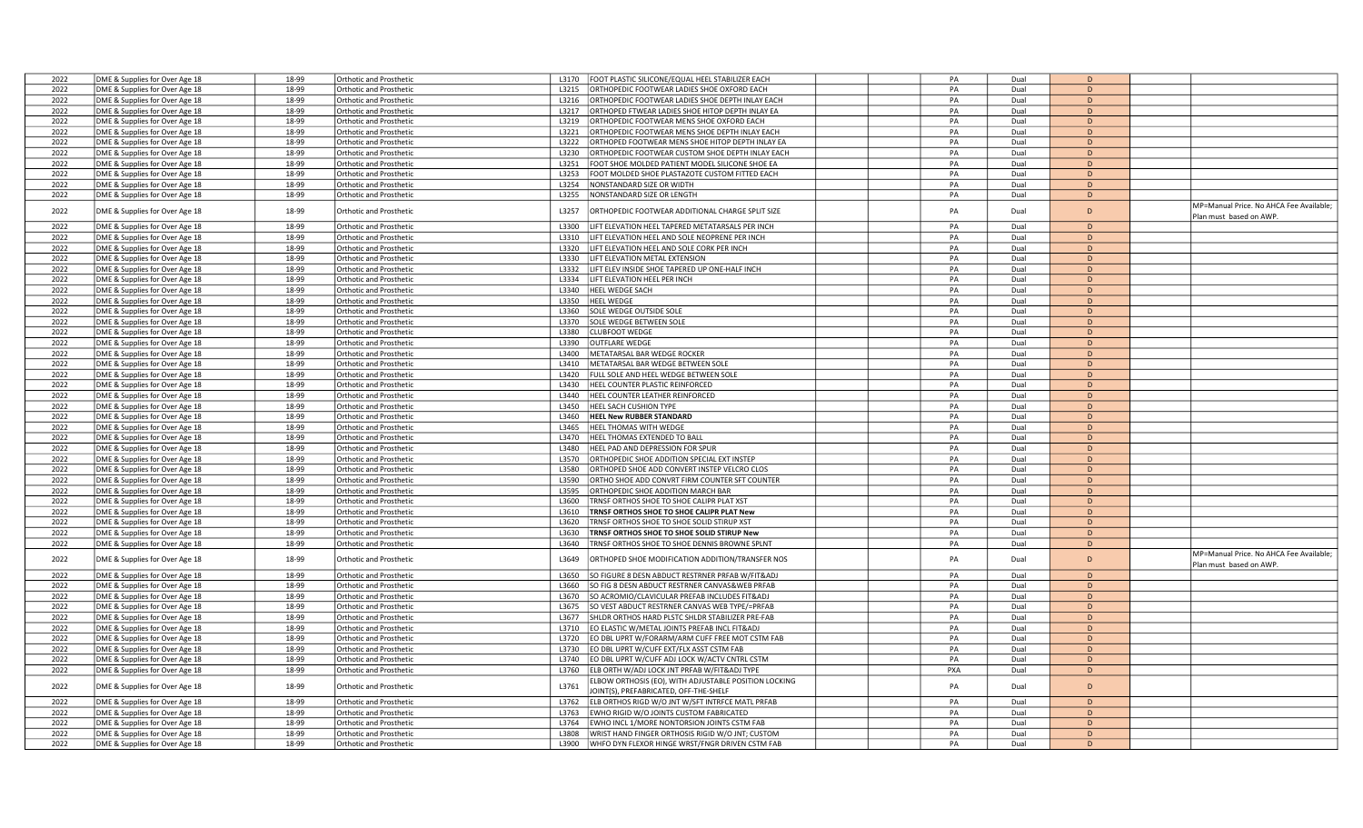| 2022 | DME & Supplies for Over Age 18                                   | 18-99 | <b>Orthotic and Prosthetic</b>                            | L3170 | FOOT PLASTIC SILICONE/EQUAL HEEL STABILIZER EACH                                              | PA  | Dual         | $\sqrt{2}$   |                                                                   |
|------|------------------------------------------------------------------|-------|-----------------------------------------------------------|-------|-----------------------------------------------------------------------------------------------|-----|--------------|--------------|-------------------------------------------------------------------|
| 2022 | DME & Supplies for Over Age 18                                   | 18-99 | Orthotic and Prosthetic                                   | L3215 | ORTHOPEDIC FOOTWEAR LADIES SHOE OXFORD EACH                                                   | PA  | Dual         | D            |                                                                   |
| 2022 | DME & Supplies for Over Age 18                                   | 18-99 | <b>Orthotic and Prosthetic</b>                            | L3216 | ORTHOPEDIC FOOTWEAR LADIES SHOE DEPTH INLAY EACH                                              | PA  | Dual         | D            |                                                                   |
| 2022 | DME & Supplies for Over Age 18                                   | 18-99 | <b>Orthotic and Prosthetic</b>                            | L3217 | ORTHOPED FTWEAR LADIES SHOE HITOP DEPTH INLAY EA                                              | PA  | Dual         | D            |                                                                   |
| 2022 | DME & Supplies for Over Age 18                                   | 18-99 | <b>Orthotic and Prosthetic</b>                            | L3219 | ORTHOPEDIC FOOTWEAR MENS SHOE OXFORD EACH                                                     | PA  | Dual         | D            |                                                                   |
| 2022 | DME & Supplies for Over Age 18                                   | 18-99 | <b>Orthotic and Prosthetic</b>                            | L3221 | IRTHOPEDIC FOOTWEAR MENS SHOE DEPTH INLAY EACH                                                | PA  | Dual         | D            |                                                                   |
| 2022 | DME & Supplies for Over Age 18                                   | 18-99 | <b>Orthotic and Prosthetic</b>                            | L3222 | ORTHOPED FOOTWEAR MENS SHOE HITOP DEPTH INLAY EA                                              | PA  | Dual         | D.           |                                                                   |
| 2022 | DME & Supplies for Over Age 18                                   | 18-99 | <b>Orthotic and Prosthetic</b>                            | L3230 | ORTHOPEDIC FOOTWEAR CUSTOM SHOE DEPTH INLAY EACH                                              | PA  | Dual         | D            |                                                                   |
| 2022 | DME & Supplies for Over Age 18                                   | 18-99 | Orthotic and Prosthetic                                   | L3251 | OOT SHOE MOLDED PATIENT MODEL SILICONE SHOE EA                                                | PA  | Dual         | D            |                                                                   |
| 2022 |                                                                  | 18-99 |                                                           | L3253 | OOT MOLDED SHOE PLASTAZOTE CUSTOM FITTED EACH                                                 | PA  | Dual         | D            |                                                                   |
|      | DME & Supplies for Over Age 18                                   |       | <b>Orthotic and Prosthetic</b>                            |       |                                                                                               |     |              |              |                                                                   |
| 2022 | DME & Supplies for Over Age 18                                   | 18-99 | <b>Orthotic and Prosthetic</b>                            | L3254 | NONSTANDARD SIZE OR WIDTH                                                                     | PA  | Dual         | D            |                                                                   |
| 2022 | DME & Supplies for Over Age 18                                   | 18-99 | <b>Orthotic and Prosthetic</b>                            | L3255 | NONSTANDARD SIZE OR LENGTH                                                                    | PA  | Dual         | D            |                                                                   |
| 2022 | DME & Supplies for Over Age 18                                   | 18-99 | <b>Orthotic and Prosthetic</b>                            | L3257 | ORTHOPEDIC FOOTWEAR ADDITIONAL CHARGE SPLIT SIZE                                              | PA  | Dual         | D            | MP=Manual Price. No AHCA Fee Available;<br>Plan must based on AWP |
| 2022 | DME & Supplies for Over Age 18                                   | 18-99 | Orthotic and Prosthetic                                   | L3300 | IFT ELEVATION HEEL TAPERED METATARSALS PER INCH                                               | PA  | Dual         | D            |                                                                   |
| 2022 | DME & Supplies for Over Age 18                                   | 18-99 | <b>Orthotic and Prosthetic</b>                            | L3310 | IFT ELEVATION HEEL AND SOLE NEOPRENE PER INCH                                                 | PA  | Dual         | D            |                                                                   |
| 2022 | DME & Supplies for Over Age 18                                   | 18-99 | <b>Orthotic and Prosthetic</b>                            | L3320 | IFT ELEVATION HEEL AND SOLE CORK PER INCH                                                     | PA  | Dual         | D            |                                                                   |
| 2022 | DME & Supplies for Over Age 18                                   | 18-99 | <b>Orthotic and Prosthetic</b>                            | L3330 | IFT ELEVATION METAL EXTENSION                                                                 | PA  | Dual         | D            |                                                                   |
| 2022 | DME & Supplies for Over Age 18                                   | 18-99 | <b>Orthotic and Prosthetic</b>                            | L3332 | IFT ELEV INSIDE SHOE TAPERED UP ONE-HALF INCH                                                 | PA  | Dual         | D            |                                                                   |
| 2022 | DME & Supplies for Over Age 18                                   | 18-99 | <b>Orthotic and Prosthetic</b>                            | L3334 | IFT ELEVATION HEEL PER INCH                                                                   | PA  | Dual         | D            |                                                                   |
| 2022 | DME & Supplies for Over Age 18                                   | 18-99 | <b>Orthotic and Prosthetic</b>                            | L3340 | HEEL WEDGE SACH                                                                               | PA  | Dual         | D            |                                                                   |
| 2022 | DME & Supplies for Over Age 18                                   | 18-99 | <b>Orthotic and Prosthetic</b>                            | L3350 | <b>HEEL WEDGE</b>                                                                             | PA  | Dual         | D            |                                                                   |
| 2022 |                                                                  | 18-99 | <b>Orthotic and Prosthetic</b>                            | L3360 | SOLE WEDGE OUTSIDE SOLE                                                                       | PA  | Dual         | D            |                                                                   |
| 2022 | DME & Supplies for Over Age 18                                   |       |                                                           |       |                                                                                               |     |              |              |                                                                   |
|      | DME & Supplies for Over Age 18                                   | 18-99 | Orthotic and Prosthetic                                   | L3370 | SOLE WEDGE BETWEEN SOLE                                                                       | PA  | Dual         | D<br>D.      |                                                                   |
| 2022 | DME & Supplies for Over Age 18                                   | 18-99 | <b>Orthotic and Prosthetic</b>                            | L3380 | LUBFOOT WEDGE                                                                                 | PA  | Dual         |              |                                                                   |
| 2022 | DME & Supplies for Over Age 18                                   | 18-99 | <b>Orthotic and Prosthetic</b>                            | L3390 | <b>OUTFLARE WEDGE</b>                                                                         | PA  | Dual         | D            |                                                                   |
| 2022 | DME & Supplies for Over Age 18                                   | 18-99 | <b>Orthotic and Prosthetic</b>                            | L3400 | METATARSAL BAR WEDGE ROCKER                                                                   | PA  | Dual         | D            |                                                                   |
| 2022 | DME & Supplies for Over Age 18                                   | 18-99 | <b>Orthotic and Prosthetic</b>                            | L3410 | METATARSAL BAR WEDGE BETWEEN SOLE                                                             | PA  | Dual         | D            |                                                                   |
| 2022 | DME & Supplies for Over Age 18                                   | 18-99 | Orthotic and Prosthetic                                   | 13420 | ULL SOLE AND HEEL WEDGE BETWEEN SOLE                                                          | PA  | Dual         | D            |                                                                   |
| 2022 | DME & Supplies for Over Age 18                                   | 18-99 | Orthotic and Prosthetic                                   | L3430 | HEEL COUNTER PLASTIC REINFORCED                                                               | PA  | Dual         | D            |                                                                   |
| 2022 | DME & Supplies for Over Age 18                                   | 18-99 | <b>Orthotic and Prosthetic</b>                            | L3440 | HEEL COUNTER LEATHER REINFORCED                                                               | PA  | Dual         | D            |                                                                   |
| 2022 | DME & Supplies for Over Age 18                                   | 18-99 | <b>Orthotic and Prosthetic</b>                            | L3450 | HEEL SACH CUSHION TYPE                                                                        | PA  | Dual         | D            |                                                                   |
| 2022 | DME & Supplies for Over Age 18                                   | 18-99 | <b>Orthotic and Prosthetic</b>                            | L3460 | <b>HEEL New RUBBER STANDARD</b>                                                               | PA  | Dual         | D            |                                                                   |
| 2022 | DME & Supplies for Over Age 18                                   | 18-99 | <b>Orthotic and Prosthetic</b>                            | L3465 | HEEL THOMAS WITH WEDGE                                                                        | PA  | Dual         | D            |                                                                   |
| 2022 | DME & Supplies for Over Age 18                                   | 18-99 | <b>Orthotic and Prosthetic</b>                            | L3470 | <b>IEEL THOMAS EXTENDED TO BALL</b>                                                           | PA  | Dual         | $\mathsf{D}$ |                                                                   |
| 2022 | DME & Supplies for Over Age 18                                   | 18-99 | <b>Orthotic and Prosthetic</b>                            | L3480 | HEEL PAD AND DEPRESSION FOR SPUR                                                              | PA  | Dual         | D            |                                                                   |
| 2022 | DME & Supplies for Over Age 18                                   | 18-99 | <b>Orthotic and Prosthetic</b>                            | L3570 | ORTHOPEDIC SHOE ADDITION SPECIAL EXT INSTEP                                                   | PA  | Dual         | D.           |                                                                   |
| 2022 | DME & Supplies for Over Age 18                                   | 18-99 | <b>Orthotic and Prosthetic</b>                            | L3580 | ORTHOPED SHOE ADD CONVERT INSTEP VELCRO CLOS                                                  | PA  | Dual         | D            |                                                                   |
| 2022 | DME & Supplies for Over Age 18                                   | 18-99 | <b>Orthotic and Prosthetic</b>                            | L3590 | ORTHO SHOE ADD CONVRT FIRM COUNTER SFT COUNTER                                                | PA  | Dual         | D            |                                                                   |
| 2022 | DME & Supplies for Over Age 18                                   | 18-99 | <b>Orthotic and Prosthetic</b>                            | L3595 | <b>IRTHOPEDIC SHOE ADDITION MARCH BAR</b>                                                     | PA  | Dual         | D.           |                                                                   |
| 2022 | DME & Supplies for Over Age 18                                   | 18-99 | <b>Orthotic and Prosthetic</b>                            | L3600 | RNSF ORTHOS SHOE TO SHOE CALIPR PLAT XST                                                      | PA  | Dual         | D            |                                                                   |
| 2022 | DME & Supplies for Over Age 18                                   | 18-99 | <b>Orthotic and Prosthetic</b>                            | L3610 | <b>TRNSF ORTHOS SHOE TO SHOE CALIPR PLAT New</b>                                              | PA  | Dual         | D            |                                                                   |
| 2022 | DME & Supplies for Over Age 18                                   | 18-99 | <b>Orthotic and Prosthetic</b>                            | L3620 | RNSF ORTHOS SHOE TO SHOE SOLID STIRUP XST                                                     | PA  | Dual         | D            |                                                                   |
| 2022 | DME & Supplies for Over Age 18                                   | 18-99 | Orthotic and Prosthetic                                   | L3630 | RNSF ORTHOS SHOE TO SHOE SOLID STIRUP New                                                     | PA  | Dual         | D            |                                                                   |
| 2022 | DME & Supplies for Over Age 18                                   | 18-99 | <b>Orthotic and Prosthetic</b>                            | L3640 | RNSF ORTHOS SHOE TO SHOE DENNIS BROWNE SPLNT                                                  | PA  | Dual         | D            |                                                                   |
| 2022 | DME & Supplies for Over Age 18                                   | 18-99 | Orthotic and Prosthetic                                   | L3649 | ORTHOPED SHOE MODIFICATION ADDITION/TRANSFER NOS                                              | PA  | Dual         | D            | MP=Manual Price. No AHCA Fee Available;                           |
| 2022 | DME & Supplies for Over Age 18                                   | 18-99 | Orthotic and Prosthetic                                   | L3650 | SO FIGURE 8 DESN ABDUCT RESTRNER PRFAB W/FIT&ADJ                                              | PA  | Dual         | D            | Plan must based on AWP                                            |
| 2022 |                                                                  | 18-99 |                                                           | L3660 | O FIG 8 DESN ABDUCT RESTRNER CANVAS&WEB PRFAB                                                 | PA  |              | D            |                                                                   |
| 2022 | DME & Supplies for Over Age 18<br>DME & Supplies for Over Age 18 | 18-99 | <b>Orthotic and Prosthetic</b><br>Orthotic and Prosthetic | L3670 | SO ACROMIO/CLAVICULAR PREFAB INCLUDES FIT&ADJ                                                 | PA  | Dual<br>Dual | D            |                                                                   |
| 2022 | DME & Supplies for Over Age 18                                   | 18-99 | Orthotic and Prosthetic                                   | L3675 | SO VEST ABDUCT RESTRNER CANVAS WEB TYPE/=PRFAB                                                | PA  | Dual         | D            |                                                                   |
| 2022 |                                                                  | 18-99 |                                                           | L3677 | HLDR ORTHOS HARD PLSTC SHLDR STABILIZER PRE-FAB                                               | PA  |              | D            |                                                                   |
|      | DME & Supplies for Over Age 18                                   |       | <b>Orthotic and Prosthetic</b>                            |       |                                                                                               |     | Dual         |              |                                                                   |
| 2022 | DME & Supplies for Over Age 18                                   | 18-99 | <b>Orthotic and Prosthetic</b>                            | L3710 | EO ELASTIC W/METAL JOINTS PREFAB INCL FIT&ADJ                                                 | PA  | Dual         | D            |                                                                   |
| 2022 | DME & Supplies for Over Age 18                                   | 18-99 | <b>Orthotic and Prosthetic</b>                            | L3720 | O DBL UPRT W/FORARM/ARM CUFF FREE MOT CSTM FAB                                                | PA  | Dual         | D<br>D.      |                                                                   |
| 2022 | DME & Supplies for Over Age 18                                   | 18-99 | <b>Orthotic and Prosthetic</b>                            | L3730 | O DBL UPRT W/CUFF EXT/FLX ASST CSTM FAB                                                       | PA  | Dual         |              |                                                                   |
| 2022 | DME & Supplies for Over Age 18                                   | 18-99 | Orthotic and Prosthetic                                   | L3740 | O DBL UPRT W/CUFF ADJ LOCK W/ACTV CNTRL CSTM                                                  | PA  | Dual         | D            |                                                                   |
| 2022 | DME & Supplies for Over Age 18                                   | 18-99 | <b>Orthotic and Prosthetic</b>                            | L3760 | LEB ORTH W/ADJ LOCK JNT PRFAB W/FIT&ADJ TYPE                                                  | PXA | Dual         | D            |                                                                   |
| 2022 | DME & Supplies for Over Age 18                                   | 18-99 | Orthotic and Prosthetic                                   | L3761 | LBOW ORTHOSIS (EO), WITH ADJUSTABLE POSITION LOCKING<br>OINT(S), PREFABRICATED, OFF-THE-SHELF | PA  | Dual         | D            |                                                                   |
| 2022 | DME & Supplies for Over Age 18                                   | 18-99 | Orthotic and Prosthetic                                   | L3762 | LB ORTHOS RIGD W/O JNT W/SFT INTRFCE MATL PRFAB                                               | PA  | Dual         | D            |                                                                   |
| 2022 | DME & Supplies for Over Age 18                                   | 18-99 | <b>Orthotic and Prosthetic</b>                            | L3763 | WHO RIGID W/O JOINTS CUSTOM FABRICATED                                                        | PA  | Dual         | D            |                                                                   |
| 2022 | DME & Supplies for Over Age 18                                   | 18-99 | <b>Orthotic and Prosthetic</b>                            | 13764 | WHO INCL 1/MORE NONTORSION JOINTS CSTM FAB                                                    | PA  | Dual         | $\mathsf{D}$ |                                                                   |
| 2022 | DME & Supplies for Over Age 18                                   | 18-99 | <b>Orthotic and Prosthetic</b>                            | 13808 | WRIST HAND FINGER ORTHOSIS RIGID W/O JNT; CUSTOM                                              | PA  | Dual         | D            |                                                                   |
| 2022 | DME & Supplies for Over Age 18                                   | 18-99 | <b>Orthotic and Prosthetic</b>                            | L3900 | WHFO DYN FLEXOR HINGE WRST/FNGR DRIVEN CSTM FAB                                               | PA  | Dual         | $\mathsf{D}$ |                                                                   |
|      |                                                                  |       |                                                           |       |                                                                                               |     |              |              |                                                                   |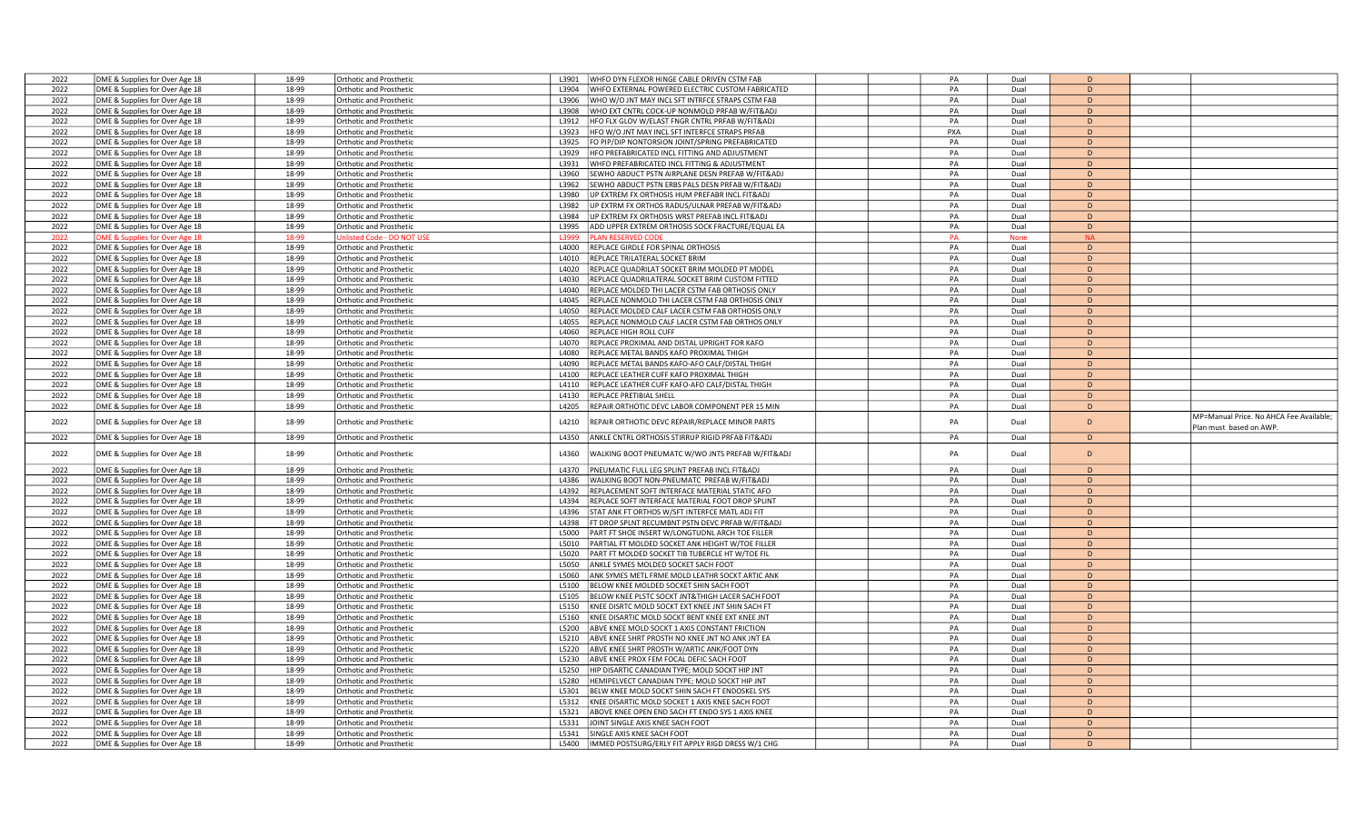| 2022         | DME & Supplies for Over Age 18                                   | 18-99          | <b>Orthotic and Prosthetic</b>                     | WHFO DYN FLEXOR HINGE CABLE DRIVEN CSTM FAB<br>L3901                                             | PA       | Dual         | D                 |                                         |
|--------------|------------------------------------------------------------------|----------------|----------------------------------------------------|--------------------------------------------------------------------------------------------------|----------|--------------|-------------------|-----------------------------------------|
| 2022         | DME & Supplies for Over Age 18                                   | 18-99          | <b>Orthotic and Prosthetic</b>                     | L3904<br>WHFO EXTERNAL POWERED ELECTRIC CUSTOM FABRICATED                                        | PA       | Dual         | D                 |                                         |
| 2022         | DME & Supplies for Over Age 18                                   | 18-99          | <b>Orthotic and Prosthetic</b>                     | L3906<br>WHO W/O JNT MAY INCL SFT INTRFCE STRAPS CSTM FAB                                        | PA       | Dual         | D                 |                                         |
| 2022         | DME & Supplies for Over Age 18                                   | 18-99          | Orthotic and Prosthetic                            | WHO EXT CNTRL COCK-UP NONMOLD PRFAB W/FIT&ADJ<br>L3908                                           | PA       | Dual         | D                 |                                         |
|              |                                                                  |                |                                                    |                                                                                                  |          |              |                   |                                         |
| 2022         | DME & Supplies for Over Age 18                                   | 18-99          | <b>Orthotic and Prosthetic</b>                     | HFO FLX GLOV W/ELAST FNGR CNTRL PRFAB W/FIT&ADJ<br>L3912                                         | PA       | Dual         | D                 |                                         |
| 2022         | DME & Supplies for Over Age 18                                   | 18-99          | <b>Orthotic and Prosthetic</b>                     | L3923<br>HFO W/O JNT MAY INCL SFT INTERFCE STRAPS PRFAB                                          | PXA      | Dual         | $\mathsf{D}$      |                                         |
| 2022         | DME & Supplies for Over Age 18                                   | 18-99          | <b>Orthotic and Prosthetic</b>                     | FO PIP/DIP NONTORSION JOINT/SPRING PREFABRICATED<br>L3925                                        | PA       | Dual         | D                 |                                         |
| 2022         | DME & Supplies for Over Age 18                                   | 18-99          | <b>Orthotic and Prosthetic</b>                     | L3929<br>HFO PREFABRICATED INCL FITTING AND ADJUSTMENT                                           | PA       | Dual         | D                 |                                         |
| 2022         | DME & Supplies for Over Age 18                                   | 18-99          | <b>Orthotic and Prosthetic</b>                     | L3931<br>WHFO PREFABRICATED INCL FITTING & ADJUSTMENT                                            | PA       | Dual         | D                 |                                         |
| 2022         |                                                                  | 18-99          |                                                    | SEWHO ABDUCT PSTN AIRPLANE DESN PREFAB W/FIT&ADJ                                                 | PA       |              | D                 |                                         |
|              | DME & Supplies for Over Age 18                                   |                | <b>Orthotic and Prosthetic</b>                     | L3960                                                                                            |          | Dual         |                   |                                         |
| 2022         | DME & Supplies for Over Age 18                                   | 18-99          | <b>Orthotic and Prosthetic</b>                     | L3962<br>SEWHO ABDUCT PSTN ERBS PALS DESN PRFAB W/FIT&ADJ                                        | PA       | Dual         | $\mathsf{D}$      |                                         |
| 2022         | DME & Supplies for Over Age 18                                   | 18-99          | <b>Orthotic and Prosthetic</b>                     | L3980<br>JP EXTREM FX ORTHOSIS HUM PREFABR INCL FIT&ADJ                                          | PA       | Dual         | D                 |                                         |
| 2022         | DME & Supplies for Over Age 18                                   | 18-99          | <b>Orthotic and Prosthetic</b>                     | UP EXTRM FX ORTHOS RADUS/ULNAR PREFAB W/FIT&ADJ<br>L3982                                         | PA       | Dual         | D                 |                                         |
| 2022         | DME & Supplies for Over Age 18                                   | 18-99          | <b>Orthotic and Prosthetic</b>                     | L3984<br>UP EXTREM FX ORTHOSIS WRST PREFAB INCL FIT&ADJ                                          | PA       | Dual         | D                 |                                         |
| 2022         | DME & Supplies for Over Age 18                                   | 18-99          | <b>Orthotic and Prosthetic</b>                     | L3995<br>ADD UPPER EXTREM ORTHOSIS SOCK FRACTURE/EQUAL EA                                        | PA       | Dual         | D                 |                                         |
|              |                                                                  |                |                                                    |                                                                                                  |          |              |                   |                                         |
| 2022         | DME & Supplies for Over Age 18                                   | 18-99          | nlisted Code - DO NOT US                           | <b>LAN RESERVED COD</b><br>L3999                                                                 | PA       | <b>None</b>  | <b>NA</b>         |                                         |
| 2022         | DME & Supplies for Over Age 18                                   | 18-99          | <b>Orthotic and Prosthetic</b>                     | L4000<br>REPLACE GIRDLE FOR SPINAL ORTHOSIS                                                      | PA       | Dual         | D                 |                                         |
| 2022         | DME & Supplies for Over Age 18                                   | 18-99          | <b>Orthotic and Prosthetic</b>                     | L4010<br>REPLACE TRILATERAL SOCKET BRIM                                                          | PA       | Dual         | D                 |                                         |
| 2022         | DME & Supplies for Over Age 18                                   | 18-99          | <b>Orthotic and Prosthetic</b>                     | REPLACE QUADRILAT SOCKET BRIM MOLDED PT MODEL<br>L4020                                           | PA       | Dual         | D                 |                                         |
| 2022         | DME & Supplies for Over Age 18                                   | 18-99          | <b>Orthotic and Prosthetic</b>                     | L4030<br>REPLACE QUADRILATERAL SOCKET BRIM CUSTOM FITTED                                         | PA       | Dual         | D                 |                                         |
|              |                                                                  |                |                                                    | L4040                                                                                            | PA       |              | D                 |                                         |
| 2022         | DME & Supplies for Over Age 18                                   | 18-99          | <b>Orthotic and Prosthetic</b>                     | REPLACE MOLDED THI LACER CSTM FAB ORTHOSIS ONLY                                                  |          | Dual         |                   |                                         |
| 2022         | DME & Supplies for Over Age 18                                   | 18-99          | <b>Orthotic and Prosthetic</b>                     | L4045<br>REPLACE NONMOLD THI LACER CSTM FAB ORTHOSIS ONLY                                        | PA       | Dual         | D                 |                                         |
| 2022         | DME & Supplies for Over Age 18                                   | 18-99          | <b>Orthotic and Prosthetic</b>                     | L4050<br>REPLACE MOLDED CALF LACER CSTM FAB ORTHOSIS ONLY                                        | PA       | Dual         | D                 |                                         |
| 2022         | DME & Supplies for Over Age 18                                   | 18-99          | <b>Orthotic and Prosthetic</b>                     | REPLACE NONMOLD CALF LACER CSTM FAB ORTHOS ONLY<br>L4055                                         | PA       | Dual         | D                 |                                         |
| 2022         | DME & Supplies for Over Age 18                                   | 18-99          | <b>Orthotic and Prosthetic</b>                     | REPLACE HIGH ROLL CUFF<br>L4060                                                                  | PA       | Dual         | $\bullet$         |                                         |
| 2022         | DME & Supplies for Over Age 18                                   | 18-99          | Orthotic and Prosthetic                            | L4070<br>REPLACE PROXIMAL AND DISTAL UPRIGHT FOR KAFO                                            | PA       | Dual         | D                 |                                         |
| 2022         |                                                                  | 18-99          |                                                    |                                                                                                  | PA       |              |                   |                                         |
|              | DME & Supplies for Over Age 18                                   |                | Orthotic and Prosthetic                            | L4080<br>REPLACE METAL BANDS KAFO PROXIMAL THIGH                                                 |          | Dual         | D                 |                                         |
| 2022         | DME & Supplies for Over Age 18                                   | 18-99          | <b>Orthotic and Prosthetic</b>                     | REPLACE METAL BANDS KAFO-AFO CALF/DISTAL THIGH<br>L4090                                          | PA       | Dual         | D                 |                                         |
| 2022         | DME & Supplies for Over Age 18                                   | 18-99          | <b>Orthotic and Prosthetic</b>                     | L4100<br>REPLACE LEATHER CUFF KAFO PROXIMAL THIGH                                                | PA       | Dual         | D                 |                                         |
| 2022         | DME & Supplies for Over Age 18                                   | 18-99          | <b>Orthotic and Prosthetic</b>                     | L4110<br>REPLACE LEATHER CUFF KAFO-AFO CALF/DISTAL THIGH                                         | PA       | Dual         | D                 |                                         |
| 2022         | DME & Supplies for Over Age 18                                   | 18-99          | <b>Orthotic and Prosthetic</b>                     | REPLACE PRETIBIAL SHELL<br>L4130                                                                 | PA       | Dual         | D                 |                                         |
| 2022         | DME & Supplies for Over Age 18                                   | 18-99          | <b>Orthotic and Prosthetic</b>                     | L4205<br>REPAIR ORTHOTIC DEVC LABOR COMPONENT PER 15 MIN                                         | PA       | Dual         | D                 |                                         |
|              |                                                                  |                |                                                    |                                                                                                  |          |              |                   |                                         |
|              |                                                                  |                |                                                    |                                                                                                  |          |              |                   |                                         |
|              |                                                                  |                |                                                    |                                                                                                  |          |              | D                 | MP=Manual Price. No AHCA Fee Available; |
| 2022         | DME & Supplies for Over Age 18                                   | 18-99          | <b>Orthotic and Prosthetic</b>                     | L4210<br>REPAIR ORTHOTIC DEVC REPAIR/REPLACE MINOR PARTS                                         | PA       | Dual         |                   | Plan must based on AWP.                 |
| 2022         | DME & Supplies for Over Age 18                                   | 18-99          | <b>Orthotic and Prosthetic</b>                     | L4350<br>ANKLE CNTRL ORTHOSIS STIRRUP RIGID PRFAB FIT&ADJ                                        | PA       | Dual         | D                 |                                         |
|              |                                                                  |                |                                                    |                                                                                                  |          |              |                   |                                         |
| 2022         | DME & Supplies for Over Age 18                                   | 18-99          | Orthotic and Prosthetic                            | L4360<br>WALKING BOOT PNEUMATC W/WO JNTS PREFAB W/FIT&ADJ                                        | PA       | Dual         | $\overline{D}$    |                                         |
|              |                                                                  |                |                                                    |                                                                                                  |          |              |                   |                                         |
| 2022         | DME & Supplies for Over Age 18                                   | 18-99          | <b>Orthotic and Prosthetic</b>                     | L4370<br>PNEUMATIC FULL LEG SPLINT PREFAB INCL FIT&ADJ                                           | PA       | Dual         | D                 |                                         |
| 2022         | DME & Supplies for Over Age 18                                   | 18-99          | <b>Orthotic and Prosthetic</b>                     | L4386<br>WALKING BOOT NON-PNEUMATC PREFAB W/FIT&ADJ                                              | PA       | Dual         | D                 |                                         |
| 2022         | DME & Supplies for Over Age 18                                   | 18-99          | <b>Orthotic and Prosthetic</b>                     | REPLACEMENT SOFT INTERFACE MATERIAL STATIC AFO<br>L4392                                          | PA       | Dual         | D                 |                                         |
| 2022         | DME & Supplies for Over Age 18                                   | 18-99          | <b>Orthotic and Prosthetic</b>                     | REPLACE SOFT INTERFACE MATERIAL FOOT DROP SPLINT<br>L4394                                        | PA       | Dual         | D                 |                                         |
|              |                                                                  | 18-99          |                                                    | L4396                                                                                            | PA       | Dual         | D                 |                                         |
| 2022         | DME & Supplies for Over Age 18                                   |                | <b>Orthotic and Prosthetic</b>                     | STAT ANK FT ORTHOS W/SFT INTERFCE MATL ADJ FIT                                                   |          |              |                   |                                         |
| 2022         | DME & Supplies for Over Age 18                                   | 18-99          | <b>Orthotic and Prosthetic</b>                     | FT DROP SPLNT RECUMBNT PSTN DEVC PRFAB W/FIT&ADJ<br>L4398                                        | PA       | Dual         | D                 |                                         |
| 2022         | DME & Supplies for Over Age 18                                   | 18-99          | <b>Orthotic and Prosthetic</b>                     | L5000<br>PART FT SHOE INSERT W/LONGTUDNL ARCH TOE FILLER                                         | PA       | Dual         | D                 |                                         |
| 2022         | DME & Supplies for Over Age 18                                   | 18-99          | Orthotic and Prosthetic                            | PARTIAL FT MOLDED SOCKET ANK HEIGHT W/TOE FILLER<br>L5010                                        | PA       | Dual         | D                 |                                         |
| 2022         | DME & Supplies for Over Age 18                                   | 18-99          | <b>Orthotic and Prosthetic</b>                     | L5020<br>PART FT MOLDED SOCKET TIB TUBERCLE HT W/TOE FIL                                         | PA       | Dual         | D                 |                                         |
| 2022         | DME & Supplies for Over Age 18                                   | 18-99          | <b>Orthotic and Prosthetic</b>                     | L5050<br>ANKLE SYMES MOLDED SOCKET SACH FOOT                                                     | PA       | Dual         | D                 |                                         |
| 2022         |                                                                  | 18-99          | <b>Orthotic and Prosthetic</b>                     | ANK SYMES METL FRME MOLD LEATHR SOCKT ARTIC ANK<br>L5060                                         | PA       | Dual         | D                 |                                         |
|              | DME & Supplies for Over Age 18                                   |                |                                                    |                                                                                                  |          |              |                   |                                         |
| 2022         | DME & Supplies for Over Age 18                                   | 18-99          | <b>Orthotic and Prosthetic</b>                     | BELOW KNEE MOLDED SOCKET SHIN SACH FOOT<br>L5100                                                 | PA       | Dual         | D                 |                                         |
| 2022         | DME & Supplies for Over Age 18                                   | 18-99          | <b>Orthotic and Prosthetic</b>                     | BELOW KNEE PLSTC SOCKT JNT&THIGH LACER SACH FOOT<br>L5105                                        | PA       | Dual         | D                 |                                         |
| 2022         | DME & Supplies for Over Age 18                                   | 18-99          | Orthotic and Prosthetic                            | KNEE DISRTC MOLD SOCKT EXT KNEE JNT SHIN SACH FT<br>L5150                                        | PA       | Dual         | D                 |                                         |
| 2022         | DME & Supplies for Over Age 18                                   | 18-99          | <b>Orthotic and Prosthetic</b>                     | <b>(NEE DISARTIC MOLD SOCKT BENT KNEE EXT KNEE JNT</b><br>L5160                                  | PA       | Dual         | D                 |                                         |
| 2022         | DME & Supplies for Over Age 18                                   | 18-99          | <b>Orthotic and Prosthetic</b>                     | L5200<br>ABVE KNEE MOLD SOCKT 1 AXIS CONSTANT FRICTION                                           | PA       | Dual         | D                 |                                         |
| 2022         |                                                                  | 18-99          | <b>Orthotic and Prosthetic</b>                     | L5210<br>ABVE KNEE SHRT PROSTH NO KNEE JNT NO ANK JNT EA                                         | PA       | Dual         | D                 |                                         |
|              | DME & Supplies for Over Age 18                                   |                |                                                    |                                                                                                  |          |              | D.                |                                         |
| 2022         | DME & Supplies for Over Age 18                                   | 18-99          | <b>Orthotic and Prosthetic</b>                     | ABVE KNEE SHRT PROSTH W/ARTIC ANK/FOOT DYN<br>L5220                                              | PA       | Dual         |                   |                                         |
| 2022         | DME & Supplies for Over Age 18                                   | 18-99          | <b>Orthotic and Prosthetic</b>                     | L5230<br>ABVE KNEE PROX FEM FOCAL DEFIC SACH FOOT                                                | PA       | Dual         | D                 |                                         |
| 2022         | DME & Supplies for Over Age 18                                   | 18-99          | Orthotic and Prosthetic                            | L5250<br>HIP DISARTIC CANADIAN TYPE; MOLD SOCKT HIP JNT                                          | PA       | Dual         | D                 |                                         |
| 2022         | DME & Supplies for Over Age 18                                   | 18-99          | <b>Orthotic and Prosthetic</b>                     | L5280<br>HEMIPELVECT CANADIAN TYPE; MOLD SOCKT HIP JNT                                           | PA       | Dual         | D                 |                                         |
| 2022         | DME & Supplies for Over Age 18                                   | 18-99          | <b>Orthotic and Prosthetic</b>                     | L5301<br>BELW KNEE MOLD SOCKT SHIN SACH FT ENDOSKEL SYS                                          | PA       | Dual         | D                 |                                         |
| 2022         | DME & Supplies for Over Age 18                                   | 18-99          | Orthotic and Prosthetic                            | L5312<br>KNEE DISARTIC MOLD SOCKET 1 AXIS KNEE SACH FOOT                                         | PA       | Dual         | D                 |                                         |
|              |                                                                  |                |                                                    |                                                                                                  |          |              | $\mathsf{D}$      |                                         |
| 2022         | DME & Supplies for Over Age 18                                   | 18-99          | <b>Orthotic and Prosthetic</b>                     | ABOVE KNEE OPEN END SACH FT ENDO SYS 1 AXIS KNEE<br>L5321                                        | PA       | Dual         |                   |                                         |
| 2022         | DME & Supplies for Over Age 18                                   | 18-99          | Orthotic and Prosthetic                            | JOINT SINGLE AXIS KNEE SACH FOOT<br>L5331                                                        | PA       | Dual         | D                 |                                         |
| 2022<br>2022 | DME & Supplies for Over Age 18<br>DME & Supplies for Over Age 18 | 18-99<br>18-99 | Orthotic and Prosthetic<br>Orthotic and Prosthetic | L5341<br>SINGLE AXIS KNEE SACH FOOT<br>IMMED POSTSURG/ERLY FIT APPLY RIGD DRESS W/1 CHG<br>L5400 | PA<br>PA | Dual<br>Dual | D<br>$\mathsf{D}$ |                                         |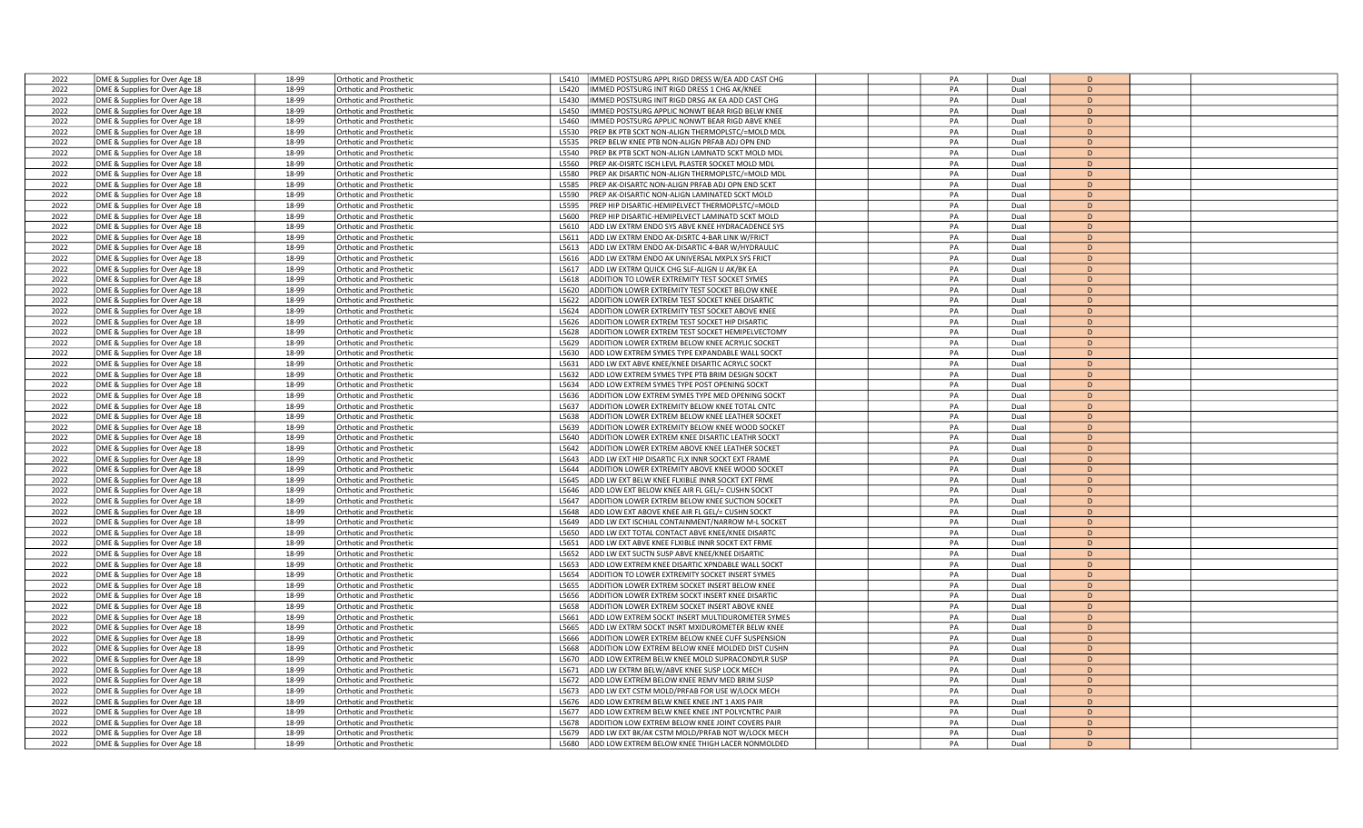| PA<br>2022<br>DME & Supplies for Over Age 18<br>18-99<br>IMMED POSTSURG APPL RIGD DRESS W/EA ADD CAST CHG<br>Dual<br>Orthotic and Prosthetic<br>L5410<br>D<br>2022<br>DME & Supplies for Over Age 18<br>18-99<br><b>Orthotic and Prosthetic</b><br>L5420<br>IMMED POSTSURG INIT RIGD DRESS 1 CHG AK/KNEE<br>PA<br>Dual<br>D<br>2022<br>DME & Supplies for Over Age 18<br>18-99<br>Orthotic and Prosthetic<br>L5430<br>IMMED POSTSURG INIT RIGD DRSG AK EA ADD CAST CHG<br>PA<br>Dual<br>D<br>PA<br>D<br>2022<br>DME & Supplies for Over Age 18<br>18-99<br>L5450<br>IMMED POSTSURG APPLIC NONWT BEAR RIGD BELW KNEE<br>Dual<br>Orthotic and Prosthetic<br>2022<br>18-99<br>L5460<br>IMMED POSTSURG APPLIC NONWT BEAR RIGD ABVE KNEE<br>PA<br>D<br>DME & Supplies for Over Age 18<br><b>Orthotic and Prosthetic</b><br>Dual<br>2022<br>DME & Supplies for Over Age 18<br>18-99<br>PREP BK PTB SCKT NON-ALIGN THERMOPLSTC/=MOLD MDI<br>PA<br><b>Orthotic and Prosthetic</b><br>L5530<br>Dual<br>$\overline{D}$<br>2022<br>18-99<br>PREP BELW KNEE PTB NON-ALIGN PRFAB ADJ OPN END<br>PA<br>DME & Supplies for Over Age 18<br><b>Orthotic and Prosthetic</b><br>L5535<br>Dual<br>D<br>2022<br>18-99<br><b>Orthotic and Prosthetic</b><br>L5540<br>PREP BK PTB SCKT NON-ALIGN LAMNATD SCKT MOLD MDL<br>PA<br>Dual<br>D<br>DME & Supplies for Over Age 18<br>2022<br>DME & Supplies for Over Age 18<br>18-99<br>PREP AK-DISRTC ISCH LEVL PLASTER SOCKET MOLD MDL<br>PA<br>D<br>Orthotic and Prosthetic<br>L5560<br>Dual<br>2022<br>18-99<br>PA<br>Dual<br>D<br>DME & Supplies for Over Age 18<br><b>Orthotic and Prosthetic</b><br>L5580<br>PREP AK DISARTIC NON-ALIGN THERMOPLSTC/=MOLD MDL<br>2022<br>18-99<br>PA<br>DME & Supplies for Over Age 18<br>L5585<br>PREP AK-DISARTC NON-ALIGN PRFAB ADJ OPN END SCKT<br>Dual<br>D<br>Orthotic and Prosthetic<br>2022<br>DME & Supplies for Over Age 18<br>18-99<br><b>Orthotic and Prosthetic</b><br>L5590<br>PREP AK-DISARTIC NON-ALIGN LAMINATED SCKT MOLD<br>PA<br>Dual<br>D<br>2022<br>18-99<br>PREP HIP DISARTIC-HEMIPELVECT THERMOPLSTC/=MOLD<br>PA<br>Dual<br>D<br>DME & Supplies for Over Age 18<br>Orthotic and Prosthetic<br>L5595<br>2022<br>18-99<br>PREP HIP DISARTIC-HEMIPELVECT LAMINATD SCKT MOLD<br>PA<br>Dual<br>D<br>DME & Supplies for Over Age 18<br><b>Orthotic and Prosthetic</b><br><b>L5600</b><br>2022<br>DME & Supplies for Over Age 18<br>18-99<br>Orthotic and Prosthetic<br>L5610<br>ADD LW EXTRM ENDO SYS ABVE KNEE HYDRACADENCE SYS<br>PA<br>Dual<br>D<br>2022<br>DME & Supplies for Over Age 18<br>18-99<br>ADD LW EXTRM ENDO AK-DISRTC 4-BAR LINK W/FRICT<br>PA<br>D<br>Orthotic and Prosthetic<br>L5611<br>Dual<br>2022<br>DME & Supplies for Over Age 18<br>18-99<br><b>Orthotic and Prosthetic</b><br>L5613<br>ADD LW EXTRM ENDO AK-DISARTIC 4-BAR W/HYDRAULIC<br>PA<br>Dual<br>D<br>2022<br>DME & Supplies for Over Age 18<br>18-99<br><b>Orthotic and Prosthetic</b><br>L5616<br>ADD LW EXTRM ENDO AK UNIVERSAL MXPLX SYS FRICT<br>PA<br>Dual<br>D<br>2022<br>18-99<br>ADD LW EXTRM QUICK CHG SLF-ALIGN U AK/BK EA<br>PA<br>Dual<br>D<br>DME & Supplies for Over Age 18<br>Orthotic and Prosthetic<br>L5617<br>2022<br>18-99<br>ADDITION TO LOWER EXTREMITY TEST SOCKET SYMES<br>PA<br>Dual<br>D<br>DME & Supplies for Over Age 18<br><b>Orthotic and Prosthetic</b><br>L5618<br>2022<br>DME & Supplies for Over Age 18<br>18-99<br>ADDITION LOWER EXTREMITY TEST SOCKET BELOW KNEE<br>PA<br>D<br><b>Drthotic and Prosthetic</b><br>L5620<br>Dual<br>2022<br>18-99<br>ADDITION LOWER EXTREM TEST SOCKET KNEE DISARTIC<br>PA<br>Dual<br>D<br>DME & Supplies for Over Age 18<br>L5622<br>Orthotic and Prosthetic<br>2022<br>DME & Supplies for Over Age 18<br>18-99<br><b>Orthotic and Prosthetic</b><br>L5624<br>ADDITION LOWER EXTREMITY TEST SOCKET ABOVE KNEE<br>PA<br>Dual<br>D<br>2022<br>DME & Supplies for Over Age 18<br>18-99<br><b>Orthotic and Prosthetic</b><br>L5626<br>ADDITION LOWER EXTREM TEST SOCKET HIP DISARTIC<br>PA<br>Dual<br>D<br>2022<br>DME & Supplies for Over Age 18<br>18-99<br>ADDITION LOWER EXTREM TEST SOCKET HEMIPELVECTOMY<br>PA<br>Dual<br>D<br>Orthotic and Prosthetic<br>L5628<br>2022<br>18-99<br><b>Orthotic and Prosthetic</b><br>L5629<br>ADDITION LOWER EXTREM BELOW KNEE ACRYLIC SOCKET<br>PA<br>Dual<br>D<br>DME & Supplies for Over Age 18<br>2022<br>DME & Supplies for Over Age 18<br>18-99<br><b>Orthotic and Prosthetic</b><br>L5630<br>ADD LOW EXTREM SYMES TYPE EXPANDABLE WALL SOCKT<br>PA<br>Dual<br>D<br>2022<br>PA<br>DME & Supplies for Over Age 18<br>18-99<br>ADD LW EXT ABVE KNEE/KNEE DISARTIC ACRYLC SOCKT<br>Dual<br>D<br><b>Orthotic and Prosthetic</b><br>L5631<br>2022<br>DME & Supplies for Over Age 18<br>18-99<br><b>Orthotic and Prosthetic</b><br>L5632<br>ADD LOW EXTREM SYMES TYPE PTB BRIM DESIGN SOCKT<br>PA<br>Dual<br>D<br>2022<br>DME & Supplies for Over Age 18<br>18-99<br>L5634<br>ADD LOW EXTREM SYMES TYPE POST OPENING SOCKT<br>PA<br>Dual<br>D<br>Orthotic and Prosthetic<br>18-99<br>ADDITION LOW EXTREM SYMES TYPE MED OPENING SOCKT<br>PA<br>2022<br>DME & Supplies for Over Age 18<br>Dual<br>D<br>Orthotic and Prosthetic<br>L5636<br>2022<br>DME & Supplies for Over Age 18<br>18-99<br><b>Orthotic and Prosthetic</b><br>L5637<br>ADDITION LOWER EXTREMITY BELOW KNEE TOTAL CNTC<br>PA<br>Dual<br>D<br>2022<br>DME & Supplies for Over Age 18<br>18-99<br>Orthotic and Prosthetic<br>L5638<br>ADDITION LOWER EXTREM BELOW KNEE LEATHER SOCKET<br>PA<br>Dual<br>D<br>2022<br>18-99<br>ADDITION LOWER EXTREMITY BELOW KNEE WOOD SOCKET<br>PA<br>$\mathsf D$<br>DME & Supplies for Over Age 18<br>Orthotic and Prosthetic<br>L5639<br>Dual<br>2022<br>DME & Supplies for Over Age 18<br>18-99<br><b>Orthotic and Prosthetic</b><br>L5640<br>ADDITION LOWER EXTREM KNEE DISARTIC LEATHR SOCKT<br>PA<br>Dual<br>D<br>2022<br>DME & Supplies for Over Age 18<br>18-99<br>ADDITION LOWER EXTREM ABOVE KNEE LEATHER SOCKET<br>PA<br>D<br>Orthotic and Prosthetic<br>L5642<br>Dual<br>PA<br>2022<br>DME & Supplies for Over Age 18<br>18-99<br>ADD LW EXT HIP DISARTIC FLX INNR SOCKT EXT FRAME<br>Dual<br>D<br><b>Orthotic and Prosthetic</b><br>L5643<br>2022<br>DME & Supplies for Over Age 18<br>18-99<br><b>Orthotic and Prosthetic</b><br>L5644<br>ADDITION LOWER EXTREMITY ABOVE KNEE WOOD SOCKET<br>PA<br>Dual<br>D<br>2022<br>DME & Supplies for Over Age 18<br>18-99<br>Orthotic and Prosthetic<br>L5645<br>ADD LW EXT BELW KNEE FLXIBLE INNR SOCKT EXT FRME<br>PA<br>Dual<br>D<br>2022<br>18-99<br>PA<br>Dual<br>$\mathsf D$<br>DME & Supplies for Over Age 18<br><b>Orthotic and Prosthetic</b><br>L5646<br>ADD LOW EXT BELOW KNEE AIR FL GEL/= CUSHN SOCKT<br>2022<br>18-99<br>ADDITION LOWER EXTREM BELOW KNEE SUCTION SOCKET<br>PA<br>D<br>DME & Supplies for Over Age 18<br>Orthotic and Prosthetic<br>L5647<br>Dual<br>2022<br>DME & Supplies for Over Age 18<br>18-99<br><b>Orthotic and Prosthetic</b><br>L5648<br>ADD LOW EXT ABOVE KNEE AIR FL GEL/= CUSHN SOCKT<br>PA<br>Dual<br>D<br>ADD LW EXT ISCHIAL CONTAINMENT/NARROW M-L SOCKET<br>2022<br>DME & Supplies for Over Age 18<br>18-99<br>PA<br>Dual<br>D<br><b>Orthotic and Prosthetic</b><br>L5649<br>PA<br>2022<br>DME & Supplies for Over Age 18<br>18-99<br><b>Orthotic and Prosthetic</b><br>L5650<br>ADD LW EXT TOTAL CONTACT ABVE KNEE/KNEE DISARTC<br>Dual<br>D<br>2022<br>DME & Supplies for Over Age 18<br>18-99<br>Orthotic and Prosthetic<br>L5651<br>ADD LW EXT ABVE KNEE FLXIBLE INNR SOCKT EXT FRME<br>PA<br>Dual<br>D<br>2022<br>18-99<br>PA<br>D<br>DME & Supplies for Over Age 18<br>L5652<br>ADD LW EXT SUCTN SUSP ABVE KNEE/KNEE DISARTIC<br>Dual<br>Orthotic and Prosthetic<br>2022<br>DME & Supplies for Over Age 18<br>18-99<br><b>Orthotic and Prosthetic</b><br>L5653<br>ADD LOW EXTREM KNEE DISARTIC XPNDABLE WALL SOCKT<br>PA<br>Dual<br>D<br>2022<br>DME & Supplies for Over Age 18<br>18-99<br><b>Orthotic and Prosthetic</b><br>L5654<br>ADDITION TO LOWER EXTREMITY SOCKET INSERT SYMES<br>PA<br>Dual<br>D<br>2022<br>DME & Supplies for Over Age 18<br>18-99<br>ADDITION LOWER EXTREM SOCKET INSERT BELOW KNEE<br>PA<br>Dual<br>D<br>Orthotic and Prosthetic<br>L5655<br>2022<br>18-99<br>L5656<br>ADDITION LOWER EXTREM SOCKT INSERT KNEE DISARTIC<br>PA<br>Dual<br>D<br>DME & Supplies for Over Age 18<br>Orthotic and Prosthetic<br>2022<br>DME & Supplies for Over Age 18<br>18-99<br>Orthotic and Prosthetic<br>L5658<br>ADDITION LOWER EXTREM SOCKET INSERT ABOVE KNEE<br>PA<br>Dual<br>D<br>2022<br>DME & Supplies for Over Age 18<br>18-99<br>L5661<br>ADD LOW EXTREM SOCKT INSERT MULTIDUROMETER SYMES<br>PA<br>Dual<br>D<br>Orthotic and Prosthetic<br>2022<br>18-99<br>PA<br>D<br>DME & Supplies for Over Age 18<br><b>Orthotic and Prosthetic</b><br>L5665<br>ADD LW EXTRM SOCKT INSRT MXIDUROMETER BELW KNEE<br>Dual<br>2022<br>DME & Supplies for Over Age 18<br>18-99<br><b>Orthotic and Prosthetic</b><br>L5666<br>ADDITION LOWER EXTREM BELOW KNEE CUFF SUSPENSION<br>PA<br>Dual<br>D<br>2022<br>18-99<br>ADDITION LOW EXTREM BELOW KNEE MOLDED DIST CUSHN<br>PA<br>D<br>DME & Supplies for Over Age 18<br>Orthotic and Prosthetic<br>L5668<br>Dual<br>2022<br>DME & Supplies for Over Age 18<br>18-99<br><b>Orthotic and Prosthetic</b><br>L5670<br>ADD LOW EXTREM BELW KNEE MOLD SUPRACONDYLR SUSP<br>PA<br>Dual<br>D<br>2022<br>18-99<br>PA<br>D<br>DME & Supplies for Over Age 18<br>Orthotic and Prosthetic<br>L5671<br>ADD LW EXTRM BELW/ABVE KNEE SUSP LOCK MECH<br>Dual<br>2022<br>18-99<br>PA<br>D<br>DME & Supplies for Over Age 18<br>L5672<br>ADD LOW EXTREM BELOW KNEE REMV MED BRIM SUSP<br>Dual<br>Orthotic and Prosthetic<br>2022<br>DME & Supplies for Over Age 18<br>18-99<br><b>Orthotic and Prosthetic</b><br>L5673<br>ADD LW EXT CSTM MOLD/PRFAB FOR USE W/LOCK MECH<br>PA<br>Dual<br>D<br>2022<br>DME & Supplies for Over Age 18<br>18-99<br><b>Orthotic and Prosthetic</b><br>L5676<br>ADD LOW EXTREM BELW KNEE KNEE JNT 1 AXIS PAIR<br>PA<br>Dual<br>D<br>ADD LOW EXTREM BELW KNEE KNEE JNT POLYCNTRC PAIR<br>PA<br>2022<br>DME & Supplies for Over Age 18<br>18-99<br><b>Orthotic and Prosthetic</b><br>L5677<br>Dual<br>D<br>2022<br>18-99<br>ADDITION LOW EXTREM BELOW KNEE JOINT COVERS PAIR<br>PA<br>DME & Supplies for Over Age 18<br>Orthotic and Prosthetic<br>L5678<br>Dual<br>D<br>2022<br>18-99<br>ADD LW EXT BK/AK CSTM MOLD/PRFAB NOT W/LOCK MECH<br>PA<br>DME & Supplies for Over Age 18<br>Orthotic and Prosthetic<br>L5679<br>Dual<br>D<br>$\Gamma$ |      |                                |       |                         |                                                          |    |      |  |
|------------------------------------------------------------------------------------------------------------------------------------------------------------------------------------------------------------------------------------------------------------------------------------------------------------------------------------------------------------------------------------------------------------------------------------------------------------------------------------------------------------------------------------------------------------------------------------------------------------------------------------------------------------------------------------------------------------------------------------------------------------------------------------------------------------------------------------------------------------------------------------------------------------------------------------------------------------------------------------------------------------------------------------------------------------------------------------------------------------------------------------------------------------------------------------------------------------------------------------------------------------------------------------------------------------------------------------------------------------------------------------------------------------------------------------------------------------------------------------------------------------------------------------------------------------------------------------------------------------------------------------------------------------------------------------------------------------------------------------------------------------------------------------------------------------------------------------------------------------------------------------------------------------------------------------------------------------------------------------------------------------------------------------------------------------------------------------------------------------------------------------------------------------------------------------------------------------------------------------------------------------------------------------------------------------------------------------------------------------------------------------------------------------------------------------------------------------------------------------------------------------------------------------------------------------------------------------------------------------------------------------------------------------------------------------------------------------------------------------------------------------------------------------------------------------------------------------------------------------------------------------------------------------------------------------------------------------------------------------------------------------------------------------------------------------------------------------------------------------------------------------------------------------------------------------------------------------------------------------------------------------------------------------------------------------------------------------------------------------------------------------------------------------------------------------------------------------------------------------------------------------------------------------------------------------------------------------------------------------------------------------------------------------------------------------------------------------------------------------------------------------------------------------------------------------------------------------------------------------------------------------------------------------------------------------------------------------------------------------------------------------------------------------------------------------------------------------------------------------------------------------------------------------------------------------------------------------------------------------------------------------------------------------------------------------------------------------------------------------------------------------------------------------------------------------------------------------------------------------------------------------------------------------------------------------------------------------------------------------------------------------------------------------------------------------------------------------------------------------------------------------------------------------------------------------------------------------------------------------------------------------------------------------------------------------------------------------------------------------------------------------------------------------------------------------------------------------------------------------------------------------------------------------------------------------------------------------------------------------------------------------------------------------------------------------------------------------------------------------------------------------------------------------------------------------------------------------------------------------------------------------------------------------------------------------------------------------------------------------------------------------------------------------------------------------------------------------------------------------------------------------------------------------------------------------------------------------------------------------------------------------------------------------------------------------------------------------------------------------------------------------------------------------------------------------------------------------------------------------------------------------------------------------------------------------------------------------------------------------------------------------------------------------------------------------------------------------------------------------------------------------------------------------------------------------------------------------------------------------------------------------------------------------------------------------------------------------------------------------------------------------------------------------------------------------------------------------------------------------------------------------------------------------------------------------------------------------------------------------------------------------------------------------------------------------------------------------------------------------------------------------------------------------------------------------------------------------------------------------------------------------------------------------------------------------------------------------------------------------------------------------------------------------------------------------------------------------------------------------------------------------------------------------------------------------------------------------------------------------------------------------------------------------------------------------------------------------------------------------------------------------------------------------------------------------------------------------------------------------------------------------------------------------------------------------------------------------------------------------------------------------------------------------------------------------------------------------------------------------------------------------------------------------------------------------------------------------------------------------------------------------------------------------------------------------------------------------------------------------------------------------------------------------------------------------------------------------------------------------------------------------------------------------------------------------------------------------------------------------------------------------------------------------------------------------------------------------------------------------------------------------------------------------------------------------------------------------------------------------------------------------------------------------------------------------------------------------------------------------------------------------------------------------------------------------------------------------------------------------------------------------------------------------------------------------------------------------------------------------------------------------------------------------------------------------------------------------------------------------------------------------------------------------------------------------------------------------------------------------------------------------------------------------------------------------------------------------------------------------------------------------------------------------------------------------------------------------------------------------------------------------------------------------------------------------------------------------------------------------------------------------------------------------------------------------------------------------------------------------------------------------------------------------------------------------------------------------------------------------------------------------------------------------------------------------------------------------------------------------------------------------------------------------------------------------------------------------------------------------------------------------------------------------------------------------------------------------------------------------------------------------------------------------------------------------------------------------------------------------------------------------------------------------------------------------------------------------------|------|--------------------------------|-------|-------------------------|----------------------------------------------------------|----|------|--|
|                                                                                                                                                                                                                                                                                                                                                                                                                                                                                                                                                                                                                                                                                                                                                                                                                                                                                                                                                                                                                                                                                                                                                                                                                                                                                                                                                                                                                                                                                                                                                                                                                                                                                                                                                                                                                                                                                                                                                                                                                                                                                                                                                                                                                                                                                                                                                                                                                                                                                                                                                                                                                                                                                                                                                                                                                                                                                                                                                                                                                                                                                                                                                                                                                                                                                                                                                                                                                                                                                                                                                                                                                                                                                                                                                                                                                                                                                                                                                                                                                                                                                                                                                                                                                                                                                                                                                                                                                                                                                                                                                                                                                                                                                                                                                                                                                                                                                                                                                                                                                                                                                                                                                                                                                                                                                                                                                                                                                                                                                                                                                                                                                                                                                                                                                                                                                                                                                                                                                                                                                                                                                                                                                                                                                                                                                                                                                                                                                                                                                                                                                                                                                                                                                                                                                                                                                                                                                                                                                                                                                                                                                                                                                                                                                                                                                                                                                                                                                                                                                                                                                                                                                                                                                                                                                                                                                                                                                                                                                                                                                                                                                                                                                                                                                                                                                                                                                                                                                                                                                                                                                                                                                                                                                                                                                                                                                                                                                                                                                                                                                                                                                                                                                                                                                                                                                                                                                                                                                                                                                                                                                                                                                                                                                                                                                                                                                                                                                                                                                                                                                                                                                                                                                                                                                                                                                                                                                                                                                                                                                                                                                                                          |      |                                |       |                         |                                                          |    |      |  |
|                                                                                                                                                                                                                                                                                                                                                                                                                                                                                                                                                                                                                                                                                                                                                                                                                                                                                                                                                                                                                                                                                                                                                                                                                                                                                                                                                                                                                                                                                                                                                                                                                                                                                                                                                                                                                                                                                                                                                                                                                                                                                                                                                                                                                                                                                                                                                                                                                                                                                                                                                                                                                                                                                                                                                                                                                                                                                                                                                                                                                                                                                                                                                                                                                                                                                                                                                                                                                                                                                                                                                                                                                                                                                                                                                                                                                                                                                                                                                                                                                                                                                                                                                                                                                                                                                                                                                                                                                                                                                                                                                                                                                                                                                                                                                                                                                                                                                                                                                                                                                                                                                                                                                                                                                                                                                                                                                                                                                                                                                                                                                                                                                                                                                                                                                                                                                                                                                                                                                                                                                                                                                                                                                                                                                                                                                                                                                                                                                                                                                                                                                                                                                                                                                                                                                                                                                                                                                                                                                                                                                                                                                                                                                                                                                                                                                                                                                                                                                                                                                                                                                                                                                                                                                                                                                                                                                                                                                                                                                                                                                                                                                                                                                                                                                                                                                                                                                                                                                                                                                                                                                                                                                                                                                                                                                                                                                                                                                                                                                                                                                                                                                                                                                                                                                                                                                                                                                                                                                                                                                                                                                                                                                                                                                                                                                                                                                                                                                                                                                                                                                                                                                                                                                                                                                                                                                                                                                                                                                                                                                                                                                                                          |      |                                |       |                         |                                                          |    |      |  |
|                                                                                                                                                                                                                                                                                                                                                                                                                                                                                                                                                                                                                                                                                                                                                                                                                                                                                                                                                                                                                                                                                                                                                                                                                                                                                                                                                                                                                                                                                                                                                                                                                                                                                                                                                                                                                                                                                                                                                                                                                                                                                                                                                                                                                                                                                                                                                                                                                                                                                                                                                                                                                                                                                                                                                                                                                                                                                                                                                                                                                                                                                                                                                                                                                                                                                                                                                                                                                                                                                                                                                                                                                                                                                                                                                                                                                                                                                                                                                                                                                                                                                                                                                                                                                                                                                                                                                                                                                                                                                                                                                                                                                                                                                                                                                                                                                                                                                                                                                                                                                                                                                                                                                                                                                                                                                                                                                                                                                                                                                                                                                                                                                                                                                                                                                                                                                                                                                                                                                                                                                                                                                                                                                                                                                                                                                                                                                                                                                                                                                                                                                                                                                                                                                                                                                                                                                                                                                                                                                                                                                                                                                                                                                                                                                                                                                                                                                                                                                                                                                                                                                                                                                                                                                                                                                                                                                                                                                                                                                                                                                                                                                                                                                                                                                                                                                                                                                                                                                                                                                                                                                                                                                                                                                                                                                                                                                                                                                                                                                                                                                                                                                                                                                                                                                                                                                                                                                                                                                                                                                                                                                                                                                                                                                                                                                                                                                                                                                                                                                                                                                                                                                                                                                                                                                                                                                                                                                                                                                                                                                                                                                                                          |      |                                |       |                         |                                                          |    |      |  |
|                                                                                                                                                                                                                                                                                                                                                                                                                                                                                                                                                                                                                                                                                                                                                                                                                                                                                                                                                                                                                                                                                                                                                                                                                                                                                                                                                                                                                                                                                                                                                                                                                                                                                                                                                                                                                                                                                                                                                                                                                                                                                                                                                                                                                                                                                                                                                                                                                                                                                                                                                                                                                                                                                                                                                                                                                                                                                                                                                                                                                                                                                                                                                                                                                                                                                                                                                                                                                                                                                                                                                                                                                                                                                                                                                                                                                                                                                                                                                                                                                                                                                                                                                                                                                                                                                                                                                                                                                                                                                                                                                                                                                                                                                                                                                                                                                                                                                                                                                                                                                                                                                                                                                                                                                                                                                                                                                                                                                                                                                                                                                                                                                                                                                                                                                                                                                                                                                                                                                                                                                                                                                                                                                                                                                                                                                                                                                                                                                                                                                                                                                                                                                                                                                                                                                                                                                                                                                                                                                                                                                                                                                                                                                                                                                                                                                                                                                                                                                                                                                                                                                                                                                                                                                                                                                                                                                                                                                                                                                                                                                                                                                                                                                                                                                                                                                                                                                                                                                                                                                                                                                                                                                                                                                                                                                                                                                                                                                                                                                                                                                                                                                                                                                                                                                                                                                                                                                                                                                                                                                                                                                                                                                                                                                                                                                                                                                                                                                                                                                                                                                                                                                                                                                                                                                                                                                                                                                                                                                                                                                                                                                                                          |      |                                |       |                         |                                                          |    |      |  |
|                                                                                                                                                                                                                                                                                                                                                                                                                                                                                                                                                                                                                                                                                                                                                                                                                                                                                                                                                                                                                                                                                                                                                                                                                                                                                                                                                                                                                                                                                                                                                                                                                                                                                                                                                                                                                                                                                                                                                                                                                                                                                                                                                                                                                                                                                                                                                                                                                                                                                                                                                                                                                                                                                                                                                                                                                                                                                                                                                                                                                                                                                                                                                                                                                                                                                                                                                                                                                                                                                                                                                                                                                                                                                                                                                                                                                                                                                                                                                                                                                                                                                                                                                                                                                                                                                                                                                                                                                                                                                                                                                                                                                                                                                                                                                                                                                                                                                                                                                                                                                                                                                                                                                                                                                                                                                                                                                                                                                                                                                                                                                                                                                                                                                                                                                                                                                                                                                                                                                                                                                                                                                                                                                                                                                                                                                                                                                                                                                                                                                                                                                                                                                                                                                                                                                                                                                                                                                                                                                                                                                                                                                                                                                                                                                                                                                                                                                                                                                                                                                                                                                                                                                                                                                                                                                                                                                                                                                                                                                                                                                                                                                                                                                                                                                                                                                                                                                                                                                                                                                                                                                                                                                                                                                                                                                                                                                                                                                                                                                                                                                                                                                                                                                                                                                                                                                                                                                                                                                                                                                                                                                                                                                                                                                                                                                                                                                                                                                                                                                                                                                                                                                                                                                                                                                                                                                                                                                                                                                                                                                                                                                                                          |      |                                |       |                         |                                                          |    |      |  |
|                                                                                                                                                                                                                                                                                                                                                                                                                                                                                                                                                                                                                                                                                                                                                                                                                                                                                                                                                                                                                                                                                                                                                                                                                                                                                                                                                                                                                                                                                                                                                                                                                                                                                                                                                                                                                                                                                                                                                                                                                                                                                                                                                                                                                                                                                                                                                                                                                                                                                                                                                                                                                                                                                                                                                                                                                                                                                                                                                                                                                                                                                                                                                                                                                                                                                                                                                                                                                                                                                                                                                                                                                                                                                                                                                                                                                                                                                                                                                                                                                                                                                                                                                                                                                                                                                                                                                                                                                                                                                                                                                                                                                                                                                                                                                                                                                                                                                                                                                                                                                                                                                                                                                                                                                                                                                                                                                                                                                                                                                                                                                                                                                                                                                                                                                                                                                                                                                                                                                                                                                                                                                                                                                                                                                                                                                                                                                                                                                                                                                                                                                                                                                                                                                                                                                                                                                                                                                                                                                                                                                                                                                                                                                                                                                                                                                                                                                                                                                                                                                                                                                                                                                                                                                                                                                                                                                                                                                                                                                                                                                                                                                                                                                                                                                                                                                                                                                                                                                                                                                                                                                                                                                                                                                                                                                                                                                                                                                                                                                                                                                                                                                                                                                                                                                                                                                                                                                                                                                                                                                                                                                                                                                                                                                                                                                                                                                                                                                                                                                                                                                                                                                                                                                                                                                                                                                                                                                                                                                                                                                                                                                                                          |      |                                |       |                         |                                                          |    |      |  |
|                                                                                                                                                                                                                                                                                                                                                                                                                                                                                                                                                                                                                                                                                                                                                                                                                                                                                                                                                                                                                                                                                                                                                                                                                                                                                                                                                                                                                                                                                                                                                                                                                                                                                                                                                                                                                                                                                                                                                                                                                                                                                                                                                                                                                                                                                                                                                                                                                                                                                                                                                                                                                                                                                                                                                                                                                                                                                                                                                                                                                                                                                                                                                                                                                                                                                                                                                                                                                                                                                                                                                                                                                                                                                                                                                                                                                                                                                                                                                                                                                                                                                                                                                                                                                                                                                                                                                                                                                                                                                                                                                                                                                                                                                                                                                                                                                                                                                                                                                                                                                                                                                                                                                                                                                                                                                                                                                                                                                                                                                                                                                                                                                                                                                                                                                                                                                                                                                                                                                                                                                                                                                                                                                                                                                                                                                                                                                                                                                                                                                                                                                                                                                                                                                                                                                                                                                                                                                                                                                                                                                                                                                                                                                                                                                                                                                                                                                                                                                                                                                                                                                                                                                                                                                                                                                                                                                                                                                                                                                                                                                                                                                                                                                                                                                                                                                                                                                                                                                                                                                                                                                                                                                                                                                                                                                                                                                                                                                                                                                                                                                                                                                                                                                                                                                                                                                                                                                                                                                                                                                                                                                                                                                                                                                                                                                                                                                                                                                                                                                                                                                                                                                                                                                                                                                                                                                                                                                                                                                                                                                                                                                                                          |      |                                |       |                         |                                                          |    |      |  |
|                                                                                                                                                                                                                                                                                                                                                                                                                                                                                                                                                                                                                                                                                                                                                                                                                                                                                                                                                                                                                                                                                                                                                                                                                                                                                                                                                                                                                                                                                                                                                                                                                                                                                                                                                                                                                                                                                                                                                                                                                                                                                                                                                                                                                                                                                                                                                                                                                                                                                                                                                                                                                                                                                                                                                                                                                                                                                                                                                                                                                                                                                                                                                                                                                                                                                                                                                                                                                                                                                                                                                                                                                                                                                                                                                                                                                                                                                                                                                                                                                                                                                                                                                                                                                                                                                                                                                                                                                                                                                                                                                                                                                                                                                                                                                                                                                                                                                                                                                                                                                                                                                                                                                                                                                                                                                                                                                                                                                                                                                                                                                                                                                                                                                                                                                                                                                                                                                                                                                                                                                                                                                                                                                                                                                                                                                                                                                                                                                                                                                                                                                                                                                                                                                                                                                                                                                                                                                                                                                                                                                                                                                                                                                                                                                                                                                                                                                                                                                                                                                                                                                                                                                                                                                                                                                                                                                                                                                                                                                                                                                                                                                                                                                                                                                                                                                                                                                                                                                                                                                                                                                                                                                                                                                                                                                                                                                                                                                                                                                                                                                                                                                                                                                                                                                                                                                                                                                                                                                                                                                                                                                                                                                                                                                                                                                                                                                                                                                                                                                                                                                                                                                                                                                                                                                                                                                                                                                                                                                                                                                                                                                                                          |      |                                |       |                         |                                                          |    |      |  |
|                                                                                                                                                                                                                                                                                                                                                                                                                                                                                                                                                                                                                                                                                                                                                                                                                                                                                                                                                                                                                                                                                                                                                                                                                                                                                                                                                                                                                                                                                                                                                                                                                                                                                                                                                                                                                                                                                                                                                                                                                                                                                                                                                                                                                                                                                                                                                                                                                                                                                                                                                                                                                                                                                                                                                                                                                                                                                                                                                                                                                                                                                                                                                                                                                                                                                                                                                                                                                                                                                                                                                                                                                                                                                                                                                                                                                                                                                                                                                                                                                                                                                                                                                                                                                                                                                                                                                                                                                                                                                                                                                                                                                                                                                                                                                                                                                                                                                                                                                                                                                                                                                                                                                                                                                                                                                                                                                                                                                                                                                                                                                                                                                                                                                                                                                                                                                                                                                                                                                                                                                                                                                                                                                                                                                                                                                                                                                                                                                                                                                                                                                                                                                                                                                                                                                                                                                                                                                                                                                                                                                                                                                                                                                                                                                                                                                                                                                                                                                                                                                                                                                                                                                                                                                                                                                                                                                                                                                                                                                                                                                                                                                                                                                                                                                                                                                                                                                                                                                                                                                                                                                                                                                                                                                                                                                                                                                                                                                                                                                                                                                                                                                                                                                                                                                                                                                                                                                                                                                                                                                                                                                                                                                                                                                                                                                                                                                                                                                                                                                                                                                                                                                                                                                                                                                                                                                                                                                                                                                                                                                                                                                                                          |      |                                |       |                         |                                                          |    |      |  |
|                                                                                                                                                                                                                                                                                                                                                                                                                                                                                                                                                                                                                                                                                                                                                                                                                                                                                                                                                                                                                                                                                                                                                                                                                                                                                                                                                                                                                                                                                                                                                                                                                                                                                                                                                                                                                                                                                                                                                                                                                                                                                                                                                                                                                                                                                                                                                                                                                                                                                                                                                                                                                                                                                                                                                                                                                                                                                                                                                                                                                                                                                                                                                                                                                                                                                                                                                                                                                                                                                                                                                                                                                                                                                                                                                                                                                                                                                                                                                                                                                                                                                                                                                                                                                                                                                                                                                                                                                                                                                                                                                                                                                                                                                                                                                                                                                                                                                                                                                                                                                                                                                                                                                                                                                                                                                                                                                                                                                                                                                                                                                                                                                                                                                                                                                                                                                                                                                                                                                                                                                                                                                                                                                                                                                                                                                                                                                                                                                                                                                                                                                                                                                                                                                                                                                                                                                                                                                                                                                                                                                                                                                                                                                                                                                                                                                                                                                                                                                                                                                                                                                                                                                                                                                                                                                                                                                                                                                                                                                                                                                                                                                                                                                                                                                                                                                                                                                                                                                                                                                                                                                                                                                                                                                                                                                                                                                                                                                                                                                                                                                                                                                                                                                                                                                                                                                                                                                                                                                                                                                                                                                                                                                                                                                                                                                                                                                                                                                                                                                                                                                                                                                                                                                                                                                                                                                                                                                                                                                                                                                                                                                                                          |      |                                |       |                         |                                                          |    |      |  |
|                                                                                                                                                                                                                                                                                                                                                                                                                                                                                                                                                                                                                                                                                                                                                                                                                                                                                                                                                                                                                                                                                                                                                                                                                                                                                                                                                                                                                                                                                                                                                                                                                                                                                                                                                                                                                                                                                                                                                                                                                                                                                                                                                                                                                                                                                                                                                                                                                                                                                                                                                                                                                                                                                                                                                                                                                                                                                                                                                                                                                                                                                                                                                                                                                                                                                                                                                                                                                                                                                                                                                                                                                                                                                                                                                                                                                                                                                                                                                                                                                                                                                                                                                                                                                                                                                                                                                                                                                                                                                                                                                                                                                                                                                                                                                                                                                                                                                                                                                                                                                                                                                                                                                                                                                                                                                                                                                                                                                                                                                                                                                                                                                                                                                                                                                                                                                                                                                                                                                                                                                                                                                                                                                                                                                                                                                                                                                                                                                                                                                                                                                                                                                                                                                                                                                                                                                                                                                                                                                                                                                                                                                                                                                                                                                                                                                                                                                                                                                                                                                                                                                                                                                                                                                                                                                                                                                                                                                                                                                                                                                                                                                                                                                                                                                                                                                                                                                                                                                                                                                                                                                                                                                                                                                                                                                                                                                                                                                                                                                                                                                                                                                                                                                                                                                                                                                                                                                                                                                                                                                                                                                                                                                                                                                                                                                                                                                                                                                                                                                                                                                                                                                                                                                                                                                                                                                                                                                                                                                                                                                                                                                                                          |      |                                |       |                         |                                                          |    |      |  |
|                                                                                                                                                                                                                                                                                                                                                                                                                                                                                                                                                                                                                                                                                                                                                                                                                                                                                                                                                                                                                                                                                                                                                                                                                                                                                                                                                                                                                                                                                                                                                                                                                                                                                                                                                                                                                                                                                                                                                                                                                                                                                                                                                                                                                                                                                                                                                                                                                                                                                                                                                                                                                                                                                                                                                                                                                                                                                                                                                                                                                                                                                                                                                                                                                                                                                                                                                                                                                                                                                                                                                                                                                                                                                                                                                                                                                                                                                                                                                                                                                                                                                                                                                                                                                                                                                                                                                                                                                                                                                                                                                                                                                                                                                                                                                                                                                                                                                                                                                                                                                                                                                                                                                                                                                                                                                                                                                                                                                                                                                                                                                                                                                                                                                                                                                                                                                                                                                                                                                                                                                                                                                                                                                                                                                                                                                                                                                                                                                                                                                                                                                                                                                                                                                                                                                                                                                                                                                                                                                                                                                                                                                                                                                                                                                                                                                                                                                                                                                                                                                                                                                                                                                                                                                                                                                                                                                                                                                                                                                                                                                                                                                                                                                                                                                                                                                                                                                                                                                                                                                                                                                                                                                                                                                                                                                                                                                                                                                                                                                                                                                                                                                                                                                                                                                                                                                                                                                                                                                                                                                                                                                                                                                                                                                                                                                                                                                                                                                                                                                                                                                                                                                                                                                                                                                                                                                                                                                                                                                                                                                                                                                                                          |      |                                |       |                         |                                                          |    |      |  |
|                                                                                                                                                                                                                                                                                                                                                                                                                                                                                                                                                                                                                                                                                                                                                                                                                                                                                                                                                                                                                                                                                                                                                                                                                                                                                                                                                                                                                                                                                                                                                                                                                                                                                                                                                                                                                                                                                                                                                                                                                                                                                                                                                                                                                                                                                                                                                                                                                                                                                                                                                                                                                                                                                                                                                                                                                                                                                                                                                                                                                                                                                                                                                                                                                                                                                                                                                                                                                                                                                                                                                                                                                                                                                                                                                                                                                                                                                                                                                                                                                                                                                                                                                                                                                                                                                                                                                                                                                                                                                                                                                                                                                                                                                                                                                                                                                                                                                                                                                                                                                                                                                                                                                                                                                                                                                                                                                                                                                                                                                                                                                                                                                                                                                                                                                                                                                                                                                                                                                                                                                                                                                                                                                                                                                                                                                                                                                                                                                                                                                                                                                                                                                                                                                                                                                                                                                                                                                                                                                                                                                                                                                                                                                                                                                                                                                                                                                                                                                                                                                                                                                                                                                                                                                                                                                                                                                                                                                                                                                                                                                                                                                                                                                                                                                                                                                                                                                                                                                                                                                                                                                                                                                                                                                                                                                                                                                                                                                                                                                                                                                                                                                                                                                                                                                                                                                                                                                                                                                                                                                                                                                                                                                                                                                                                                                                                                                                                                                                                                                                                                                                                                                                                                                                                                                                                                                                                                                                                                                                                                                                                                                                                          |      |                                |       |                         |                                                          |    |      |  |
|                                                                                                                                                                                                                                                                                                                                                                                                                                                                                                                                                                                                                                                                                                                                                                                                                                                                                                                                                                                                                                                                                                                                                                                                                                                                                                                                                                                                                                                                                                                                                                                                                                                                                                                                                                                                                                                                                                                                                                                                                                                                                                                                                                                                                                                                                                                                                                                                                                                                                                                                                                                                                                                                                                                                                                                                                                                                                                                                                                                                                                                                                                                                                                                                                                                                                                                                                                                                                                                                                                                                                                                                                                                                                                                                                                                                                                                                                                                                                                                                                                                                                                                                                                                                                                                                                                                                                                                                                                                                                                                                                                                                                                                                                                                                                                                                                                                                                                                                                                                                                                                                                                                                                                                                                                                                                                                                                                                                                                                                                                                                                                                                                                                                                                                                                                                                                                                                                                                                                                                                                                                                                                                                                                                                                                                                                                                                                                                                                                                                                                                                                                                                                                                                                                                                                                                                                                                                                                                                                                                                                                                                                                                                                                                                                                                                                                                                                                                                                                                                                                                                                                                                                                                                                                                                                                                                                                                                                                                                                                                                                                                                                                                                                                                                                                                                                                                                                                                                                                                                                                                                                                                                                                                                                                                                                                                                                                                                                                                                                                                                                                                                                                                                                                                                                                                                                                                                                                                                                                                                                                                                                                                                                                                                                                                                                                                                                                                                                                                                                                                                                                                                                                                                                                                                                                                                                                                                                                                                                                                                                                                                                                                          |      |                                |       |                         |                                                          |    |      |  |
|                                                                                                                                                                                                                                                                                                                                                                                                                                                                                                                                                                                                                                                                                                                                                                                                                                                                                                                                                                                                                                                                                                                                                                                                                                                                                                                                                                                                                                                                                                                                                                                                                                                                                                                                                                                                                                                                                                                                                                                                                                                                                                                                                                                                                                                                                                                                                                                                                                                                                                                                                                                                                                                                                                                                                                                                                                                                                                                                                                                                                                                                                                                                                                                                                                                                                                                                                                                                                                                                                                                                                                                                                                                                                                                                                                                                                                                                                                                                                                                                                                                                                                                                                                                                                                                                                                                                                                                                                                                                                                                                                                                                                                                                                                                                                                                                                                                                                                                                                                                                                                                                                                                                                                                                                                                                                                                                                                                                                                                                                                                                                                                                                                                                                                                                                                                                                                                                                                                                                                                                                                                                                                                                                                                                                                                                                                                                                                                                                                                                                                                                                                                                                                                                                                                                                                                                                                                                                                                                                                                                                                                                                                                                                                                                                                                                                                                                                                                                                                                                                                                                                                                                                                                                                                                                                                                                                                                                                                                                                                                                                                                                                                                                                                                                                                                                                                                                                                                                                                                                                                                                                                                                                                                                                                                                                                                                                                                                                                                                                                                                                                                                                                                                                                                                                                                                                                                                                                                                                                                                                                                                                                                                                                                                                                                                                                                                                                                                                                                                                                                                                                                                                                                                                                                                                                                                                                                                                                                                                                                                                                                                                                                          |      |                                |       |                         |                                                          |    |      |  |
|                                                                                                                                                                                                                                                                                                                                                                                                                                                                                                                                                                                                                                                                                                                                                                                                                                                                                                                                                                                                                                                                                                                                                                                                                                                                                                                                                                                                                                                                                                                                                                                                                                                                                                                                                                                                                                                                                                                                                                                                                                                                                                                                                                                                                                                                                                                                                                                                                                                                                                                                                                                                                                                                                                                                                                                                                                                                                                                                                                                                                                                                                                                                                                                                                                                                                                                                                                                                                                                                                                                                                                                                                                                                                                                                                                                                                                                                                                                                                                                                                                                                                                                                                                                                                                                                                                                                                                                                                                                                                                                                                                                                                                                                                                                                                                                                                                                                                                                                                                                                                                                                                                                                                                                                                                                                                                                                                                                                                                                                                                                                                                                                                                                                                                                                                                                                                                                                                                                                                                                                                                                                                                                                                                                                                                                                                                                                                                                                                                                                                                                                                                                                                                                                                                                                                                                                                                                                                                                                                                                                                                                                                                                                                                                                                                                                                                                                                                                                                                                                                                                                                                                                                                                                                                                                                                                                                                                                                                                                                                                                                                                                                                                                                                                                                                                                                                                                                                                                                                                                                                                                                                                                                                                                                                                                                                                                                                                                                                                                                                                                                                                                                                                                                                                                                                                                                                                                                                                                                                                                                                                                                                                                                                                                                                                                                                                                                                                                                                                                                                                                                                                                                                                                                                                                                                                                                                                                                                                                                                                                                                                                                                                          |      |                                |       |                         |                                                          |    |      |  |
|                                                                                                                                                                                                                                                                                                                                                                                                                                                                                                                                                                                                                                                                                                                                                                                                                                                                                                                                                                                                                                                                                                                                                                                                                                                                                                                                                                                                                                                                                                                                                                                                                                                                                                                                                                                                                                                                                                                                                                                                                                                                                                                                                                                                                                                                                                                                                                                                                                                                                                                                                                                                                                                                                                                                                                                                                                                                                                                                                                                                                                                                                                                                                                                                                                                                                                                                                                                                                                                                                                                                                                                                                                                                                                                                                                                                                                                                                                                                                                                                                                                                                                                                                                                                                                                                                                                                                                                                                                                                                                                                                                                                                                                                                                                                                                                                                                                                                                                                                                                                                                                                                                                                                                                                                                                                                                                                                                                                                                                                                                                                                                                                                                                                                                                                                                                                                                                                                                                                                                                                                                                                                                                                                                                                                                                                                                                                                                                                                                                                                                                                                                                                                                                                                                                                                                                                                                                                                                                                                                                                                                                                                                                                                                                                                                                                                                                                                                                                                                                                                                                                                                                                                                                                                                                                                                                                                                                                                                                                                                                                                                                                                                                                                                                                                                                                                                                                                                                                                                                                                                                                                                                                                                                                                                                                                                                                                                                                                                                                                                                                                                                                                                                                                                                                                                                                                                                                                                                                                                                                                                                                                                                                                                                                                                                                                                                                                                                                                                                                                                                                                                                                                                                                                                                                                                                                                                                                                                                                                                                                                                                                                                                          |      |                                |       |                         |                                                          |    |      |  |
|                                                                                                                                                                                                                                                                                                                                                                                                                                                                                                                                                                                                                                                                                                                                                                                                                                                                                                                                                                                                                                                                                                                                                                                                                                                                                                                                                                                                                                                                                                                                                                                                                                                                                                                                                                                                                                                                                                                                                                                                                                                                                                                                                                                                                                                                                                                                                                                                                                                                                                                                                                                                                                                                                                                                                                                                                                                                                                                                                                                                                                                                                                                                                                                                                                                                                                                                                                                                                                                                                                                                                                                                                                                                                                                                                                                                                                                                                                                                                                                                                                                                                                                                                                                                                                                                                                                                                                                                                                                                                                                                                                                                                                                                                                                                                                                                                                                                                                                                                                                                                                                                                                                                                                                                                                                                                                                                                                                                                                                                                                                                                                                                                                                                                                                                                                                                                                                                                                                                                                                                                                                                                                                                                                                                                                                                                                                                                                                                                                                                                                                                                                                                                                                                                                                                                                                                                                                                                                                                                                                                                                                                                                                                                                                                                                                                                                                                                                                                                                                                                                                                                                                                                                                                                                                                                                                                                                                                                                                                                                                                                                                                                                                                                                                                                                                                                                                                                                                                                                                                                                                                                                                                                                                                                                                                                                                                                                                                                                                                                                                                                                                                                                                                                                                                                                                                                                                                                                                                                                                                                                                                                                                                                                                                                                                                                                                                                                                                                                                                                                                                                                                                                                                                                                                                                                                                                                                                                                                                                                                                                                                                                                                          |      |                                |       |                         |                                                          |    |      |  |
|                                                                                                                                                                                                                                                                                                                                                                                                                                                                                                                                                                                                                                                                                                                                                                                                                                                                                                                                                                                                                                                                                                                                                                                                                                                                                                                                                                                                                                                                                                                                                                                                                                                                                                                                                                                                                                                                                                                                                                                                                                                                                                                                                                                                                                                                                                                                                                                                                                                                                                                                                                                                                                                                                                                                                                                                                                                                                                                                                                                                                                                                                                                                                                                                                                                                                                                                                                                                                                                                                                                                                                                                                                                                                                                                                                                                                                                                                                                                                                                                                                                                                                                                                                                                                                                                                                                                                                                                                                                                                                                                                                                                                                                                                                                                                                                                                                                                                                                                                                                                                                                                                                                                                                                                                                                                                                                                                                                                                                                                                                                                                                                                                                                                                                                                                                                                                                                                                                                                                                                                                                                                                                                                                                                                                                                                                                                                                                                                                                                                                                                                                                                                                                                                                                                                                                                                                                                                                                                                                                                                                                                                                                                                                                                                                                                                                                                                                                                                                                                                                                                                                                                                                                                                                                                                                                                                                                                                                                                                                                                                                                                                                                                                                                                                                                                                                                                                                                                                                                                                                                                                                                                                                                                                                                                                                                                                                                                                                                                                                                                                                                                                                                                                                                                                                                                                                                                                                                                                                                                                                                                                                                                                                                                                                                                                                                                                                                                                                                                                                                                                                                                                                                                                                                                                                                                                                                                                                                                                                                                                                                                                                                                          |      |                                |       |                         |                                                          |    |      |  |
|                                                                                                                                                                                                                                                                                                                                                                                                                                                                                                                                                                                                                                                                                                                                                                                                                                                                                                                                                                                                                                                                                                                                                                                                                                                                                                                                                                                                                                                                                                                                                                                                                                                                                                                                                                                                                                                                                                                                                                                                                                                                                                                                                                                                                                                                                                                                                                                                                                                                                                                                                                                                                                                                                                                                                                                                                                                                                                                                                                                                                                                                                                                                                                                                                                                                                                                                                                                                                                                                                                                                                                                                                                                                                                                                                                                                                                                                                                                                                                                                                                                                                                                                                                                                                                                                                                                                                                                                                                                                                                                                                                                                                                                                                                                                                                                                                                                                                                                                                                                                                                                                                                                                                                                                                                                                                                                                                                                                                                                                                                                                                                                                                                                                                                                                                                                                                                                                                                                                                                                                                                                                                                                                                                                                                                                                                                                                                                                                                                                                                                                                                                                                                                                                                                                                                                                                                                                                                                                                                                                                                                                                                                                                                                                                                                                                                                                                                                                                                                                                                                                                                                                                                                                                                                                                                                                                                                                                                                                                                                                                                                                                                                                                                                                                                                                                                                                                                                                                                                                                                                                                                                                                                                                                                                                                                                                                                                                                                                                                                                                                                                                                                                                                                                                                                                                                                                                                                                                                                                                                                                                                                                                                                                                                                                                                                                                                                                                                                                                                                                                                                                                                                                                                                                                                                                                                                                                                                                                                                                                                                                                                                                                          |      |                                |       |                         |                                                          |    |      |  |
|                                                                                                                                                                                                                                                                                                                                                                                                                                                                                                                                                                                                                                                                                                                                                                                                                                                                                                                                                                                                                                                                                                                                                                                                                                                                                                                                                                                                                                                                                                                                                                                                                                                                                                                                                                                                                                                                                                                                                                                                                                                                                                                                                                                                                                                                                                                                                                                                                                                                                                                                                                                                                                                                                                                                                                                                                                                                                                                                                                                                                                                                                                                                                                                                                                                                                                                                                                                                                                                                                                                                                                                                                                                                                                                                                                                                                                                                                                                                                                                                                                                                                                                                                                                                                                                                                                                                                                                                                                                                                                                                                                                                                                                                                                                                                                                                                                                                                                                                                                                                                                                                                                                                                                                                                                                                                                                                                                                                                                                                                                                                                                                                                                                                                                                                                                                                                                                                                                                                                                                                                                                                                                                                                                                                                                                                                                                                                                                                                                                                                                                                                                                                                                                                                                                                                                                                                                                                                                                                                                                                                                                                                                                                                                                                                                                                                                                                                                                                                                                                                                                                                                                                                                                                                                                                                                                                                                                                                                                                                                                                                                                                                                                                                                                                                                                                                                                                                                                                                                                                                                                                                                                                                                                                                                                                                                                                                                                                                                                                                                                                                                                                                                                                                                                                                                                                                                                                                                                                                                                                                                                                                                                                                                                                                                                                                                                                                                                                                                                                                                                                                                                                                                                                                                                                                                                                                                                                                                                                                                                                                                                                                                                          |      |                                |       |                         |                                                          |    |      |  |
|                                                                                                                                                                                                                                                                                                                                                                                                                                                                                                                                                                                                                                                                                                                                                                                                                                                                                                                                                                                                                                                                                                                                                                                                                                                                                                                                                                                                                                                                                                                                                                                                                                                                                                                                                                                                                                                                                                                                                                                                                                                                                                                                                                                                                                                                                                                                                                                                                                                                                                                                                                                                                                                                                                                                                                                                                                                                                                                                                                                                                                                                                                                                                                                                                                                                                                                                                                                                                                                                                                                                                                                                                                                                                                                                                                                                                                                                                                                                                                                                                                                                                                                                                                                                                                                                                                                                                                                                                                                                                                                                                                                                                                                                                                                                                                                                                                                                                                                                                                                                                                                                                                                                                                                                                                                                                                                                                                                                                                                                                                                                                                                                                                                                                                                                                                                                                                                                                                                                                                                                                                                                                                                                                                                                                                                                                                                                                                                                                                                                                                                                                                                                                                                                                                                                                                                                                                                                                                                                                                                                                                                                                                                                                                                                                                                                                                                                                                                                                                                                                                                                                                                                                                                                                                                                                                                                                                                                                                                                                                                                                                                                                                                                                                                                                                                                                                                                                                                                                                                                                                                                                                                                                                                                                                                                                                                                                                                                                                                                                                                                                                                                                                                                                                                                                                                                                                                                                                                                                                                                                                                                                                                                                                                                                                                                                                                                                                                                                                                                                                                                                                                                                                                                                                                                                                                                                                                                                                                                                                                                                                                                                                                          |      |                                |       |                         |                                                          |    |      |  |
|                                                                                                                                                                                                                                                                                                                                                                                                                                                                                                                                                                                                                                                                                                                                                                                                                                                                                                                                                                                                                                                                                                                                                                                                                                                                                                                                                                                                                                                                                                                                                                                                                                                                                                                                                                                                                                                                                                                                                                                                                                                                                                                                                                                                                                                                                                                                                                                                                                                                                                                                                                                                                                                                                                                                                                                                                                                                                                                                                                                                                                                                                                                                                                                                                                                                                                                                                                                                                                                                                                                                                                                                                                                                                                                                                                                                                                                                                                                                                                                                                                                                                                                                                                                                                                                                                                                                                                                                                                                                                                                                                                                                                                                                                                                                                                                                                                                                                                                                                                                                                                                                                                                                                                                                                                                                                                                                                                                                                                                                                                                                                                                                                                                                                                                                                                                                                                                                                                                                                                                                                                                                                                                                                                                                                                                                                                                                                                                                                                                                                                                                                                                                                                                                                                                                                                                                                                                                                                                                                                                                                                                                                                                                                                                                                                                                                                                                                                                                                                                                                                                                                                                                                                                                                                                                                                                                                                                                                                                                                                                                                                                                                                                                                                                                                                                                                                                                                                                                                                                                                                                                                                                                                                                                                                                                                                                                                                                                                                                                                                                                                                                                                                                                                                                                                                                                                                                                                                                                                                                                                                                                                                                                                                                                                                                                                                                                                                                                                                                                                                                                                                                                                                                                                                                                                                                                                                                                                                                                                                                                                                                                                                                          |      |                                |       |                         |                                                          |    |      |  |
|                                                                                                                                                                                                                                                                                                                                                                                                                                                                                                                                                                                                                                                                                                                                                                                                                                                                                                                                                                                                                                                                                                                                                                                                                                                                                                                                                                                                                                                                                                                                                                                                                                                                                                                                                                                                                                                                                                                                                                                                                                                                                                                                                                                                                                                                                                                                                                                                                                                                                                                                                                                                                                                                                                                                                                                                                                                                                                                                                                                                                                                                                                                                                                                                                                                                                                                                                                                                                                                                                                                                                                                                                                                                                                                                                                                                                                                                                                                                                                                                                                                                                                                                                                                                                                                                                                                                                                                                                                                                                                                                                                                                                                                                                                                                                                                                                                                                                                                                                                                                                                                                                                                                                                                                                                                                                                                                                                                                                                                                                                                                                                                                                                                                                                                                                                                                                                                                                                                                                                                                                                                                                                                                                                                                                                                                                                                                                                                                                                                                                                                                                                                                                                                                                                                                                                                                                                                                                                                                                                                                                                                                                                                                                                                                                                                                                                                                                                                                                                                                                                                                                                                                                                                                                                                                                                                                                                                                                                                                                                                                                                                                                                                                                                                                                                                                                                                                                                                                                                                                                                                                                                                                                                                                                                                                                                                                                                                                                                                                                                                                                                                                                                                                                                                                                                                                                                                                                                                                                                                                                                                                                                                                                                                                                                                                                                                                                                                                                                                                                                                                                                                                                                                                                                                                                                                                                                                                                                                                                                                                                                                                                                                          |      |                                |       |                         |                                                          |    |      |  |
|                                                                                                                                                                                                                                                                                                                                                                                                                                                                                                                                                                                                                                                                                                                                                                                                                                                                                                                                                                                                                                                                                                                                                                                                                                                                                                                                                                                                                                                                                                                                                                                                                                                                                                                                                                                                                                                                                                                                                                                                                                                                                                                                                                                                                                                                                                                                                                                                                                                                                                                                                                                                                                                                                                                                                                                                                                                                                                                                                                                                                                                                                                                                                                                                                                                                                                                                                                                                                                                                                                                                                                                                                                                                                                                                                                                                                                                                                                                                                                                                                                                                                                                                                                                                                                                                                                                                                                                                                                                                                                                                                                                                                                                                                                                                                                                                                                                                                                                                                                                                                                                                                                                                                                                                                                                                                                                                                                                                                                                                                                                                                                                                                                                                                                                                                                                                                                                                                                                                                                                                                                                                                                                                                                                                                                                                                                                                                                                                                                                                                                                                                                                                                                                                                                                                                                                                                                                                                                                                                                                                                                                                                                                                                                                                                                                                                                                                                                                                                                                                                                                                                                                                                                                                                                                                                                                                                                                                                                                                                                                                                                                                                                                                                                                                                                                                                                                                                                                                                                                                                                                                                                                                                                                                                                                                                                                                                                                                                                                                                                                                                                                                                                                                                                                                                                                                                                                                                                                                                                                                                                                                                                                                                                                                                                                                                                                                                                                                                                                                                                                                                                                                                                                                                                                                                                                                                                                                                                                                                                                                                                                                                                                          |      |                                |       |                         |                                                          |    |      |  |
|                                                                                                                                                                                                                                                                                                                                                                                                                                                                                                                                                                                                                                                                                                                                                                                                                                                                                                                                                                                                                                                                                                                                                                                                                                                                                                                                                                                                                                                                                                                                                                                                                                                                                                                                                                                                                                                                                                                                                                                                                                                                                                                                                                                                                                                                                                                                                                                                                                                                                                                                                                                                                                                                                                                                                                                                                                                                                                                                                                                                                                                                                                                                                                                                                                                                                                                                                                                                                                                                                                                                                                                                                                                                                                                                                                                                                                                                                                                                                                                                                                                                                                                                                                                                                                                                                                                                                                                                                                                                                                                                                                                                                                                                                                                                                                                                                                                                                                                                                                                                                                                                                                                                                                                                                                                                                                                                                                                                                                                                                                                                                                                                                                                                                                                                                                                                                                                                                                                                                                                                                                                                                                                                                                                                                                                                                                                                                                                                                                                                                                                                                                                                                                                                                                                                                                                                                                                                                                                                                                                                                                                                                                                                                                                                                                                                                                                                                                                                                                                                                                                                                                                                                                                                                                                                                                                                                                                                                                                                                                                                                                                                                                                                                                                                                                                                                                                                                                                                                                                                                                                                                                                                                                                                                                                                                                                                                                                                                                                                                                                                                                                                                                                                                                                                                                                                                                                                                                                                                                                                                                                                                                                                                                                                                                                                                                                                                                                                                                                                                                                                                                                                                                                                                                                                                                                                                                                                                                                                                                                                                                                                                                                          |      |                                |       |                         |                                                          |    |      |  |
|                                                                                                                                                                                                                                                                                                                                                                                                                                                                                                                                                                                                                                                                                                                                                                                                                                                                                                                                                                                                                                                                                                                                                                                                                                                                                                                                                                                                                                                                                                                                                                                                                                                                                                                                                                                                                                                                                                                                                                                                                                                                                                                                                                                                                                                                                                                                                                                                                                                                                                                                                                                                                                                                                                                                                                                                                                                                                                                                                                                                                                                                                                                                                                                                                                                                                                                                                                                                                                                                                                                                                                                                                                                                                                                                                                                                                                                                                                                                                                                                                                                                                                                                                                                                                                                                                                                                                                                                                                                                                                                                                                                                                                                                                                                                                                                                                                                                                                                                                                                                                                                                                                                                                                                                                                                                                                                                                                                                                                                                                                                                                                                                                                                                                                                                                                                                                                                                                                                                                                                                                                                                                                                                                                                                                                                                                                                                                                                                                                                                                                                                                                                                                                                                                                                                                                                                                                                                                                                                                                                                                                                                                                                                                                                                                                                                                                                                                                                                                                                                                                                                                                                                                                                                                                                                                                                                                                                                                                                                                                                                                                                                                                                                                                                                                                                                                                                                                                                                                                                                                                                                                                                                                                                                                                                                                                                                                                                                                                                                                                                                                                                                                                                                                                                                                                                                                                                                                                                                                                                                                                                                                                                                                                                                                                                                                                                                                                                                                                                                                                                                                                                                                                                                                                                                                                                                                                                                                                                                                                                                                                                                                                                          |      |                                |       |                         |                                                          |    |      |  |
|                                                                                                                                                                                                                                                                                                                                                                                                                                                                                                                                                                                                                                                                                                                                                                                                                                                                                                                                                                                                                                                                                                                                                                                                                                                                                                                                                                                                                                                                                                                                                                                                                                                                                                                                                                                                                                                                                                                                                                                                                                                                                                                                                                                                                                                                                                                                                                                                                                                                                                                                                                                                                                                                                                                                                                                                                                                                                                                                                                                                                                                                                                                                                                                                                                                                                                                                                                                                                                                                                                                                                                                                                                                                                                                                                                                                                                                                                                                                                                                                                                                                                                                                                                                                                                                                                                                                                                                                                                                                                                                                                                                                                                                                                                                                                                                                                                                                                                                                                                                                                                                                                                                                                                                                                                                                                                                                                                                                                                                                                                                                                                                                                                                                                                                                                                                                                                                                                                                                                                                                                                                                                                                                                                                                                                                                                                                                                                                                                                                                                                                                                                                                                                                                                                                                                                                                                                                                                                                                                                                                                                                                                                                                                                                                                                                                                                                                                                                                                                                                                                                                                                                                                                                                                                                                                                                                                                                                                                                                                                                                                                                                                                                                                                                                                                                                                                                                                                                                                                                                                                                                                                                                                                                                                                                                                                                                                                                                                                                                                                                                                                                                                                                                                                                                                                                                                                                                                                                                                                                                                                                                                                                                                                                                                                                                                                                                                                                                                                                                                                                                                                                                                                                                                                                                                                                                                                                                                                                                                                                                                                                                                                                          |      |                                |       |                         |                                                          |    |      |  |
|                                                                                                                                                                                                                                                                                                                                                                                                                                                                                                                                                                                                                                                                                                                                                                                                                                                                                                                                                                                                                                                                                                                                                                                                                                                                                                                                                                                                                                                                                                                                                                                                                                                                                                                                                                                                                                                                                                                                                                                                                                                                                                                                                                                                                                                                                                                                                                                                                                                                                                                                                                                                                                                                                                                                                                                                                                                                                                                                                                                                                                                                                                                                                                                                                                                                                                                                                                                                                                                                                                                                                                                                                                                                                                                                                                                                                                                                                                                                                                                                                                                                                                                                                                                                                                                                                                                                                                                                                                                                                                                                                                                                                                                                                                                                                                                                                                                                                                                                                                                                                                                                                                                                                                                                                                                                                                                                                                                                                                                                                                                                                                                                                                                                                                                                                                                                                                                                                                                                                                                                                                                                                                                                                                                                                                                                                                                                                                                                                                                                                                                                                                                                                                                                                                                                                                                                                                                                                                                                                                                                                                                                                                                                                                                                                                                                                                                                                                                                                                                                                                                                                                                                                                                                                                                                                                                                                                                                                                                                                                                                                                                                                                                                                                                                                                                                                                                                                                                                                                                                                                                                                                                                                                                                                                                                                                                                                                                                                                                                                                                                                                                                                                                                                                                                                                                                                                                                                                                                                                                                                                                                                                                                                                                                                                                                                                                                                                                                                                                                                                                                                                                                                                                                                                                                                                                                                                                                                                                                                                                                                                                                                                                          |      |                                |       |                         |                                                          |    |      |  |
|                                                                                                                                                                                                                                                                                                                                                                                                                                                                                                                                                                                                                                                                                                                                                                                                                                                                                                                                                                                                                                                                                                                                                                                                                                                                                                                                                                                                                                                                                                                                                                                                                                                                                                                                                                                                                                                                                                                                                                                                                                                                                                                                                                                                                                                                                                                                                                                                                                                                                                                                                                                                                                                                                                                                                                                                                                                                                                                                                                                                                                                                                                                                                                                                                                                                                                                                                                                                                                                                                                                                                                                                                                                                                                                                                                                                                                                                                                                                                                                                                                                                                                                                                                                                                                                                                                                                                                                                                                                                                                                                                                                                                                                                                                                                                                                                                                                                                                                                                                                                                                                                                                                                                                                                                                                                                                                                                                                                                                                                                                                                                                                                                                                                                                                                                                                                                                                                                                                                                                                                                                                                                                                                                                                                                                                                                                                                                                                                                                                                                                                                                                                                                                                                                                                                                                                                                                                                                                                                                                                                                                                                                                                                                                                                                                                                                                                                                                                                                                                                                                                                                                                                                                                                                                                                                                                                                                                                                                                                                                                                                                                                                                                                                                                                                                                                                                                                                                                                                                                                                                                                                                                                                                                                                                                                                                                                                                                                                                                                                                                                                                                                                                                                                                                                                                                                                                                                                                                                                                                                                                                                                                                                                                                                                                                                                                                                                                                                                                                                                                                                                                                                                                                                                                                                                                                                                                                                                                                                                                                                                                                                                                                          |      |                                |       |                         |                                                          |    |      |  |
|                                                                                                                                                                                                                                                                                                                                                                                                                                                                                                                                                                                                                                                                                                                                                                                                                                                                                                                                                                                                                                                                                                                                                                                                                                                                                                                                                                                                                                                                                                                                                                                                                                                                                                                                                                                                                                                                                                                                                                                                                                                                                                                                                                                                                                                                                                                                                                                                                                                                                                                                                                                                                                                                                                                                                                                                                                                                                                                                                                                                                                                                                                                                                                                                                                                                                                                                                                                                                                                                                                                                                                                                                                                                                                                                                                                                                                                                                                                                                                                                                                                                                                                                                                                                                                                                                                                                                                                                                                                                                                                                                                                                                                                                                                                                                                                                                                                                                                                                                                                                                                                                                                                                                                                                                                                                                                                                                                                                                                                                                                                                                                                                                                                                                                                                                                                                                                                                                                                                                                                                                                                                                                                                                                                                                                                                                                                                                                                                                                                                                                                                                                                                                                                                                                                                                                                                                                                                                                                                                                                                                                                                                                                                                                                                                                                                                                                                                                                                                                                                                                                                                                                                                                                                                                                                                                                                                                                                                                                                                                                                                                                                                                                                                                                                                                                                                                                                                                                                                                                                                                                                                                                                                                                                                                                                                                                                                                                                                                                                                                                                                                                                                                                                                                                                                                                                                                                                                                                                                                                                                                                                                                                                                                                                                                                                                                                                                                                                                                                                                                                                                                                                                                                                                                                                                                                                                                                                                                                                                                                                                                                                                                                          |      |                                |       |                         |                                                          |    |      |  |
|                                                                                                                                                                                                                                                                                                                                                                                                                                                                                                                                                                                                                                                                                                                                                                                                                                                                                                                                                                                                                                                                                                                                                                                                                                                                                                                                                                                                                                                                                                                                                                                                                                                                                                                                                                                                                                                                                                                                                                                                                                                                                                                                                                                                                                                                                                                                                                                                                                                                                                                                                                                                                                                                                                                                                                                                                                                                                                                                                                                                                                                                                                                                                                                                                                                                                                                                                                                                                                                                                                                                                                                                                                                                                                                                                                                                                                                                                                                                                                                                                                                                                                                                                                                                                                                                                                                                                                                                                                                                                                                                                                                                                                                                                                                                                                                                                                                                                                                                                                                                                                                                                                                                                                                                                                                                                                                                                                                                                                                                                                                                                                                                                                                                                                                                                                                                                                                                                                                                                                                                                                                                                                                                                                                                                                                                                                                                                                                                                                                                                                                                                                                                                                                                                                                                                                                                                                                                                                                                                                                                                                                                                                                                                                                                                                                                                                                                                                                                                                                                                                                                                                                                                                                                                                                                                                                                                                                                                                                                                                                                                                                                                                                                                                                                                                                                                                                                                                                                                                                                                                                                                                                                                                                                                                                                                                                                                                                                                                                                                                                                                                                                                                                                                                                                                                                                                                                                                                                                                                                                                                                                                                                                                                                                                                                                                                                                                                                                                                                                                                                                                                                                                                                                                                                                                                                                                                                                                                                                                                                                                                                                                                                          |      |                                |       |                         |                                                          |    |      |  |
|                                                                                                                                                                                                                                                                                                                                                                                                                                                                                                                                                                                                                                                                                                                                                                                                                                                                                                                                                                                                                                                                                                                                                                                                                                                                                                                                                                                                                                                                                                                                                                                                                                                                                                                                                                                                                                                                                                                                                                                                                                                                                                                                                                                                                                                                                                                                                                                                                                                                                                                                                                                                                                                                                                                                                                                                                                                                                                                                                                                                                                                                                                                                                                                                                                                                                                                                                                                                                                                                                                                                                                                                                                                                                                                                                                                                                                                                                                                                                                                                                                                                                                                                                                                                                                                                                                                                                                                                                                                                                                                                                                                                                                                                                                                                                                                                                                                                                                                                                                                                                                                                                                                                                                                                                                                                                                                                                                                                                                                                                                                                                                                                                                                                                                                                                                                                                                                                                                                                                                                                                                                                                                                                                                                                                                                                                                                                                                                                                                                                                                                                                                                                                                                                                                                                                                                                                                                                                                                                                                                                                                                                                                                                                                                                                                                                                                                                                                                                                                                                                                                                                                                                                                                                                                                                                                                                                                                                                                                                                                                                                                                                                                                                                                                                                                                                                                                                                                                                                                                                                                                                                                                                                                                                                                                                                                                                                                                                                                                                                                                                                                                                                                                                                                                                                                                                                                                                                                                                                                                                                                                                                                                                                                                                                                                                                                                                                                                                                                                                                                                                                                                                                                                                                                                                                                                                                                                                                                                                                                                                                                                                                                                          |      |                                |       |                         |                                                          |    |      |  |
|                                                                                                                                                                                                                                                                                                                                                                                                                                                                                                                                                                                                                                                                                                                                                                                                                                                                                                                                                                                                                                                                                                                                                                                                                                                                                                                                                                                                                                                                                                                                                                                                                                                                                                                                                                                                                                                                                                                                                                                                                                                                                                                                                                                                                                                                                                                                                                                                                                                                                                                                                                                                                                                                                                                                                                                                                                                                                                                                                                                                                                                                                                                                                                                                                                                                                                                                                                                                                                                                                                                                                                                                                                                                                                                                                                                                                                                                                                                                                                                                                                                                                                                                                                                                                                                                                                                                                                                                                                                                                                                                                                                                                                                                                                                                                                                                                                                                                                                                                                                                                                                                                                                                                                                                                                                                                                                                                                                                                                                                                                                                                                                                                                                                                                                                                                                                                                                                                                                                                                                                                                                                                                                                                                                                                                                                                                                                                                                                                                                                                                                                                                                                                                                                                                                                                                                                                                                                                                                                                                                                                                                                                                                                                                                                                                                                                                                                                                                                                                                                                                                                                                                                                                                                                                                                                                                                                                                                                                                                                                                                                                                                                                                                                                                                                                                                                                                                                                                                                                                                                                                                                                                                                                                                                                                                                                                                                                                                                                                                                                                                                                                                                                                                                                                                                                                                                                                                                                                                                                                                                                                                                                                                                                                                                                                                                                                                                                                                                                                                                                                                                                                                                                                                                                                                                                                                                                                                                                                                                                                                                                                                                                                          |      |                                |       |                         |                                                          |    |      |  |
|                                                                                                                                                                                                                                                                                                                                                                                                                                                                                                                                                                                                                                                                                                                                                                                                                                                                                                                                                                                                                                                                                                                                                                                                                                                                                                                                                                                                                                                                                                                                                                                                                                                                                                                                                                                                                                                                                                                                                                                                                                                                                                                                                                                                                                                                                                                                                                                                                                                                                                                                                                                                                                                                                                                                                                                                                                                                                                                                                                                                                                                                                                                                                                                                                                                                                                                                                                                                                                                                                                                                                                                                                                                                                                                                                                                                                                                                                                                                                                                                                                                                                                                                                                                                                                                                                                                                                                                                                                                                                                                                                                                                                                                                                                                                                                                                                                                                                                                                                                                                                                                                                                                                                                                                                                                                                                                                                                                                                                                                                                                                                                                                                                                                                                                                                                                                                                                                                                                                                                                                                                                                                                                                                                                                                                                                                                                                                                                                                                                                                                                                                                                                                                                                                                                                                                                                                                                                                                                                                                                                                                                                                                                                                                                                                                                                                                                                                                                                                                                                                                                                                                                                                                                                                                                                                                                                                                                                                                                                                                                                                                                                                                                                                                                                                                                                                                                                                                                                                                                                                                                                                                                                                                                                                                                                                                                                                                                                                                                                                                                                                                                                                                                                                                                                                                                                                                                                                                                                                                                                                                                                                                                                                                                                                                                                                                                                                                                                                                                                                                                                                                                                                                                                                                                                                                                                                                                                                                                                                                                                                                                                                                                          |      |                                |       |                         |                                                          |    |      |  |
|                                                                                                                                                                                                                                                                                                                                                                                                                                                                                                                                                                                                                                                                                                                                                                                                                                                                                                                                                                                                                                                                                                                                                                                                                                                                                                                                                                                                                                                                                                                                                                                                                                                                                                                                                                                                                                                                                                                                                                                                                                                                                                                                                                                                                                                                                                                                                                                                                                                                                                                                                                                                                                                                                                                                                                                                                                                                                                                                                                                                                                                                                                                                                                                                                                                                                                                                                                                                                                                                                                                                                                                                                                                                                                                                                                                                                                                                                                                                                                                                                                                                                                                                                                                                                                                                                                                                                                                                                                                                                                                                                                                                                                                                                                                                                                                                                                                                                                                                                                                                                                                                                                                                                                                                                                                                                                                                                                                                                                                                                                                                                                                                                                                                                                                                                                                                                                                                                                                                                                                                                                                                                                                                                                                                                                                                                                                                                                                                                                                                                                                                                                                                                                                                                                                                                                                                                                                                                                                                                                                                                                                                                                                                                                                                                                                                                                                                                                                                                                                                                                                                                                                                                                                                                                                                                                                                                                                                                                                                                                                                                                                                                                                                                                                                                                                                                                                                                                                                                                                                                                                                                                                                                                                                                                                                                                                                                                                                                                                                                                                                                                                                                                                                                                                                                                                                                                                                                                                                                                                                                                                                                                                                                                                                                                                                                                                                                                                                                                                                                                                                                                                                                                                                                                                                                                                                                                                                                                                                                                                                                                                                                                                          |      |                                |       |                         |                                                          |    |      |  |
|                                                                                                                                                                                                                                                                                                                                                                                                                                                                                                                                                                                                                                                                                                                                                                                                                                                                                                                                                                                                                                                                                                                                                                                                                                                                                                                                                                                                                                                                                                                                                                                                                                                                                                                                                                                                                                                                                                                                                                                                                                                                                                                                                                                                                                                                                                                                                                                                                                                                                                                                                                                                                                                                                                                                                                                                                                                                                                                                                                                                                                                                                                                                                                                                                                                                                                                                                                                                                                                                                                                                                                                                                                                                                                                                                                                                                                                                                                                                                                                                                                                                                                                                                                                                                                                                                                                                                                                                                                                                                                                                                                                                                                                                                                                                                                                                                                                                                                                                                                                                                                                                                                                                                                                                                                                                                                                                                                                                                                                                                                                                                                                                                                                                                                                                                                                                                                                                                                                                                                                                                                                                                                                                                                                                                                                                                                                                                                                                                                                                                                                                                                                                                                                                                                                                                                                                                                                                                                                                                                                                                                                                                                                                                                                                                                                                                                                                                                                                                                                                                                                                                                                                                                                                                                                                                                                                                                                                                                                                                                                                                                                                                                                                                                                                                                                                                                                                                                                                                                                                                                                                                                                                                                                                                                                                                                                                                                                                                                                                                                                                                                                                                                                                                                                                                                                                                                                                                                                                                                                                                                                                                                                                                                                                                                                                                                                                                                                                                                                                                                                                                                                                                                                                                                                                                                                                                                                                                                                                                                                                                                                                                                                          |      |                                |       |                         |                                                          |    |      |  |
|                                                                                                                                                                                                                                                                                                                                                                                                                                                                                                                                                                                                                                                                                                                                                                                                                                                                                                                                                                                                                                                                                                                                                                                                                                                                                                                                                                                                                                                                                                                                                                                                                                                                                                                                                                                                                                                                                                                                                                                                                                                                                                                                                                                                                                                                                                                                                                                                                                                                                                                                                                                                                                                                                                                                                                                                                                                                                                                                                                                                                                                                                                                                                                                                                                                                                                                                                                                                                                                                                                                                                                                                                                                                                                                                                                                                                                                                                                                                                                                                                                                                                                                                                                                                                                                                                                                                                                                                                                                                                                                                                                                                                                                                                                                                                                                                                                                                                                                                                                                                                                                                                                                                                                                                                                                                                                                                                                                                                                                                                                                                                                                                                                                                                                                                                                                                                                                                                                                                                                                                                                                                                                                                                                                                                                                                                                                                                                                                                                                                                                                                                                                                                                                                                                                                                                                                                                                                                                                                                                                                                                                                                                                                                                                                                                                                                                                                                                                                                                                                                                                                                                                                                                                                                                                                                                                                                                                                                                                                                                                                                                                                                                                                                                                                                                                                                                                                                                                                                                                                                                                                                                                                                                                                                                                                                                                                                                                                                                                                                                                                                                                                                                                                                                                                                                                                                                                                                                                                                                                                                                                                                                                                                                                                                                                                                                                                                                                                                                                                                                                                                                                                                                                                                                                                                                                                                                                                                                                                                                                                                                                                                                                          |      |                                |       |                         |                                                          |    |      |  |
|                                                                                                                                                                                                                                                                                                                                                                                                                                                                                                                                                                                                                                                                                                                                                                                                                                                                                                                                                                                                                                                                                                                                                                                                                                                                                                                                                                                                                                                                                                                                                                                                                                                                                                                                                                                                                                                                                                                                                                                                                                                                                                                                                                                                                                                                                                                                                                                                                                                                                                                                                                                                                                                                                                                                                                                                                                                                                                                                                                                                                                                                                                                                                                                                                                                                                                                                                                                                                                                                                                                                                                                                                                                                                                                                                                                                                                                                                                                                                                                                                                                                                                                                                                                                                                                                                                                                                                                                                                                                                                                                                                                                                                                                                                                                                                                                                                                                                                                                                                                                                                                                                                                                                                                                                                                                                                                                                                                                                                                                                                                                                                                                                                                                                                                                                                                                                                                                                                                                                                                                                                                                                                                                                                                                                                                                                                                                                                                                                                                                                                                                                                                                                                                                                                                                                                                                                                                                                                                                                                                                                                                                                                                                                                                                                                                                                                                                                                                                                                                                                                                                                                                                                                                                                                                                                                                                                                                                                                                                                                                                                                                                                                                                                                                                                                                                                                                                                                                                                                                                                                                                                                                                                                                                                                                                                                                                                                                                                                                                                                                                                                                                                                                                                                                                                                                                                                                                                                                                                                                                                                                                                                                                                                                                                                                                                                                                                                                                                                                                                                                                                                                                                                                                                                                                                                                                                                                                                                                                                                                                                                                                                                                          |      |                                |       |                         |                                                          |    |      |  |
|                                                                                                                                                                                                                                                                                                                                                                                                                                                                                                                                                                                                                                                                                                                                                                                                                                                                                                                                                                                                                                                                                                                                                                                                                                                                                                                                                                                                                                                                                                                                                                                                                                                                                                                                                                                                                                                                                                                                                                                                                                                                                                                                                                                                                                                                                                                                                                                                                                                                                                                                                                                                                                                                                                                                                                                                                                                                                                                                                                                                                                                                                                                                                                                                                                                                                                                                                                                                                                                                                                                                                                                                                                                                                                                                                                                                                                                                                                                                                                                                                                                                                                                                                                                                                                                                                                                                                                                                                                                                                                                                                                                                                                                                                                                                                                                                                                                                                                                                                                                                                                                                                                                                                                                                                                                                                                                                                                                                                                                                                                                                                                                                                                                                                                                                                                                                                                                                                                                                                                                                                                                                                                                                                                                                                                                                                                                                                                                                                                                                                                                                                                                                                                                                                                                                                                                                                                                                                                                                                                                                                                                                                                                                                                                                                                                                                                                                                                                                                                                                                                                                                                                                                                                                                                                                                                                                                                                                                                                                                                                                                                                                                                                                                                                                                                                                                                                                                                                                                                                                                                                                                                                                                                                                                                                                                                                                                                                                                                                                                                                                                                                                                                                                                                                                                                                                                                                                                                                                                                                                                                                                                                                                                                                                                                                                                                                                                                                                                                                                                                                                                                                                                                                                                                                                                                                                                                                                                                                                                                                                                                                                                                                          |      |                                |       |                         |                                                          |    |      |  |
|                                                                                                                                                                                                                                                                                                                                                                                                                                                                                                                                                                                                                                                                                                                                                                                                                                                                                                                                                                                                                                                                                                                                                                                                                                                                                                                                                                                                                                                                                                                                                                                                                                                                                                                                                                                                                                                                                                                                                                                                                                                                                                                                                                                                                                                                                                                                                                                                                                                                                                                                                                                                                                                                                                                                                                                                                                                                                                                                                                                                                                                                                                                                                                                                                                                                                                                                                                                                                                                                                                                                                                                                                                                                                                                                                                                                                                                                                                                                                                                                                                                                                                                                                                                                                                                                                                                                                                                                                                                                                                                                                                                                                                                                                                                                                                                                                                                                                                                                                                                                                                                                                                                                                                                                                                                                                                                                                                                                                                                                                                                                                                                                                                                                                                                                                                                                                                                                                                                                                                                                                                                                                                                                                                                                                                                                                                                                                                                                                                                                                                                                                                                                                                                                                                                                                                                                                                                                                                                                                                                                                                                                                                                                                                                                                                                                                                                                                                                                                                                                                                                                                                                                                                                                                                                                                                                                                                                                                                                                                                                                                                                                                                                                                                                                                                                                                                                                                                                                                                                                                                                                                                                                                                                                                                                                                                                                                                                                                                                                                                                                                                                                                                                                                                                                                                                                                                                                                                                                                                                                                                                                                                                                                                                                                                                                                                                                                                                                                                                                                                                                                                                                                                                                                                                                                                                                                                                                                                                                                                                                                                                                                                                          |      |                                |       |                         |                                                          |    |      |  |
|                                                                                                                                                                                                                                                                                                                                                                                                                                                                                                                                                                                                                                                                                                                                                                                                                                                                                                                                                                                                                                                                                                                                                                                                                                                                                                                                                                                                                                                                                                                                                                                                                                                                                                                                                                                                                                                                                                                                                                                                                                                                                                                                                                                                                                                                                                                                                                                                                                                                                                                                                                                                                                                                                                                                                                                                                                                                                                                                                                                                                                                                                                                                                                                                                                                                                                                                                                                                                                                                                                                                                                                                                                                                                                                                                                                                                                                                                                                                                                                                                                                                                                                                                                                                                                                                                                                                                                                                                                                                                                                                                                                                                                                                                                                                                                                                                                                                                                                                                                                                                                                                                                                                                                                                                                                                                                                                                                                                                                                                                                                                                                                                                                                                                                                                                                                                                                                                                                                                                                                                                                                                                                                                                                                                                                                                                                                                                                                                                                                                                                                                                                                                                                                                                                                                                                                                                                                                                                                                                                                                                                                                                                                                                                                                                                                                                                                                                                                                                                                                                                                                                                                                                                                                                                                                                                                                                                                                                                                                                                                                                                                                                                                                                                                                                                                                                                                                                                                                                                                                                                                                                                                                                                                                                                                                                                                                                                                                                                                                                                                                                                                                                                                                                                                                                                                                                                                                                                                                                                                                                                                                                                                                                                                                                                                                                                                                                                                                                                                                                                                                                                                                                                                                                                                                                                                                                                                                                                                                                                                                                                                                                                                          |      |                                |       |                         |                                                          |    |      |  |
|                                                                                                                                                                                                                                                                                                                                                                                                                                                                                                                                                                                                                                                                                                                                                                                                                                                                                                                                                                                                                                                                                                                                                                                                                                                                                                                                                                                                                                                                                                                                                                                                                                                                                                                                                                                                                                                                                                                                                                                                                                                                                                                                                                                                                                                                                                                                                                                                                                                                                                                                                                                                                                                                                                                                                                                                                                                                                                                                                                                                                                                                                                                                                                                                                                                                                                                                                                                                                                                                                                                                                                                                                                                                                                                                                                                                                                                                                                                                                                                                                                                                                                                                                                                                                                                                                                                                                                                                                                                                                                                                                                                                                                                                                                                                                                                                                                                                                                                                                                                                                                                                                                                                                                                                                                                                                                                                                                                                                                                                                                                                                                                                                                                                                                                                                                                                                                                                                                                                                                                                                                                                                                                                                                                                                                                                                                                                                                                                                                                                                                                                                                                                                                                                                                                                                                                                                                                                                                                                                                                                                                                                                                                                                                                                                                                                                                                                                                                                                                                                                                                                                                                                                                                                                                                                                                                                                                                                                                                                                                                                                                                                                                                                                                                                                                                                                                                                                                                                                                                                                                                                                                                                                                                                                                                                                                                                                                                                                                                                                                                                                                                                                                                                                                                                                                                                                                                                                                                                                                                                                                                                                                                                                                                                                                                                                                                                                                                                                                                                                                                                                                                                                                                                                                                                                                                                                                                                                                                                                                                                                                                                                                                          |      |                                |       |                         |                                                          |    |      |  |
|                                                                                                                                                                                                                                                                                                                                                                                                                                                                                                                                                                                                                                                                                                                                                                                                                                                                                                                                                                                                                                                                                                                                                                                                                                                                                                                                                                                                                                                                                                                                                                                                                                                                                                                                                                                                                                                                                                                                                                                                                                                                                                                                                                                                                                                                                                                                                                                                                                                                                                                                                                                                                                                                                                                                                                                                                                                                                                                                                                                                                                                                                                                                                                                                                                                                                                                                                                                                                                                                                                                                                                                                                                                                                                                                                                                                                                                                                                                                                                                                                                                                                                                                                                                                                                                                                                                                                                                                                                                                                                                                                                                                                                                                                                                                                                                                                                                                                                                                                                                                                                                                                                                                                                                                                                                                                                                                                                                                                                                                                                                                                                                                                                                                                                                                                                                                                                                                                                                                                                                                                                                                                                                                                                                                                                                                                                                                                                                                                                                                                                                                                                                                                                                                                                                                                                                                                                                                                                                                                                                                                                                                                                                                                                                                                                                                                                                                                                                                                                                                                                                                                                                                                                                                                                                                                                                                                                                                                                                                                                                                                                                                                                                                                                                                                                                                                                                                                                                                                                                                                                                                                                                                                                                                                                                                                                                                                                                                                                                                                                                                                                                                                                                                                                                                                                                                                                                                                                                                                                                                                                                                                                                                                                                                                                                                                                                                                                                                                                                                                                                                                                                                                                                                                                                                                                                                                                                                                                                                                                                                                                                                                                                          |      |                                |       |                         |                                                          |    |      |  |
|                                                                                                                                                                                                                                                                                                                                                                                                                                                                                                                                                                                                                                                                                                                                                                                                                                                                                                                                                                                                                                                                                                                                                                                                                                                                                                                                                                                                                                                                                                                                                                                                                                                                                                                                                                                                                                                                                                                                                                                                                                                                                                                                                                                                                                                                                                                                                                                                                                                                                                                                                                                                                                                                                                                                                                                                                                                                                                                                                                                                                                                                                                                                                                                                                                                                                                                                                                                                                                                                                                                                                                                                                                                                                                                                                                                                                                                                                                                                                                                                                                                                                                                                                                                                                                                                                                                                                                                                                                                                                                                                                                                                                                                                                                                                                                                                                                                                                                                                                                                                                                                                                                                                                                                                                                                                                                                                                                                                                                                                                                                                                                                                                                                                                                                                                                                                                                                                                                                                                                                                                                                                                                                                                                                                                                                                                                                                                                                                                                                                                                                                                                                                                                                                                                                                                                                                                                                                                                                                                                                                                                                                                                                                                                                                                                                                                                                                                                                                                                                                                                                                                                                                                                                                                                                                                                                                                                                                                                                                                                                                                                                                                                                                                                                                                                                                                                                                                                                                                                                                                                                                                                                                                                                                                                                                                                                                                                                                                                                                                                                                                                                                                                                                                                                                                                                                                                                                                                                                                                                                                                                                                                                                                                                                                                                                                                                                                                                                                                                                                                                                                                                                                                                                                                                                                                                                                                                                                                                                                                                                                                                                                                                          |      |                                |       |                         |                                                          |    |      |  |
|                                                                                                                                                                                                                                                                                                                                                                                                                                                                                                                                                                                                                                                                                                                                                                                                                                                                                                                                                                                                                                                                                                                                                                                                                                                                                                                                                                                                                                                                                                                                                                                                                                                                                                                                                                                                                                                                                                                                                                                                                                                                                                                                                                                                                                                                                                                                                                                                                                                                                                                                                                                                                                                                                                                                                                                                                                                                                                                                                                                                                                                                                                                                                                                                                                                                                                                                                                                                                                                                                                                                                                                                                                                                                                                                                                                                                                                                                                                                                                                                                                                                                                                                                                                                                                                                                                                                                                                                                                                                                                                                                                                                                                                                                                                                                                                                                                                                                                                                                                                                                                                                                                                                                                                                                                                                                                                                                                                                                                                                                                                                                                                                                                                                                                                                                                                                                                                                                                                                                                                                                                                                                                                                                                                                                                                                                                                                                                                                                                                                                                                                                                                                                                                                                                                                                                                                                                                                                                                                                                                                                                                                                                                                                                                                                                                                                                                                                                                                                                                                                                                                                                                                                                                                                                                                                                                                                                                                                                                                                                                                                                                                                                                                                                                                                                                                                                                                                                                                                                                                                                                                                                                                                                                                                                                                                                                                                                                                                                                                                                                                                                                                                                                                                                                                                                                                                                                                                                                                                                                                                                                                                                                                                                                                                                                                                                                                                                                                                                                                                                                                                                                                                                                                                                                                                                                                                                                                                                                                                                                                                                                                                                                          |      |                                |       |                         |                                                          |    |      |  |
|                                                                                                                                                                                                                                                                                                                                                                                                                                                                                                                                                                                                                                                                                                                                                                                                                                                                                                                                                                                                                                                                                                                                                                                                                                                                                                                                                                                                                                                                                                                                                                                                                                                                                                                                                                                                                                                                                                                                                                                                                                                                                                                                                                                                                                                                                                                                                                                                                                                                                                                                                                                                                                                                                                                                                                                                                                                                                                                                                                                                                                                                                                                                                                                                                                                                                                                                                                                                                                                                                                                                                                                                                                                                                                                                                                                                                                                                                                                                                                                                                                                                                                                                                                                                                                                                                                                                                                                                                                                                                                                                                                                                                                                                                                                                                                                                                                                                                                                                                                                                                                                                                                                                                                                                                                                                                                                                                                                                                                                                                                                                                                                                                                                                                                                                                                                                                                                                                                                                                                                                                                                                                                                                                                                                                                                                                                                                                                                                                                                                                                                                                                                                                                                                                                                                                                                                                                                                                                                                                                                                                                                                                                                                                                                                                                                                                                                                                                                                                                                                                                                                                                                                                                                                                                                                                                                                                                                                                                                                                                                                                                                                                                                                                                                                                                                                                                                                                                                                                                                                                                                                                                                                                                                                                                                                                                                                                                                                                                                                                                                                                                                                                                                                                                                                                                                                                                                                                                                                                                                                                                                                                                                                                                                                                                                                                                                                                                                                                                                                                                                                                                                                                                                                                                                                                                                                                                                                                                                                                                                                                                                                                                                          |      |                                |       |                         |                                                          |    |      |  |
|                                                                                                                                                                                                                                                                                                                                                                                                                                                                                                                                                                                                                                                                                                                                                                                                                                                                                                                                                                                                                                                                                                                                                                                                                                                                                                                                                                                                                                                                                                                                                                                                                                                                                                                                                                                                                                                                                                                                                                                                                                                                                                                                                                                                                                                                                                                                                                                                                                                                                                                                                                                                                                                                                                                                                                                                                                                                                                                                                                                                                                                                                                                                                                                                                                                                                                                                                                                                                                                                                                                                                                                                                                                                                                                                                                                                                                                                                                                                                                                                                                                                                                                                                                                                                                                                                                                                                                                                                                                                                                                                                                                                                                                                                                                                                                                                                                                                                                                                                                                                                                                                                                                                                                                                                                                                                                                                                                                                                                                                                                                                                                                                                                                                                                                                                                                                                                                                                                                                                                                                                                                                                                                                                                                                                                                                                                                                                                                                                                                                                                                                                                                                                                                                                                                                                                                                                                                                                                                                                                                                                                                                                                                                                                                                                                                                                                                                                                                                                                                                                                                                                                                                                                                                                                                                                                                                                                                                                                                                                                                                                                                                                                                                                                                                                                                                                                                                                                                                                                                                                                                                                                                                                                                                                                                                                                                                                                                                                                                                                                                                                                                                                                                                                                                                                                                                                                                                                                                                                                                                                                                                                                                                                                                                                                                                                                                                                                                                                                                                                                                                                                                                                                                                                                                                                                                                                                                                                                                                                                                                                                                                                                                          |      |                                |       |                         |                                                          |    |      |  |
|                                                                                                                                                                                                                                                                                                                                                                                                                                                                                                                                                                                                                                                                                                                                                                                                                                                                                                                                                                                                                                                                                                                                                                                                                                                                                                                                                                                                                                                                                                                                                                                                                                                                                                                                                                                                                                                                                                                                                                                                                                                                                                                                                                                                                                                                                                                                                                                                                                                                                                                                                                                                                                                                                                                                                                                                                                                                                                                                                                                                                                                                                                                                                                                                                                                                                                                                                                                                                                                                                                                                                                                                                                                                                                                                                                                                                                                                                                                                                                                                                                                                                                                                                                                                                                                                                                                                                                                                                                                                                                                                                                                                                                                                                                                                                                                                                                                                                                                                                                                                                                                                                                                                                                                                                                                                                                                                                                                                                                                                                                                                                                                                                                                                                                                                                                                                                                                                                                                                                                                                                                                                                                                                                                                                                                                                                                                                                                                                                                                                                                                                                                                                                                                                                                                                                                                                                                                                                                                                                                                                                                                                                                                                                                                                                                                                                                                                                                                                                                                                                                                                                                                                                                                                                                                                                                                                                                                                                                                                                                                                                                                                                                                                                                                                                                                                                                                                                                                                                                                                                                                                                                                                                                                                                                                                                                                                                                                                                                                                                                                                                                                                                                                                                                                                                                                                                                                                                                                                                                                                                                                                                                                                                                                                                                                                                                                                                                                                                                                                                                                                                                                                                                                                                                                                                                                                                                                                                                                                                                                                                                                                                                                          |      |                                |       |                         |                                                          |    |      |  |
|                                                                                                                                                                                                                                                                                                                                                                                                                                                                                                                                                                                                                                                                                                                                                                                                                                                                                                                                                                                                                                                                                                                                                                                                                                                                                                                                                                                                                                                                                                                                                                                                                                                                                                                                                                                                                                                                                                                                                                                                                                                                                                                                                                                                                                                                                                                                                                                                                                                                                                                                                                                                                                                                                                                                                                                                                                                                                                                                                                                                                                                                                                                                                                                                                                                                                                                                                                                                                                                                                                                                                                                                                                                                                                                                                                                                                                                                                                                                                                                                                                                                                                                                                                                                                                                                                                                                                                                                                                                                                                                                                                                                                                                                                                                                                                                                                                                                                                                                                                                                                                                                                                                                                                                                                                                                                                                                                                                                                                                                                                                                                                                                                                                                                                                                                                                                                                                                                                                                                                                                                                                                                                                                                                                                                                                                                                                                                                                                                                                                                                                                                                                                                                                                                                                                                                                                                                                                                                                                                                                                                                                                                                                                                                                                                                                                                                                                                                                                                                                                                                                                                                                                                                                                                                                                                                                                                                                                                                                                                                                                                                                                                                                                                                                                                                                                                                                                                                                                                                                                                                                                                                                                                                                                                                                                                                                                                                                                                                                                                                                                                                                                                                                                                                                                                                                                                                                                                                                                                                                                                                                                                                                                                                                                                                                                                                                                                                                                                                                                                                                                                                                                                                                                                                                                                                                                                                                                                                                                                                                                                                                                                                                          |      |                                |       |                         |                                                          |    |      |  |
|                                                                                                                                                                                                                                                                                                                                                                                                                                                                                                                                                                                                                                                                                                                                                                                                                                                                                                                                                                                                                                                                                                                                                                                                                                                                                                                                                                                                                                                                                                                                                                                                                                                                                                                                                                                                                                                                                                                                                                                                                                                                                                                                                                                                                                                                                                                                                                                                                                                                                                                                                                                                                                                                                                                                                                                                                                                                                                                                                                                                                                                                                                                                                                                                                                                                                                                                                                                                                                                                                                                                                                                                                                                                                                                                                                                                                                                                                                                                                                                                                                                                                                                                                                                                                                                                                                                                                                                                                                                                                                                                                                                                                                                                                                                                                                                                                                                                                                                                                                                                                                                                                                                                                                                                                                                                                                                                                                                                                                                                                                                                                                                                                                                                                                                                                                                                                                                                                                                                                                                                                                                                                                                                                                                                                                                                                                                                                                                                                                                                                                                                                                                                                                                                                                                                                                                                                                                                                                                                                                                                                                                                                                                                                                                                                                                                                                                                                                                                                                                                                                                                                                                                                                                                                                                                                                                                                                                                                                                                                                                                                                                                                                                                                                                                                                                                                                                                                                                                                                                                                                                                                                                                                                                                                                                                                                                                                                                                                                                                                                                                                                                                                                                                                                                                                                                                                                                                                                                                                                                                                                                                                                                                                                                                                                                                                                                                                                                                                                                                                                                                                                                                                                                                                                                                                                                                                                                                                                                                                                                                                                                                                                                          |      |                                |       |                         |                                                          |    |      |  |
|                                                                                                                                                                                                                                                                                                                                                                                                                                                                                                                                                                                                                                                                                                                                                                                                                                                                                                                                                                                                                                                                                                                                                                                                                                                                                                                                                                                                                                                                                                                                                                                                                                                                                                                                                                                                                                                                                                                                                                                                                                                                                                                                                                                                                                                                                                                                                                                                                                                                                                                                                                                                                                                                                                                                                                                                                                                                                                                                                                                                                                                                                                                                                                                                                                                                                                                                                                                                                                                                                                                                                                                                                                                                                                                                                                                                                                                                                                                                                                                                                                                                                                                                                                                                                                                                                                                                                                                                                                                                                                                                                                                                                                                                                                                                                                                                                                                                                                                                                                                                                                                                                                                                                                                                                                                                                                                                                                                                                                                                                                                                                                                                                                                                                                                                                                                                                                                                                                                                                                                                                                                                                                                                                                                                                                                                                                                                                                                                                                                                                                                                                                                                                                                                                                                                                                                                                                                                                                                                                                                                                                                                                                                                                                                                                                                                                                                                                                                                                                                                                                                                                                                                                                                                                                                                                                                                                                                                                                                                                                                                                                                                                                                                                                                                                                                                                                                                                                                                                                                                                                                                                                                                                                                                                                                                                                                                                                                                                                                                                                                                                                                                                                                                                                                                                                                                                                                                                                                                                                                                                                                                                                                                                                                                                                                                                                                                                                                                                                                                                                                                                                                                                                                                                                                                                                                                                                                                                                                                                                                                                                                                                                                          |      |                                |       |                         |                                                          |    |      |  |
|                                                                                                                                                                                                                                                                                                                                                                                                                                                                                                                                                                                                                                                                                                                                                                                                                                                                                                                                                                                                                                                                                                                                                                                                                                                                                                                                                                                                                                                                                                                                                                                                                                                                                                                                                                                                                                                                                                                                                                                                                                                                                                                                                                                                                                                                                                                                                                                                                                                                                                                                                                                                                                                                                                                                                                                                                                                                                                                                                                                                                                                                                                                                                                                                                                                                                                                                                                                                                                                                                                                                                                                                                                                                                                                                                                                                                                                                                                                                                                                                                                                                                                                                                                                                                                                                                                                                                                                                                                                                                                                                                                                                                                                                                                                                                                                                                                                                                                                                                                                                                                                                                                                                                                                                                                                                                                                                                                                                                                                                                                                                                                                                                                                                                                                                                                                                                                                                                                                                                                                                                                                                                                                                                                                                                                                                                                                                                                                                                                                                                                                                                                                                                                                                                                                                                                                                                                                                                                                                                                                                                                                                                                                                                                                                                                                                                                                                                                                                                                                                                                                                                                                                                                                                                                                                                                                                                                                                                                                                                                                                                                                                                                                                                                                                                                                                                                                                                                                                                                                                                                                                                                                                                                                                                                                                                                                                                                                                                                                                                                                                                                                                                                                                                                                                                                                                                                                                                                                                                                                                                                                                                                                                                                                                                                                                                                                                                                                                                                                                                                                                                                                                                                                                                                                                                                                                                                                                                                                                                                                                                                                                                                                          |      |                                |       |                         |                                                          |    |      |  |
|                                                                                                                                                                                                                                                                                                                                                                                                                                                                                                                                                                                                                                                                                                                                                                                                                                                                                                                                                                                                                                                                                                                                                                                                                                                                                                                                                                                                                                                                                                                                                                                                                                                                                                                                                                                                                                                                                                                                                                                                                                                                                                                                                                                                                                                                                                                                                                                                                                                                                                                                                                                                                                                                                                                                                                                                                                                                                                                                                                                                                                                                                                                                                                                                                                                                                                                                                                                                                                                                                                                                                                                                                                                                                                                                                                                                                                                                                                                                                                                                                                                                                                                                                                                                                                                                                                                                                                                                                                                                                                                                                                                                                                                                                                                                                                                                                                                                                                                                                                                                                                                                                                                                                                                                                                                                                                                                                                                                                                                                                                                                                                                                                                                                                                                                                                                                                                                                                                                                                                                                                                                                                                                                                                                                                                                                                                                                                                                                                                                                                                                                                                                                                                                                                                                                                                                                                                                                                                                                                                                                                                                                                                                                                                                                                                                                                                                                                                                                                                                                                                                                                                                                                                                                                                                                                                                                                                                                                                                                                                                                                                                                                                                                                                                                                                                                                                                                                                                                                                                                                                                                                                                                                                                                                                                                                                                                                                                                                                                                                                                                                                                                                                                                                                                                                                                                                                                                                                                                                                                                                                                                                                                                                                                                                                                                                                                                                                                                                                                                                                                                                                                                                                                                                                                                                                                                                                                                                                                                                                                                                                                                                                                          |      |                                |       |                         |                                                          |    |      |  |
|                                                                                                                                                                                                                                                                                                                                                                                                                                                                                                                                                                                                                                                                                                                                                                                                                                                                                                                                                                                                                                                                                                                                                                                                                                                                                                                                                                                                                                                                                                                                                                                                                                                                                                                                                                                                                                                                                                                                                                                                                                                                                                                                                                                                                                                                                                                                                                                                                                                                                                                                                                                                                                                                                                                                                                                                                                                                                                                                                                                                                                                                                                                                                                                                                                                                                                                                                                                                                                                                                                                                                                                                                                                                                                                                                                                                                                                                                                                                                                                                                                                                                                                                                                                                                                                                                                                                                                                                                                                                                                                                                                                                                                                                                                                                                                                                                                                                                                                                                                                                                                                                                                                                                                                                                                                                                                                                                                                                                                                                                                                                                                                                                                                                                                                                                                                                                                                                                                                                                                                                                                                                                                                                                                                                                                                                                                                                                                                                                                                                                                                                                                                                                                                                                                                                                                                                                                                                                                                                                                                                                                                                                                                                                                                                                                                                                                                                                                                                                                                                                                                                                                                                                                                                                                                                                                                                                                                                                                                                                                                                                                                                                                                                                                                                                                                                                                                                                                                                                                                                                                                                                                                                                                                                                                                                                                                                                                                                                                                                                                                                                                                                                                                                                                                                                                                                                                                                                                                                                                                                                                                                                                                                                                                                                                                                                                                                                                                                                                                                                                                                                                                                                                                                                                                                                                                                                                                                                                                                                                                                                                                                                                                          |      |                                |       |                         |                                                          |    |      |  |
|                                                                                                                                                                                                                                                                                                                                                                                                                                                                                                                                                                                                                                                                                                                                                                                                                                                                                                                                                                                                                                                                                                                                                                                                                                                                                                                                                                                                                                                                                                                                                                                                                                                                                                                                                                                                                                                                                                                                                                                                                                                                                                                                                                                                                                                                                                                                                                                                                                                                                                                                                                                                                                                                                                                                                                                                                                                                                                                                                                                                                                                                                                                                                                                                                                                                                                                                                                                                                                                                                                                                                                                                                                                                                                                                                                                                                                                                                                                                                                                                                                                                                                                                                                                                                                                                                                                                                                                                                                                                                                                                                                                                                                                                                                                                                                                                                                                                                                                                                                                                                                                                                                                                                                                                                                                                                                                                                                                                                                                                                                                                                                                                                                                                                                                                                                                                                                                                                                                                                                                                                                                                                                                                                                                                                                                                                                                                                                                                                                                                                                                                                                                                                                                                                                                                                                                                                                                                                                                                                                                                                                                                                                                                                                                                                                                                                                                                                                                                                                                                                                                                                                                                                                                                                                                                                                                                                                                                                                                                                                                                                                                                                                                                                                                                                                                                                                                                                                                                                                                                                                                                                                                                                                                                                                                                                                                                                                                                                                                                                                                                                                                                                                                                                                                                                                                                                                                                                                                                                                                                                                                                                                                                                                                                                                                                                                                                                                                                                                                                                                                                                                                                                                                                                                                                                                                                                                                                                                                                                                                                                                                                                                                          |      |                                |       |                         |                                                          |    |      |  |
|                                                                                                                                                                                                                                                                                                                                                                                                                                                                                                                                                                                                                                                                                                                                                                                                                                                                                                                                                                                                                                                                                                                                                                                                                                                                                                                                                                                                                                                                                                                                                                                                                                                                                                                                                                                                                                                                                                                                                                                                                                                                                                                                                                                                                                                                                                                                                                                                                                                                                                                                                                                                                                                                                                                                                                                                                                                                                                                                                                                                                                                                                                                                                                                                                                                                                                                                                                                                                                                                                                                                                                                                                                                                                                                                                                                                                                                                                                                                                                                                                                                                                                                                                                                                                                                                                                                                                                                                                                                                                                                                                                                                                                                                                                                                                                                                                                                                                                                                                                                                                                                                                                                                                                                                                                                                                                                                                                                                                                                                                                                                                                                                                                                                                                                                                                                                                                                                                                                                                                                                                                                                                                                                                                                                                                                                                                                                                                                                                                                                                                                                                                                                                                                                                                                                                                                                                                                                                                                                                                                                                                                                                                                                                                                                                                                                                                                                                                                                                                                                                                                                                                                                                                                                                                                                                                                                                                                                                                                                                                                                                                                                                                                                                                                                                                                                                                                                                                                                                                                                                                                                                                                                                                                                                                                                                                                                                                                                                                                                                                                                                                                                                                                                                                                                                                                                                                                                                                                                                                                                                                                                                                                                                                                                                                                                                                                                                                                                                                                                                                                                                                                                                                                                                                                                                                                                                                                                                                                                                                                                                                                                                                                          |      |                                |       |                         |                                                          |    |      |  |
|                                                                                                                                                                                                                                                                                                                                                                                                                                                                                                                                                                                                                                                                                                                                                                                                                                                                                                                                                                                                                                                                                                                                                                                                                                                                                                                                                                                                                                                                                                                                                                                                                                                                                                                                                                                                                                                                                                                                                                                                                                                                                                                                                                                                                                                                                                                                                                                                                                                                                                                                                                                                                                                                                                                                                                                                                                                                                                                                                                                                                                                                                                                                                                                                                                                                                                                                                                                                                                                                                                                                                                                                                                                                                                                                                                                                                                                                                                                                                                                                                                                                                                                                                                                                                                                                                                                                                                                                                                                                                                                                                                                                                                                                                                                                                                                                                                                                                                                                                                                                                                                                                                                                                                                                                                                                                                                                                                                                                                                                                                                                                                                                                                                                                                                                                                                                                                                                                                                                                                                                                                                                                                                                                                                                                                                                                                                                                                                                                                                                                                                                                                                                                                                                                                                                                                                                                                                                                                                                                                                                                                                                                                                                                                                                                                                                                                                                                                                                                                                                                                                                                                                                                                                                                                                                                                                                                                                                                                                                                                                                                                                                                                                                                                                                                                                                                                                                                                                                                                                                                                                                                                                                                                                                                                                                                                                                                                                                                                                                                                                                                                                                                                                                                                                                                                                                                                                                                                                                                                                                                                                                                                                                                                                                                                                                                                                                                                                                                                                                                                                                                                                                                                                                                                                                                                                                                                                                                                                                                                                                                                                                                                                          |      |                                |       |                         |                                                          |    |      |  |
|                                                                                                                                                                                                                                                                                                                                                                                                                                                                                                                                                                                                                                                                                                                                                                                                                                                                                                                                                                                                                                                                                                                                                                                                                                                                                                                                                                                                                                                                                                                                                                                                                                                                                                                                                                                                                                                                                                                                                                                                                                                                                                                                                                                                                                                                                                                                                                                                                                                                                                                                                                                                                                                                                                                                                                                                                                                                                                                                                                                                                                                                                                                                                                                                                                                                                                                                                                                                                                                                                                                                                                                                                                                                                                                                                                                                                                                                                                                                                                                                                                                                                                                                                                                                                                                                                                                                                                                                                                                                                                                                                                                                                                                                                                                                                                                                                                                                                                                                                                                                                                                                                                                                                                                                                                                                                                                                                                                                                                                                                                                                                                                                                                                                                                                                                                                                                                                                                                                                                                                                                                                                                                                                                                                                                                                                                                                                                                                                                                                                                                                                                                                                                                                                                                                                                                                                                                                                                                                                                                                                                                                                                                                                                                                                                                                                                                                                                                                                                                                                                                                                                                                                                                                                                                                                                                                                                                                                                                                                                                                                                                                                                                                                                                                                                                                                                                                                                                                                                                                                                                                                                                                                                                                                                                                                                                                                                                                                                                                                                                                                                                                                                                                                                                                                                                                                                                                                                                                                                                                                                                                                                                                                                                                                                                                                                                                                                                                                                                                                                                                                                                                                                                                                                                                                                                                                                                                                                                                                                                                                                                                                                                                          |      |                                |       |                         |                                                          |    |      |  |
|                                                                                                                                                                                                                                                                                                                                                                                                                                                                                                                                                                                                                                                                                                                                                                                                                                                                                                                                                                                                                                                                                                                                                                                                                                                                                                                                                                                                                                                                                                                                                                                                                                                                                                                                                                                                                                                                                                                                                                                                                                                                                                                                                                                                                                                                                                                                                                                                                                                                                                                                                                                                                                                                                                                                                                                                                                                                                                                                                                                                                                                                                                                                                                                                                                                                                                                                                                                                                                                                                                                                                                                                                                                                                                                                                                                                                                                                                                                                                                                                                                                                                                                                                                                                                                                                                                                                                                                                                                                                                                                                                                                                                                                                                                                                                                                                                                                                                                                                                                                                                                                                                                                                                                                                                                                                                                                                                                                                                                                                                                                                                                                                                                                                                                                                                                                                                                                                                                                                                                                                                                                                                                                                                                                                                                                                                                                                                                                                                                                                                                                                                                                                                                                                                                                                                                                                                                                                                                                                                                                                                                                                                                                                                                                                                                                                                                                                                                                                                                                                                                                                                                                                                                                                                                                                                                                                                                                                                                                                                                                                                                                                                                                                                                                                                                                                                                                                                                                                                                                                                                                                                                                                                                                                                                                                                                                                                                                                                                                                                                                                                                                                                                                                                                                                                                                                                                                                                                                                                                                                                                                                                                                                                                                                                                                                                                                                                                                                                                                                                                                                                                                                                                                                                                                                                                                                                                                                                                                                                                                                                                                                                                                          |      |                                |       |                         |                                                          |    |      |  |
|                                                                                                                                                                                                                                                                                                                                                                                                                                                                                                                                                                                                                                                                                                                                                                                                                                                                                                                                                                                                                                                                                                                                                                                                                                                                                                                                                                                                                                                                                                                                                                                                                                                                                                                                                                                                                                                                                                                                                                                                                                                                                                                                                                                                                                                                                                                                                                                                                                                                                                                                                                                                                                                                                                                                                                                                                                                                                                                                                                                                                                                                                                                                                                                                                                                                                                                                                                                                                                                                                                                                                                                                                                                                                                                                                                                                                                                                                                                                                                                                                                                                                                                                                                                                                                                                                                                                                                                                                                                                                                                                                                                                                                                                                                                                                                                                                                                                                                                                                                                                                                                                                                                                                                                                                                                                                                                                                                                                                                                                                                                                                                                                                                                                                                                                                                                                                                                                                                                                                                                                                                                                                                                                                                                                                                                                                                                                                                                                                                                                                                                                                                                                                                                                                                                                                                                                                                                                                                                                                                                                                                                                                                                                                                                                                                                                                                                                                                                                                                                                                                                                                                                                                                                                                                                                                                                                                                                                                                                                                                                                                                                                                                                                                                                                                                                                                                                                                                                                                                                                                                                                                                                                                                                                                                                                                                                                                                                                                                                                                                                                                                                                                                                                                                                                                                                                                                                                                                                                                                                                                                                                                                                                                                                                                                                                                                                                                                                                                                                                                                                                                                                                                                                                                                                                                                                                                                                                                                                                                                                                                                                                                                                          |      |                                |       |                         |                                                          |    |      |  |
|                                                                                                                                                                                                                                                                                                                                                                                                                                                                                                                                                                                                                                                                                                                                                                                                                                                                                                                                                                                                                                                                                                                                                                                                                                                                                                                                                                                                                                                                                                                                                                                                                                                                                                                                                                                                                                                                                                                                                                                                                                                                                                                                                                                                                                                                                                                                                                                                                                                                                                                                                                                                                                                                                                                                                                                                                                                                                                                                                                                                                                                                                                                                                                                                                                                                                                                                                                                                                                                                                                                                                                                                                                                                                                                                                                                                                                                                                                                                                                                                                                                                                                                                                                                                                                                                                                                                                                                                                                                                                                                                                                                                                                                                                                                                                                                                                                                                                                                                                                                                                                                                                                                                                                                                                                                                                                                                                                                                                                                                                                                                                                                                                                                                                                                                                                                                                                                                                                                                                                                                                                                                                                                                                                                                                                                                                                                                                                                                                                                                                                                                                                                                                                                                                                                                                                                                                                                                                                                                                                                                                                                                                                                                                                                                                                                                                                                                                                                                                                                                                                                                                                                                                                                                                                                                                                                                                                                                                                                                                                                                                                                                                                                                                                                                                                                                                                                                                                                                                                                                                                                                                                                                                                                                                                                                                                                                                                                                                                                                                                                                                                                                                                                                                                                                                                                                                                                                                                                                                                                                                                                                                                                                                                                                                                                                                                                                                                                                                                                                                                                                                                                                                                                                                                                                                                                                                                                                                                                                                                                                                                                                                                                          |      |                                |       |                         |                                                          |    |      |  |
|                                                                                                                                                                                                                                                                                                                                                                                                                                                                                                                                                                                                                                                                                                                                                                                                                                                                                                                                                                                                                                                                                                                                                                                                                                                                                                                                                                                                                                                                                                                                                                                                                                                                                                                                                                                                                                                                                                                                                                                                                                                                                                                                                                                                                                                                                                                                                                                                                                                                                                                                                                                                                                                                                                                                                                                                                                                                                                                                                                                                                                                                                                                                                                                                                                                                                                                                                                                                                                                                                                                                                                                                                                                                                                                                                                                                                                                                                                                                                                                                                                                                                                                                                                                                                                                                                                                                                                                                                                                                                                                                                                                                                                                                                                                                                                                                                                                                                                                                                                                                                                                                                                                                                                                                                                                                                                                                                                                                                                                                                                                                                                                                                                                                                                                                                                                                                                                                                                                                                                                                                                                                                                                                                                                                                                                                                                                                                                                                                                                                                                                                                                                                                                                                                                                                                                                                                                                                                                                                                                                                                                                                                                                                                                                                                                                                                                                                                                                                                                                                                                                                                                                                                                                                                                                                                                                                                                                                                                                                                                                                                                                                                                                                                                                                                                                                                                                                                                                                                                                                                                                                                                                                                                                                                                                                                                                                                                                                                                                                                                                                                                                                                                                                                                                                                                                                                                                                                                                                                                                                                                                                                                                                                                                                                                                                                                                                                                                                                                                                                                                                                                                                                                                                                                                                                                                                                                                                                                                                                                                                                                                                                                                          |      |                                |       |                         |                                                          |    |      |  |
|                                                                                                                                                                                                                                                                                                                                                                                                                                                                                                                                                                                                                                                                                                                                                                                                                                                                                                                                                                                                                                                                                                                                                                                                                                                                                                                                                                                                                                                                                                                                                                                                                                                                                                                                                                                                                                                                                                                                                                                                                                                                                                                                                                                                                                                                                                                                                                                                                                                                                                                                                                                                                                                                                                                                                                                                                                                                                                                                                                                                                                                                                                                                                                                                                                                                                                                                                                                                                                                                                                                                                                                                                                                                                                                                                                                                                                                                                                                                                                                                                                                                                                                                                                                                                                                                                                                                                                                                                                                                                                                                                                                                                                                                                                                                                                                                                                                                                                                                                                                                                                                                                                                                                                                                                                                                                                                                                                                                                                                                                                                                                                                                                                                                                                                                                                                                                                                                                                                                                                                                                                                                                                                                                                                                                                                                                                                                                                                                                                                                                                                                                                                                                                                                                                                                                                                                                                                                                                                                                                                                                                                                                                                                                                                                                                                                                                                                                                                                                                                                                                                                                                                                                                                                                                                                                                                                                                                                                                                                                                                                                                                                                                                                                                                                                                                                                                                                                                                                                                                                                                                                                                                                                                                                                                                                                                                                                                                                                                                                                                                                                                                                                                                                                                                                                                                                                                                                                                                                                                                                                                                                                                                                                                                                                                                                                                                                                                                                                                                                                                                                                                                                                                                                                                                                                                                                                                                                                                                                                                                                                                                                                                                          |      |                                |       |                         |                                                          |    |      |  |
|                                                                                                                                                                                                                                                                                                                                                                                                                                                                                                                                                                                                                                                                                                                                                                                                                                                                                                                                                                                                                                                                                                                                                                                                                                                                                                                                                                                                                                                                                                                                                                                                                                                                                                                                                                                                                                                                                                                                                                                                                                                                                                                                                                                                                                                                                                                                                                                                                                                                                                                                                                                                                                                                                                                                                                                                                                                                                                                                                                                                                                                                                                                                                                                                                                                                                                                                                                                                                                                                                                                                                                                                                                                                                                                                                                                                                                                                                                                                                                                                                                                                                                                                                                                                                                                                                                                                                                                                                                                                                                                                                                                                                                                                                                                                                                                                                                                                                                                                                                                                                                                                                                                                                                                                                                                                                                                                                                                                                                                                                                                                                                                                                                                                                                                                                                                                                                                                                                                                                                                                                                                                                                                                                                                                                                                                                                                                                                                                                                                                                                                                                                                                                                                                                                                                                                                                                                                                                                                                                                                                                                                                                                                                                                                                                                                                                                                                                                                                                                                                                                                                                                                                                                                                                                                                                                                                                                                                                                                                                                                                                                                                                                                                                                                                                                                                                                                                                                                                                                                                                                                                                                                                                                                                                                                                                                                                                                                                                                                                                                                                                                                                                                                                                                                                                                                                                                                                                                                                                                                                                                                                                                                                                                                                                                                                                                                                                                                                                                                                                                                                                                                                                                                                                                                                                                                                                                                                                                                                                                                                                                                                                                                          |      |                                |       |                         |                                                          |    |      |  |
|                                                                                                                                                                                                                                                                                                                                                                                                                                                                                                                                                                                                                                                                                                                                                                                                                                                                                                                                                                                                                                                                                                                                                                                                                                                                                                                                                                                                                                                                                                                                                                                                                                                                                                                                                                                                                                                                                                                                                                                                                                                                                                                                                                                                                                                                                                                                                                                                                                                                                                                                                                                                                                                                                                                                                                                                                                                                                                                                                                                                                                                                                                                                                                                                                                                                                                                                                                                                                                                                                                                                                                                                                                                                                                                                                                                                                                                                                                                                                                                                                                                                                                                                                                                                                                                                                                                                                                                                                                                                                                                                                                                                                                                                                                                                                                                                                                                                                                                                                                                                                                                                                                                                                                                                                                                                                                                                                                                                                                                                                                                                                                                                                                                                                                                                                                                                                                                                                                                                                                                                                                                                                                                                                                                                                                                                                                                                                                                                                                                                                                                                                                                                                                                                                                                                                                                                                                                                                                                                                                                                                                                                                                                                                                                                                                                                                                                                                                                                                                                                                                                                                                                                                                                                                                                                                                                                                                                                                                                                                                                                                                                                                                                                                                                                                                                                                                                                                                                                                                                                                                                                                                                                                                                                                                                                                                                                                                                                                                                                                                                                                                                                                                                                                                                                                                                                                                                                                                                                                                                                                                                                                                                                                                                                                                                                                                                                                                                                                                                                                                                                                                                                                                                                                                                                                                                                                                                                                                                                                                                                                                                                                                                          |      |                                |       |                         |                                                          |    |      |  |
|                                                                                                                                                                                                                                                                                                                                                                                                                                                                                                                                                                                                                                                                                                                                                                                                                                                                                                                                                                                                                                                                                                                                                                                                                                                                                                                                                                                                                                                                                                                                                                                                                                                                                                                                                                                                                                                                                                                                                                                                                                                                                                                                                                                                                                                                                                                                                                                                                                                                                                                                                                                                                                                                                                                                                                                                                                                                                                                                                                                                                                                                                                                                                                                                                                                                                                                                                                                                                                                                                                                                                                                                                                                                                                                                                                                                                                                                                                                                                                                                                                                                                                                                                                                                                                                                                                                                                                                                                                                                                                                                                                                                                                                                                                                                                                                                                                                                                                                                                                                                                                                                                                                                                                                                                                                                                                                                                                                                                                                                                                                                                                                                                                                                                                                                                                                                                                                                                                                                                                                                                                                                                                                                                                                                                                                                                                                                                                                                                                                                                                                                                                                                                                                                                                                                                                                                                                                                                                                                                                                                                                                                                                                                                                                                                                                                                                                                                                                                                                                                                                                                                                                                                                                                                                                                                                                                                                                                                                                                                                                                                                                                                                                                                                                                                                                                                                                                                                                                                                                                                                                                                                                                                                                                                                                                                                                                                                                                                                                                                                                                                                                                                                                                                                                                                                                                                                                                                                                                                                                                                                                                                                                                                                                                                                                                                                                                                                                                                                                                                                                                                                                                                                                                                                                                                                                                                                                                                                                                                                                                                                                                                                                          |      |                                |       |                         |                                                          |    |      |  |
|                                                                                                                                                                                                                                                                                                                                                                                                                                                                                                                                                                                                                                                                                                                                                                                                                                                                                                                                                                                                                                                                                                                                                                                                                                                                                                                                                                                                                                                                                                                                                                                                                                                                                                                                                                                                                                                                                                                                                                                                                                                                                                                                                                                                                                                                                                                                                                                                                                                                                                                                                                                                                                                                                                                                                                                                                                                                                                                                                                                                                                                                                                                                                                                                                                                                                                                                                                                                                                                                                                                                                                                                                                                                                                                                                                                                                                                                                                                                                                                                                                                                                                                                                                                                                                                                                                                                                                                                                                                                                                                                                                                                                                                                                                                                                                                                                                                                                                                                                                                                                                                                                                                                                                                                                                                                                                                                                                                                                                                                                                                                                                                                                                                                                                                                                                                                                                                                                                                                                                                                                                                                                                                                                                                                                                                                                                                                                                                                                                                                                                                                                                                                                                                                                                                                                                                                                                                                                                                                                                                                                                                                                                                                                                                                                                                                                                                                                                                                                                                                                                                                                                                                                                                                                                                                                                                                                                                                                                                                                                                                                                                                                                                                                                                                                                                                                                                                                                                                                                                                                                                                                                                                                                                                                                                                                                                                                                                                                                                                                                                                                                                                                                                                                                                                                                                                                                                                                                                                                                                                                                                                                                                                                                                                                                                                                                                                                                                                                                                                                                                                                                                                                                                                                                                                                                                                                                                                                                                                                                                                                                                                                                                          |      |                                |       |                         |                                                          |    |      |  |
|                                                                                                                                                                                                                                                                                                                                                                                                                                                                                                                                                                                                                                                                                                                                                                                                                                                                                                                                                                                                                                                                                                                                                                                                                                                                                                                                                                                                                                                                                                                                                                                                                                                                                                                                                                                                                                                                                                                                                                                                                                                                                                                                                                                                                                                                                                                                                                                                                                                                                                                                                                                                                                                                                                                                                                                                                                                                                                                                                                                                                                                                                                                                                                                                                                                                                                                                                                                                                                                                                                                                                                                                                                                                                                                                                                                                                                                                                                                                                                                                                                                                                                                                                                                                                                                                                                                                                                                                                                                                                                                                                                                                                                                                                                                                                                                                                                                                                                                                                                                                                                                                                                                                                                                                                                                                                                                                                                                                                                                                                                                                                                                                                                                                                                                                                                                                                                                                                                                                                                                                                                                                                                                                                                                                                                                                                                                                                                                                                                                                                                                                                                                                                                                                                                                                                                                                                                                                                                                                                                                                                                                                                                                                                                                                                                                                                                                                                                                                                                                                                                                                                                                                                                                                                                                                                                                                                                                                                                                                                                                                                                                                                                                                                                                                                                                                                                                                                                                                                                                                                                                                                                                                                                                                                                                                                                                                                                                                                                                                                                                                                                                                                                                                                                                                                                                                                                                                                                                                                                                                                                                                                                                                                                                                                                                                                                                                                                                                                                                                                                                                                                                                                                                                                                                                                                                                                                                                                                                                                                                                                                                                                                                          |      |                                |       |                         |                                                          |    |      |  |
|                                                                                                                                                                                                                                                                                                                                                                                                                                                                                                                                                                                                                                                                                                                                                                                                                                                                                                                                                                                                                                                                                                                                                                                                                                                                                                                                                                                                                                                                                                                                                                                                                                                                                                                                                                                                                                                                                                                                                                                                                                                                                                                                                                                                                                                                                                                                                                                                                                                                                                                                                                                                                                                                                                                                                                                                                                                                                                                                                                                                                                                                                                                                                                                                                                                                                                                                                                                                                                                                                                                                                                                                                                                                                                                                                                                                                                                                                                                                                                                                                                                                                                                                                                                                                                                                                                                                                                                                                                                                                                                                                                                                                                                                                                                                                                                                                                                                                                                                                                                                                                                                                                                                                                                                                                                                                                                                                                                                                                                                                                                                                                                                                                                                                                                                                                                                                                                                                                                                                                                                                                                                                                                                                                                                                                                                                                                                                                                                                                                                                                                                                                                                                                                                                                                                                                                                                                                                                                                                                                                                                                                                                                                                                                                                                                                                                                                                                                                                                                                                                                                                                                                                                                                                                                                                                                                                                                                                                                                                                                                                                                                                                                                                                                                                                                                                                                                                                                                                                                                                                                                                                                                                                                                                                                                                                                                                                                                                                                                                                                                                                                                                                                                                                                                                                                                                                                                                                                                                                                                                                                                                                                                                                                                                                                                                                                                                                                                                                                                                                                                                                                                                                                                                                                                                                                                                                                                                                                                                                                                                                                                                                                                          |      |                                |       |                         |                                                          |    |      |  |
|                                                                                                                                                                                                                                                                                                                                                                                                                                                                                                                                                                                                                                                                                                                                                                                                                                                                                                                                                                                                                                                                                                                                                                                                                                                                                                                                                                                                                                                                                                                                                                                                                                                                                                                                                                                                                                                                                                                                                                                                                                                                                                                                                                                                                                                                                                                                                                                                                                                                                                                                                                                                                                                                                                                                                                                                                                                                                                                                                                                                                                                                                                                                                                                                                                                                                                                                                                                                                                                                                                                                                                                                                                                                                                                                                                                                                                                                                                                                                                                                                                                                                                                                                                                                                                                                                                                                                                                                                                                                                                                                                                                                                                                                                                                                                                                                                                                                                                                                                                                                                                                                                                                                                                                                                                                                                                                                                                                                                                                                                                                                                                                                                                                                                                                                                                                                                                                                                                                                                                                                                                                                                                                                                                                                                                                                                                                                                                                                                                                                                                                                                                                                                                                                                                                                                                                                                                                                                                                                                                                                                                                                                                                                                                                                                                                                                                                                                                                                                                                                                                                                                                                                                                                                                                                                                                                                                                                                                                                                                                                                                                                                                                                                                                                                                                                                                                                                                                                                                                                                                                                                                                                                                                                                                                                                                                                                                                                                                                                                                                                                                                                                                                                                                                                                                                                                                                                                                                                                                                                                                                                                                                                                                                                                                                                                                                                                                                                                                                                                                                                                                                                                                                                                                                                                                                                                                                                                                                                                                                                                                                                                                                                          |      |                                |       |                         |                                                          |    |      |  |
|                                                                                                                                                                                                                                                                                                                                                                                                                                                                                                                                                                                                                                                                                                                                                                                                                                                                                                                                                                                                                                                                                                                                                                                                                                                                                                                                                                                                                                                                                                                                                                                                                                                                                                                                                                                                                                                                                                                                                                                                                                                                                                                                                                                                                                                                                                                                                                                                                                                                                                                                                                                                                                                                                                                                                                                                                                                                                                                                                                                                                                                                                                                                                                                                                                                                                                                                                                                                                                                                                                                                                                                                                                                                                                                                                                                                                                                                                                                                                                                                                                                                                                                                                                                                                                                                                                                                                                                                                                                                                                                                                                                                                                                                                                                                                                                                                                                                                                                                                                                                                                                                                                                                                                                                                                                                                                                                                                                                                                                                                                                                                                                                                                                                                                                                                                                                                                                                                                                                                                                                                                                                                                                                                                                                                                                                                                                                                                                                                                                                                                                                                                                                                                                                                                                                                                                                                                                                                                                                                                                                                                                                                                                                                                                                                                                                                                                                                                                                                                                                                                                                                                                                                                                                                                                                                                                                                                                                                                                                                                                                                                                                                                                                                                                                                                                                                                                                                                                                                                                                                                                                                                                                                                                                                                                                                                                                                                                                                                                                                                                                                                                                                                                                                                                                                                                                                                                                                                                                                                                                                                                                                                                                                                                                                                                                                                                                                                                                                                                                                                                                                                                                                                                                                                                                                                                                                                                                                                                                                                                                                                                                                                                          |      |                                |       |                         |                                                          |    |      |  |
|                                                                                                                                                                                                                                                                                                                                                                                                                                                                                                                                                                                                                                                                                                                                                                                                                                                                                                                                                                                                                                                                                                                                                                                                                                                                                                                                                                                                                                                                                                                                                                                                                                                                                                                                                                                                                                                                                                                                                                                                                                                                                                                                                                                                                                                                                                                                                                                                                                                                                                                                                                                                                                                                                                                                                                                                                                                                                                                                                                                                                                                                                                                                                                                                                                                                                                                                                                                                                                                                                                                                                                                                                                                                                                                                                                                                                                                                                                                                                                                                                                                                                                                                                                                                                                                                                                                                                                                                                                                                                                                                                                                                                                                                                                                                                                                                                                                                                                                                                                                                                                                                                                                                                                                                                                                                                                                                                                                                                                                                                                                                                                                                                                                                                                                                                                                                                                                                                                                                                                                                                                                                                                                                                                                                                                                                                                                                                                                                                                                                                                                                                                                                                                                                                                                                                                                                                                                                                                                                                                                                                                                                                                                                                                                                                                                                                                                                                                                                                                                                                                                                                                                                                                                                                                                                                                                                                                                                                                                                                                                                                                                                                                                                                                                                                                                                                                                                                                                                                                                                                                                                                                                                                                                                                                                                                                                                                                                                                                                                                                                                                                                                                                                                                                                                                                                                                                                                                                                                                                                                                                                                                                                                                                                                                                                                                                                                                                                                                                                                                                                                                                                                                                                                                                                                                                                                                                                                                                                                                                                                                                                                                                                          |      |                                |       |                         |                                                          |    |      |  |
|                                                                                                                                                                                                                                                                                                                                                                                                                                                                                                                                                                                                                                                                                                                                                                                                                                                                                                                                                                                                                                                                                                                                                                                                                                                                                                                                                                                                                                                                                                                                                                                                                                                                                                                                                                                                                                                                                                                                                                                                                                                                                                                                                                                                                                                                                                                                                                                                                                                                                                                                                                                                                                                                                                                                                                                                                                                                                                                                                                                                                                                                                                                                                                                                                                                                                                                                                                                                                                                                                                                                                                                                                                                                                                                                                                                                                                                                                                                                                                                                                                                                                                                                                                                                                                                                                                                                                                                                                                                                                                                                                                                                                                                                                                                                                                                                                                                                                                                                                                                                                                                                                                                                                                                                                                                                                                                                                                                                                                                                                                                                                                                                                                                                                                                                                                                                                                                                                                                                                                                                                                                                                                                                                                                                                                                                                                                                                                                                                                                                                                                                                                                                                                                                                                                                                                                                                                                                                                                                                                                                                                                                                                                                                                                                                                                                                                                                                                                                                                                                                                                                                                                                                                                                                                                                                                                                                                                                                                                                                                                                                                                                                                                                                                                                                                                                                                                                                                                                                                                                                                                                                                                                                                                                                                                                                                                                                                                                                                                                                                                                                                                                                                                                                                                                                                                                                                                                                                                                                                                                                                                                                                                                                                                                                                                                                                                                                                                                                                                                                                                                                                                                                                                                                                                                                                                                                                                                                                                                                                                                                                                                                                                          |      |                                |       |                         |                                                          |    |      |  |
|                                                                                                                                                                                                                                                                                                                                                                                                                                                                                                                                                                                                                                                                                                                                                                                                                                                                                                                                                                                                                                                                                                                                                                                                                                                                                                                                                                                                                                                                                                                                                                                                                                                                                                                                                                                                                                                                                                                                                                                                                                                                                                                                                                                                                                                                                                                                                                                                                                                                                                                                                                                                                                                                                                                                                                                                                                                                                                                                                                                                                                                                                                                                                                                                                                                                                                                                                                                                                                                                                                                                                                                                                                                                                                                                                                                                                                                                                                                                                                                                                                                                                                                                                                                                                                                                                                                                                                                                                                                                                                                                                                                                                                                                                                                                                                                                                                                                                                                                                                                                                                                                                                                                                                                                                                                                                                                                                                                                                                                                                                                                                                                                                                                                                                                                                                                                                                                                                                                                                                                                                                                                                                                                                                                                                                                                                                                                                                                                                                                                                                                                                                                                                                                                                                                                                                                                                                                                                                                                                                                                                                                                                                                                                                                                                                                                                                                                                                                                                                                                                                                                                                                                                                                                                                                                                                                                                                                                                                                                                                                                                                                                                                                                                                                                                                                                                                                                                                                                                                                                                                                                                                                                                                                                                                                                                                                                                                                                                                                                                                                                                                                                                                                                                                                                                                                                                                                                                                                                                                                                                                                                                                                                                                                                                                                                                                                                                                                                                                                                                                                                                                                                                                                                                                                                                                                                                                                                                                                                                                                                                                                                                                                          |      |                                |       |                         |                                                          |    |      |  |
|                                                                                                                                                                                                                                                                                                                                                                                                                                                                                                                                                                                                                                                                                                                                                                                                                                                                                                                                                                                                                                                                                                                                                                                                                                                                                                                                                                                                                                                                                                                                                                                                                                                                                                                                                                                                                                                                                                                                                                                                                                                                                                                                                                                                                                                                                                                                                                                                                                                                                                                                                                                                                                                                                                                                                                                                                                                                                                                                                                                                                                                                                                                                                                                                                                                                                                                                                                                                                                                                                                                                                                                                                                                                                                                                                                                                                                                                                                                                                                                                                                                                                                                                                                                                                                                                                                                                                                                                                                                                                                                                                                                                                                                                                                                                                                                                                                                                                                                                                                                                                                                                                                                                                                                                                                                                                                                                                                                                                                                                                                                                                                                                                                                                                                                                                                                                                                                                                                                                                                                                                                                                                                                                                                                                                                                                                                                                                                                                                                                                                                                                                                                                                                                                                                                                                                                                                                                                                                                                                                                                                                                                                                                                                                                                                                                                                                                                                                                                                                                                                                                                                                                                                                                                                                                                                                                                                                                                                                                                                                                                                                                                                                                                                                                                                                                                                                                                                                                                                                                                                                                                                                                                                                                                                                                                                                                                                                                                                                                                                                                                                                                                                                                                                                                                                                                                                                                                                                                                                                                                                                                                                                                                                                                                                                                                                                                                                                                                                                                                                                                                                                                                                                                                                                                                                                                                                                                                                                                                                                                                                                                                                                                          |      |                                |       |                         |                                                          |    |      |  |
|                                                                                                                                                                                                                                                                                                                                                                                                                                                                                                                                                                                                                                                                                                                                                                                                                                                                                                                                                                                                                                                                                                                                                                                                                                                                                                                                                                                                                                                                                                                                                                                                                                                                                                                                                                                                                                                                                                                                                                                                                                                                                                                                                                                                                                                                                                                                                                                                                                                                                                                                                                                                                                                                                                                                                                                                                                                                                                                                                                                                                                                                                                                                                                                                                                                                                                                                                                                                                                                                                                                                                                                                                                                                                                                                                                                                                                                                                                                                                                                                                                                                                                                                                                                                                                                                                                                                                                                                                                                                                                                                                                                                                                                                                                                                                                                                                                                                                                                                                                                                                                                                                                                                                                                                                                                                                                                                                                                                                                                                                                                                                                                                                                                                                                                                                                                                                                                                                                                                                                                                                                                                                                                                                                                                                                                                                                                                                                                                                                                                                                                                                                                                                                                                                                                                                                                                                                                                                                                                                                                                                                                                                                                                                                                                                                                                                                                                                                                                                                                                                                                                                                                                                                                                                                                                                                                                                                                                                                                                                                                                                                                                                                                                                                                                                                                                                                                                                                                                                                                                                                                                                                                                                                                                                                                                                                                                                                                                                                                                                                                                                                                                                                                                                                                                                                                                                                                                                                                                                                                                                                                                                                                                                                                                                                                                                                                                                                                                                                                                                                                                                                                                                                                                                                                                                                                                                                                                                                                                                                                                                                                                                                                          |      |                                |       |                         |                                                          |    |      |  |
|                                                                                                                                                                                                                                                                                                                                                                                                                                                                                                                                                                                                                                                                                                                                                                                                                                                                                                                                                                                                                                                                                                                                                                                                                                                                                                                                                                                                                                                                                                                                                                                                                                                                                                                                                                                                                                                                                                                                                                                                                                                                                                                                                                                                                                                                                                                                                                                                                                                                                                                                                                                                                                                                                                                                                                                                                                                                                                                                                                                                                                                                                                                                                                                                                                                                                                                                                                                                                                                                                                                                                                                                                                                                                                                                                                                                                                                                                                                                                                                                                                                                                                                                                                                                                                                                                                                                                                                                                                                                                                                                                                                                                                                                                                                                                                                                                                                                                                                                                                                                                                                                                                                                                                                                                                                                                                                                                                                                                                                                                                                                                                                                                                                                                                                                                                                                                                                                                                                                                                                                                                                                                                                                                                                                                                                                                                                                                                                                                                                                                                                                                                                                                                                                                                                                                                                                                                                                                                                                                                                                                                                                                                                                                                                                                                                                                                                                                                                                                                                                                                                                                                                                                                                                                                                                                                                                                                                                                                                                                                                                                                                                                                                                                                                                                                                                                                                                                                                                                                                                                                                                                                                                                                                                                                                                                                                                                                                                                                                                                                                                                                                                                                                                                                                                                                                                                                                                                                                                                                                                                                                                                                                                                                                                                                                                                                                                                                                                                                                                                                                                                                                                                                                                                                                                                                                                                                                                                                                                                                                                                                                                                                                          |      |                                |       |                         |                                                          |    |      |  |
|                                                                                                                                                                                                                                                                                                                                                                                                                                                                                                                                                                                                                                                                                                                                                                                                                                                                                                                                                                                                                                                                                                                                                                                                                                                                                                                                                                                                                                                                                                                                                                                                                                                                                                                                                                                                                                                                                                                                                                                                                                                                                                                                                                                                                                                                                                                                                                                                                                                                                                                                                                                                                                                                                                                                                                                                                                                                                                                                                                                                                                                                                                                                                                                                                                                                                                                                                                                                                                                                                                                                                                                                                                                                                                                                                                                                                                                                                                                                                                                                                                                                                                                                                                                                                                                                                                                                                                                                                                                                                                                                                                                                                                                                                                                                                                                                                                                                                                                                                                                                                                                                                                                                                                                                                                                                                                                                                                                                                                                                                                                                                                                                                                                                                                                                                                                                                                                                                                                                                                                                                                                                                                                                                                                                                                                                                                                                                                                                                                                                                                                                                                                                                                                                                                                                                                                                                                                                                                                                                                                                                                                                                                                                                                                                                                                                                                                                                                                                                                                                                                                                                                                                                                                                                                                                                                                                                                                                                                                                                                                                                                                                                                                                                                                                                                                                                                                                                                                                                                                                                                                                                                                                                                                                                                                                                                                                                                                                                                                                                                                                                                                                                                                                                                                                                                                                                                                                                                                                                                                                                                                                                                                                                                                                                                                                                                                                                                                                                                                                                                                                                                                                                                                                                                                                                                                                                                                                                                                                                                                                                                                                                                                          |      |                                |       |                         |                                                          |    |      |  |
|                                                                                                                                                                                                                                                                                                                                                                                                                                                                                                                                                                                                                                                                                                                                                                                                                                                                                                                                                                                                                                                                                                                                                                                                                                                                                                                                                                                                                                                                                                                                                                                                                                                                                                                                                                                                                                                                                                                                                                                                                                                                                                                                                                                                                                                                                                                                                                                                                                                                                                                                                                                                                                                                                                                                                                                                                                                                                                                                                                                                                                                                                                                                                                                                                                                                                                                                                                                                                                                                                                                                                                                                                                                                                                                                                                                                                                                                                                                                                                                                                                                                                                                                                                                                                                                                                                                                                                                                                                                                                                                                                                                                                                                                                                                                                                                                                                                                                                                                                                                                                                                                                                                                                                                                                                                                                                                                                                                                                                                                                                                                                                                                                                                                                                                                                                                                                                                                                                                                                                                                                                                                                                                                                                                                                                                                                                                                                                                                                                                                                                                                                                                                                                                                                                                                                                                                                                                                                                                                                                                                                                                                                                                                                                                                                                                                                                                                                                                                                                                                                                                                                                                                                                                                                                                                                                                                                                                                                                                                                                                                                                                                                                                                                                                                                                                                                                                                                                                                                                                                                                                                                                                                                                                                                                                                                                                                                                                                                                                                                                                                                                                                                                                                                                                                                                                                                                                                                                                                                                                                                                                                                                                                                                                                                                                                                                                                                                                                                                                                                                                                                                                                                                                                                                                                                                                                                                                                                                                                                                                                                                                                                                                          |      |                                |       |                         |                                                          |    |      |  |
|                                                                                                                                                                                                                                                                                                                                                                                                                                                                                                                                                                                                                                                                                                                                                                                                                                                                                                                                                                                                                                                                                                                                                                                                                                                                                                                                                                                                                                                                                                                                                                                                                                                                                                                                                                                                                                                                                                                                                                                                                                                                                                                                                                                                                                                                                                                                                                                                                                                                                                                                                                                                                                                                                                                                                                                                                                                                                                                                                                                                                                                                                                                                                                                                                                                                                                                                                                                                                                                                                                                                                                                                                                                                                                                                                                                                                                                                                                                                                                                                                                                                                                                                                                                                                                                                                                                                                                                                                                                                                                                                                                                                                                                                                                                                                                                                                                                                                                                                                                                                                                                                                                                                                                                                                                                                                                                                                                                                                                                                                                                                                                                                                                                                                                                                                                                                                                                                                                                                                                                                                                                                                                                                                                                                                                                                                                                                                                                                                                                                                                                                                                                                                                                                                                                                                                                                                                                                                                                                                                                                                                                                                                                                                                                                                                                                                                                                                                                                                                                                                                                                                                                                                                                                                                                                                                                                                                                                                                                                                                                                                                                                                                                                                                                                                                                                                                                                                                                                                                                                                                                                                                                                                                                                                                                                                                                                                                                                                                                                                                                                                                                                                                                                                                                                                                                                                                                                                                                                                                                                                                                                                                                                                                                                                                                                                                                                                                                                                                                                                                                                                                                                                                                                                                                                                                                                                                                                                                                                                                                                                                                                                                                          |      |                                |       |                         |                                                          |    |      |  |
|                                                                                                                                                                                                                                                                                                                                                                                                                                                                                                                                                                                                                                                                                                                                                                                                                                                                                                                                                                                                                                                                                                                                                                                                                                                                                                                                                                                                                                                                                                                                                                                                                                                                                                                                                                                                                                                                                                                                                                                                                                                                                                                                                                                                                                                                                                                                                                                                                                                                                                                                                                                                                                                                                                                                                                                                                                                                                                                                                                                                                                                                                                                                                                                                                                                                                                                                                                                                                                                                                                                                                                                                                                                                                                                                                                                                                                                                                                                                                                                                                                                                                                                                                                                                                                                                                                                                                                                                                                                                                                                                                                                                                                                                                                                                                                                                                                                                                                                                                                                                                                                                                                                                                                                                                                                                                                                                                                                                                                                                                                                                                                                                                                                                                                                                                                                                                                                                                                                                                                                                                                                                                                                                                                                                                                                                                                                                                                                                                                                                                                                                                                                                                                                                                                                                                                                                                                                                                                                                                                                                                                                                                                                                                                                                                                                                                                                                                                                                                                                                                                                                                                                                                                                                                                                                                                                                                                                                                                                                                                                                                                                                                                                                                                                                                                                                                                                                                                                                                                                                                                                                                                                                                                                                                                                                                                                                                                                                                                                                                                                                                                                                                                                                                                                                                                                                                                                                                                                                                                                                                                                                                                                                                                                                                                                                                                                                                                                                                                                                                                                                                                                                                                                                                                                                                                                                                                                                                                                                                                                                                                                                                                                          |      |                                |       |                         |                                                          |    |      |  |
|                                                                                                                                                                                                                                                                                                                                                                                                                                                                                                                                                                                                                                                                                                                                                                                                                                                                                                                                                                                                                                                                                                                                                                                                                                                                                                                                                                                                                                                                                                                                                                                                                                                                                                                                                                                                                                                                                                                                                                                                                                                                                                                                                                                                                                                                                                                                                                                                                                                                                                                                                                                                                                                                                                                                                                                                                                                                                                                                                                                                                                                                                                                                                                                                                                                                                                                                                                                                                                                                                                                                                                                                                                                                                                                                                                                                                                                                                                                                                                                                                                                                                                                                                                                                                                                                                                                                                                                                                                                                                                                                                                                                                                                                                                                                                                                                                                                                                                                                                                                                                                                                                                                                                                                                                                                                                                                                                                                                                                                                                                                                                                                                                                                                                                                                                                                                                                                                                                                                                                                                                                                                                                                                                                                                                                                                                                                                                                                                                                                                                                                                                                                                                                                                                                                                                                                                                                                                                                                                                                                                                                                                                                                                                                                                                                                                                                                                                                                                                                                                                                                                                                                                                                                                                                                                                                                                                                                                                                                                                                                                                                                                                                                                                                                                                                                                                                                                                                                                                                                                                                                                                                                                                                                                                                                                                                                                                                                                                                                                                                                                                                                                                                                                                                                                                                                                                                                                                                                                                                                                                                                                                                                                                                                                                                                                                                                                                                                                                                                                                                                                                                                                                                                                                                                                                                                                                                                                                                                                                                                                                                                                                                                          |      |                                |       |                         |                                                          |    |      |  |
|                                                                                                                                                                                                                                                                                                                                                                                                                                                                                                                                                                                                                                                                                                                                                                                                                                                                                                                                                                                                                                                                                                                                                                                                                                                                                                                                                                                                                                                                                                                                                                                                                                                                                                                                                                                                                                                                                                                                                                                                                                                                                                                                                                                                                                                                                                                                                                                                                                                                                                                                                                                                                                                                                                                                                                                                                                                                                                                                                                                                                                                                                                                                                                                                                                                                                                                                                                                                                                                                                                                                                                                                                                                                                                                                                                                                                                                                                                                                                                                                                                                                                                                                                                                                                                                                                                                                                                                                                                                                                                                                                                                                                                                                                                                                                                                                                                                                                                                                                                                                                                                                                                                                                                                                                                                                                                                                                                                                                                                                                                                                                                                                                                                                                                                                                                                                                                                                                                                                                                                                                                                                                                                                                                                                                                                                                                                                                                                                                                                                                                                                                                                                                                                                                                                                                                                                                                                                                                                                                                                                                                                                                                                                                                                                                                                                                                                                                                                                                                                                                                                                                                                                                                                                                                                                                                                                                                                                                                                                                                                                                                                                                                                                                                                                                                                                                                                                                                                                                                                                                                                                                                                                                                                                                                                                                                                                                                                                                                                                                                                                                                                                                                                                                                                                                                                                                                                                                                                                                                                                                                                                                                                                                                                                                                                                                                                                                                                                                                                                                                                                                                                                                                                                                                                                                                                                                                                                                                                                                                                                                                                                                                                          |      |                                |       |                         |                                                          |    |      |  |
|                                                                                                                                                                                                                                                                                                                                                                                                                                                                                                                                                                                                                                                                                                                                                                                                                                                                                                                                                                                                                                                                                                                                                                                                                                                                                                                                                                                                                                                                                                                                                                                                                                                                                                                                                                                                                                                                                                                                                                                                                                                                                                                                                                                                                                                                                                                                                                                                                                                                                                                                                                                                                                                                                                                                                                                                                                                                                                                                                                                                                                                                                                                                                                                                                                                                                                                                                                                                                                                                                                                                                                                                                                                                                                                                                                                                                                                                                                                                                                                                                                                                                                                                                                                                                                                                                                                                                                                                                                                                                                                                                                                                                                                                                                                                                                                                                                                                                                                                                                                                                                                                                                                                                                                                                                                                                                                                                                                                                                                                                                                                                                                                                                                                                                                                                                                                                                                                                                                                                                                                                                                                                                                                                                                                                                                                                                                                                                                                                                                                                                                                                                                                                                                                                                                                                                                                                                                                                                                                                                                                                                                                                                                                                                                                                                                                                                                                                                                                                                                                                                                                                                                                                                                                                                                                                                                                                                                                                                                                                                                                                                                                                                                                                                                                                                                                                                                                                                                                                                                                                                                                                                                                                                                                                                                                                                                                                                                                                                                                                                                                                                                                                                                                                                                                                                                                                                                                                                                                                                                                                                                                                                                                                                                                                                                                                                                                                                                                                                                                                                                                                                                                                                                                                                                                                                                                                                                                                                                                                                                                                                                                                                                          |      |                                |       |                         |                                                          |    |      |  |
|                                                                                                                                                                                                                                                                                                                                                                                                                                                                                                                                                                                                                                                                                                                                                                                                                                                                                                                                                                                                                                                                                                                                                                                                                                                                                                                                                                                                                                                                                                                                                                                                                                                                                                                                                                                                                                                                                                                                                                                                                                                                                                                                                                                                                                                                                                                                                                                                                                                                                                                                                                                                                                                                                                                                                                                                                                                                                                                                                                                                                                                                                                                                                                                                                                                                                                                                                                                                                                                                                                                                                                                                                                                                                                                                                                                                                                                                                                                                                                                                                                                                                                                                                                                                                                                                                                                                                                                                                                                                                                                                                                                                                                                                                                                                                                                                                                                                                                                                                                                                                                                                                                                                                                                                                                                                                                                                                                                                                                                                                                                                                                                                                                                                                                                                                                                                                                                                                                                                                                                                                                                                                                                                                                                                                                                                                                                                                                                                                                                                                                                                                                                                                                                                                                                                                                                                                                                                                                                                                                                                                                                                                                                                                                                                                                                                                                                                                                                                                                                                                                                                                                                                                                                                                                                                                                                                                                                                                                                                                                                                                                                                                                                                                                                                                                                                                                                                                                                                                                                                                                                                                                                                                                                                                                                                                                                                                                                                                                                                                                                                                                                                                                                                                                                                                                                                                                                                                                                                                                                                                                                                                                                                                                                                                                                                                                                                                                                                                                                                                                                                                                                                                                                                                                                                                                                                                                                                                                                                                                                                                                                                                                                          |      |                                |       |                         |                                                          |    |      |  |
|                                                                                                                                                                                                                                                                                                                                                                                                                                                                                                                                                                                                                                                                                                                                                                                                                                                                                                                                                                                                                                                                                                                                                                                                                                                                                                                                                                                                                                                                                                                                                                                                                                                                                                                                                                                                                                                                                                                                                                                                                                                                                                                                                                                                                                                                                                                                                                                                                                                                                                                                                                                                                                                                                                                                                                                                                                                                                                                                                                                                                                                                                                                                                                                                                                                                                                                                                                                                                                                                                                                                                                                                                                                                                                                                                                                                                                                                                                                                                                                                                                                                                                                                                                                                                                                                                                                                                                                                                                                                                                                                                                                                                                                                                                                                                                                                                                                                                                                                                                                                                                                                                                                                                                                                                                                                                                                                                                                                                                                                                                                                                                                                                                                                                                                                                                                                                                                                                                                                                                                                                                                                                                                                                                                                                                                                                                                                                                                                                                                                                                                                                                                                                                                                                                                                                                                                                                                                                                                                                                                                                                                                                                                                                                                                                                                                                                                                                                                                                                                                                                                                                                                                                                                                                                                                                                                                                                                                                                                                                                                                                                                                                                                                                                                                                                                                                                                                                                                                                                                                                                                                                                                                                                                                                                                                                                                                                                                                                                                                                                                                                                                                                                                                                                                                                                                                                                                                                                                                                                                                                                                                                                                                                                                                                                                                                                                                                                                                                                                                                                                                                                                                                                                                                                                                                                                                                                                                                                                                                                                                                                                                                                                          |      |                                |       |                         |                                                          |    |      |  |
|                                                                                                                                                                                                                                                                                                                                                                                                                                                                                                                                                                                                                                                                                                                                                                                                                                                                                                                                                                                                                                                                                                                                                                                                                                                                                                                                                                                                                                                                                                                                                                                                                                                                                                                                                                                                                                                                                                                                                                                                                                                                                                                                                                                                                                                                                                                                                                                                                                                                                                                                                                                                                                                                                                                                                                                                                                                                                                                                                                                                                                                                                                                                                                                                                                                                                                                                                                                                                                                                                                                                                                                                                                                                                                                                                                                                                                                                                                                                                                                                                                                                                                                                                                                                                                                                                                                                                                                                                                                                                                                                                                                                                                                                                                                                                                                                                                                                                                                                                                                                                                                                                                                                                                                                                                                                                                                                                                                                                                                                                                                                                                                                                                                                                                                                                                                                                                                                                                                                                                                                                                                                                                                                                                                                                                                                                                                                                                                                                                                                                                                                                                                                                                                                                                                                                                                                                                                                                                                                                                                                                                                                                                                                                                                                                                                                                                                                                                                                                                                                                                                                                                                                                                                                                                                                                                                                                                                                                                                                                                                                                                                                                                                                                                                                                                                                                                                                                                                                                                                                                                                                                                                                                                                                                                                                                                                                                                                                                                                                                                                                                                                                                                                                                                                                                                                                                                                                                                                                                                                                                                                                                                                                                                                                                                                                                                                                                                                                                                                                                                                                                                                                                                                                                                                                                                                                                                                                                                                                                                                                                                                                                                                          |      |                                |       |                         |                                                          |    |      |  |
|                                                                                                                                                                                                                                                                                                                                                                                                                                                                                                                                                                                                                                                                                                                                                                                                                                                                                                                                                                                                                                                                                                                                                                                                                                                                                                                                                                                                                                                                                                                                                                                                                                                                                                                                                                                                                                                                                                                                                                                                                                                                                                                                                                                                                                                                                                                                                                                                                                                                                                                                                                                                                                                                                                                                                                                                                                                                                                                                                                                                                                                                                                                                                                                                                                                                                                                                                                                                                                                                                                                                                                                                                                                                                                                                                                                                                                                                                                                                                                                                                                                                                                                                                                                                                                                                                                                                                                                                                                                                                                                                                                                                                                                                                                                                                                                                                                                                                                                                                                                                                                                                                                                                                                                                                                                                                                                                                                                                                                                                                                                                                                                                                                                                                                                                                                                                                                                                                                                                                                                                                                                                                                                                                                                                                                                                                                                                                                                                                                                                                                                                                                                                                                                                                                                                                                                                                                                                                                                                                                                                                                                                                                                                                                                                                                                                                                                                                                                                                                                                                                                                                                                                                                                                                                                                                                                                                                                                                                                                                                                                                                                                                                                                                                                                                                                                                                                                                                                                                                                                                                                                                                                                                                                                                                                                                                                                                                                                                                                                                                                                                                                                                                                                                                                                                                                                                                                                                                                                                                                                                                                                                                                                                                                                                                                                                                                                                                                                                                                                                                                                                                                                                                                                                                                                                                                                                                                                                                                                                                                                                                                                                                                          | 2022 | DME & Supplies for Over Age 18 | 18-99 | Orthotic and Prosthetic | ADD LOW EXTREM BELOW KNEE THIGH LACER NONMOLDED<br>L5680 | PA | Dual |  |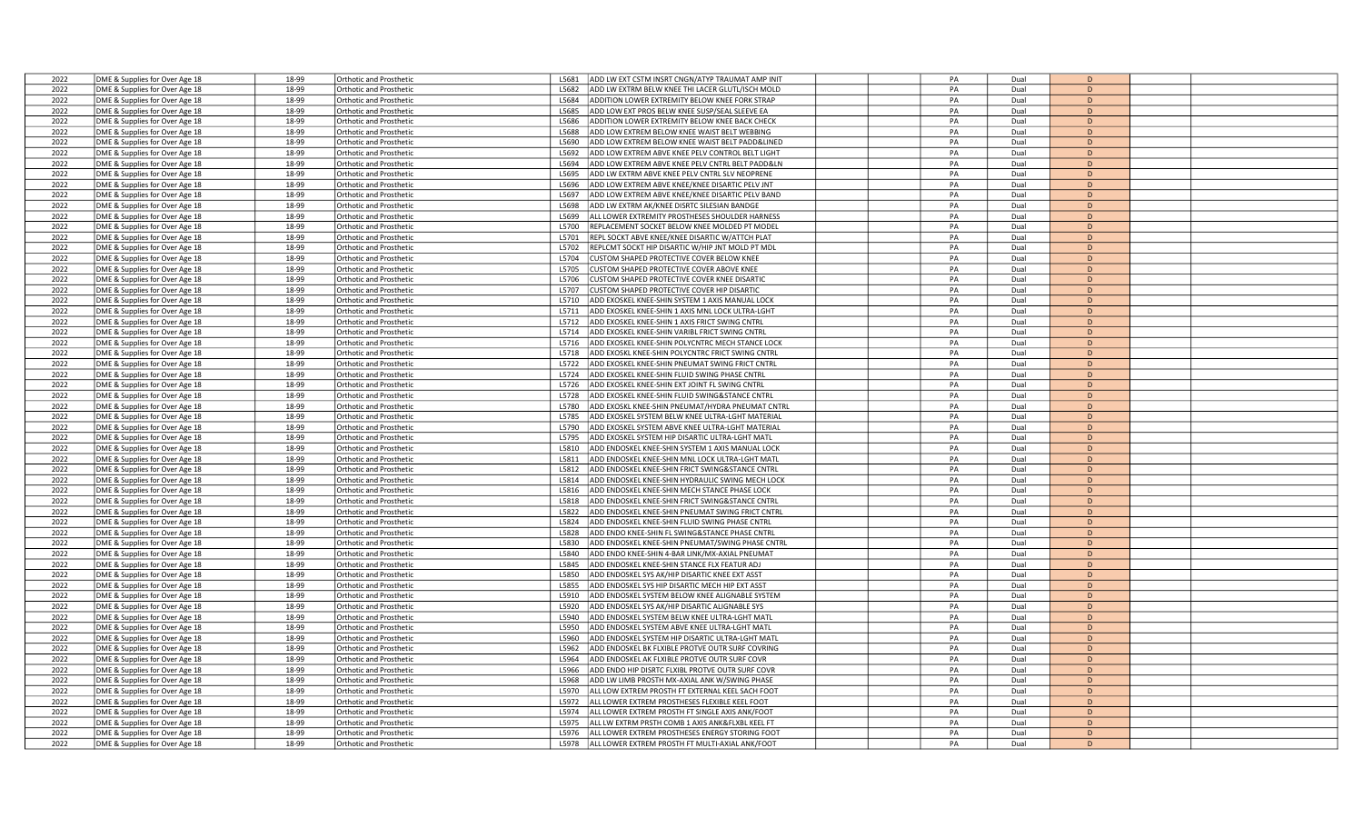| 2022 | DME & Supplies for Over Age 18 | 18-99 | Orthotic and Prosthetic        | ADD LW EXT CSTM INSRT CNGN/ATYP TRAUMAT AMP INIT<br>L5681 | PA | Dual | D            |  |
|------|--------------------------------|-------|--------------------------------|-----------------------------------------------------------|----|------|--------------|--|
| 2022 | DME & Supplies for Over Age 18 | 18-99 | <b>Orthotic and Prosthetic</b> | ADD LW EXTRM BELW KNEE THI LACER GLUTL/ISCH MOLD<br>L5682 | PA | Dual | D            |  |
|      |                                |       |                                |                                                           |    |      |              |  |
| 2022 | DME & Supplies for Over Age 18 | 18-99 | <b>Orthotic and Prosthetic</b> | L5684<br>ADDITION LOWER EXTREMITY BELOW KNEE FORK STRAP   | PA | Dual | D            |  |
| 2022 | DME & Supplies for Over Age 18 | 18-99 | Orthotic and Prosthetic        | L5685<br>ADD LOW EXT PROS BELW KNEE SUSP/SEAL SLEEVE EA   | PA | Dual | D            |  |
| 2022 | DME & Supplies for Over Age 18 | 18-99 | <b>Orthotic and Prosthetic</b> | L5686<br>ADDITION LOWER EXTREMITY BELOW KNEE BACK CHECK   | PA | Dual | D            |  |
|      |                                |       |                                |                                                           |    |      |              |  |
| 2022 | DME & Supplies for Over Age 18 | 18-99 | <b>Orthotic and Prosthetic</b> | ADD LOW EXTREM BELOW KNEE WAIST BELT WEBBING<br>15688     | PA | Dual | $\Gamma$     |  |
| 2022 | DME & Supplies for Over Age 18 | 18-99 | <b>Orthotic and Prosthetic</b> | ADD LOW EXTREM BELOW KNEE WAIST BELT PADD&LINED<br>L5690  | PA | Dual | D            |  |
| 2022 | DME & Supplies for Over Age 18 | 18-99 | <b>Orthotic and Prosthetic</b> | L5692<br>ADD LOW EXTREM ABVE KNEE PELV CONTROL BELT LIGHT | PA | Dual | D            |  |
|      |                                |       |                                |                                                           |    |      |              |  |
| 2022 | DME & Supplies for Over Age 18 | 18-99 | <b>Orthotic and Prosthetic</b> | L5694<br>ADD LOW EXTREM ABVE KNEE PELV CNTRL BELT PADD&LN | PA | Dual | D            |  |
| 2022 | DME & Supplies for Over Age 18 | 18-99 | <b>Orthotic and Prosthetic</b> | L5695<br>ADD LW EXTRM ABVE KNEE PELV CNTRL SLV NEOPRENE   | PA | Dual | D            |  |
|      |                                | 18-99 |                                |                                                           | PA |      | D            |  |
| 2022 | DME & Supplies for Over Age 18 |       | <b>Orthotic and Prosthetic</b> | ADD LOW EXTREM ABVE KNEE/KNEE DISARTIC PELV JNT<br>L5696  |    | Dual |              |  |
| 2022 | DME & Supplies for Over Age 18 | 18-99 | <b>Orthotic and Prosthetic</b> | L5697<br>ADD LOW EXTREM ABVE KNEE/KNEE DISARTIC PELV BAND | PA | Dual | D            |  |
| 2022 | DME & Supplies for Over Age 18 | 18-99 | <b>Orthotic and Prosthetic</b> | ADD LW EXTRM AK/KNEE DISRTC SILESIAN BANDGE<br>L5698      | PA | Dual | D            |  |
|      |                                |       |                                |                                                           |    |      |              |  |
| 2022 | DME & Supplies for Over Age 18 | 18-99 | <b>Orthotic and Prosthetic</b> | ALL LOWER EXTREMITY PROSTHESES SHOULDER HARNESS<br>L5699  | PA | Dual | D            |  |
| 2022 | DME & Supplies for Over Age 18 | 18-99 | <b>Orthotic and Prosthetic</b> | L5700<br>REPLACEMENT SOCKET BELOW KNEE MOLDED PT MODEL    | PA | Dual | D            |  |
| 2022 | DME & Supplies for Over Age 18 | 18-99 | Orthotic and Prosthetic        | REPL SOCKT ABVE KNEE/KNEE DISARTIC W/ATTCH PLAT<br>L5701  | PA | Dual | D            |  |
|      |                                |       |                                |                                                           |    |      |              |  |
| 2022 | DME & Supplies for Over Age 18 | 18-99 | <b>Orthotic and Prosthetic</b> | L5702<br>REPLCMT SOCKT HIP DISARTIC W/HIP JNT MOLD PT MDL | PA | Dual | D            |  |
| 2022 | DME & Supplies for Over Age 18 | 18-99 | <b>Orthotic and Prosthetic</b> | L5704<br>CUSTOM SHAPED PROTECTIVE COVER BELOW KNEE        | PA | Dual | D            |  |
|      |                                | 18-99 |                                |                                                           | PA |      | D            |  |
| 2022 | DME & Supplies for Over Age 18 |       | <b>Orthotic and Prosthetic</b> | CUSTOM SHAPED PROTECTIVE COVER ABOVE KNEE<br>L5705        |    | Dual |              |  |
| 2022 | DME & Supplies for Over Age 18 | 18-99 | <b>Orthotic and Prosthetic</b> | L5706<br>CUSTOM SHAPED PROTECTIVE COVER KNEE DISARTIC     | PA | Dual | $\mathsf{D}$ |  |
| 2022 | DME & Supplies for Over Age 18 | 18-99 | Orthotic and Prosthetic        | CUSTOM SHAPED PROTECTIVE COVER HIP DISARTIO<br>L5707      | PA | Dual | D            |  |
|      |                                |       |                                |                                                           |    |      |              |  |
| 2022 | DME & Supplies for Over Age 18 | 18-99 | <b>Orthotic and Prosthetic</b> | ADD EXOSKEL KNEE-SHIN SYSTEM 1 AXIS MANUAL LOCK<br>L5710  | PA | Dual | D            |  |
| 2022 | DME & Supplies for Over Age 18 | 18-99 | <b>Orthotic and Prosthetic</b> | L5711<br>ADD EXOSKEL KNEE-SHIN 1 AXIS MNL LOCK ULTRA-LGHT | PA | Dual | D            |  |
| 2022 | DME & Supplies for Over Age 18 | 18-99 | <b>Orthotic and Prosthetic</b> | L5712<br>ADD EXOSKEL KNEE-SHIN 1 AXIS FRICT SWING CNTRL   | PA | Dual | D            |  |
|      |                                |       |                                |                                                           |    |      |              |  |
| 2022 | DME & Supplies for Over Age 18 | 18-99 | Orthotic and Prosthetic        | L5714<br>ADD EXOSKEL KNEE-SHIN VARIBL FRICT SWING CNTRL   | PA | Dual | D            |  |
| 2022 | DME & Supplies for Over Age 18 | 18-99 | <b>Orthotic and Prosthetic</b> | L5716<br>ADD EXOSKEL KNEE-SHIN POLYCNTRC MECH STANCE LOCK | PA | Dual | D            |  |
| 2022 | DME & Supplies for Over Age 18 | 18-99 | <b>Orthotic and Prosthetic</b> | L5718<br>ADD EXOSKL KNEE-SHIN POLYCNTRC FRICT SWING CNTRL | PA | Dual | D            |  |
|      |                                |       |                                |                                                           |    |      |              |  |
| 2022 | DME & Supplies for Over Age 18 | 18-99 | <b>Orthotic and Prosthetic</b> | ADD EXOSKEL KNEE-SHIN PNEUMAT SWING FRICT CNTRI<br>L5722  | PA | Dual | D            |  |
| 2022 | DME & Supplies for Over Age 18 | 18-99 | <b>Orthotic and Prosthetic</b> | L5724<br>ADD EXOSKEL KNEE-SHIN FLUID SWING PHASE CNTRL    | PA | Dual | D            |  |
|      |                                |       |                                |                                                           |    |      |              |  |
| 2022 | DME & Supplies for Over Age 18 | 18-99 | <b>Orthotic and Prosthetic</b> | L5726<br>ADD EXOSKEL KNEE-SHIN EXT JOINT FL SWING CNTRL   | PA | Dual | D            |  |
| 2022 | DME & Supplies for Over Age 18 | 18-99 | Orthotic and Prosthetic        | ADD EXOSKEL KNEE-SHIN FLUID SWING&STANCE CNTRL<br>L5728   | PA | Dual | D            |  |
| 2022 | DME & Supplies for Over Age 18 | 18-99 | <b>Orthotic and Prosthetic</b> | L5780<br>ADD EXOSKL KNEE-SHIN PNEUMAT/HYDRA PNEUMAT CNTRL | PA | Dual | D            |  |
|      |                                |       |                                |                                                           |    |      |              |  |
| 2022 | DME & Supplies for Over Age 18 | 18-99 | <b>Orthotic and Prosthetic</b> | L5785<br>ADD EXOSKEL SYSTEM BELW KNEE ULTRA-LGHT MATERIAL | PA | Dual | D            |  |
| 2022 | DME & Supplies for Over Age 18 | 18-99 | <b>Orthotic and Prosthetic</b> | L5790<br>ADD EXOSKEL SYSTEM ABVE KNEE ULTRA-LGHT MATERIAI | PA | Dual | D            |  |
| 2022 | DME & Supplies for Over Age 18 | 18-99 | <b>Orthotic and Prosthetic</b> | L5795<br>ADD EXOSKEL SYSTEM HIP DISARTIC ULTRA-LGHT MATL  | PA | Dual | D            |  |
|      |                                |       |                                |                                                           |    |      |              |  |
| 2022 | DME & Supplies for Over Age 18 | 18-99 | Orthotic and Prosthetic        | L5810<br>ADD ENDOSKEL KNEE-SHIN SYSTEM 1 AXIS MANUAL LOCK | PA | Dual | D            |  |
| 2022 | DME & Supplies for Over Age 18 | 18-99 | <b>Orthotic and Prosthetic</b> | ADD ENDOSKEL KNEE-SHIN MNL LOCK ULTRA-LGHT MATI<br>L5811  | PA | Dual | D            |  |
| 2022 |                                | 18-99 | <b>Orthotic and Prosthetic</b> | L5812<br>ADD ENDOSKEL KNEE-SHIN FRICT SWING&STANCE CNTRL  | PA | Dual | D            |  |
|      | DME & Supplies for Over Age 18 |       |                                |                                                           |    |      |              |  |
| 2022 | DME & Supplies for Over Age 18 | 18-99 | <b>Orthotic and Prosthetic</b> | L5814<br>ADD ENDOSKEL KNEE-SHIN HYDRAULIC SWING MECH LOCK | PA | Dual | D            |  |
| 2022 | DME & Supplies for Over Age 18 | 18-99 | <b>Orthotic and Prosthetic</b> | ADD ENDOSKEL KNEE-SHIN MECH STANCE PHASE LOCK<br>L5816    | PA | Dual | D            |  |
|      |                                |       |                                |                                                           |    |      | $\mathsf{D}$ |  |
| 2022 | DME & Supplies for Over Age 18 | 18-99 | <b>Orthotic and Prosthetic</b> | L5818<br>ADD ENDOSKEL KNEE-SHIN FRICT SWING&STANCE CNTRL  | PA | Dual |              |  |
| 2022 | DME & Supplies for Over Age 18 | 18-99 | <b>Orthotic and Prosthetic</b> | L5822<br>ADD ENDOSKEL KNEE-SHIN PNEUMAT SWING FRICT CNTRL | PA | Dual | D            |  |
| 2022 | DME & Supplies for Over Age 18 | 18-99 | <b>Orthotic and Prosthetic</b> | ADD ENDOSKEL KNEE-SHIN FLUID SWING PHASE CNTRI<br>L5824   | PA | Dual | D            |  |
|      |                                |       |                                |                                                           |    |      |              |  |
| 2022 | DME & Supplies for Over Age 18 | 18-99 | <b>Orthotic and Prosthetic</b> | L5828<br>ADD ENDO KNEE-SHIN FL SWING&STANCE PHASE CNTRL   | PA | Dual | D            |  |
| 2022 | DME & Supplies for Over Age 18 | 18-99 | <b>Orthotic and Prosthetic</b> | L5830<br>ADD ENDOSKEL KNEE-SHIN PNEUMAT/SWING PHASE CNTRL | PA | Dual | D            |  |
| 2022 | DME & Supplies for Over Age 18 | 18-99 | <b>Orthotic and Prosthetic</b> | ADD ENDO KNEE-SHIN 4-BAR LINK/MX-AXIAL PNEUMAT<br>L5840   | PA | Dual | D            |  |
|      |                                |       |                                |                                                           |    |      |              |  |
| 2022 | DME & Supplies for Over Age 18 | 18-99 | <b>Orthotic and Prosthetic</b> | L5845<br>ADD ENDOSKEL KNEE-SHIN STANCE FLX FEATUR ADJ     | PA | Dual | D            |  |
| 2022 | DME & Supplies for Over Age 18 | 18-99 | <b>Orthotic and Prosthetic</b> | L5850<br>ADD ENDOSKEL SYS AK/HIP DISARTIC KNEE EXT ASST   | PA | Dual | D            |  |
| 2022 | DME & Supplies for Over Age 18 | 18-99 | <b>Orthotic and Prosthetic</b> | ADD ENDOSKEL SYS HIP DISARTIC MECH HIP EXT ASST<br>L5855  | PA | Dual | $\bullet$    |  |
|      |                                |       |                                |                                                           |    |      |              |  |
| 2022 | DME & Supplies for Over Age 18 | 18-99 | <b>Orthotic and Prosthetic</b> | L5910<br>ADD ENDOSKEL SYSTEM BELOW KNEE ALIGNABLE SYSTEM  | PA | Dual | D            |  |
| 2022 | DME & Supplies for Over Age 18 | 18-99 | <b>Orthotic and Prosthetic</b> | L5920<br>ADD ENDOSKEL SYS AK/HIP DISARTIC ALIGNABLE SYS   | PA | Dual | D            |  |
| 2022 | DME & Supplies for Over Age 18 | 18-99 | <b>Orthotic and Prosthetic</b> | ADD ENDOSKEL SYSTEM BELW KNEE ULTRA-LGHT MATI<br>L5940    | PA | Dual | D            |  |
|      |                                |       |                                |                                                           |    |      |              |  |
| 2022 | DME & Supplies for Over Age 18 | 18-99 | <b>Orthotic and Prosthetic</b> | L5950<br>ADD ENDOSKEL SYSTEM ABVE KNEE ULTRA-LGHT MATL    | PA | Dual | D            |  |
| 2022 | DME & Supplies for Over Age 18 | 18-99 | <b>Orthotic and Prosthetic</b> | L5960<br>ADD ENDOSKEL SYSTEM HIP DISARTIC ULTRA-LGHT MATL | PA | Dual | D            |  |
| 2022 | DME & Supplies for Over Age 18 | 18-99 | <b>Orthotic and Prosthetic</b> | ADD ENDOSKEL BK FLXIBLE PROTVE OUTR SURF COVRING<br>L5962 | PA | Dual | D            |  |
|      |                                |       |                                |                                                           |    |      |              |  |
| 2022 | DME & Supplies for Over Age 18 | 18-99 | <b>Orthotic and Prosthetic</b> | L5964<br>ADD ENDOSKEL AK FLXIBLE PROTVE OUTR SURF COVR    | PA | Dual | D            |  |
| 2022 | DME & Supplies for Over Age 18 | 18-99 | Orthotic and Prosthetic        | ADD ENDO HIP DISRTC FLXIBL PROTVE OUTR SURF COVR<br>L5966 | PA | Dual | D            |  |
| 2022 | DME & Supplies for Over Age 18 | 18-99 | <b>Orthotic and Prosthetic</b> | L5968<br>ADD LW LIMB PROSTH MX-AXIAL ANK W/SWING PHASE    | PA | Dual | D            |  |
|      |                                |       |                                |                                                           |    |      |              |  |
| 2022 | DME & Supplies for Over Age 18 | 18-99 | <b>Orthotic and Prosthetic</b> | L5970<br>ALL LOW EXTREM PROSTH FT EXTERNAL KEEL SACH FOOT | PA | Dual | D            |  |
| 2022 | DME & Supplies for Over Age 18 | 18-99 | <b>Orthotic and Prosthetic</b> | L5972<br>ALL LOWER EXTREM PROSTHESES FLEXIBLE KEEL FOOT   | PA | Dual | D            |  |
| 2022 | DME & Supplies for Over Age 18 | 18-99 | <b>Orthotic and Prosthetic</b> | ALL LOWER EXTREM PROSTH FT SINGLE AXIS ANK/FOOT<br>15974  | PA | Dual | D            |  |
|      |                                |       |                                |                                                           |    |      |              |  |
| 2022 | DME & Supplies for Over Age 18 | 18-99 | <b>Orthotic and Prosthetic</b> | ALL LW EXTRM PRSTH COMB 1 AXIS ANK&FLXBL KEEL FT<br>L5975 | PA | Dual | D            |  |
| 2022 | DME & Supplies for Over Age 18 | 18-99 | Orthotic and Prosthetic        | ALL LOWER EXTREM PROSTHESES ENERGY STORING FOOT<br>15976  | PA | Dual | D            |  |
| 2022 |                                | 18-99 |                                | ALL LOWER EXTREM PROSTH FT MULTI-AXIAL ANK/FOOT           | PA | Dual | $\mathsf{D}$ |  |
|      | DME & Supplies for Over Age 18 |       | <b>Orthotic and Prosthetic</b> | L5978                                                     |    |      |              |  |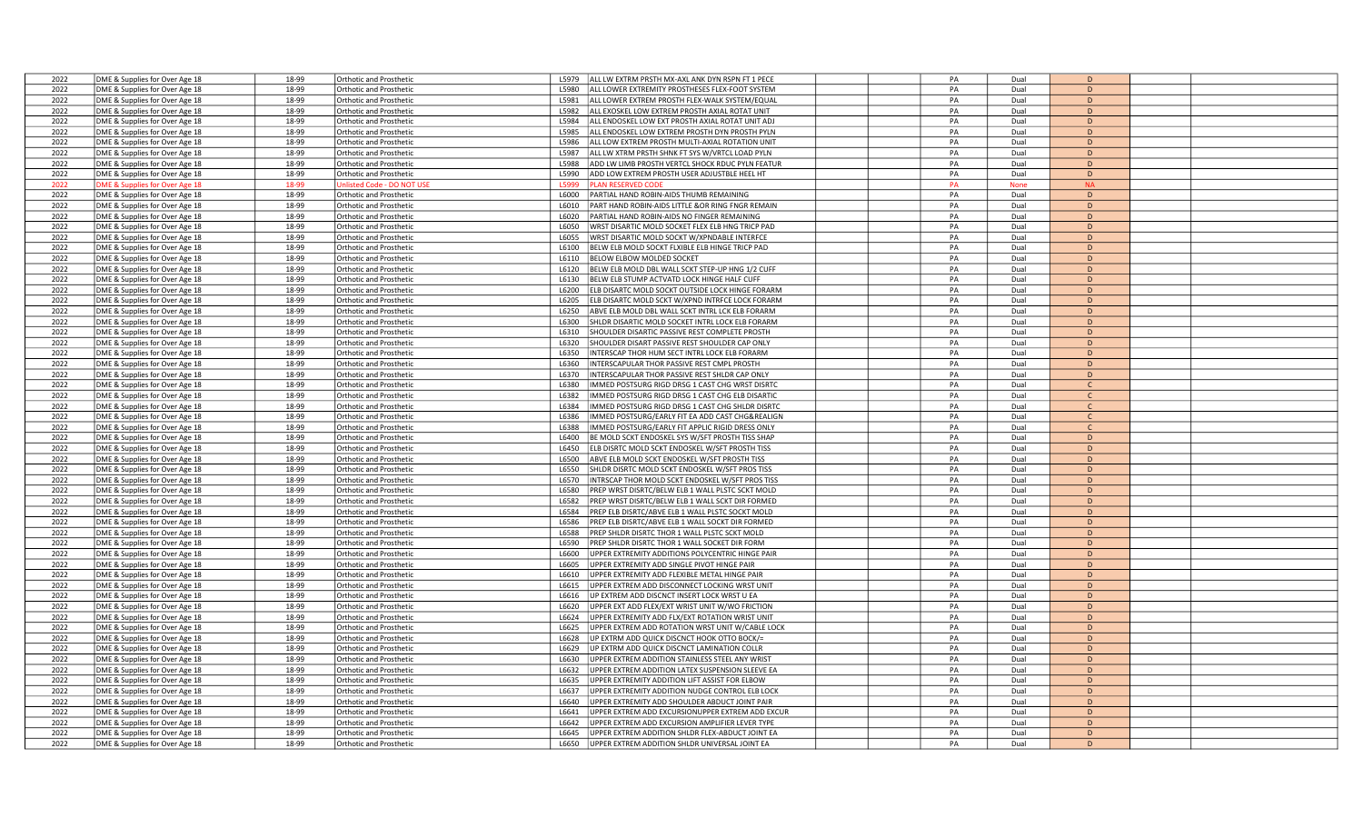|              | DME & Supplies for Over Age 18                                   | 18-99          | Orthotic and Prosthetic                                          | ALL LW EXTRM PRSTH MX-AXL ANK DYN RSPN FT 1 PECE<br>15979                                                            | PA       | Dual         | D             |  |
|--------------|------------------------------------------------------------------|----------------|------------------------------------------------------------------|----------------------------------------------------------------------------------------------------------------------|----------|--------------|---------------|--|
| 2022         |                                                                  |                |                                                                  |                                                                                                                      |          |              |               |  |
| 2022         | DME & Supplies for Over Age 18                                   | 18-99          | <b>Orthotic and Prosthetic</b>                                   | ALL LOWER EXTREMITY PROSTHESES FLEX-FOOT SYSTEM<br>L5980                                                             | PA       | Dual         | D             |  |
| 2022         | DME & Supplies for Over Age 18                                   | 18-99          | Orthotic and Prosthetic                                          | ALL LOWER EXTREM PROSTH FLEX-WALK SYSTEM/EQUAL<br>L5981                                                              | PA       | Dual         | D             |  |
| 2022         | DME & Supplies for Over Age 18                                   | 18-99          | <b>Orthotic and Prosthetic</b>                                   | L5982<br>ALL EXOSKEL LOW EXTREM PROSTH AXIAL ROTAT UNIT                                                              | PA       | Dual         | D             |  |
| 2022         | DME & Supplies for Over Age 18                                   | 18-99          | Orthotic and Prosthetic                                          | L5984<br>ALL ENDOSKEL LOW EXT PROSTH AXIAL ROTAT UNIT ADJ                                                            | PA       | Dual         | D             |  |
| 2022         | DME & Supplies for Over Age 18                                   | 18-99          | Orthotic and Prosthetic                                          | L5985<br>ALL ENDOSKEL LOW EXTREM PROSTH DYN PROSTH PYLN                                                              | PA       | Dual         | D             |  |
|              |                                                                  |                |                                                                  |                                                                                                                      |          |              |               |  |
| 2022         | DME & Supplies for Over Age 18                                   | 18-99          | <b>Orthotic and Prosthetic</b>                                   | ALL LOW EXTREM PROSTH MULTI-AXIAL ROTATION UNIT<br>L5986                                                             | PA       | Dual         | D             |  |
| 2022         | DME & Supplies for Over Age 18                                   | 18-99          | <b>Orthotic and Prosthetic</b>                                   | ALL LW XTRM PRSTH SHNK FT SYS W/VRTCL LOAD PYLN<br>L5987                                                             | PA       | Dual         | D             |  |
| 2022         | DME & Supplies for Over Age 18                                   | 18-99          | Orthotic and Prosthetic                                          | ADD LW LIMB PROSTH VERTCL SHOCK RDUC PYLN FEATUR<br>L5988                                                            | PA       | Dual         | D             |  |
| 2022         | DME & Supplies for Over Age 18                                   | 18-99          | Orthotic and Prosthetic                                          | L5990<br>ADD LOW EXTREM PROSTH USER ADJUSTBLE HEEL HT                                                                | PA       | Dual         | D             |  |
| 2022         | OME & Supplies for Over Age 18                                   | 18-99          | nlisted Code - DO NOT U                                          | L5999<br>LAN RESERVED COD                                                                                            | PA       | <b>None</b>  | <b>NA</b>     |  |
|              |                                                                  |                |                                                                  |                                                                                                                      |          |              |               |  |
| 2022         | DME & Supplies for Over Age 18                                   | 18-99          | <b>Orthotic and Prosthetic</b>                                   | L6000<br>PARTIAL HAND ROBIN-AIDS THUMB REMAINING                                                                     | PA       | Dual         | D             |  |
| 2022         | DME & Supplies for Over Age 18                                   | 18-99          | <b>Orthotic and Prosthetic</b>                                   | PART HAND ROBIN-AIDS LITTLE &OR RING FNGR REMAIN<br>L6010                                                            | PA       | Dual         | D             |  |
| 2022         | DME & Supplies for Over Age 18                                   | 18-99          | Orthotic and Prosthetic                                          | PARTIAL HAND ROBIN-AIDS NO FINGER REMAINING<br>L6020                                                                 | PA       | Dual         | D             |  |
| 2022         | DME & Supplies for Over Age 18                                   | 18-99          | Orthotic and Prosthetic                                          | WRST DISARTIC MOLD SOCKET FLEX ELB HNG TRICP PAD<br>L6050                                                            | PA       | Dual         | D             |  |
| 2022         |                                                                  | 18-99          |                                                                  | L6055<br>WRST DISARTIC MOLD SOCKT W/XPNDABLE INTERFCE                                                                | PA       | Dual         | D             |  |
|              | DME & Supplies for Over Age 18                                   |                | <b>Orthotic and Prosthetic</b>                                   |                                                                                                                      |          |              |               |  |
| 2022         | DME & Supplies for Over Age 18                                   | 18-99          | <b>Orthotic and Prosthetic</b>                                   | L6100<br>BELW ELB MOLD SOCKT FLXIBLE ELB HINGE TRICP PAD                                                             | PA       | Dual         | D             |  |
| 2022         | DME & Supplies for Over Age 18                                   | 18-99          | Orthotic and Prosthetic                                          | L6110<br>BELOW ELBOW MOLDED SOCKET                                                                                   | PA       | Dual         | D             |  |
| 2022         | DME & Supplies for Over Age 18                                   | 18-99          | Orthotic and Prosthetic                                          | BELW ELB MOLD DBL WALL SCKT STEP-UP HNG 1/2 CUFF<br>L6120                                                            | PA       | Dual         | D             |  |
| 2022         | DME & Supplies for Over Age 18                                   | 18-99          | <b>Orthotic and Prosthetic</b>                                   | L6130<br>BELW ELB STUMP ACTVATD LOCK HINGE HALF CUFF                                                                 | PA       | Dual         | D             |  |
|              |                                                                  |                |                                                                  |                                                                                                                      |          |              |               |  |
| 2022         | DME & Supplies for Over Age 18                                   | 18-99          | <b>Orthotic and Prosthetic</b>                                   | L6200<br>ELB DISARTC MOLD SOCKT OUTSIDE LOCK HINGE FORARM                                                            | PA       | Dual         | D             |  |
| 2022         | DME & Supplies for Over Age 18                                   | 18-99          | Orthotic and Prosthetic                                          | LEB DISARTC MOLD SCKT W/XPND INTRFCE LOCK FORARM<br>L6205                                                            | PA       | Dual         | D             |  |
| 2022         | DME & Supplies for Over Age 18                                   | 18-99          | Orthotic and Prosthetic                                          | L6250<br>ABVE ELB MOLD DBL WALL SCKT INTRL LCK ELB FORARM                                                            | PA       | Dual         | D             |  |
| 2022         | DME & Supplies for Over Age 18                                   | 18-99          | Orthotic and Prosthetic                                          | L6300<br>SHLDR DISARTIC MOLD SOCKET INTRL LOCK ELB FORARM                                                            | PA       | Dual         | D             |  |
| 2022         |                                                                  | 18-99          |                                                                  | SHOULDER DISARTIC PASSIVE REST COMPLETE PROSTH                                                                       | PA       | Dual         | D             |  |
|              | DME & Supplies for Over Age 18                                   |                | Orthotic and Prosthetic                                          | L6310                                                                                                                |          |              |               |  |
| 2022         | DME & Supplies for Over Age 18                                   | 18-99          | <b>Orthotic and Prosthetic</b>                                   | L6320<br>SHOULDER DISART PASSIVE REST SHOULDER CAP ONLY                                                              | PA       | Dual         | D             |  |
| 2022         | DME & Supplies for Over Age 18                                   | 18-99          | <b>Orthotic and Prosthetic</b>                                   | L6350<br>INTERSCAP THOR HUM SECT INTRL LOCK ELB FORARM                                                               | PA       | Dual         | D             |  |
| 2022         | DME & Supplies for Over Age 18                                   | 18-99          | Orthotic and Prosthetic                                          | INTERSCAPULAR THOR PASSIVE REST CMPL PROSTH<br>L6360                                                                 | PA       | Dual         | D             |  |
| 2022         | DME & Supplies for Over Age 18                                   | 18-99          | <b>Orthotic and Prosthetic</b>                                   | INTERSCAPULAR THOR PASSIVE REST SHLDR CAP ONLY<br>L6370                                                              | PA       | Dual         | D             |  |
| 2022         |                                                                  | 18-99          |                                                                  | L6380<br>IMMED POSTSURG RIGD DRSG 1 CAST CHG WRST DISRTC                                                             | PA       | Dual         |               |  |
|              | DME & Supplies for Over Age 18                                   |                | <b>Orthotic and Prosthetic</b>                                   |                                                                                                                      |          |              | C             |  |
| 2022         | DME & Supplies for Over Age 18                                   | 18-99          | Orthotic and Prosthetic                                          | IMMED POSTSURG RIGD DRSG 1 CAST CHG ELB DISARTIC<br>L6382                                                            | PA       | Dual         | $\mathsf{C}$  |  |
| 2022         | DME & Supplies for Over Age 18                                   | 18-99          | Orthotic and Prosthetic                                          | MMED POSTSURG RIGD DRSG 1 CAST CHG SHLDR DISRTC<br>L6384                                                             | PA       | Dual         | $\mathsf{C}$  |  |
| 2022         | DME & Supplies for Over Age 18                                   | 18-99          | Orthotic and Prosthetic                                          | L6386<br>MMED POSTSURG/EARLY FIT EA ADD CAST CHG&REALIGN                                                             | PA       | Dual         | $\mathsf{C}$  |  |
| 2022         | DME & Supplies for Over Age 18                                   | 18-99          | Orthotic and Prosthetic                                          | L6388<br>MMED POSTSURG/EARLY FIT APPLIC RIGID DRESS ONLY                                                             | PA       | Dual         | $\mathsf{C}$  |  |
|              |                                                                  |                |                                                                  |                                                                                                                      |          |              | D             |  |
| 2022         | DME & Supplies for Over Age 18                                   | 18-99          | Orthotic and Prosthetic                                          | BE MOLD SCKT ENDOSKEL SYS W/SFT PROSTH TISS SHAP<br>L6400                                                            | PA       | Dual         |               |  |
| 2022         |                                                                  |                |                                                                  |                                                                                                                      |          |              |               |  |
|              | DME & Supplies for Over Age 18                                   | 18-99          | Orthotic and Prosthetic                                          | L6450<br>ELB DISRTC MOLD SCKT ENDOSKEL W/SFT PROSTH TISS                                                             | PA       | Dual         | D             |  |
| 2022         |                                                                  | 18-99          | Orthotic and Prosthetic                                          | L6500<br>ABVE ELB MOLD SCKT ENDOSKEL W/SFT PROSTH TISS                                                               | PA       | Dual         | D             |  |
|              | DME & Supplies for Over Age 18                                   |                |                                                                  |                                                                                                                      |          |              | D             |  |
| 2022         | DME & Supplies for Over Age 18                                   | 18-99          | Orthotic and Prosthetic                                          | L6550<br>SHLDR DISRTC MOLD SCKT ENDOSKEL W/SFT PROS TISS                                                             | PA       | Dual         |               |  |
| 2022         | DME & Supplies for Over Age 18                                   | 18-99          | Orthotic and Prosthetic                                          | INTRSCAP THOR MOLD SCKT ENDOSKEL W/SFT PROS TISS<br>L6570                                                            | PA       | Dual         | D             |  |
| 2022         | DME & Supplies for Over Age 18                                   | 18-99          | Orthotic and Prosthetic                                          | L6580<br>REP WRST DISRTC/BELW ELB 1 WALL PLSTC SCKT MOLD                                                             | PA       | Dual         | D             |  |
| 2022         | DME & Supplies for Over Age 18                                   | 18-99          | Orthotic and Prosthetic                                          | L6582<br>REP WRST DISRTC/BELW ELB 1 WALL SCKT DIR FORMED                                                             | PA       | Dual         | D             |  |
| 2022         | DME & Supplies for Over Age 18                                   | 18-99          | Orthotic and Prosthetic                                          | L6584<br>PREP ELB DISRTC/ABVE ELB 1 WALL PLSTC SOCKT MOLD                                                            | PA       | Dual         | D             |  |
| 2022         |                                                                  | 18-99          | <b>Orthotic and Prosthetic</b>                                   | L6586                                                                                                                | PA       | Dual         | D             |  |
|              | DME & Supplies for Over Age 18                                   |                |                                                                  | PREP ELB DISRTC/ABVE ELB 1 WALL SOCKT DIR FORMED                                                                     |          |              |               |  |
| 2022         | DME & Supplies for Over Age 18                                   | 18-99          | <b>Orthotic and Prosthetic</b>                                   | L6588<br>PREP SHLDR DISRTC THOR 1 WALL PLSTC SCKT MOLD                                                               | PA       | Dual         | D             |  |
| 2022         | DME & Supplies for Over Age 18                                   | 18-99          | Orthotic and Prosthetic                                          | PREP SHLDR DISRTC THOR 1 WALL SOCKET DIR FORM<br>L6590                                                               | PA       | Dual         | D             |  |
| 2022         | DME & Supplies for Over Age 18                                   | 18-99          | Orthotic and Prosthetic                                          | L6600<br>JPPER EXTREMITY ADDITIONS POLYCENTRIC HINGE PAIR                                                            | PA       | Dual         | D             |  |
| 2022         | DME & Supplies for Over Age 18                                   | 18-99          | <b>Orthotic and Prosthetic</b>                                   | JPPER EXTREMITY ADD SINGLE PIVOT HINGE PAIR<br>L6605                                                                 | PA       | Dual         | D             |  |
|              |                                                                  |                |                                                                  | L6610                                                                                                                | PA       | Dual         | D             |  |
| 2022         | DME & Supplies for Over Age 18                                   | 18-99          | Orthotic and Prosthetic                                          | JPPER EXTREMITY ADD FLEXIBLE METAL HINGE PAIR                                                                        |          |              |               |  |
| 2022         | DME & Supplies for Over Age 18                                   | 18-99          | Orthotic and Prosthetic                                          | IPPER EXTREM ADD DISCONNECT LOCKING WRST UNIT<br>L6615                                                               | PA       | Dual         | D             |  |
| 2022         | DME & Supplies for Over Age 18                                   | 18-99          | <b>Orthotic and Prosthetic</b>                                   | JP EXTREM ADD DISCNCT INSERT LOCK WRST U EA<br>L6616                                                                 | PA       | Dual         | D             |  |
| 2022         | DME & Supplies for Over Age 18                                   | 18-99          | Orthotic and Prosthetic                                          | L6620<br>JPPER EXT ADD FLEX/EXT WRIST UNIT W/WO FRICTION                                                             | PA       | Dual         | D             |  |
| 2022         | DME & Supplies for Over Age 18                                   | 18-99          | <b>Orthotic and Prosthetic</b>                                   | JPPER EXTREMITY ADD FLX/EXT ROTATION WRIST UNIT<br>L6624                                                             | PA       | Dual         | D             |  |
|              |                                                                  |                |                                                                  |                                                                                                                      |          |              |               |  |
| 2022         | DME & Supplies for Over Age 18                                   | 18-99          | Orthotic and Prosthetic                                          | L6625<br>JPPER EXTREM ADD ROTATION WRST UNIT W/CABLE LOCK                                                            | PA       | Dual         | D             |  |
| 2022         | DME & Supplies for Over Age 18                                   | 18-99          | <b>Orthotic and Prosthetic</b>                                   | L6628<br>JP EXTRM ADD QUICK DISCNCT HOOK OTTO BOCK/=                                                                 | PA       | Dual         | D             |  |
| 2022         | DME & Supplies for Over Age 18                                   | 18-99          | <b>Orthotic and Prosthetic</b>                                   | L6629<br>JP EXTRM ADD QUICK DISCNCT LAMINATION COLLR                                                                 | PA       | Dual         | D             |  |
| 2022         | DME & Supplies for Over Age 18                                   | 18-99          | Orthotic and Prosthetic                                          | JPPER EXTREM ADDITION STAINLESS STEEL ANY WRIST<br>L6630                                                             | PA       | Dual         | D             |  |
| 2022         | DME & Supplies for Over Age 18                                   | 18-99          | Orthotic and Prosthetic                                          | L6632<br>UPPER EXTREM ADDITION LATEX SUSPENSION SLEEVE EA                                                            | PA       | Dual         | D             |  |
|              |                                                                  |                |                                                                  |                                                                                                                      |          |              |               |  |
| 2022         | DME & Supplies for Over Age 18                                   | 18-99          | Orthotic and Prosthetic                                          | L6635<br>JPPER EXTREMITY ADDITION LIFT ASSIST FOR ELBOW                                                              | PA       | Dual         | D             |  |
| 2022         | DME & Supplies for Over Age 18                                   | 18-99          | <b>Orthotic and Prosthetic</b>                                   | IPPER EXTREMITY ADDITION NUDGE CONTROL ELB LOCK<br>L6637                                                             | PA       | Dual         | D             |  |
| 2022         | DME & Supplies for Over Age 18                                   | 18-99          | Orthotic and Prosthetic                                          | L6640<br>JPPER EXTREMITY ADD SHOULDER ABDUCT JOINT PAIR                                                              | PA       | Dual         | D             |  |
| 2022         | DME & Supplies for Over Age 18                                   | 18-99          | <b>Orthotic and Prosthetic</b>                                   | L6641<br>IPPER EXTREM ADD EXCURSIONUPPER EXTREM ADD EXCUR                                                            | PA       | Dual         | D             |  |
| 2022         |                                                                  | 18-99          | Orthotic and Prosthetic                                          | JPPER EXTREM ADD EXCURSION AMPLIFIER LEVER TYPE<br>16642                                                             | PA       | Dual         | D             |  |
|              | DME & Supplies for Over Age 18                                   |                |                                                                  |                                                                                                                      |          |              |               |  |
| 2022<br>2022 | DME & Supplies for Over Age 18<br>DME & Supplies for Over Age 18 | 18-99<br>18-99 | <b>Orthotic and Prosthetic</b><br><b>Orthotic and Prosthetic</b> | UPPER EXTREM ADDITION SHLDR FLEX-ABDUCT JOINT EA<br>L6645<br>L6650<br>UPPER EXTREM ADDITION SHLDR UNIVERSAL JOINT EA | PA<br>PA | Dual<br>Dual | D<br>$\Gamma$ |  |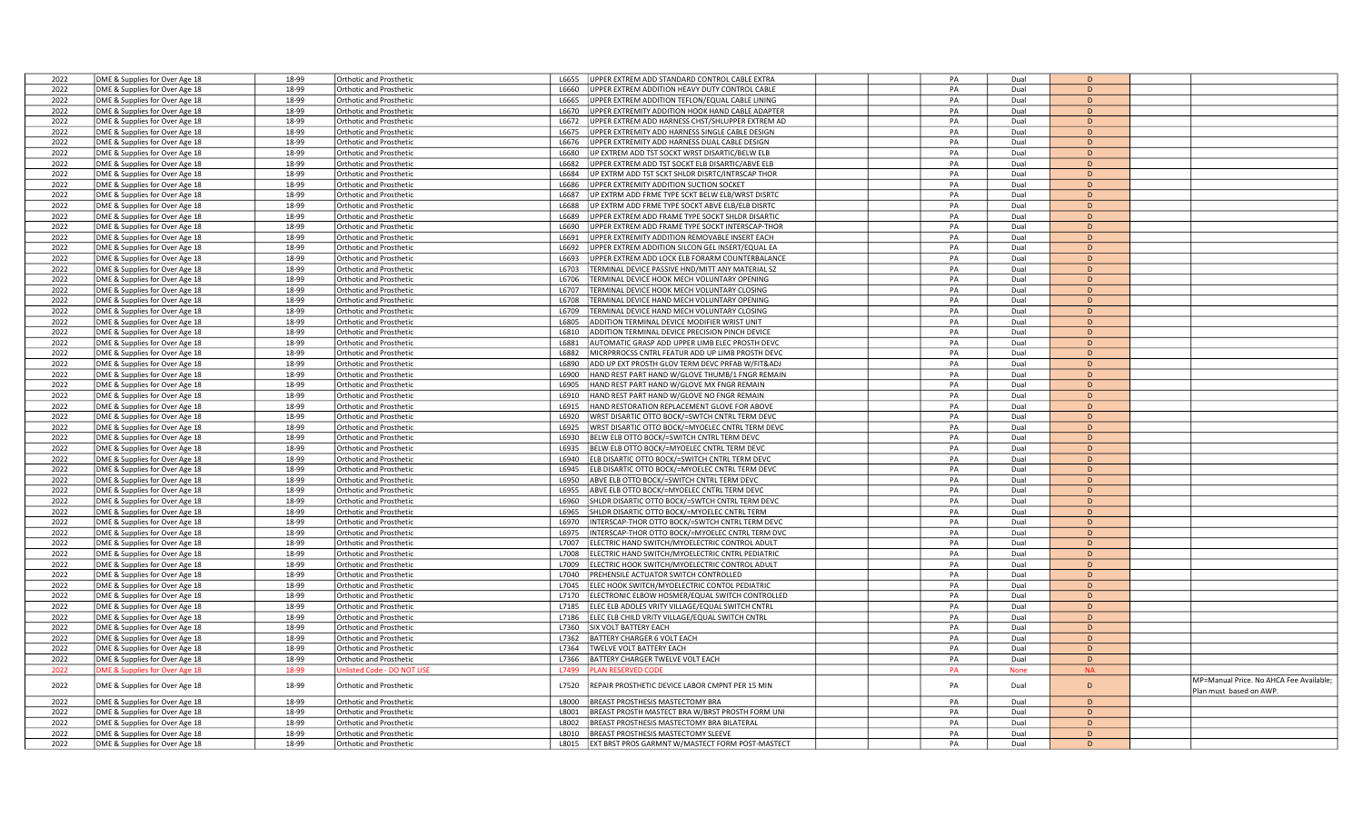| 2022 | DME & Supplies for Over Age 18 | 18-99 | Orthotic and Prosthetic        | UPPER EXTREM ADD STANDARD CONTROL CABLE EXTRA<br>L6655      | PA | Dual        | D            |                                         |
|------|--------------------------------|-------|--------------------------------|-------------------------------------------------------------|----|-------------|--------------|-----------------------------------------|
| 2022 | DME & Supplies for Over Age 18 | 18-99 | <b>Orthotic and Prosthetic</b> | UPPER EXTREM ADDITION HEAVY DUTY CONTROL CABLE<br>L6660     | PA | Dual        | D            |                                         |
| 2022 | DME & Supplies for Over Age 18 | 18-99 | <b>Orthotic and Prosthetic</b> | JPPER EXTREM ADDITION TEFLON/EQUAL CABLE LINING<br>L6665    | PA | Dual        | D            |                                         |
| 2022 |                                | 18-99 |                                | L6670<br>JPPER EXTREMITY ADDITION HOOK HAND CABLE ADAPTER   | PA |             | D            |                                         |
|      | DME & Supplies for Over Age 18 |       | <b>Orthotic and Prosthetic</b> |                                                             |    | Dual        |              |                                         |
| 2022 | DME & Supplies for Over Age 18 | 18-99 | <b>Orthotic and Prosthetic</b> | JPPER EXTREM ADD HARNESS CHST/SHLUPPER EXTREM AD<br>L6672   | PA | Dual        | D            |                                         |
| 2022 | DME & Supplies for Over Age 18 | 18-99 | <b>Orthotic and Prosthetic</b> | L6675<br>JPPER EXTREMITY ADD HARNESS SINGLE CABLE DESIGN    | PA | Dual        | D            |                                         |
| 2022 | DME & Supplies for Over Age 18 | 18-99 | Orthotic and Prosthetic        | JPPER EXTREMITY ADD HARNESS DUAL CABLE DESIGN<br>L6676      | PA | Dual        | D            |                                         |
| 2022 | DME & Supplies for Over Age 18 | 18-99 | Orthotic and Prosthetic        | JP EXTREM ADD TST SOCKT WRST DISARTIC/BELW ELB<br>L6680     | PA | Dual        | D            |                                         |
| 2022 | DME & Supplies for Over Age 18 | 18-99 | Orthotic and Prosthetic        | JPPER EXTREM ADD TST SOCKT ELB DISARTIC/ABVE ELB<br>L6682   | PA | Dual        | D            |                                         |
| 2022 | DME & Supplies for Over Age 18 | 18-99 | Orthotic and Prosthetic        | JP EXTRM ADD TST SCKT SHLDR DISRTC/INTRSCAP THOR<br>L6684   | PA | Dual        | D            |                                         |
| 2022 | DME & Supplies for Over Age 18 | 18-99 | <b>Orthotic and Prosthetic</b> | L6686<br><b>IPPER EXTREMITY ADDITION SUCTION SOCKET</b>     | PA | Dual        | D            |                                         |
| 2022 | DME & Supplies for Over Age 18 | 18-99 | Orthotic and Prosthetic        | L6687<br>JP EXTRM ADD FRME TYPE SCKT BELW ELB/WRST DISRTC   | PA | Dual        | D            |                                         |
| 2022 |                                | 18-99 | Orthotic and Prosthetic        | L6688<br>UP EXTRM ADD FRME TYPE SOCKT ABVE ELB/ELB DISRTC   | PA | Dual        | D            |                                         |
|      | DME & Supplies for Over Age 18 |       |                                |                                                             |    |             |              |                                         |
| 2022 | DME & Supplies for Over Age 18 | 18-99 | <b>Orthotic and Prosthetic</b> | JPPER EXTREM ADD FRAME TYPE SOCKT SHLDR DISARTIC<br>L6689   | PA | Dual        | D            |                                         |
| 2022 | DME & Supplies for Over Age 18 | 18-99 | <b>Orthotic and Prosthetic</b> | JPPER EXTREM ADD FRAME TYPE SOCKT INTERSCAP-THOR<br>L6690   | PA | Dual        | D            |                                         |
| 2022 | DME & Supplies for Over Age 18 | 18-99 | <b>Orthotic and Prosthetic</b> | L6691<br>JPPER EXTREMITY ADDITION REMOVABLE INSERT EACH     | PA | Dual        | $\mathsf{D}$ |                                         |
| 2022 | DME & Supplies for Over Age 18 | 18-99 | <b>Orthotic and Prosthetic</b> | L6692<br>JPPER EXTREM ADDITION SILCON GEL INSERT/EQUAL EA   | PA | Dual        | D            |                                         |
| 2022 | DME & Supplies for Over Age 18 | 18-99 | <b>Orthotic and Prosthetic</b> | L6693<br>JPPER EXTREM ADD LOCK ELB FORARM COUNTERBALANCE    | PA | Dual        | D            |                                         |
| 2022 | DME & Supplies for Over Age 18 | 18-99 | Orthotic and Prosthetic        | L6703<br>TERMINAL DEVICE PASSIVE HND/MITT ANY MATERIAL SZ   | PA | Dual        | D            |                                         |
| 2022 | DME & Supplies for Over Age 18 | 18-99 | Orthotic and Prosthetic        | L6706<br><b>FERMINAL DEVICE HOOK MECH VOLUNTARY OPENING</b> | PA | Dual        | D            |                                         |
| 2022 | DME & Supplies for Over Age 18 | 18-99 | <b>Orthotic and Prosthetic</b> | L6707<br>FERMINAL DEVICE HOOK MECH VOLUNTARY CLOSING        | PA | Dual        | D            |                                         |
| 2022 |                                |       |                                | FERMINAL DEVICE HAND MECH VOLUNTARY OPENING                 | PA |             | D            |                                         |
|      | DME & Supplies for Over Age 18 | 18-99 | <b>Orthotic and Prosthetic</b> | L6708                                                       |    | Dual        |              |                                         |
| 2022 | DME & Supplies for Over Age 18 | 18-99 | <b>Orthotic and Prosthetic</b> | L6709<br>FERMINAL DEVICE HAND MECH VOLUNTARY CLOSING        | PA | Dual        | D            |                                         |
| 2022 | DME & Supplies for Over Age 18 | 18-99 | <b>Orthotic and Prosthetic</b> | L6805<br>ADDITION TERMINAL DEVICE MODIFIER WRIST UNIT       | PA | Dual        | D            |                                         |
| 2022 | DME & Supplies for Over Age 18 | 18-99 | Orthotic and Prosthetic        | ADDITION TERMINAL DEVICE PRECISION PINCH DEVICE<br>L6810    | PA | Dual        | D            |                                         |
| 2022 | DME & Supplies for Over Age 18 | 18-99 | <b>Orthotic and Prosthetic</b> | L6881<br>AUTOMATIC GRASP ADD UPPER LIMB ELEC PROSTH DEVC    | PA | Dual        | D            |                                         |
| 2022 | DME & Supplies for Over Age 18 | 18-99 | <b>Orthotic and Prosthetic</b> | L6882<br>MICRPRROCSS CNTRL FEATUR ADD UP LIMB PROSTH DEVC   | PA | Dual        | D            |                                         |
| 2022 | DME & Supplies for Over Age 18 | 18-99 | <b>Orthotic and Prosthetic</b> | L6890<br>ADD UP EXT PROSTH GLOV TERM DEVC PRFAB W/FIT&ADJ   | PA | Dual        | D            |                                         |
| 2022 | DME & Supplies for Over Age 18 | 18-99 | <b>Orthotic and Prosthetic</b> | HAND REST PART HAND W/GLOVE THUMB/1 FNGR REMAIN<br>L6900    | PA | Dual        | D            |                                         |
| 2022 | DME & Supplies for Over Age 18 | 18-99 | <b>Orthotic and Prosthetic</b> | L6905<br>HAND REST PART HAND W/GLOVE MX FNGR REMAIN         | PA | Dual        | D            |                                         |
| 2022 |                                | 18-99 | <b>Orthotic and Prosthetic</b> | HAND REST PART HAND W/GLOVE NO FNGR REMAIN<br>L6910         | PA | Dual        | D            |                                         |
|      | DME & Supplies for Over Age 18 |       |                                | L6915                                                       |    |             | D            |                                         |
| 2022 | DME & Supplies for Over Age 18 | 18-99 | Orthotic and Prosthetic        | HAND RESTORATION REPLACEMENT GLOVE FOR ABOVE                | PA | Dual        |              |                                         |
| 2022 | DME & Supplies for Over Age 18 | 18-99 | <b>Orthotic and Prosthetic</b> | L6920<br>WRST DISARTIC OTTO BOCK/=SWTCH CNTRL TERM DEVC     | PA | Dual        | D            |                                         |
| 2022 | DME & Supplies for Over Age 18 | 18-99 | <b>Orthotic and Prosthetic</b> | L6925<br>WRST DISARTIC OTTO BOCK/=MYOELEC CNTRL TERM DEVC   | PA | Dual        | D            |                                         |
| 2022 | DME & Supplies for Over Age 18 | 18-99 | <b>Orthotic and Prosthetic</b> | L6930<br>BELW ELB OTTO BOCK/=SWITCH CNTRL TERM DEVC         | PA | Dual        | D            |                                         |
| 2022 | DME & Supplies for Over Age 18 | 18-99 | <b>Orthotic and Prosthetic</b> | L6935<br>BELW ELB OTTO BOCK/=MYOELEC CNTRL TERM DEVC        | PA | Dual        | D            |                                         |
| 2022 | DME & Supplies for Over Age 18 | 18-99 | <b>Orthotic and Prosthetic</b> | L6940<br>ELB DISARTIC OTTO BOCK/=SWITCH CNTRL TERM DEVC     | PA | Dual        | D            |                                         |
| 2022 | DME & Supplies for Over Age 18 | 18-99 | Orthotic and Prosthetic        | ELB DISARTIC OTTO BOCK/=MYOELEC CNTRL TERM DEVC<br>L6945    | PA | Dual        | D            |                                         |
| 2022 | DME & Supplies for Over Age 18 | 18-99 | <b>Orthotic and Prosthetic</b> | L6950<br>ABVE ELB OTTO BOCK/=SWITCH CNTRL TERM DEVC         | PA | Dual        | D            |                                         |
| 2022 | DME & Supplies for Over Age 18 | 18-99 | <b>Orthotic and Prosthetic</b> | L6955<br>ABVE ELB OTTO BOCK/=MYOELEC CNTRL TERM DEVC        | PA | Dual        | D            |                                         |
|      |                                |       |                                |                                                             | PA |             | D            |                                         |
| 2022 | DME & Supplies for Over Age 18 | 18-99 | <b>Orthotic and Prosthetic</b> | L6960<br>SHLDR DISARTIC OTTO BOCK/=SWTCH CNTRL TERM DEV(    |    | Dual        |              |                                         |
| 2022 | DME & Supplies for Over Age 18 | 18-99 | <b>Orthotic and Prosthetic</b> | L6965<br>SHLDR DISARTIC OTTO BOCK/=MYOELEC CNTRL TERM       | PA | Dual        | D            |                                         |
| 2022 | DME & Supplies for Over Age 18 | 18-99 | <b>Orthotic and Prosthetic</b> | L6970<br>INTERSCAP-THOR OTTO BOCK/=SWTCH CNTRL TERM DEVC    | PA | Dual        | D            |                                         |
| 2022 | DME & Supplies for Over Age 18 | 18-99 | Orthotic and Prosthetic        | INTERSCAP-THOR OTTO BOCK/=MYOELEC CNTRL TERM DVC<br>L6975   | PA | Dual        | D            |                                         |
| 2022 | DME & Supplies for Over Age 18 | 18-99 | <b>Orthotic and Prosthetic</b> | L7007<br>ELECTRIC HAND SWITCH/MYOELECTRIC CONTROL ADULT     | PA | Dual        | D            |                                         |
| 2022 | DME & Supplies for Over Age 18 | 18-99 | <b>Orthotic and Prosthetic</b> | L7008<br>ELECTRIC HAND SWITCH/MYOELECTRIC CNTRL PEDIATRIC   | PA | Dual        | D            |                                         |
| 2022 | DME & Supplies for Over Age 18 | 18-99 | Orthotic and Prosthetic        | ELECTRIC HOOK SWITCH/MYOELECTRIC CONTROL ADULT<br>L7009     | PA | Dual        | D            |                                         |
| 2022 | DME & Supplies for Over Age 18 | 18-99 | <b>Orthotic and Prosthetic</b> | PREHENSILE ACTUATOR SWITCH CONTROLLED<br>L7040              | PA | Dual        | D            |                                         |
| 2022 | DME & Supplies for Over Age 18 | 18-99 | Orthotic and Prosthetic        | L7045<br>ELEC HOOK SWITCH/MYOELECTRIC CONTOL PEDIATRIC      | PA | Dual        | D            |                                         |
| 2022 | DME & Supplies for Over Age 18 | 18-99 | Orthotic and Prosthetic        | ELECTRONIC ELBOW HOSMER/EQUAL SWITCH CONTROLLED<br>L7170    | PA | Dual        | D            |                                         |
| 2022 |                                | 18-99 | <b>Orthotic and Prosthetic</b> | L7185                                                       | PA | Dual        | D            |                                         |
|      | DME & Supplies for Over Age 18 |       |                                | ELEC ELB ADOLES VRITY VILLAGE/EQUAL SWITCH CNTRL            |    |             |              |                                         |
| 2022 | DME & Supplies for Over Age 18 | 18-99 | <b>Orthotic and Prosthetic</b> | ELEC ELB CHILD VRITY VILLAGE/EQUAL SWITCH CNTRL<br>L7186    | PA | Dual        | D            |                                         |
| 2022 | DME & Supplies for Over Age 18 | 18-99 | <b>Orthotic and Prosthetic</b> | L7360<br>SIX VOLT BATTERY EACH                              | PA | Dual        | D            |                                         |
| 2022 | DME & Supplies for Over Age 18 | 18-99 | <b>Orthotic and Prosthetic</b> | BATTERY CHARGER 6 VOLT EACH<br>L7362                        | PA | Dual        | D            |                                         |
| 2022 | DME & Supplies for Over Age 18 | 18-99 | <b>Orthotic and Prosthetic</b> | L7364<br>TWELVE VOLT BATTERY EACH                           | PA | Dual        | D            |                                         |
| 2022 | DME & Supplies for Over Age 18 | 18-99 | Orthotic and Prosthetic        | BATTERY CHARGER TWELVE VOLT EACH<br>L7366                   | PA | Dual        | D            |                                         |
| 2022 | OME & Supplies for Over Age 18 | 18-99 | listed Code - DO NOT US        | L7499<br>LAN RESERVED COD                                   | PA | <b>None</b> | <b>NA</b>    |                                         |
|      |                                |       |                                |                                                             |    |             |              | MP=Manual Price. No AHCA Fee Available; |
| 2022 | DME & Supplies for Over Age 18 | 18-99 | Orthotic and Prosthetic        | REPAIR PROSTHETIC DEVICE LABOR CMPNT PER 15 MIN<br>L7520    | PA | Dual        | D            | Plan must based on AWP.                 |
| 2022 | DME & Supplies for Over Age 18 | 18-99 | <b>Orthotic and Prosthetic</b> | BREAST PROSTHESIS MASTECTOMY BRA<br><b>L8000</b>            | PA | Dual        | D            |                                         |
| 2022 | DME & Supplies for Over Age 18 | 18-99 | <b>Orthotic and Prosthetic</b> | L8001<br>BREAST PROSTH MASTECT BRA W/BRST PROSTH FORM UNI   | PA | Dual        | D            |                                         |
| 2022 | DME & Supplies for Over Age 18 | 18-99 | Orthotic and Prosthetic        | BREAST PROSTHESIS MASTECTOMY BRA BILATERAL<br>L8002         | PA | Dual        | D            |                                         |
| 2022 |                                | 18-99 | <b>Orthotic and Prosthetic</b> | BREAST PROSTHESIS MASTECTOMY SLEEVE<br>18010                | PA | Dual        | D            |                                         |
|      | DME & Supplies for Over Age 18 |       |                                |                                                             |    |             |              |                                         |
| 2022 | DME & Supplies for Over Age 18 | 18-99 | Orthotic and Prosthetic        | EXT BRST PROS GARMNT W/MASTECT FORM POST-MASTECT<br>L8015   | PA | Dual        | D            |                                         |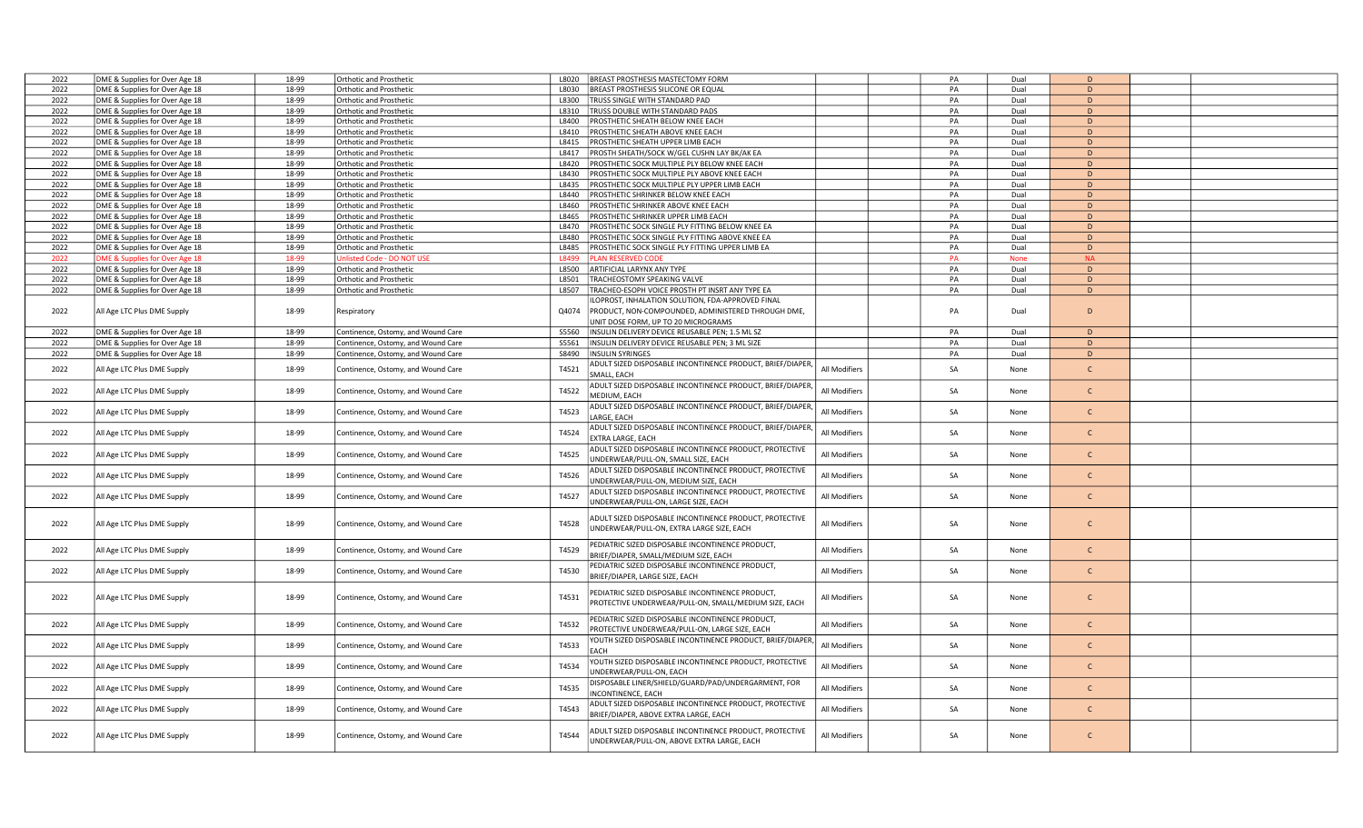| 2022 | DME & Supplies for Over Age 18 | 18-99 | <b>Orthotic and Prosthetic</b>     | L8020  | <b>BREAST PROSTHESIS MASTECTOMY FORM</b>                                  |               | PA | Dual        | D              |  |
|------|--------------------------------|-------|------------------------------------|--------|---------------------------------------------------------------------------|---------------|----|-------------|----------------|--|
| 2022 | DME & Supplies for Over Age 18 | 18-99 | <b>Orthotic and Prosthetic</b>     | L8030  | <b>BREAST PROSTHESIS SILICONE OR EQUAL</b>                                |               | PA | Dual        | D              |  |
| 2022 | DME & Supplies for Over Age 18 | 18-99 | Orthotic and Prosthetic            | L8300  | TRUSS SINGLE WITH STANDARD PAD                                            |               | PA | Dual        | D              |  |
| 2022 | DME & Supplies for Over Age 18 | 18-99 | <b>Orthotic and Prosthetic</b>     | L8310  | TRUSS DOUBLE WITH STANDARD PADS                                           |               | PA | Dual        | D              |  |
| 2022 | DME & Supplies for Over Age 18 | 18-99 | <b>Orthotic and Prosthetic</b>     | L8400  | PROSTHETIC SHEATH BELOW KNEE EACH                                         |               | PA | Dual        | D              |  |
| 2022 | DME & Supplies for Over Age 18 | 18-99 | Orthotic and Prosthetic            | L8410  | PROSTHETIC SHEATH ABOVE KNEE EACH                                         |               | PA | Dual        | D              |  |
| 2022 | DME & Supplies for Over Age 18 | 18-99 | Orthotic and Prosthetic            | L8415  | PROSTHETIC SHEATH UPPER LIMB EACH                                         |               | PA | Dual        | D              |  |
| 2022 |                                | 18-99 | Orthotic and Prosthetic            | L8417  | PROSTH SHEATH/SOCK W/GEL CUSHN LAY BK/AK EA                               |               | PA | Dual        | D              |  |
|      | DME & Supplies for Over Age 18 |       |                                    |        |                                                                           |               |    |             |                |  |
| 2022 | DME & Supplies for Over Age 18 | 18-99 | Orthotic and Prosthetic            | L8420  | PROSTHETIC SOCK MULTIPLE PLY BELOW KNEE EACH                              |               | PA | Dual        | D              |  |
| 2022 | DME & Supplies for Over Age 18 | 18-99 | Orthotic and Prosthetic            | L8430  | PROSTHETIC SOCK MULTIPLE PLY ABOVE KNEE EACH                              |               | PA | Dual        | D              |  |
| 2022 | DME & Supplies for Over Age 18 | 18-99 | Orthotic and Prosthetic            | L8435  | PROSTHETIC SOCK MULTIPLE PLY UPPER LIMB EACH                              |               | PA | Dual        | D              |  |
| 2022 | DME & Supplies for Over Age 18 | 18-99 | Orthotic and Prosthetic            | L8440  | PROSTHETIC SHRINKER BELOW KNEE EACH                                       |               | PA | Dual        | D              |  |
| 2022 | DME & Supplies for Over Age 18 | 18-99 | Orthotic and Prosthetic            | L8460  | PROSTHETIC SHRINKER ABOVE KNEE EACH                                       |               | PA | Dual        | D              |  |
| 2022 | DME & Supplies for Over Age 18 | 18-99 | <b>Orthotic and Prosthetic</b>     | L8465  | PROSTHETIC SHRINKER UPPER LIMB EACH                                       |               | PA | Dual        | D              |  |
| 2022 | DME & Supplies for Over Age 18 | 18-99 | Orthotic and Prosthetic            | L8470  | PROSTHETIC SOCK SINGLE PLY FITTING BELOW KNEE EA                          |               | PA | Dual        | D              |  |
| 2022 | DME & Supplies for Over Age 18 | 18-99 | Orthotic and Prosthetic            | L8480  | PROSTHETIC SOCK SINGLE PLY FITTING ABOVE KNEE EA                          |               | PA | Dual        | D              |  |
| 2022 | DME & Supplies for Over Age 18 | 18-99 | Orthotic and Prosthetic            | L8485  | PROSTHETIC SOCK SINGLE PLY FITTING UPPER LIMB EA                          |               | PA | Dual        | D              |  |
| 2022 | OME & Supplies for Over Age 18 | 18-99 | Unlisted Code - DO NOT USI         | L8499  | <b>PLAN RESERVED CODE</b>                                                 |               | PA | <b>None</b> | <b>NA</b>      |  |
| 2022 | DME & Supplies for Over Age 18 | 18-99 | Orthotic and Prosthetic            | L8500  | ARTIFICIAL LARYNX ANY TYPE                                                |               | PA | Dual        | D              |  |
| 2022 | DME & Supplies for Over Age 18 | 18-99 | <b>Orthotic and Prosthetic</b>     | L8501  | TRACHEOSTOMY SPEAKING VALVE                                               |               | PA | Dual        | D              |  |
| 2022 | DME & Supplies for Over Age 18 | 18-99 | <b>Orthotic and Prosthetic</b>     | L8507  | TRACHEO-ESOPH VOICE PROSTH PT INSRT ANY TYPE EA                           |               | PA | Dual        | D              |  |
|      |                                |       |                                    |        | ILOPROST, INHALATION SOLUTION, FDA-APPROVED FINAL                         |               |    |             |                |  |
| 2022 | All Age LTC Plus DME Supply    | 18-99 | Respiratory                        | Q4074  | PRODUCT, NON-COMPOUNDED, ADMINISTERED THROUGH DME,                        |               | PA | Dual        | D              |  |
|      |                                |       |                                    |        | UNIT DOSE FORM, UP TO 20 MICROGRAMS                                       |               |    |             |                |  |
| 2022 | DME & Supplies for Over Age 18 | 18-99 | Continence, Ostomy, and Wound Care | \$5560 | INSULIN DELIVERY DEVICE REUSABLE PEN; 1.5 ML SZ                           |               | PA | Dual        | D              |  |
|      |                                |       |                                    |        |                                                                           |               |    |             |                |  |
| 2022 | DME & Supplies for Over Age 18 | 18-99 | Continence, Ostomy, and Wound Care | S5561  | INSULIN DELIVERY DEVICE REUSABLE PEN; 3 ML SIZE                           |               | PA | Dual        | D              |  |
| 2022 | DME & Supplies for Over Age 18 | 18-99 | Continence, Ostomy, and Wound Care |        | S8490   INSULIN SYRINGES                                                  |               | PA | Dual        | $\overline{D}$ |  |
| 2022 | All Age LTC Plus DME Supply    | 18-99 | Continence, Ostomy, and Wound Care | T4521  | ADULT SIZED DISPOSABLE INCONTINENCE PRODUCT, BRIEF/DIAPER,<br>SMALL, EACH | All Modifiers | SA | None        | $\mathsf{C}$   |  |
| 2022 | All Age LTC Plus DME Supply    | 18-99 | Continence, Ostomy, and Wound Care | T4522  | ADULT SIZED DISPOSABLE INCONTINENCE PRODUCT, BRIEF/DIAPER                 | All Modifiers | SA | None        | $\mathsf{C}$   |  |
|      |                                |       |                                    |        | MEDIUM, EACH                                                              |               |    |             |                |  |
| 2022 | All Age LTC Plus DME Supply    | 18-99 | Continence, Ostomy, and Wound Care | T4523  | ADULT SIZED DISPOSABLE INCONTINENCE PRODUCT, BRIEF/DIAPER                 | All Modifiers | SA | None        | $\mathsf{C}$   |  |
|      |                                |       |                                    |        | LARGE, EACH                                                               |               |    |             |                |  |
| 2022 | All Age LTC Plus DME Supply    | 18-99 | Continence, Ostomy, and Wound Care | T4524  | ADULT SIZED DISPOSABLE INCONTINENCE PRODUCT, BRIEF/DIAPER                 | All Modifiers | SA | None        | $\mathsf{C}$   |  |
|      |                                |       |                                    |        | EXTRA LARGE, EACH                                                         |               |    |             |                |  |
| 2022 |                                | 18-99 |                                    | T4525  | ADULT SIZED DISPOSABLE INCONTINENCE PRODUCT, PROTECTIVE                   | All Modifiers | SA |             | $\mathsf{C}$   |  |
|      | All Age LTC Plus DME Supply    |       | Continence, Ostomy, and Wound Care |        | UNDERWEAR/PULL-ON, SMALL SIZE, EACH                                       |               |    | None        |                |  |
|      |                                |       |                                    |        | ADULT SIZED DISPOSABLE INCONTINENCE PRODUCT, PROTECTIVE                   |               |    |             |                |  |
| 2022 | All Age LTC Plus DME Supply    | 18-99 | Continence, Ostomy, and Wound Care | T4526  | UNDERWEAR/PULL-ON, MEDIUM SIZE, EACH                                      | All Modifiers | SA | None        | $\mathsf{C}$   |  |
|      |                                |       |                                    |        | ADULT SIZED DISPOSABLE INCONTINENCE PRODUCT, PROTECTIVE                   |               |    |             |                |  |
| 2022 | All Age LTC Plus DME Supply    | 18-99 | Continence, Ostomy, and Wound Care | T4527  | UNDERWEAR/PULL-ON, LARGE SIZE, EACH                                       | All Modifiers | SA | None        | $\mathsf{C}$   |  |
|      |                                |       |                                    |        |                                                                           |               |    |             |                |  |
| 2022 | All Age LTC Plus DME Supply    | 18-99 |                                    | T4528  | ADULT SIZED DISPOSABLE INCONTINENCE PRODUCT, PROTECTIVE                   | All Modifiers | SA | None        | $\mathsf{C}$   |  |
|      |                                |       | Continence, Ostomy, and Wound Care |        | UNDERWEAR/PULL-ON, EXTRA LARGE SIZE, EACH                                 |               |    |             |                |  |
|      |                                |       |                                    |        |                                                                           |               |    |             |                |  |
| 2022 | All Age LTC Plus DME Supply    | 18-99 | Continence, Ostomy, and Wound Care | T4529  | PEDIATRIC SIZED DISPOSABLE INCONTINENCE PRODUCT,                          | All Modifiers | SA | None        | $\mathsf{C}$   |  |
|      |                                |       |                                    |        | BRIEF/DIAPER, SMALL/MEDIUM SIZE, EACH                                     |               |    |             |                |  |
| 2022 | All Age LTC Plus DME Supply    | 18-99 | Continence, Ostomy, and Wound Care | T4530  | EDIATRIC SIZED DISPOSABLE INCONTINENCE PRODUCT,                           | All Modifiers | SA | None        | $\mathsf{C}$   |  |
|      |                                |       |                                    |        | BRIEF/DIAPER, LARGE SIZE, EACH                                            |               |    |             |                |  |
|      |                                |       |                                    |        | PEDIATRIC SIZED DISPOSABLE INCONTINENCE PRODUCT,                          |               |    |             |                |  |
| 2022 | All Age LTC Plus DME Supply    | 18-99 | Continence, Ostomy, and Wound Care | T4531  |                                                                           | All Modifiers | SA | None        | $\mathsf{C}$   |  |
|      |                                |       |                                    |        | PROTECTIVE UNDERWEAR/PULL-ON, SMALL/MEDIUM SIZE, EACH                     |               |    |             |                |  |
|      |                                |       |                                    |        | PEDIATRIC SIZED DISPOSABLE INCONTINENCE PRODUCT,                          |               |    |             |                |  |
| 2022 | All Age LTC Plus DME Supply    | 18-99 | Continence, Ostomy, and Wound Care | T4532  | PROTECTIVE UNDERWEAR/PULL-ON, LARGE SIZE, EACH                            | All Modifiers | SA | None        | $\mathsf{C}$   |  |
|      |                                |       |                                    |        | YOUTH SIZED DISPOSABLE INCONTINENCE PRODUCT, BRIEF/DIAPER                 |               |    |             |                |  |
| 2022 | All Age LTC Plus DME Supply    | 18-99 | Continence, Ostomy, and Wound Care | T4533  | EACH                                                                      | All Modifiers | SA | None        | $\mathsf{C}$   |  |
|      |                                |       |                                    |        | YOUTH SIZED DISPOSABLE INCONTINENCE PRODUCT, PROTECTIVE                   |               |    |             |                |  |
| 2022 | All Age LTC Plus DME Supply    | 18-99 | Continence, Ostomy, and Wound Care | T4534  |                                                                           | All Modifiers | SA | None        | $\mathsf{C}$   |  |
|      |                                |       |                                    |        | UNDERWEAR/PULL-ON, EACH                                                   |               |    |             |                |  |
| 2022 | All Age LTC Plus DME Supply    | 18-99 | Continence, Ostomy, and Wound Care | T4535  | DISPOSABLE LINER/SHIELD/GUARD/PAD/UNDERGARMENT, FOR                       | All Modifiers | SA | None        | $\mathsf{C}$   |  |
|      |                                |       |                                    |        | NCONTINENCE, EACH                                                         |               |    |             |                |  |
| 2022 | All Age LTC Plus DME Supply    | 18-99 | Continence, Ostomy, and Wound Care | T4543  | ADULT SIZED DISPOSABLE INCONTINENCE PRODUCT, PROTECTIVE                   | All Modifiers | SA | None        | $\mathsf{C}$   |  |
|      |                                |       |                                    |        | BRIEF/DIAPER, ABOVE EXTRA LARGE, EACH                                     |               |    |             |                |  |
|      |                                |       |                                    |        | ADULT SIZED DISPOSABLE INCONTINENCE PRODUCT, PROTECTIVE                   |               |    |             |                |  |
| 2022 | All Age LTC Plus DME Supply    | 18-99 | Continence, Ostomy, and Wound Care | T4544  | UNDERWEAR/PULL-ON, ABOVE EXTRA LARGE, EACH                                | All Modifiers | SA | None        | $\mathsf{C}$   |  |
|      |                                |       |                                    |        |                                                                           |               |    |             |                |  |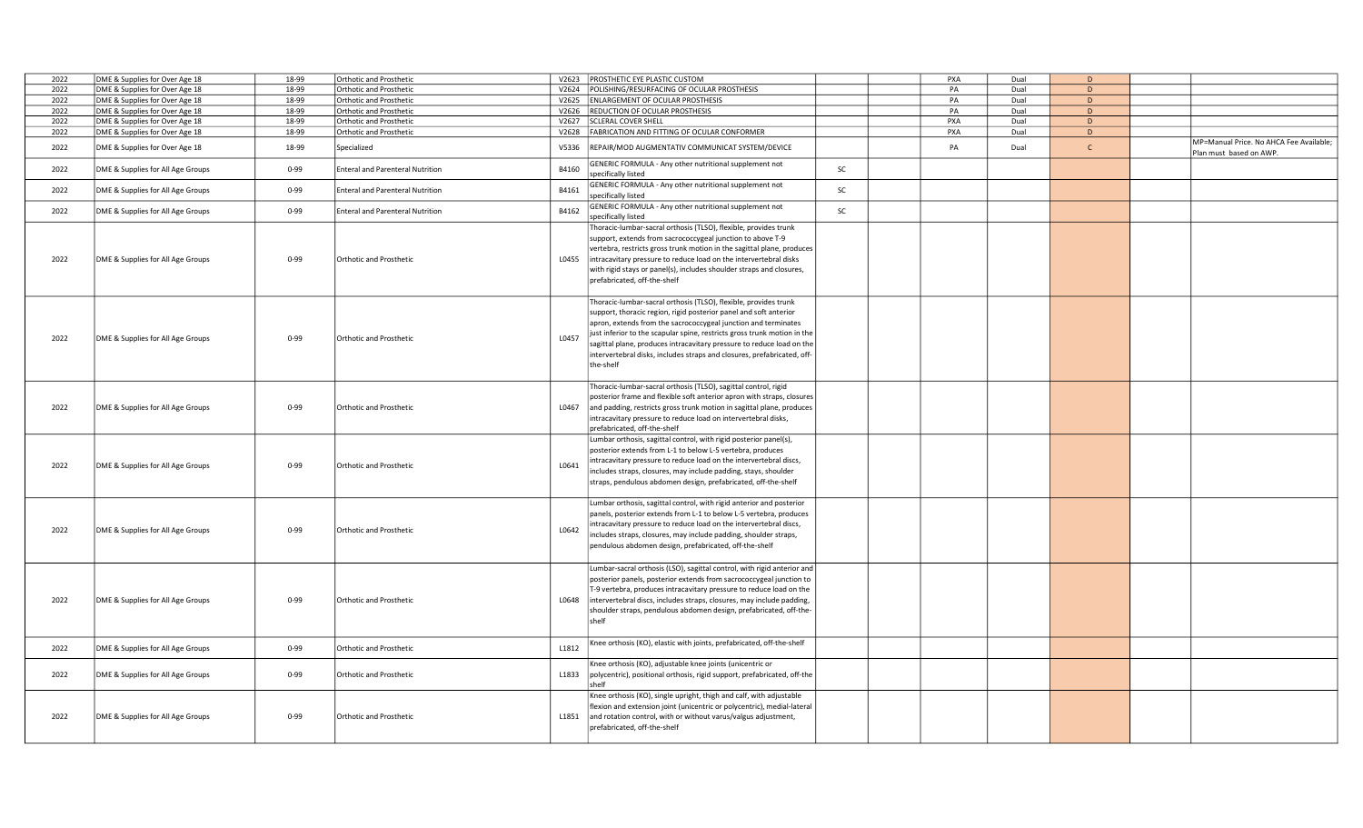| 2022 | DME & Supplies for Over Age 18    | 18-99    | <b>Orthotic and Prosthetic</b>          |       | V2623 PROSTHETIC EYE PLASTIC CUSTOM                                                                                                                                                                                                                                                                                                                                                                                                                  | PXA | Dual | D            |                                                                    |
|------|-----------------------------------|----------|-----------------------------------------|-------|------------------------------------------------------------------------------------------------------------------------------------------------------------------------------------------------------------------------------------------------------------------------------------------------------------------------------------------------------------------------------------------------------------------------------------------------------|-----|------|--------------|--------------------------------------------------------------------|
| 2022 | DME & Supplies for Over Age 18    | 18-99    | Orthotic and Prosthetic                 |       | V2624 POLISHING/RESURFACING OF OCULAR PROSTHESIS                                                                                                                                                                                                                                                                                                                                                                                                     | PA  | Dual | D            |                                                                    |
| 2022 |                                   | 18-99    |                                         |       | V2625 ENLARGEMENT OF OCULAR PROSTHESIS                                                                                                                                                                                                                                                                                                                                                                                                               |     | Dual | D            |                                                                    |
|      | DME & Supplies for Over Age 18    |          | Orthotic and Prosthetic                 |       |                                                                                                                                                                                                                                                                                                                                                                                                                                                      | PA  |      |              |                                                                    |
| 2022 | DME & Supplies for Over Age 18    | 18-99    | Orthotic and Prosthetic                 | V2626 | <b>REDUCTION OF OCULAR PROSTHESIS</b>                                                                                                                                                                                                                                                                                                                                                                                                                | PA  | Dual | D            |                                                                    |
| 2022 | DME & Supplies for Over Age 18    | 18-99    | Orthotic and Prosthetic                 |       | V2627 SCLERAL COVER SHELL                                                                                                                                                                                                                                                                                                                                                                                                                            | PXA | Dual | D            |                                                                    |
| 2022 | DME & Supplies for Over Age 18    | 18-99    | Orthotic and Prosthetic                 |       | V2628 FABRICATION AND FITTING OF OCULAR CONFORMER                                                                                                                                                                                                                                                                                                                                                                                                    | PXA | Dual | D            |                                                                    |
| 2022 | DME & Supplies for Over Age 18    | 18-99    | Specialized                             | V5336 | REPAIR/MOD AUGMENTATIV COMMUNICAT SYSTEM/DEVICE                                                                                                                                                                                                                                                                                                                                                                                                      | PA  | Dual | $\mathsf{C}$ | MP=Manual Price. No AHCA Fee Available;<br>Plan must based on AWP. |
| 2022 | DME & Supplies for All Age Groups | $0 - 99$ | <b>Enteral and Parenteral Nutrition</b> | B4160 | GENERIC FORMULA - Any other nutritional supplement not<br>SC<br>specifically listed                                                                                                                                                                                                                                                                                                                                                                  |     |      |              |                                                                    |
| 2022 | DME & Supplies for All Age Groups | $0 - 99$ | <b>Enteral and Parenteral Nutrition</b> | B4161 | GENERIC FORMULA - Any other nutritional supplement not<br>SC<br>pecifically listed                                                                                                                                                                                                                                                                                                                                                                   |     |      |              |                                                                    |
| 2022 | DME & Supplies for All Age Groups | $0 - 99$ | <b>Enteral and Parenteral Nutrition</b> | B4162 | GENERIC FORMULA - Any other nutritional supplement not<br>SC<br>specifically listed                                                                                                                                                                                                                                                                                                                                                                  |     |      |              |                                                                    |
| 2022 | DME & Supplies for All Age Groups | $0 - 99$ | Orthotic and Prosthetic                 | L0455 | Thoracic-lumbar-sacral orthosis (TLSO), flexible, provides trunk<br>support, extends from sacrococcygeal junction to above T-9<br>vertebra, restricts gross trunk motion in the sagittal plane, produces<br>intracavitary pressure to reduce load on the intervertebral disks<br>with rigid stays or panel(s), includes shoulder straps and closures,<br>prefabricated, off-the-shelf                                                                |     |      |              |                                                                    |
| 2022 | DME & Supplies for All Age Groups | $0 - 99$ | Orthotic and Prosthetic                 | L0457 | Thoracic-lumbar-sacral orthosis (TLSO), flexible, provides trunk<br>support, thoracic region, rigid posterior panel and soft anterior<br>apron, extends from the sacrococcygeal junction and terminates<br>just inferior to the scapular spine, restricts gross trunk motion in the<br>sagittal plane, produces intracavitary pressure to reduce load on the<br>intervertebral disks, includes straps and closures, prefabricated, off-<br>the-shelf |     |      |              |                                                                    |
| 2022 | DME & Supplies for All Age Groups | $0 - 99$ | Orthotic and Prosthetic                 | L0467 | Thoracic-lumbar-sacral orthosis (TLSO), sagittal control, rigid<br>posterior frame and flexible soft anterior apron with straps, closures<br>and padding, restricts gross trunk motion in sagittal plane, produces<br>intracavitary pressure to reduce load on intervertebral disks,<br>prefabricated, off-the-shelf                                                                                                                                 |     |      |              |                                                                    |
| 2022 | DME & Supplies for All Age Groups | $0 - 99$ | Orthotic and Prosthetic                 | L0641 | Lumbar orthosis, sagittal control, with rigid posterior panel(s),<br>posterior extends from L-1 to below L-5 vertebra, produces<br>intracavitary pressure to reduce load on the intervertebral discs,<br>includes straps, closures, may include padding, stays, shoulder<br>straps, pendulous abdomen design, prefabricated, off-the-shelf                                                                                                           |     |      |              |                                                                    |
| 2022 | DME & Supplies for All Age Groups | $0 - 99$ | Orthotic and Prosthetic                 | L0642 | Lumbar orthosis, sagittal control, with rigid anterior and posterior<br>panels, posterior extends from L-1 to below L-5 vertebra, produces<br>ntracavitary pressure to reduce load on the intervertebral discs,<br>includes straps, closures, may include padding, shoulder straps,<br>pendulous abdomen design, prefabricated, off-the-shelf                                                                                                        |     |      |              |                                                                    |
| 2022 | DME & Supplies for All Age Groups | $0 - 99$ | Orthotic and Prosthetic                 | L0648 | Lumbar-sacral orthosis (LSO), sagittal control, with rigid anterior and<br>posterior panels, posterior extends from sacrococcygeal junction to<br>T-9 vertebra, produces intracavitary pressure to reduce load on the<br>intervertebral discs, includes straps, closures, may include padding,<br>shoulder straps, pendulous abdomen design, prefabricated, off-the-<br>shelf                                                                        |     |      |              |                                                                    |
| 2022 | DME & Supplies for All Age Groups | $0 - 99$ | Orthotic and Prosthetic                 | L1812 | Knee orthosis (KO), elastic with joints, prefabricated, off-the-shelf                                                                                                                                                                                                                                                                                                                                                                                |     |      |              |                                                                    |
| 2022 | DME & Supplies for All Age Groups | $0 - 99$ | Orthotic and Prosthetic                 | L1833 | Knee orthosis (KO), adjustable knee joints (unicentric or<br>polycentric), positional orthosis, rigid support, prefabricated, off-the<br>shelf                                                                                                                                                                                                                                                                                                       |     |      |              |                                                                    |
| 2022 | DME & Supplies for All Age Groups | $0 - 99$ | Orthotic and Prosthetic                 | L1851 | Knee orthosis (KO), single upright, thigh and calf, with adjustable<br>flexion and extension joint (unicentric or polycentric), medial-lateral<br>and rotation control, with or without varus/valgus adjustment,<br>prefabricated, off-the-shelf                                                                                                                                                                                                     |     |      |              |                                                                    |